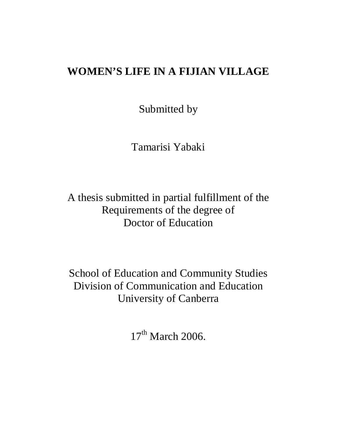# **WOMEN'S LIFE IN A FIJIAN VILLAGE**

Submitted by

Tamarisi Yabaki

A thesis submitted in partial fulfillment of the Requirements of the degree of Doctor of Education

School of Education and Community Studies Division of Communication and Education University of Canberra

 $17<sup>th</sup>$  March 2006.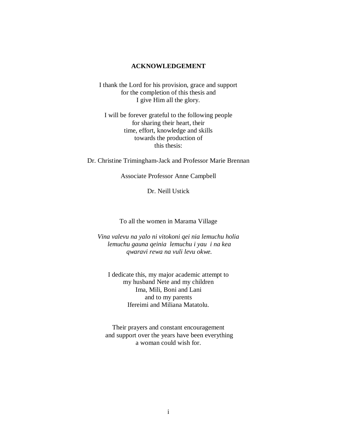#### **ACKNOWLEDGEMENT**

I thank the Lord for his provision, grace and support for the completion of this thesis and I give Him all the glory.

I will be forever grateful to the following people for sharing their heart, their time, effort, knowledge and skills towards the production of this thesis:

Dr. Christine Trimingham-Jack and Professor Marie Brennan

Associate Professor Anne Campbell

Dr. Neill Ustick

To all the women in Marama Village

*Vina valevu na yalo ni vitokoni qei nia lemuchu holia lemuchu gauna qeinia lemuchu i yau i na kea qwaravi rewa na vuli levu okwe.* 

I dedicate this, my major academic attempt to my husband Nete and my children Ima, Mili, Boni and Lani and to my parents Ifereimi and Miliana Matatolu.

Their prayers and constant encouragement and support over the years have been everything a woman could wish for.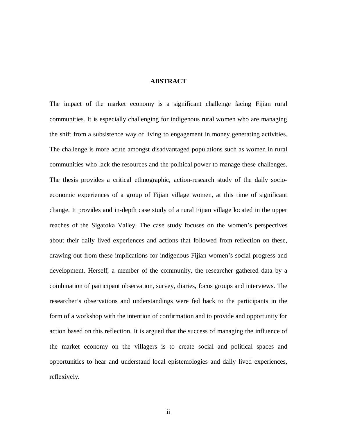#### **ABSTRACT**

The impact of the market economy is a significant challenge facing Fijian rural communities. It is especially challenging for indigenous rural women who are managing the shift from a subsistence way of living to engagement in money generating activities. The challenge is more acute amongst disadvantaged populations such as women in rural communities who lack the resources and the political power to manage these challenges. The thesis provides a critical ethnographic, action-research study of the daily socioeconomic experiences of a group of Fijian village women, at this time of significant change. It provides and in-depth case study of a rural Fijian village located in the upper reaches of the Sigatoka Valley. The case study focuses on the women's perspectives about their daily lived experiences and actions that followed from reflection on these, drawing out from these implications for indigenous Fijian women's social progress and development. Herself, a member of the community, the researcher gathered data by a combination of participant observation, survey, diaries, focus groups and interviews. The researcher's observations and understandings were fed back to the participants in the form of a workshop with the intention of confirmation and to provide and opportunity for action based on this reflection. It is argued that the success of managing the influence of the market economy on the villagers is to create social and political spaces and opportunities to hear and understand local epistemologies and daily lived experiences, reflexively.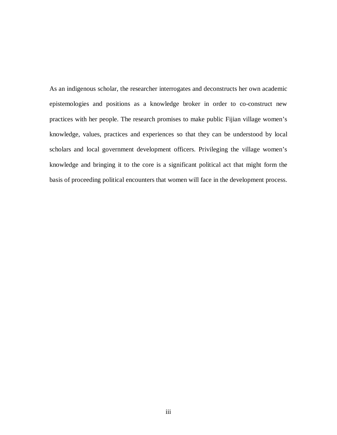As an indigenous scholar, the researcher interrogates and deconstructs her own academic epistemologies and positions as a knowledge broker in order to co-construct new practices with her people. The research promises to make public Fijian village women's knowledge, values, practices and experiences so that they can be understood by local scholars and local government development officers. Privileging the village women's knowledge and bringing it to the core is a significant political act that might form the basis of proceeding political encounters that women will face in the development process.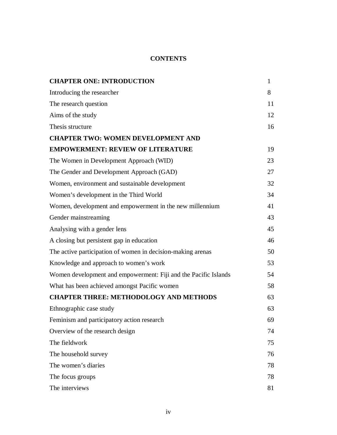### **CONTENTS**

| <b>CHAPTER ONE: INTRODUCTION</b>                                | $\mathbf{1}$ |
|-----------------------------------------------------------------|--------------|
| Introducing the researcher                                      | 8            |
| The research question                                           | 11           |
| Aims of the study                                               | 12           |
| Thesis structure                                                | 16           |
| <b>CHAPTER TWO: WOMEN DEVELOPMENT AND</b>                       |              |
| <b>EMPOWERMENT: REVIEW OF LITERATURE</b>                        | 19           |
| The Women in Development Approach (WID)                         | 23           |
| The Gender and Development Approach (GAD)                       | 27           |
| Women, environment and sustainable development                  | 32           |
| Women's development in the Third World                          | 34           |
| Women, development and empowerment in the new millennium        | 41           |
| Gender mainstreaming                                            | 43           |
| Analysing with a gender lens                                    | 45           |
| A closing but persistent gap in education                       | 46           |
| The active participation of women in decision-making arenas     | 50           |
| Knowledge and approach to women's work                          | 53           |
| Women development and empowerment: Fiji and the Pacific Islands | 54           |
| What has been achieved amongst Pacific women                    | 58           |
| <b>CHAPTER THREE: METHODOLOGY AND METHODS</b>                   | 63           |
| Ethnographic case study                                         | 63           |
| Feminism and participatory action research                      | 69           |
| Overview of the research design                                 | 74           |
| The fieldwork                                                   | 75           |
| The household survey                                            | 76           |
| The women's diaries                                             | 78           |
| The focus groups                                                | 78           |
| The interviews                                                  | 81           |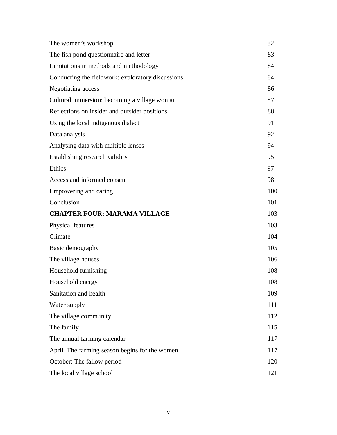| The women's workshop                              | 82  |
|---------------------------------------------------|-----|
| The fish pond questionnaire and letter            | 83  |
| Limitations in methods and methodology            | 84  |
| Conducting the fieldwork: exploratory discussions | 84  |
| Negotiating access                                | 86  |
| Cultural immersion: becoming a village woman      | 87  |
| Reflections on insider and outsider positions     | 88  |
| Using the local indigenous dialect                | 91  |
| Data analysis                                     | 92  |
| Analysing data with multiple lenses               | 94  |
| Establishing research validity                    | 95  |
| Ethics                                            | 97  |
| Access and informed consent                       | 98  |
| Empowering and caring                             | 100 |
| Conclusion                                        | 101 |
| <b>CHAPTER FOUR: MARAMA VILLAGE</b>               | 103 |
| Physical features                                 | 103 |
| Climate                                           | 104 |
| Basic demography                                  | 105 |
| The village houses                                | 106 |
| Household furnishing                              | 108 |
| Household energy                                  | 108 |
| Sanitation and health                             | 109 |
| Water supply                                      | 111 |
| The village community                             | 112 |
| The family                                        | 115 |
| The annual farming calendar                       | 117 |
|                                                   |     |
| April: The farming season begins for the women    | 117 |
| October: The fallow period                        | 120 |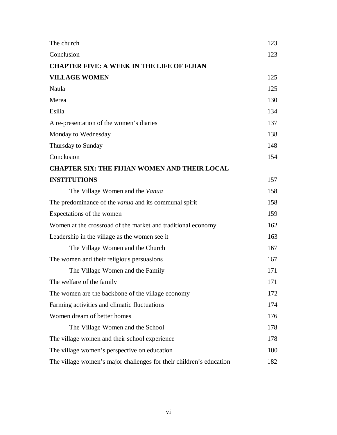| The church                                                          | 123 |
|---------------------------------------------------------------------|-----|
| Conclusion                                                          | 123 |
| <b>CHAPTER FIVE: A WEEK IN THE LIFE OF FIJIAN</b>                   |     |
| <b>VILLAGE WOMEN</b>                                                | 125 |
| Naula                                                               | 125 |
| Merea                                                               | 130 |
| Esilia                                                              | 134 |
| A re-presentation of the women's diaries                            | 137 |
| Monday to Wednesday                                                 | 138 |
| Thursday to Sunday                                                  | 148 |
| Conclusion                                                          | 154 |
| <b>CHAPTER SIX: THE FIJIAN WOMEN AND THEIR LOCAL</b>                |     |
| <b>INSTITUTIONS</b>                                                 | 157 |
| The Village Women and the Vanua                                     | 158 |
| The predominance of the <i>vanua</i> and its communal spirit        | 158 |
| Expectations of the women                                           | 159 |
| Women at the crossroad of the market and traditional economy        | 162 |
| Leadership in the village as the women see it                       | 163 |
| The Village Women and the Church                                    | 167 |
| The women and their religious persuasions                           | 167 |
| The Village Women and the Family                                    | 171 |
| The welfare of the family                                           | 171 |
| The women are the backbone of the village economy                   | 172 |
| Farming activities and climatic fluctuations                        | 174 |
| Women dream of better homes                                         | 176 |
| The Village Women and the School                                    | 178 |
| The village women and their school experience                       | 178 |
| The village women's perspective on education                        | 180 |
| The village women's major challenges for their children's education | 182 |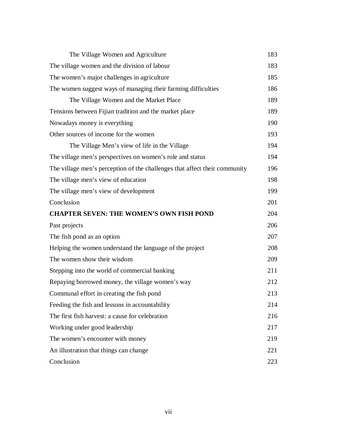| The Village Women and Agriculture                                          | 183 |
|----------------------------------------------------------------------------|-----|
| The village women and the division of labour                               | 183 |
| The women's major challenges in agriculture                                | 185 |
| The women suggest ways of managing their farming difficulties              | 186 |
| The Village Women and the Market Place                                     | 189 |
| Tensions between Fijian tradition and the market place                     | 189 |
| Nowadays money is everything                                               | 190 |
| Other sources of income for the women                                      | 193 |
| The Village Men's view of life in the Village                              | 194 |
| The village men's perspectives on women's role and status                  | 194 |
| The village men's perception of the challenges that affect their community | 196 |
| The village men's view of education                                        | 198 |
| The village men's view of development                                      | 199 |
| Conclusion                                                                 | 201 |
| <b>CHAPTER SEVEN: THE WOMEN'S OWN FISH POND</b>                            | 204 |
|                                                                            |     |
| Past projects                                                              | 206 |
| The fish pond as an option                                                 | 207 |
| Helping the women understand the language of the project                   | 208 |
| The women show their wisdom                                                | 209 |
| Stepping into the world of commercial banking                              | 211 |
| Repaying borrowed money, the village women's way                           | 212 |
| Communal effort in creating the fish pond                                  | 213 |
| Feeding the fish and lessons in accountability                             | 214 |
| The first fish harvest: a cause for celebration                            | 216 |
| Working under good leadership                                              | 217 |
| The women's encounter with money                                           | 219 |
| An illustration that things can change                                     | 221 |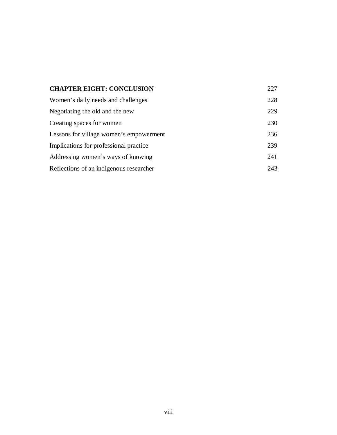| <b>CHAPTER EIGHT: CONCLUSION</b>        | 227 |
|-----------------------------------------|-----|
| Women's daily needs and challenges      | 228 |
| Negotiating the old and the new         | 229 |
| Creating spaces for women               | 230 |
| Lessons for village women's empowerment | 236 |
| Implications for professional practice  | 239 |
| Addressing women's ways of knowing      | 241 |
| Reflections of an indigenous researcher | 243 |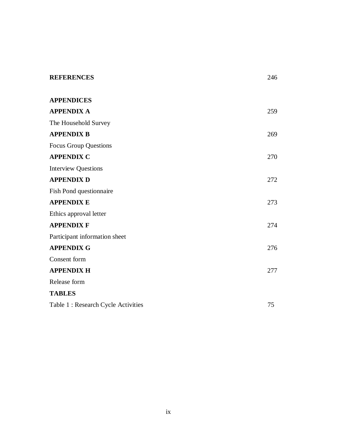| <b>REFERENCES</b>                   | 246 |
|-------------------------------------|-----|
| <b>APPENDICES</b>                   |     |
| <b>APPENDIX A</b>                   | 259 |
| The Household Survey                |     |
| <b>APPENDIX B</b>                   | 269 |
| <b>Focus Group Questions</b>        |     |
| <b>APPENDIX C</b>                   | 270 |
| <b>Interview Questions</b>          |     |
| <b>APPENDIX D</b>                   | 272 |
| Fish Pond questionnaire             |     |
| <b>APPENDIX E</b>                   | 273 |
| Ethics approval letter              |     |
| <b>APPENDIX F</b>                   | 274 |
| Participant information sheet       |     |
| <b>APPENDIX G</b>                   | 276 |
| Consent form                        |     |
| <b>APPENDIX H</b>                   | 277 |
| Release form                        |     |
| <b>TABLES</b>                       |     |
| Table 1 : Research Cycle Activities | 75  |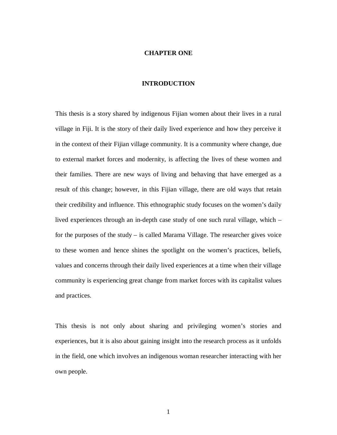#### **CHAPTER ONE**

#### **INTRODUCTION**

This thesis is a story shared by indigenous Fijian women about their lives in a rural village in Fiji. It is the story of their daily lived experience and how they perceive it in the context of their Fijian village community. It is a community where change, due to external market forces and modernity, is affecting the lives of these women and their families. There are new ways of living and behaving that have emerged as a result of this change; however, in this Fijian village, there are old ways that retain their credibility and influence. This ethnographic study focuses on the women's daily lived experiences through an in-depth case study of one such rural village, which – for the purposes of the study – is called Marama Village. The researcher gives voice to these women and hence shines the spotlight on the women's practices, beliefs, values and concerns through their daily lived experiences at a time when their village community is experiencing great change from market forces with its capitalist values and practices.

This thesis is not only about sharing and privileging women's stories and experiences, but it is also about gaining insight into the research process as it unfolds in the field, one which involves an indigenous woman researcher interacting with her own people.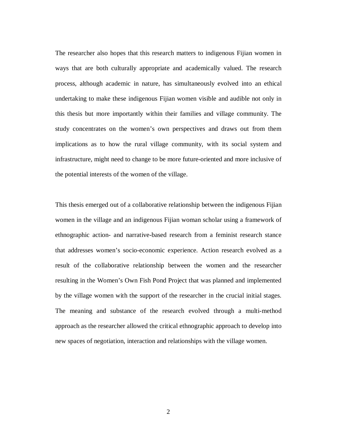The researcher also hopes that this research matters to indigenous Fijian women in ways that are both culturally appropriate and academically valued. The research process, although academic in nature, has simultaneously evolved into an ethical undertaking to make these indigenous Fijian women visible and audible not only in this thesis but more importantly within their families and village community. The study concentrates on the women's own perspectives and draws out from them implications as to how the rural village community, with its social system and infrastructure, might need to change to be more future-oriented and more inclusive of the potential interests of the women of the village.

This thesis emerged out of a collaborative relationship between the indigenous Fijian women in the village and an indigenous Fijian woman scholar using a framework of ethnographic action- and narrative-based research from a feminist research stance that addresses women's socio-economic experience. Action research evolved as a result of the collaborative relationship between the women and the researcher resulting in the Women's Own Fish Pond Project that was planned and implemented by the village women with the support of the researcher in the crucial initial stages. The meaning and substance of the research evolved through a multi-method approach as the researcher allowed the critical ethnographic approach to develop into new spaces of negotiation, interaction and relationships with the village women.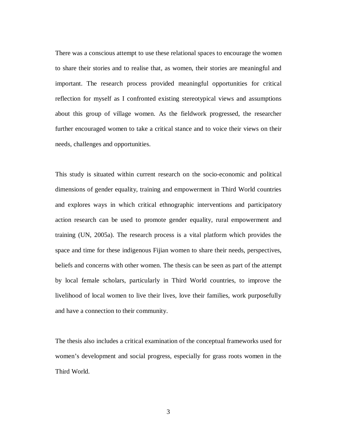There was a conscious attempt to use these relational spaces to encourage the women to share their stories and to realise that, as women, their stories are meaningful and important. The research process provided meaningful opportunities for critical reflection for myself as I confronted existing stereotypical views and assumptions about this group of village women. As the fieldwork progressed, the researcher further encouraged women to take a critical stance and to voice their views on their needs, challenges and opportunities.

This study is situated within current research on the socio-economic and political dimensions of gender equality, training and empowerment in Third World countries and explores ways in which critical ethnographic interventions and participatory action research can be used to promote gender equality, rural empowerment and training (UN, 2005a). The research process is a vital platform which provides the space and time for these indigenous Fijian women to share their needs, perspectives, beliefs and concerns with other women. The thesis can be seen as part of the attempt by local female scholars, particularly in Third World countries, to improve the livelihood of local women to live their lives, love their families, work purposefully and have a connection to their community.

The thesis also includes a critical examination of the conceptual frameworks used for women's development and social progress, especially for grass roots women in the Third World.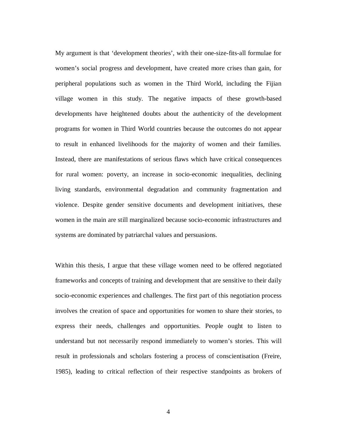My argument is that 'development theories', with their one-size-fits-all formulae for women's social progress and development, have created more crises than gain, for peripheral populations such as women in the Third World, including the Fijian village women in this study. The negative impacts of these growth-based developments have heightened doubts about the authenticity of the development programs for women in Third World countries because the outcomes do not appear to result in enhanced livelihoods for the majority of women and their families. Instead, there are manifestations of serious flaws which have critical consequences for rural women: poverty, an increase in socio-economic inequalities, declining living standards, environmental degradation and community fragmentation and violence. Despite gender sensitive documents and development initiatives, these women in the main are still marginalized because socio-economic infrastructures and systems are dominated by patriarchal values and persuasions.

Within this thesis, I argue that these village women need to be offered negotiated frameworks and concepts of training and development that are sensitive to their daily socio-economic experiences and challenges. The first part of this negotiation process involves the creation of space and opportunities for women to share their stories, to express their needs, challenges and opportunities. People ought to listen to understand but not necessarily respond immediately to women's stories. This will result in professionals and scholars fostering a process of conscientisation (Freire, 1985), leading to critical reflection of their respective standpoints as brokers of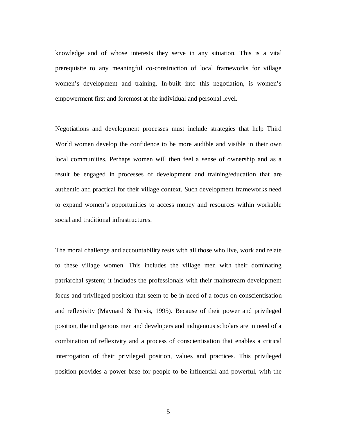knowledge and of whose interests they serve in any situation. This is a vital prerequisite to any meaningful co-construction of local frameworks for village women's development and training. In-built into this negotiation, is women's empowerment first and foremost at the individual and personal level.

Negotiations and development processes must include strategies that help Third World women develop the confidence to be more audible and visible in their own local communities. Perhaps women will then feel a sense of ownership and as a result be engaged in processes of development and training/education that are authentic and practical for their village context. Such development frameworks need to expand women's opportunities to access money and resources within workable social and traditional infrastructures.

The moral challenge and accountability rests with all those who live, work and relate to these village women. This includes the village men with their dominating patriarchal system; it includes the professionals with their mainstream development focus and privileged position that seem to be in need of a focus on conscientisation and reflexivity (Maynard & Purvis, 1995). Because of their power and privileged position, the indigenous men and developers and indigenous scholars are in need of a combination of reflexivity and a process of conscientisation that enables a critical interrogation of their privileged position, values and practices. This privileged position provides a power base for people to be influential and powerful, with the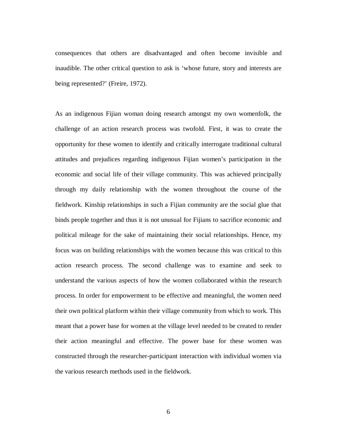consequences that others are disadvantaged and often become invisible and inaudible. The other critical question to ask is 'whose future, story and interests are being represented?' (Freire, 1972).

As an indigenous Fijian woman doing research amongst my own womenfolk, the challenge of an action research process was twofold. First, it was to create the opportunity for these women to identify and critically interrogate traditional cultural attitudes and prejudices regarding indigenous Fijian women's participation in the economic and social life of their village community. This was achieved principally through my daily relationship with the women throughout the course of the fieldwork. Kinship relationships in such a Fijian community are the social glue that binds people together and thus it is not unusual for Fijians to sacrifice economic and political mileage for the sake of maintaining their social relationships. Hence, my focus was on building relationships with the women because this was critical to this action research process. The second challenge was to examine and seek to understand the various aspects of how the women collaborated within the research process. In order for empowerment to be effective and meaningful, the women need their own political platform within their village community from which to work. This meant that a power base for women at the village level needed to be created to render their action meaningful and effective. The power base for these women was constructed through the researcher-participant interaction with individual women via the various research methods used in the fieldwork.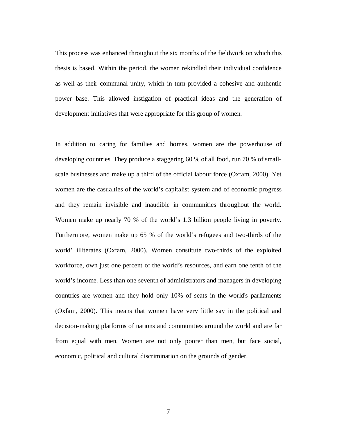This process was enhanced throughout the six months of the fieldwork on which this thesis is based. Within the period, the women rekindled their individual confidence as well as their communal unity, which in turn provided a cohesive and authentic power base. This allowed instigation of practical ideas and the generation of development initiatives that were appropriate for this group of women.

In addition to caring for families and homes, women are the powerhouse of developing countries. They produce a staggering 60 % of all food, run 70 % of smallscale businesses and make up a third of the official labour force (Oxfam, 2000). Yet women are the casualties of the world's capitalist system and of economic progress and they remain invisible and inaudible in communities throughout the world. Women make up nearly 70 % of the world's 1.3 billion people living in poverty. Furthermore, women make up 65 % of the world's refugees and two-thirds of the world' illiterates (Oxfam, 2000). Women constitute two-thirds of the exploited workforce, own just one percent of the world's resources, and earn one tenth of the world's income. Less than one seventh of administrators and managers in developing countries are women and they hold only 10% of seats in the world's parliaments (Oxfam, 2000). This means that women have very little say in the political and decision-making platforms of nations and communities around the world and are far from equal with men. Women are not only poorer than men, but face social, economic, political and cultural discrimination on the grounds of gender.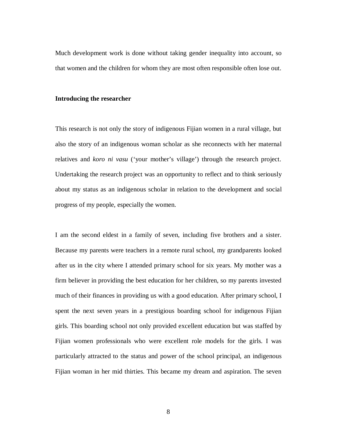Much development work is done without taking gender inequality into account, so that women and the children for whom they are most often responsible often lose out.

#### **Introducing the researcher**

This research is not only the story of indigenous Fijian women in a rural village, but also the story of an indigenous woman scholar as she reconnects with her maternal relatives and *koro ni vasu* ('your mother's village') through the research project. Undertaking the research project was an opportunity to reflect and to think seriously about my status as an indigenous scholar in relation to the development and social progress of my people, especially the women.

I am the second eldest in a family of seven, including five brothers and a sister. Because my parents were teachers in a remote rural school, my grandparents looked after us in the city where I attended primary school for six years. My mother was a firm believer in providing the best education for her children, so my parents invested much of their finances in providing us with a good education. After primary school, I spent the next seven years in a prestigious boarding school for indigenous Fijian girls. This boarding school not only provided excellent education but was staffed by Fijian women professionals who were excellent role models for the girls. I was particularly attracted to the status and power of the school principal, an indigenous Fijian woman in her mid thirties. This became my dream and aspiration. The seven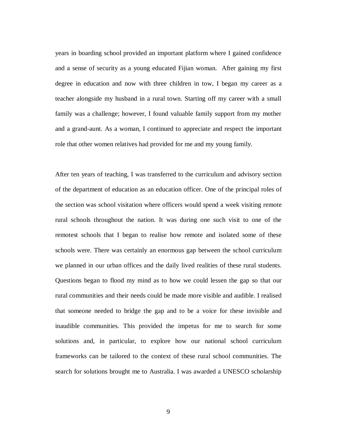years in boarding school provided an important platform where I gained confidence and a sense of security as a young educated Fijian woman. After gaining my first degree in education and now with three children in tow, I began my career as a teacher alongside my husband in a rural town. Starting off my career with a small family was a challenge; however, I found valuable family support from my mother and a grand-aunt. As a woman, I continued to appreciate and respect the important role that other women relatives had provided for me and my young family.

After ten years of teaching, I was transferred to the curriculum and advisory section of the department of education as an education officer. One of the principal roles of the section was school visitation where officers would spend a week visiting remote rural schools throughout the nation. It was during one such visit to one of the remotest schools that I began to realise how remote and isolated some of these schools were. There was certainly an enormous gap between the school curriculum we planned in our urban offices and the daily lived realities of these rural students. Questions began to flood my mind as to how we could lessen the gap so that our rural communities and their needs could be made more visible and audible. I realised that someone needed to bridge the gap and to be a voice for these invisible and inaudible communities. This provided the impetus for me to search for some solutions and, in particular, to explore how our national school curriculum frameworks can be tailored to the context of these rural school communities. The search for solutions brought me to Australia. I was awarded a UNESCO scholarship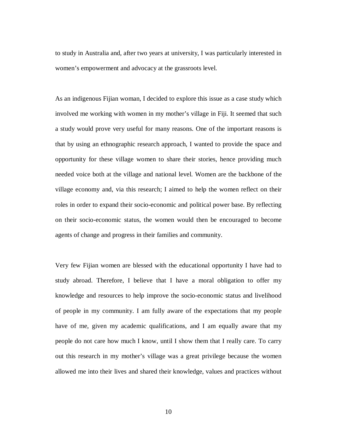to study in Australia and, after two years at university, I was particularly interested in women's empowerment and advocacy at the grassroots level.

As an indigenous Fijian woman, I decided to explore this issue as a case study which involved me working with women in my mother's village in Fiji. It seemed that such a study would prove very useful for many reasons. One of the important reasons is that by using an ethnographic research approach, I wanted to provide the space and opportunity for these village women to share their stories, hence providing much needed voice both at the village and national level. Women are the backbone of the village economy and, via this research; I aimed to help the women reflect on their roles in order to expand their socio-economic and political power base. By reflecting on their socio-economic status, the women would then be encouraged to become agents of change and progress in their families and community.

Very few Fijian women are blessed with the educational opportunity I have had to study abroad. Therefore, I believe that I have a moral obligation to offer my knowledge and resources to help improve the socio-economic status and livelihood of people in my community. I am fully aware of the expectations that my people have of me, given my academic qualifications, and I am equally aware that my people do not care how much I know, until I show them that I really care. To carry out this research in my mother's village was a great privilege because the women allowed me into their lives and shared their knowledge, values and practices without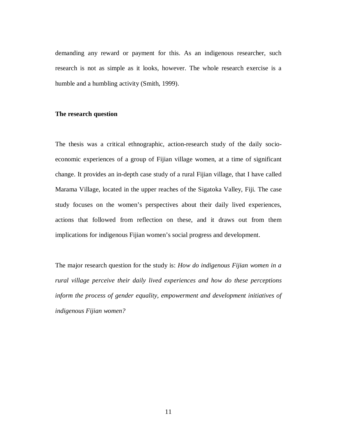demanding any reward or payment for this. As an indigenous researcher, such research is not as simple as it looks, however. The whole research exercise is a humble and a humbling activity (Smith, 1999).

#### **The research question**

The thesis was a critical ethnographic, action-research study of the daily socioeconomic experiences of a group of Fijian village women, at a time of significant change. It provides an in-depth case study of a rural Fijian village, that I have called Marama Village, located in the upper reaches of the Sigatoka Valley, Fiji. The case study focuses on the women's perspectives about their daily lived experiences, actions that followed from reflection on these, and it draws out from them implications for indigenous Fijian women's social progress and development.

The major research question for the study is: *How do indigenous Fijian women in a rural village perceive their daily lived experiences and how do these perceptions inform the process of gender equality, empowerment and development initiatives of indigenous Fijian women?*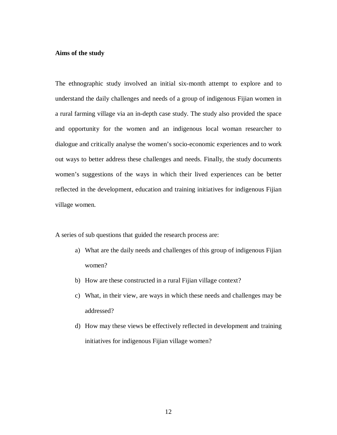#### **Aims of the study**

The ethnographic study involved an initial six-month attempt to explore and to understand the daily challenges and needs of a group of indigenous Fijian women in a rural farming village via an in-depth case study. The study also provided the space and opportunity for the women and an indigenous local woman researcher to dialogue and critically analyse the women's socio-economic experiences and to work out ways to better address these challenges and needs. Finally, the study documents women's suggestions of the ways in which their lived experiences can be better reflected in the development, education and training initiatives for indigenous Fijian village women.

A series of sub questions that guided the research process are:

- a) What are the daily needs and challenges of this group of indigenous Fijian women?
- b) How are these constructed in a rural Fijian village context?
- c) What, in their view, are ways in which these needs and challenges may be addressed?
- d) How may these views be effectively reflected in development and training initiatives for indigenous Fijian village women?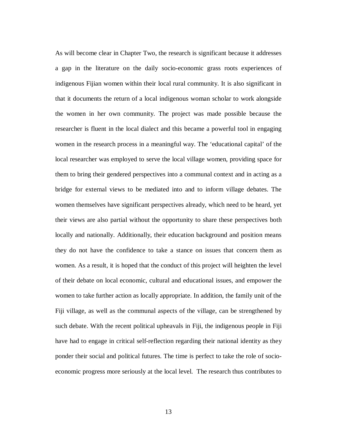As will become clear in Chapter Two, the research is significant because it addresses a gap in the literature on the daily socio-economic grass roots experiences of indigenous Fijian women within their local rural community. It is also significant in that it documents the return of a local indigenous woman scholar to work alongside the women in her own community. The project was made possible because the researcher is fluent in the local dialect and this became a powerful tool in engaging women in the research process in a meaningful way. The 'educational capital' of the local researcher was employed to serve the local village women, providing space for them to bring their gendered perspectives into a communal context and in acting as a bridge for external views to be mediated into and to inform village debates. The women themselves have significant perspectives already, which need to be heard, yet their views are also partial without the opportunity to share these perspectives both locally and nationally. Additionally, their education background and position means they do not have the confidence to take a stance on issues that concern them as women. As a result, it is hoped that the conduct of this project will heighten the level of their debate on local economic, cultural and educational issues, and empower the women to take further action as locally appropriate. In addition, the family unit of the Fiji village, as well as the communal aspects of the village, can be strengthened by such debate. With the recent political upheavals in Fiji, the indigenous people in Fiji have had to engage in critical self-reflection regarding their national identity as they ponder their social and political futures. The time is perfect to take the role of socioeconomic progress more seriously at the local level. The research thus contributes to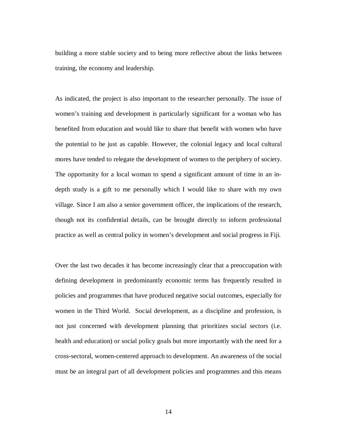building a more stable society and to being more reflective about the links between training, the economy and leadership.

As indicated, the project is also important to the researcher personally. The issue of women's training and development is particularly significant for a woman who has benefited from education and would like to share that benefit with women who have the potential to be just as capable. However, the colonial legacy and local cultural mores have tended to relegate the development of women to the periphery of society. The opportunity for a local woman to spend a significant amount of time in an indepth study is a gift to me personally which I would like to share with my own village. Since I am also a senior government officer, the implications of the research, though not its confidential details, can be brought directly to inform professional practice as well as central policy in women's development and social progress in Fiji.

Over the last two decades it has become increasingly clear that a preoccupation with defining development in predominantly economic terms has frequently resulted in policies and programmes that have produced negative social outcomes, especially for women in the Third World. Social development, as a discipline and profession, is not just concerned with development planning that prioritizes social sectors (i.e. health and education) or social policy goals but more importantly with the need for a cross-sectoral, women-centered approach to development. An awareness of the social must be an integral part of all development policies and programmes and this means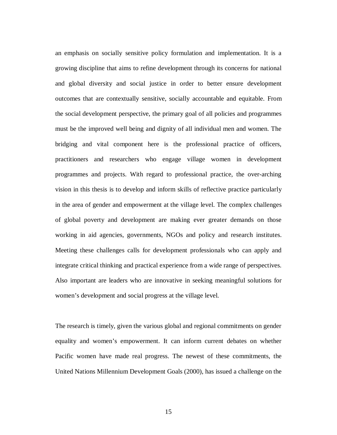an emphasis on socially sensitive policy formulation and implementation. It is a growing discipline that aims to refine development through its concerns for national and global diversity and social justice in order to better ensure development outcomes that are contextually sensitive, socially accountable and equitable. From the social development perspective, the primary goal of all policies and programmes must be the improved well being and dignity of all individual men and women. The bridging and vital component here is the professional practice of officers, practitioners and researchers who engage village women in development programmes and projects. With regard to professional practice, the over-arching vision in this thesis is to develop and inform skills of reflective practice particularly in the area of gender and empowerment at the village level. The complex challenges of global poverty and development are making ever greater demands on those working in aid agencies, governments, NGOs and policy and research institutes. Meeting these challenges calls for development professionals who can apply and integrate critical thinking and practical experience from a wide range of perspectives. Also important are leaders who are innovative in seeking meaningful solutions for women's development and social progress at the village level.

The research is timely, given the various global and regional commitments on gender equality and women's empowerment. It can inform current debates on whether Pacific women have made real progress. The newest of these commitments, the United Nations Millennium Development Goals (2000), has issued a challenge on the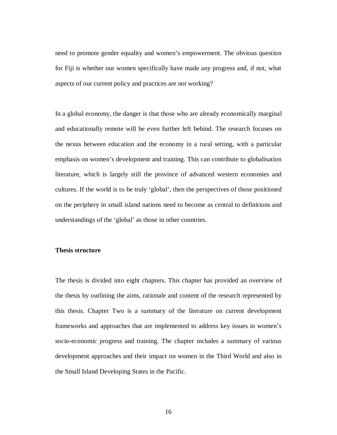need to promote gender equality and women's empowerment. The obvious question for Fiji is whether our women specifically have made any progress and, if not, what aspects of our current policy and practices are not working?

In a global economy, the danger is that those who are already economically marginal and educationally remote will be even further left behind. The research focuses on the nexus between education and the economy in a rural setting, with a particular emphasis on women's development and training. This can contribute to globalisation literature, which is largely still the province of advanced western economies and cultures. If the world is to be truly 'global', then the perspectives of those positioned on the periphery in small island nations need to become as central to definitions and understandings of the 'global' as those in other countries.

#### **Thesis structure**

The thesis is divided into eight chapters. This chapter has provided an overview of the thesis by outlining the aims, rationale and content of the research represented by this thesis. Chapter Two is a summary of the literature on current development frameworks and approaches that are implemented to address key issues in women's socio-economic progress and training. The chapter includes a summary of various development approaches and their impact on women in the Third World and also in the Small Island Developing States in the Pacific.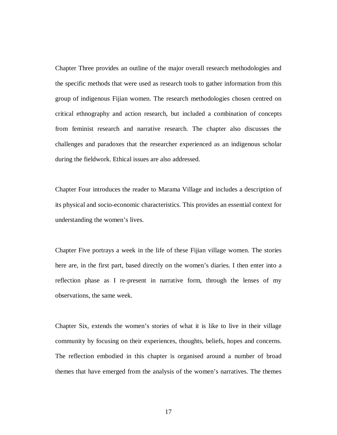Chapter Three provides an outline of the major overall research methodologies and the specific methods that were used as research tools to gather information from this group of indigenous Fijian women. The research methodologies chosen centred on critical ethnography and action research, but included a combination of concepts from feminist research and narrative research. The chapter also discusses the challenges and paradoxes that the researcher experienced as an indigenous scholar during the fieldwork. Ethical issues are also addressed.

Chapter Four introduces the reader to Marama Village and includes a description of its physical and socio-economic characteristics. This provides an essential context for understanding the women's lives.

Chapter Five portrays a week in the life of these Fijian village women. The stories here are, in the first part, based directly on the women's diaries. I then enter into a reflection phase as I re-present in narrative form, through the lenses of my observations, the same week.

Chapter Six, extends the women's stories of what it is like to live in their village community by focusing on their experiences, thoughts, beliefs, hopes and concerns. The reflection embodied in this chapter is organised around a number of broad themes that have emerged from the analysis of the women's narratives. The themes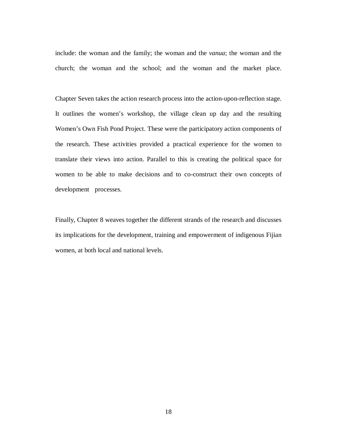include: the woman and the family; the woman and the *vanua*; the woman and the church; the woman and the school; and the woman and the market place.

Chapter Seven takes the action research process into the action-upon-reflection stage. It outlines the women's workshop, the village clean up day and the resulting Women's Own Fish Pond Project. These were the participatory action components of the research. These activities provided a practical experience for the women to translate their views into action. Parallel to this is creating the political space for women to be able to make decisions and to co-construct their own concepts of development processes.

Finally, Chapter 8 weaves together the different strands of the research and discusses its implications for the development, training and empowerment of indigenous Fijian women, at both local and national levels.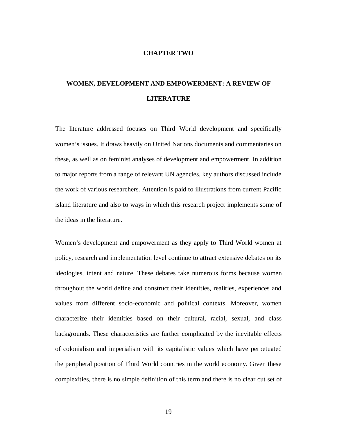#### **CHAPTER TWO**

## **WOMEN, DEVELOPMENT AND EMPOWERMENT: A REVIEW OF LITERATURE**

The literature addressed focuses on Third World development and specifically women's issues. It draws heavily on United Nations documents and commentaries on these, as well as on feminist analyses of development and empowerment. In addition to major reports from a range of relevant UN agencies, key authors discussed include the work of various researchers. Attention is paid to illustrations from current Pacific island literature and also to ways in which this research project implements some of the ideas in the literature.

Women's development and empowerment as they apply to Third World women at policy, research and implementation level continue to attract extensive debates on its ideologies, intent and nature. These debates take numerous forms because women throughout the world define and construct their identities, realities, experiences and values from different socio-economic and political contexts. Moreover, women characterize their identities based on their cultural, racial, sexual, and class backgrounds. These characteristics are further complicated by the inevitable effects of colonialism and imperialism with its capitalistic values which have perpetuated the peripheral position of Third World countries in the world economy. Given these complexities, there is no simple definition of this term and there is no clear cut set of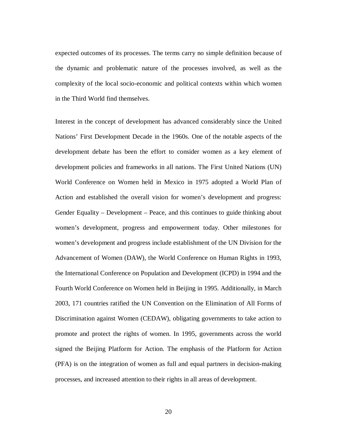expected outcomes of its processes. The terms carry no simple definition because of the dynamic and problematic nature of the processes involved, as well as the complexity of the local socio-economic and political contexts within which women in the Third World find themselves.

Interest in the concept of development has advanced considerably since the United Nations' First Development Decade in the 1960s. One of the notable aspects of the development debate has been the effort to consider women as a key element of development policies and frameworks in all nations. The First United Nations (UN) World Conference on Women held in Mexico in 1975 adopted a World Plan of Action and established the overall vision for women's development and progress: Gender Equality – Development – Peace, and this continues to guide thinking about women's development, progress and empowerment today. Other milestones for women's development and progress include establishment of the UN Division for the Advancement of Women (DAW), the World Conference on Human Rights in 1993, the International Conference on Population and Development (ICPD) in 1994 and the Fourth World Conference on Women held in Beijing in 1995. Additionally, in March 2003, 171 countries ratified the UN Convention on the Elimination of All Forms of Discrimination against Women (CEDAW), obligating governments to take action to promote and protect the rights of women. In 1995, governments across the world signed the Beijing Platform for Action. The emphasis of the Platform for Action (PFA) is on the integration of women as full and equal partners in decision-making processes, and increased attention to their rights in all areas of development.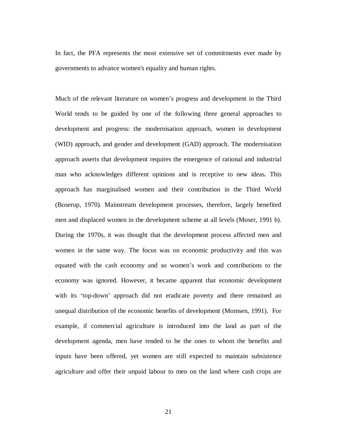In fact, the PFA represents the most extensive set of commitments ever made by governments to advance women's equality and human rights.

Much of the relevant literature on women's progress and development in the Third World tends to be guided by one of the following three general approaches to development and progress: the modernisation approach, women in development (WID) approach, and gender and development (GAD) approach. The modernisation approach asserts that development requires the emergence of rational and industrial man who acknowledges different opinions and is receptive to new ideas. This approach has marginalised women and their contribution in the Third World (Boserup, 1970). Mainstream development processes, therefore, largely benefited men and displaced women in the development scheme at all levels (Moser, 1991 b). During the 1970s, it was thought that the development process affected men and women in the same way. The focus was on economic productivity and this was equated with the cash economy and so women's work and contributions to the economy was ignored. However, it became apparent that economic development with its 'top-down' approach did not eradicate poverty and there remained an unequal distribution of the economic benefits of development (Momsen, 1991). For example, if commercial agriculture is introduced into the land as part of the development agenda, men have tended to be the ones to whom the benefits and inputs have been offered, yet women are still expected to maintain subsistence agriculture and offer their unpaid labour to men on the land where cash crops are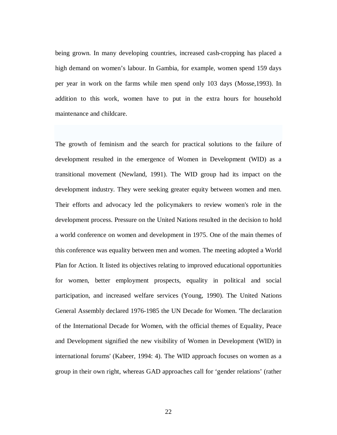being grown. In many developing countries, increased cash-cropping has placed a high demand on women's labour. In Gambia, for example, women spend 159 days per year in work on the farms while men spend only 103 days (Mosse,1993). In addition to this work, women have to put in the extra hours for household maintenance and childcare.

The growth of feminism and the search for practical solutions to the failure of development resulted in the emergence of Women in Development (WID) as a transitional movement (Newland, 1991). The WID group had its impact on the development industry. They were seeking greater equity between women and men. Their efforts and advocacy led the policymakers to review women's role in the development process. Pressure on the United Nations resulted in the decision to hold a world conference on women and development in 1975. One of the main themes of this conference was equality between men and women. The meeting adopted a World Plan for Action. It listed its objectives relating to improved educational opportunities for women, better employment prospects, equality in political and social participation, and increased welfare services (Young, 1990). The United Nations General Assembly declared 1976-1985 the UN Decade for Women. 'The declaration of the International Decade for Women, with the official themes of Equality, Peace and Development signified the new visibility of Women in Development (WID) in international forums' (Kabeer, 1994: 4). The WID approach focuses on women as a group in their own right, whereas GAD approaches call for 'gender relations' (rather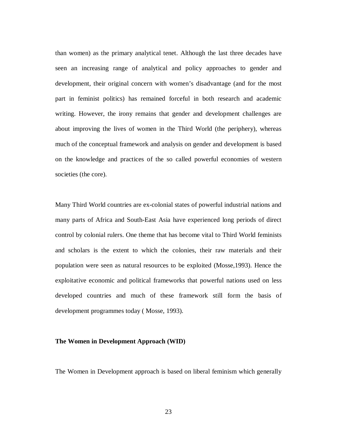than women) as the primary analytical tenet. Although the last three decades have seen an increasing range of analytical and policy approaches to gender and development, their original concern with women's disadvantage (and for the most part in feminist politics) has remained forceful in both research and academic writing. However, the irony remains that gender and development challenges are about improving the lives of women in the Third World (the periphery), whereas much of the conceptual framework and analysis on gender and development is based on the knowledge and practices of the so called powerful economies of western societies (the core).

Many Third World countries are ex-colonial states of powerful industrial nations and many parts of Africa and South-East Asia have experienced long periods of direct control by colonial rulers. One theme that has become vital to Third World feminists and scholars is the extent to which the colonies, their raw materials and their population were seen as natural resources to be exploited (Mosse,1993). Hence the exploitative economic and political frameworks that powerful nations used on less developed countries and much of these framework still form the basis of development programmes today ( Mosse, 1993).

#### **The Women in Development Approach (WID)**

The Women in Development approach is based on liberal feminism which generally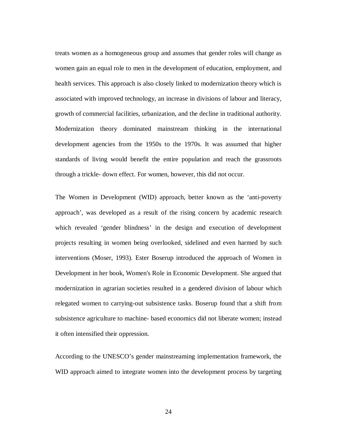treats women as a homogeneous group and assumes that gender roles will change as women gain an equal role to men in the development of education, employment, and health services. This approach is also closely linked to modernization theory which is associated with improved technology, an increase in divisions of labour and literacy, growth of commercial facilities, urbanization, and the decline in traditional authority. Modernization theory dominated mainstream thinking in the international development agencies from the 1950s to the 1970s. It was assumed that higher standards of living would benefit the entire population and reach the grassroots through a trickle- down effect. For women, however, this did not occur.

The Women in Development (WID) approach, better known as the 'anti-poverty approach', was developed as a result of the rising concern by academic research which revealed 'gender blindness' in the design and execution of development projects resulting in women being overlooked, sidelined and even harmed by such interventions (Moser, 1993). Ester Boserup introduced the approach of Women in Development in her book, Women's Role in Economic Development. She argued that modernization in agrarian societies resulted in a gendered division of labour which relegated women to carrying-out subsistence tasks. Boserup found that a shift from subsistence agriculture to machine- based economics did not liberate women; instead it often intensified their oppression.

According to the UNESCO's gender mainstreaming implementation framework, the WID approach aimed to integrate women into the development process by targeting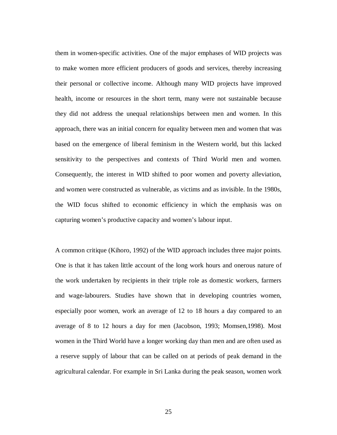them in women-specific activities. One of the major emphases of WID projects was to make women more efficient producers of goods and services, thereby increasing their personal or collective income. Although many WID projects have improved health, income or resources in the short term, many were not sustainable because they did not address the unequal relationships between men and women. In this approach, there was an initial concern for equality between men and women that was based on the emergence of liberal feminism in the Western world, but this lacked sensitivity to the perspectives and contexts of Third World men and women. Consequently, the interest in WID shifted to poor women and poverty alleviation, and women were constructed as vulnerable, as victims and as invisible. In the 1980s, the WID focus shifted to economic efficiency in which the emphasis was on capturing women's productive capacity and women's labour input.

A common critique (Kihoro, 1992) of the WID approach includes three major points. One is that it has taken little account of the long work hours and onerous nature of the work undertaken by recipients in their triple role as domestic workers, farmers and wage-labourers. Studies have shown that in developing countries women, especially poor women, work an average of 12 to 18 hours a day compared to an average of 8 to 12 hours a day for men (Jacobson, 1993; Momsen,1998). Most women in the Third World have a longer working day than men and are often used as a reserve supply of labour that can be called on at periods of peak demand in the agricultural calendar. For example in Sri Lanka during the peak season, women work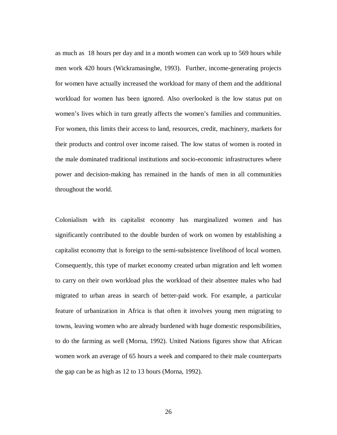as much as 18 hours per day and in a month women can work up to 569 hours while men work 420 hours (Wickramasinghe, 1993). Further, income-generating projects for women have actually increased the workload for many of them and the additional workload for women has been ignored. Also overlooked is the low status put on women's lives which in turn greatly affects the women's families and communities. For women, this limits their access to land, resources, credit, machinery, markets for their products and control over income raised. The low status of women is rooted in the male dominated traditional institutions and socio-economic infrastructures where power and decision-making has remained in the hands of men in all communities throughout the world.

Colonialism with its capitalist economy has marginalized women and has significantly contributed to the double burden of work on women by establishing a capitalist economy that is foreign to the semi-subsistence livelihood of local women. Consequently, this type of market economy created urban migration and left women to carry on their own workload plus the workload of their absentee males who had migrated to urban areas in search of better-paid work. For example, a particular feature of urbanization in Africa is that often it involves young men migrating to towns, leaving women who are already burdened with huge domestic responsibilities, to do the farming as well (Morna, 1992). United Nations figures show that African women work an average of 65 hours a week and compared to their male counterparts the gap can be as high as 12 to 13 hours (Morna, 1992).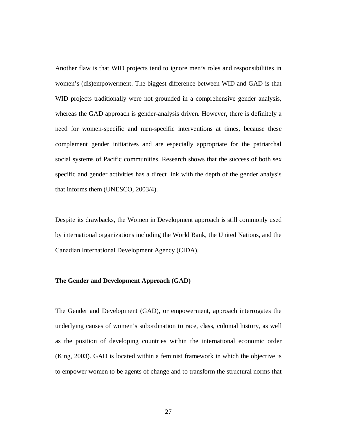Another flaw is that WID projects tend to ignore men's roles and responsibilities in women's (dis)empowerment. The biggest difference between WID and GAD is that WID projects traditionally were not grounded in a comprehensive gender analysis, whereas the GAD approach is gender-analysis driven. However, there is definitely a need for women-specific and men-specific interventions at times, because these complement gender initiatives and are especially appropriate for the patriarchal social systems of Pacific communities. Research shows that the success of both sex specific and gender activities has a direct link with the depth of the gender analysis that informs them (UNESCO, 2003/4).

Despite its drawbacks, the Women in Development approach is still commonly used by international organizations including the World Bank, the United Nations, and the Canadian International Development Agency (CIDA).

# **The Gender and Development Approach (GAD)**

The Gender and Development (GAD), or empowerment, approach interrogates the underlying causes of women's subordination to race, class, colonial history, as well as the position of developing countries within the international economic order (King, 2003). GAD is located within a feminist framework in which the objective is to empower women to be agents of change and to transform the structural norms that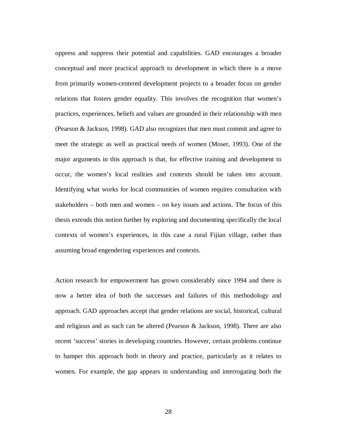oppress and suppress their potential and capabilities. GAD encourages a broader conceptual and more practical approach to development in which there is a move from primarily women-centered development projects to a broader focus on gender relations that fosters gender equality. This involves the recognition that women's practices, experiences, beliefs and values are grounded in their relationship with men (Pearson & Jackson, 1998). GAD also recognizes that men must commit and agree to meet the strategic as well as practical needs of women (Moser, 1993). One of the major arguments in this approach is that, for effective training and development to occur, the women's local realities and contexts should be taken into account. Identifying what works for local communities of women requires consultation with stakeholders – both men and women – on key issues and actions. The focus of this thesis extends this notion further by exploring and documenting specifically the local contexts of women's experiences, in this case a rural Fijian village, rather than assuming broad engendering experiences and contexts.

Action research for empowerment has grown considerably since 1994 and there is now a better idea of both the successes and failures of this methodology and approach. GAD approaches accept that gender relations are social, historical, cultural and religious and as such can be altered (Pearson & Jackson, 1998). There are also recent 'success' stories in developing countries. However, certain problems continue to hamper this approach both in theory and practice, particularly as it relates to women. For example, the gap appears in understanding and interrogating both the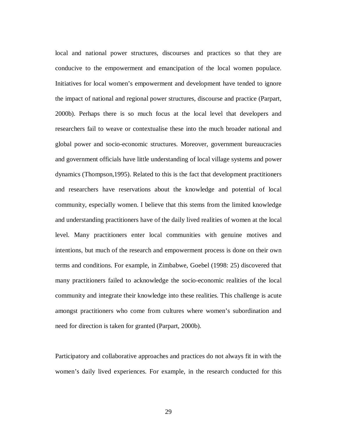local and national power structures, discourses and practices so that they are conducive to the empowerment and emancipation of the local women populace. Initiatives for local women's empowerment and development have tended to ignore the impact of national and regional power structures, discourse and practice (Parpart, 2000b). Perhaps there is so much focus at the local level that developers and researchers fail to weave or contextualise these into the much broader national and global power and socio-economic structures. Moreover, government bureaucracies and government officials have little understanding of local village systems and power dynamics (Thompson,1995). Related to this is the fact that development practitioners and researchers have reservations about the knowledge and potential of local community, especially women. I believe that this stems from the limited knowledge and understanding practitioners have of the daily lived realities of women at the local level. Many practitioners enter local communities with genuine motives and intentions, but much of the research and empowerment process is done on their own terms and conditions. For example, in Zimbabwe, Goebel (1998: 25) discovered that many practitioners failed to acknowledge the socio-economic realities of the local community and integrate their knowledge into these realities. This challenge is acute amongst practitioners who come from cultures where women's subordination and need for direction is taken for granted (Parpart, 2000b).

Participatory and collaborative approaches and practices do not always fit in with the women's daily lived experiences. For example, in the research conducted for this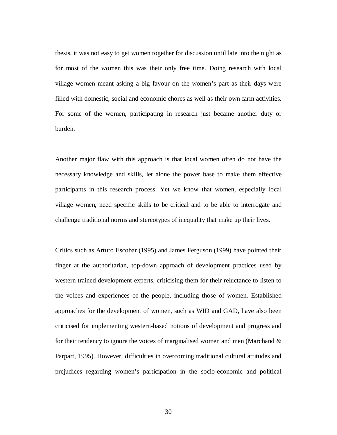thesis, it was not easy to get women together for discussion until late into the night as for most of the women this was their only free time. Doing research with local village women meant asking a big favour on the women's part as their days were filled with domestic, social and economic chores as well as their own farm activities. For some of the women, participating in research just became another duty or burden.

Another major flaw with this approach is that local women often do not have the necessary knowledge and skills, let alone the power base to make them effective participants in this research process. Yet we know that women, especially local village women, need specific skills to be critical and to be able to interrogate and challenge traditional norms and stereotypes of inequality that make up their lives.

Critics such as Arturo Escobar (1995) and James Ferguson (1999) have pointed their finger at the authoritarian, top-down approach of development practices used by western trained development experts, criticising them for their reluctance to listen to the voices and experiences of the people, including those of women. Established approaches for the development of women, such as WID and GAD, have also been criticised for implementing western-based notions of development and progress and for their tendency to ignore the voices of marginalised women and men (Marchand & Parpart, 1995). However, difficulties in overcoming traditional cultural attitudes and prejudices regarding women's participation in the socio-economic and political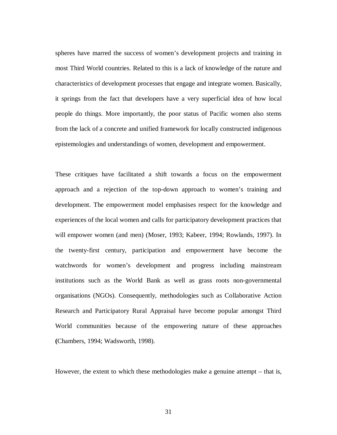spheres have marred the success of women's development projects and training in most Third World countries. Related to this is a lack of knowledge of the nature and characteristics of development processes that engage and integrate women. Basically, it springs from the fact that developers have a very superficial idea of how local people do things. More importantly, the poor status of Pacific women also stems from the lack of a concrete and unified framework for locally constructed indigenous epistemologies and understandings of women, development and empowerment.

These critiques have facilitated a shift towards a focus on the empowerment approach and a rejection of the top-down approach to women's training and development. The empowerment model emphasises respect for the knowledge and experiences of the local women and calls for participatory development practices that will empower women (and men) (Moser, 1993; Kabeer, 1994; Rowlands, 1997). In the twenty-first century, participation and empowerment have become the watchwords for women's development and progress including mainstream institutions such as the World Bank as well as grass roots non-governmental organisations (NGOs). Consequently, methodologies such as Collaborative Action Research and Participatory Rural Appraisal have become popular amongst Third World communities because of the empowering nature of these approaches **(**Chambers, 1994; Wadsworth, 1998).

However, the extent to which these methodologies make a genuine attempt – that is,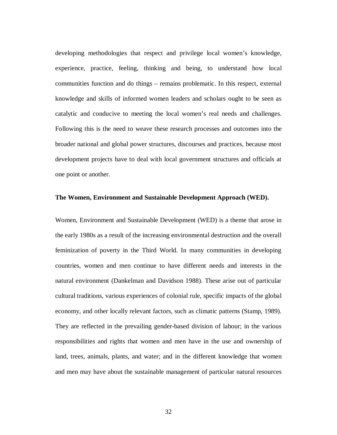developing methodologies that respect and privilege local women's knowledge, experience, practice, feeling, thinking and being, to understand how local communities function and do things – remains problematic. In this respect, external knowledge and skills of informed women leaders and scholars ought to be seen as catalytic and conducive to meeting the local women's real needs and challenges. Following this is the need to weave these research processes and outcomes into the broader national and global power structures, discourses and practices, because most development projects have to deal with local government structures and officials at one point or another.

### **The Women, Environment and Sustainable Development Approach (WED).**

Women, Environment and Sustainable Development (WED) is a theme that arose in the early 1980s as a result of the increasing environmental destruction and the overall feminization of poverty in the Third World. In many communities in developing countries, women and men continue to have different needs and interests in the natural environment (Dankelman and Davidson 1988). These arise out of particular cultural traditions, various experiences of colonial rule, specific impacts of the global economy, and other locally relevant factors, such as climatic patterns (Stamp, 1989). They are reflected in the prevailing gender-based division of labour; in the various responsibilities and rights that women and men have in the use and ownership of land, trees, animals, plants, and water; and in the different knowledge that women and men may have about the sustainable management of particular natural resources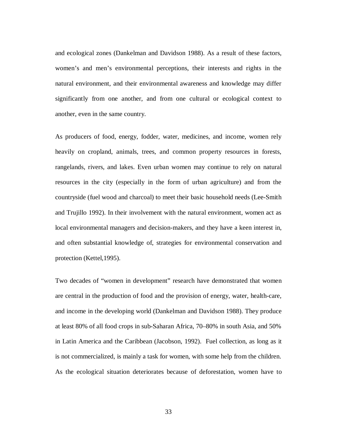and ecological zones (Dankelman and Davidson 1988). As a result of these factors, women's and men's environmental perceptions, their interests and rights in the natural environment, and their environmental awareness and knowledge may differ significantly from one another, and from one cultural or ecological context to another, even in the same country.

As producers of food, energy, fodder, water, medicines, and income, women rely heavily on cropland, animals, trees, and common property resources in forests, rangelands, rivers, and lakes. Even urban women may continue to rely on natural resources in the city (especially in the form of urban agriculture) and from the countryside (fuel wood and charcoal) to meet their basic household needs (Lee-Smith and Trujillo 1992). In their involvement with the natural environment, women act as local environmental managers and decision-makers, and they have a keen interest in, and often substantial knowledge of, strategies for environmental conservation and protection (Kettel,1995).

Two decades of "women in development" research have demonstrated that women are central in the production of food and the provision of energy, water, health-care, and income in the developing world (Dankelman and Davidson 1988). They produce at least 80% of all food crops in sub-Saharan Africa, 70–80% in south Asia, and 50% in Latin America and the Caribbean (Jacobson, 1992). Fuel collection, as long as it is not commercialized, is mainly a task for women, with some help from the children. As the ecological situation deteriorates because of deforestation, women have to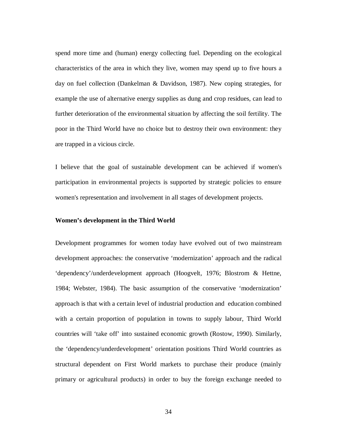spend more time and (human) energy collecting fuel. Depending on the ecological characteristics of the area in which they live, women may spend up to five hours a day on fuel collection (Dankelman & Davidson, 1987). New coping strategies, for example the use of alternative energy supplies as dung and crop residues, can lead to further deterioration of the environmental situation by affecting the soil fertility. The poor in the Third World have no choice but to destroy their own environment: they are trapped in a vicious circle.

I believe that the goal of sustainable development can be achieved if women's participation in environmental projects is supported by strategic policies to ensure women's representation and involvement in all stages of development projects.

# **Women's development in the Third World**

Development programmes for women today have evolved out of two mainstream development approaches: the conservative 'modernization' approach and the radical 'dependency'/underdevelopment approach (Hoogvelt, 1976; Blostrom & Hettne, 1984; Webster, 1984). The basic assumption of the conservative 'modernization' approach is that with a certain level of industrial production and education combined with a certain proportion of population in towns to supply labour, Third World countries will 'take off' into sustained economic growth (Rostow, 1990). Similarly, the 'dependency/underdevelopment' orientation positions Third World countries as structural dependent on First World markets to purchase their produce (mainly primary or agricultural products) in order to buy the foreign exchange needed to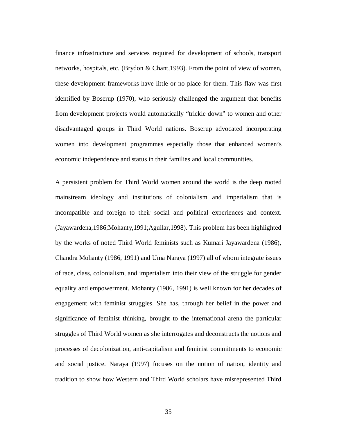finance infrastructure and services required for development of schools, transport networks, hospitals, etc. (Brydon & Chant,1993). From the point of view of women, these development frameworks have little or no place for them. This flaw was first identified by Boserup (1970), who seriously challenged the argument that benefits from development projects would automatically "trickle down" to women and other disadvantaged groups in Third World nations. Boserup advocated incorporating women into development programmes especially those that enhanced women's economic independence and status in their families and local communities.

A persistent problem for Third World women around the world is the deep rooted mainstream ideology and institutions of colonialism and imperialism that is incompatible and foreign to their social and political experiences and context. (Jayawardena,1986;Mohanty,1991;Aguilar,1998). This problem has been highlighted by the works of noted Third World feminists such as Kumari Jayawardena (1986), Chandra Mohanty (1986, 1991) and Uma Naraya (1997) all of whom integrate issues of race, class, colonialism, and imperialism into their view of the struggle for gender equality and empowerment. Mohanty (1986, 1991) is well known for her decades of engagement with feminist struggles. She has, through her belief in the power and significance of feminist thinking, brought to the international arena the particular struggles of Third World women as she interrogates and deconstructs the notions and processes of decolonization, anti-capitalism and feminist commitments to economic and social justice. Naraya (1997) focuses on the notion of nation, identity and tradition to show how Western and Third World scholars have misrepresented Third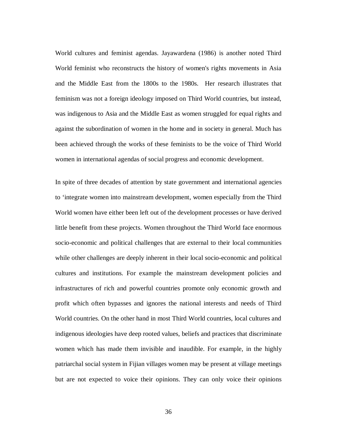World cultures and feminist agendas. Jayawardena (1986) is another noted Third World feminist who reconstructs the history of women's rights movements in Asia and the Middle East from the 1800s to the 1980s. Her research illustrates that feminism was not a foreign ideology imposed on Third World countries, but instead, was indigenous to Asia and the Middle East as women struggled for equal rights and against the subordination of women in the home and in society in general. Much has been achieved through the works of these feminists to be the voice of Third World women in international agendas of social progress and economic development.

In spite of three decades of attention by state government and international agencies to 'integrate women into mainstream development, women especially from the Third World women have either been left out of the development processes or have derived little benefit from these projects. Women throughout the Third World face enormous socio-economic and political challenges that are external to their local communities while other challenges are deeply inherent in their local socio-economic and political cultures and institutions. For example the mainstream development policies and infrastructures of rich and powerful countries promote only economic growth and profit which often bypasses and ignores the national interests and needs of Third World countries. On the other hand in most Third World countries, local cultures and indigenous ideologies have deep rooted values, beliefs and practices that discriminate women which has made them invisible and inaudible. For example, in the highly patriarchal social system in Fijian villages women may be present at village meetings but are not expected to voice their opinions. They can only voice their opinions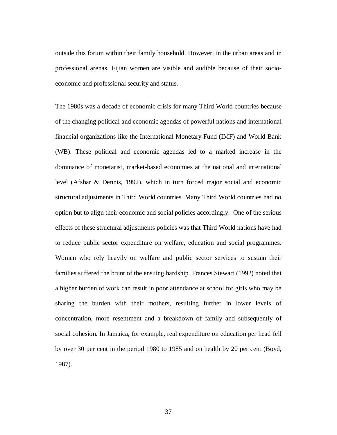outside this forum within their family household. However, in the urban areas and in professional arenas, Fijian women are visible and audible because of their socioeconomic and professional security and status.

The 1980s was a decade of economic crisis for many Third World countries because of the changing political and economic agendas of powerful nations and international financial organizations like the International Monetary Fund (IMF) and World Bank (WB). These political and economic agendas led to a marked increase in the dominance of monetarist, market-based economies at the national and international level (Afshar & Dennis, 1992), which in turn forced major social and economic structural adjustments in Third World countries. Many Third World countries had no option but to align their economic and social policies accordingly. One of the serious effects of these structural adjustments policies was that Third World nations have had to reduce public sector expenditure on welfare, education and social programmes. Women who rely heavily on welfare and public sector services to sustain their families suffered the brunt of the ensuing hardship. Frances Stewart (1992) noted that a higher burden of work can result in poor attendance at school for girls who may be sharing the burden with their mothers, resulting further in lower levels of concentration, more resentment and a breakdown of family and subsequently of social cohesion. In Jamaica, for example, real expenditure on education per head fell by over 30 per cent in the period 1980 to 1985 and on health by 20 per cent (Boyd, 1987).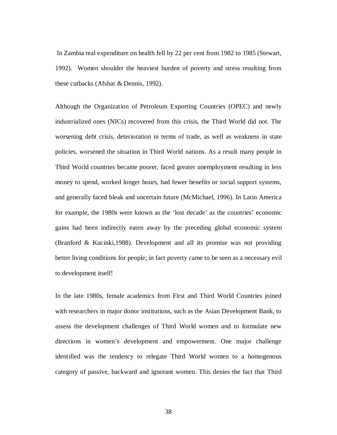In Zambia real expenditure on health fell by 22 per cent from 1982 to 1985 (Stewart, 1992). Women shoulder the heaviest burden of poverty and stress resulting from these cutbacks (Afshar & Dennis, 1992).

Although the Organization of Petroleum Exporting Countries (OPEC) and newly industrialized ones (NICs) recovered from this crisis, the Third World did not. The worsening debt crisis, deterioration in terms of trade, as well as weakness in state policies, worsened the situation in Third World nations. As a result many people in Third World countries became poorer, faced greater unemployment resulting in less money to spend, worked longer hours, had fewer benefits or social support systems, and generally faced bleak and uncertain future (McMichael, 1996). In Latin America for example, the 1980s were known as the 'lost decade' as the countries' economic gains had been indirectly eaten away by the preceding global economic system (Branford & Kucinki,1988). Development and all its promise was not providing better living conditions for people; in fact poverty came to be seen as a necessary evil to development itself!

In the late 1980s, female academics from First and Third World Countries joined with researchers in major donor institutions, such as the Asian Development Bank, to assess the development challenges of Third World women and to formulate new directions in women's development and empowerment. One major challenge identified was the tendency to relegate Third World women to a homogenous category of passive, backward and ignorant women. This denies the fact that Third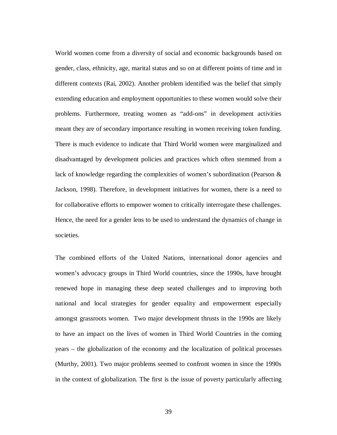World women come from a diversity of social and economic backgrounds based on gender, class, ethnicity, age, marital status and so on at different points of time and in different contexts (Rai, 2002). Another problem identified was the belief that simply extending education and employment opportunities to these women would solve their problems. Furthermore, treating women as "add-ons" in development activities meant they are of secondary importance resulting in women receiving token funding. There is much evidence to indicate that Third World women were marginalized and disadvantaged by development policies and practices which often stemmed from a lack of knowledge regarding the complexities of women's subordination (Pearson & Jackson, 1998). Therefore, in development initiatives for women, there is a need to for collaborative efforts to empower women to critically interrogate these challenges. Hence, the need for a gender lens to be used to understand the dynamics of change in societies.

The combined efforts of the United Nations, international donor agencies and women's advocacy groups in Third World countries, since the 1990s, have brought renewed hope in managing these deep seated challenges and to improving both national and local strategies for gender equality and empowerment especially amongst grassroots women. Two major development thrusts in the 1990s are likely to have an impact on the lives of women in Third World Countries in the coming years – the globalization of the economy and the localization of political processes (Murthy, 2001). Two major problems seemed to confront women in since the 1990s in the context of globalization. The first is the issue of poverty particularly affecting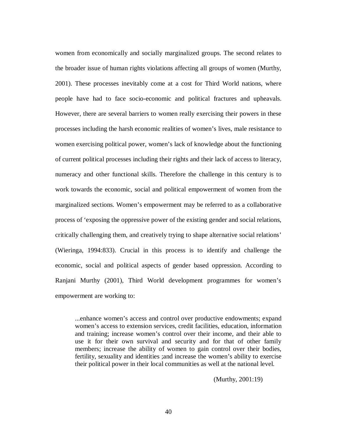women from economically and socially marginalized groups. The second relates to the broader issue of human rights violations affecting all groups of women (Murthy, 2001). These processes inevitably come at a cost for Third World nations, where people have had to face socio-economic and political fractures and upheavals. However, there are several barriers to women really exercising their powers in these processes including the harsh economic realities of women's lives, male resistance to women exercising political power, women's lack of knowledge about the functioning of current political processes including their rights and their lack of access to literacy, numeracy and other functional skills. Therefore the challenge in this century is to work towards the economic, social and political empowerment of women from the marginalized sections. Women's empowerment may be referred to as a collaborative process of 'exposing the oppressive power of the existing gender and social relations, critically challenging them, and creatively trying to shape alternative social relations' (Wieringa, 1994:833). Crucial in this process is to identify and challenge the economic, social and political aspects of gender based oppression. According to Ranjani Murthy (2001), Third World development programmes for women's empowerment are working to:

...enhance women's access and control over productive endowments; expand women's access to extension services, credit facilities, education, information and training; increase women's control over their income, and their able to use it for their own survival and security and for that of other family members; increase the ability of women to gain control over their bodies, fertility, sexuality and identities ;and increase the women's ability to exercise their political power in their local communities as well at the national level.

(Murthy, 2001:19)

40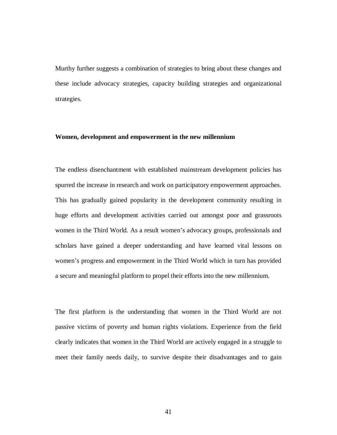Murthy further suggests a combination of strategies to bring about these changes and these include advocacy strategies, capacity building strategies and organizational strategies.

### **Women, development and empowerment in the new millennium**

The endless disenchantment with established mainstream development policies has spurred the increase in research and work on participatory empowerment approaches. This has gradually gained popularity in the development community resulting in huge efforts and development activities carried out amongst poor and grassroots women in the Third World. As a result women's advocacy groups, professionals and scholars have gained a deeper understanding and have learned vital lessons on women's progress and empowerment in the Third World which in turn has provided a secure and meaningful platform to propel their efforts into the new millennium.

The first platform is the understanding that women in the Third World are not passive victims of poverty and human rights violations. Experience from the field clearly indicates that women in the Third World are actively engaged in a struggle to meet their family needs daily, to survive despite their disadvantages and to gain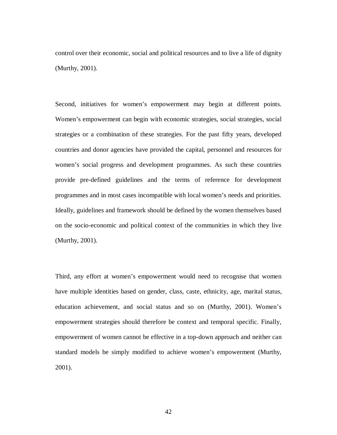control over their economic, social and political resources and to live a life of dignity (Murthy, 2001).

Second, initiatives for women's empowerment may begin at different points. Women's empowerment can begin with economic strategies, social strategies, social strategies or a combination of these strategies. For the past fifty years, developed countries and donor agencies have provided the capital, personnel and resources for women's social progress and development programmes. As such these countries provide pre-defined guidelines and the terms of reference for development programmes and in most cases incompatible with local women's needs and priorities. Ideally, guidelines and framework should be defined by the women themselves based on the socio-economic and political context of the communities in which they live (Murthy, 2001).

Third, any effort at women's empowerment would need to recognise that women have multiple identities based on gender, class, caste, ethnicity, age, marital status, education achievement, and social status and so on (Murthy, 2001). Women's empowerment strategies should therefore be context and temporal specific. Finally, empowerment of women cannot be effective in a top-down approach and neither can standard models be simply modified to achieve women's empowerment (Murthy, 2001).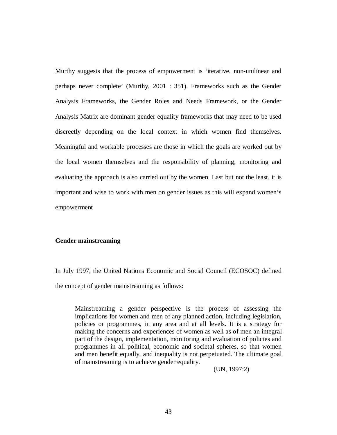Murthy suggests that the process of empowerment is 'iterative, non-unilinear and perhaps never complete' (Murthy, 2001 : 351). Frameworks such as the Gender Analysis Frameworks, the Gender Roles and Needs Framework, or the Gender Analysis Matrix are dominant gender equality frameworks that may need to be used discreetly depending on the local context in which women find themselves. Meaningful and workable processes are those in which the goals are worked out by the local women themselves and the responsibility of planning, monitoring and evaluating the approach is also carried out by the women. Last but not the least, it is important and wise to work with men on gender issues as this will expand women's empowerment

### **Gender mainstreaming**

In July 1997, the United Nations Economic and Social Council (ECOSOC) defined the concept of gender mainstreaming as follows:

Mainstreaming a gender perspective is the process of assessing the implications for women and men of any planned action, including legislation, policies or programmes, in any area and at all levels. It is a strategy for making the concerns and experiences of women as well as of men an integral part of the design, implementation, monitoring and evaluation of policies and programmes in all political, economic and societal spheres, so that women and men benefit equally, and inequality is not perpetuated. The ultimate goal of mainstreaming is to achieve gender equality.

(UN, 1997:2)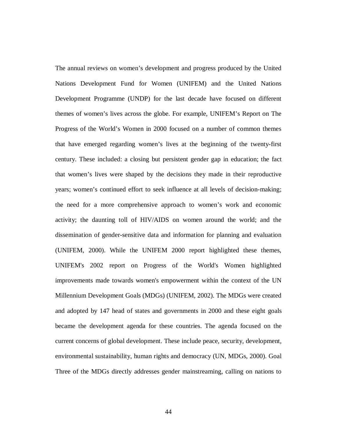The annual reviews on women's development and progress produced by the United Nations Development Fund for Women (UNIFEM) and the United Nations Development Programme (UNDP) for the last decade have focused on different themes of women's lives across the globe. For example, UNIFEM's Report on The Progress of the World's Women in 2000 focused on a number of common themes that have emerged regarding women's lives at the beginning of the twenty-first century. These included: a closing but persistent gender gap in education; the fact that women's lives were shaped by the decisions they made in their reproductive years; women's continued effort to seek influence at all levels of decision-making; the need for a more comprehensive approach to women's work and economic activity; the daunting toll of HIV/AIDS on women around the world; and the dissemination of gender-sensitive data and information for planning and evaluation (UNIFEM, 2000). While the UNIFEM 2000 report highlighted these themes, UNIFEM's 2002 report on Progress of the World's Women highlighted improvements made towards women's empowerment within the context of the UN Millennium Development Goals (MDGs) (UNIFEM, 2002). The MDGs were created and adopted by 147 head of states and governments in 2000 and these eight goals became the development agenda for these countries. The agenda focused on the current concerns of global development. These include peace, security, development, environmental sustainability, human rights and democracy (UN, MDGs, 2000). Goal Three of the MDGs directly addresses gender mainstreaming, calling on nations to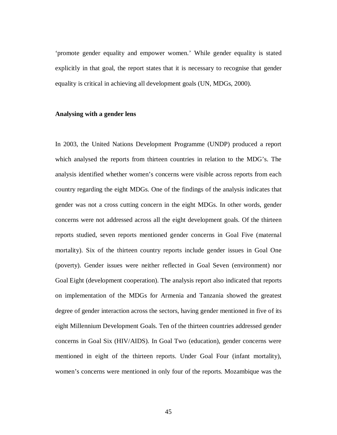'promote gender equality and empower women.' While gender equality is stated explicitly in that goal, the report states that it is necessary to recognise that gender equality is critical in achieving all development goals (UN, MDGs, 2000).

#### **Analysing with a gender lens**

In 2003, the United Nations Development Programme (UNDP) produced a report which analysed the reports from thirteen countries in relation to the MDG's. The analysis identified whether women's concerns were visible across reports from each country regarding the eight MDGs. One of the findings of the analysis indicates that gender was not a cross cutting concern in the eight MDGs. In other words, gender concerns were not addressed across all the eight development goals. Of the thirteen reports studied, seven reports mentioned gender concerns in Goal Five (maternal mortality). Six of the thirteen country reports include gender issues in Goal One (poverty). Gender issues were neither reflected in Goal Seven (environment) nor Goal Eight (development cooperation). The analysis report also indicated that reports on implementation of the MDGs for Armenia and Tanzania showed the greatest degree of gender interaction across the sectors, having gender mentioned in five of its eight Millennium Development Goals. Ten of the thirteen countries addressed gender concerns in Goal Six (HIV/AIDS). In Goal Two (education), gender concerns were mentioned in eight of the thirteen reports. Under Goal Four (infant mortality), women's concerns were mentioned in only four of the reports. Mozambique was the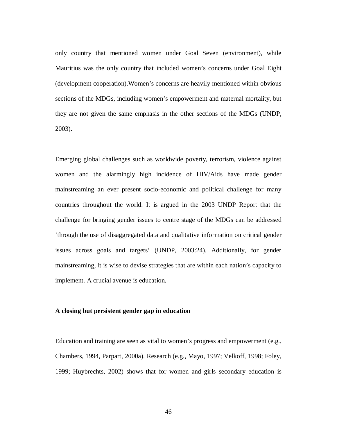only country that mentioned women under Goal Seven (environment), while Mauritius was the only country that included women's concerns under Goal Eight (development cooperation).Women's concerns are heavily mentioned within obvious sections of the MDGs, including women's empowerment and maternal mortality, but they are not given the same emphasis in the other sections of the MDGs (UNDP, 2003).

Emerging global challenges such as worldwide poverty, terrorism, violence against women and the alarmingly high incidence of HIV/Aids have made gender mainstreaming an ever present socio-economic and political challenge for many countries throughout the world. It is argued in the 2003 UNDP Report that the challenge for bringing gender issues to centre stage of the MDGs can be addressed 'through the use of disaggregated data and qualitative information on critical gender issues across goals and targets' (UNDP, 2003:24). Additionally, for gender mainstreaming, it is wise to devise strategies that are within each nation's capacity to implement. A crucial avenue is education.

# **A closing but persistent gender gap in education**

Education and training are seen as vital to women's progress and empowerment (e.g., Chambers, 1994, Parpart, 2000a). Research (e.g., Mayo, 1997; Velkoff, 1998; Foley, 1999; Huybrechts, 2002) shows that for women and girls secondary education is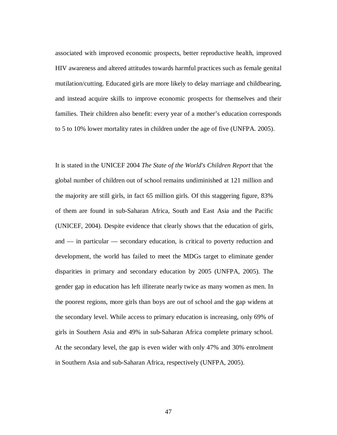associated with improved economic prospects, better reproductive health, improved HIV awareness and altered attitudes towards harmful practices such as female genital mutilation/cutting. Educated girls are more likely to delay marriage and childbearing, and instead acquire skills to improve economic prospects for themselves and their families. Their children also benefit: every year of a mother's education corresponds to 5 to 10% lower mortality rates in children under the age of five (UNFPA. 2005).

It is stated in the UNICEF 2004 *The State of the World's Children Report* that 'the global number of children out of school remains undiminished at 121 million and the majority are still girls, in fact 65 million girls. Of this staggering figure, 83% of them are found in sub-Saharan Africa, South and East Asia and the Pacific (UNICEF, 2004). Despite evidence that clearly shows that the education of girls, and — in particular — secondary education, is critical to poverty reduction and development, the world has failed to meet the MDGs target to eliminate gender disparities in primary and secondary education by 2005 (UNFPA, 2005). The gender gap in education has left illiterate nearly twice as many women as men. In the poorest regions, more girls than boys are out of school and the gap widens at the secondary level. While access to primary education is increasing, only 69% of girls in Southern Asia and 49% in sub-Saharan Africa complete primary school. At the secondary level, the gap is even wider with only 47% and 30% enrolment in Southern Asia and sub-Saharan Africa, respectively (UNFPA, 2005).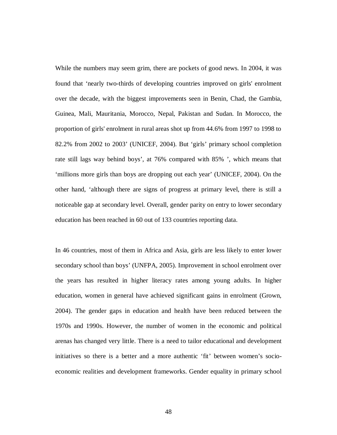While the numbers may seem grim, there are pockets of good news. In 2004, it was found that 'nearly two-thirds of developing countries improved on girls' enrolment over the decade, with the biggest improvements seen in Benin, Chad, the Gambia, Guinea, Mali, Mauritania, Morocco, Nepal, Pakistan and Sudan. In Morocco, the proportion of girls' enrolment in rural areas shot up from 44.6% from 1997 to 1998 to 82.2% from 2002 to 2003' (UNICEF, 2004). But 'girls' primary school completion rate still lags way behind boys', at 76% compared with 85% ', which means that 'millions more girls than boys are dropping out each year' (UNICEF, 2004). On the other hand, 'although there are signs of progress at primary level, there is still a noticeable gap at secondary level. Overall, gender parity on entry to lower secondary education has been reached in 60 out of 133 countries reporting data.

In 46 countries, most of them in Africa and Asia, girls are less likely to enter lower secondary school than boys' (UNFPA, 2005). Improvement in school enrolment over the years has resulted in higher literacy rates among young adults. In higher education, women in general have achieved significant gains in enrolment (Grown, 2004). The gender gaps in education and health have been reduced between the 1970s and 1990s. However, the number of women in the economic and political arenas has changed very little. There is a need to tailor educational and development initiatives so there is a better and a more authentic 'fit' between women's socioeconomic realities and development frameworks. Gender equality in primary school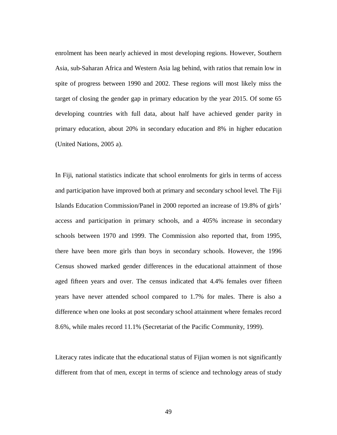enrolment has been nearly achieved in most developing regions. However, Southern Asia, sub-Saharan Africa and Western Asia lag behind, with ratios that remain low in spite of progress between 1990 and 2002. These regions will most likely miss the target of closing the gender gap in primary education by the year 2015. Of some 65 developing countries with full data, about half have achieved gender parity in primary education, about 20% in secondary education and 8% in higher education (United Nations, 2005 a).

In Fiji, national statistics indicate that school enrolments for girls in terms of access and participation have improved both at primary and secondary school level. The Fiji Islands Education Commission/Panel in 2000 reported an increase of 19.8% of girls' access and participation in primary schools, and a 405% increase in secondary schools between 1970 and 1999. The Commission also reported that, from 1995, there have been more girls than boys in secondary schools. However, the 1996 Census showed marked gender differences in the educational attainment of those aged fifteen years and over. The census indicated that 4.4% females over fifteen years have never attended school compared to 1.7% for males. There is also a difference when one looks at post secondary school attainment where females record 8.6%, while males record 11.1% (Secretariat of the Pacific Community, 1999).

Literacy rates indicate that the educational status of Fijian women is not significantly different from that of men, except in terms of science and technology areas of study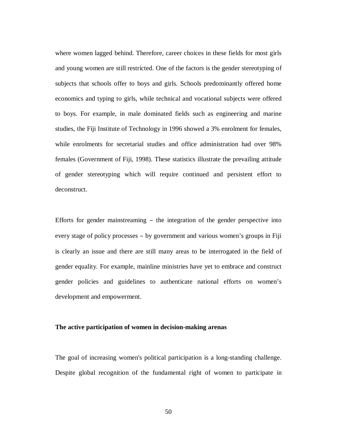where women lagged behind. Therefore, career choices in these fields for most girls and young women are still restricted. One of the factors is the gender stereotyping of subjects that schools offer to boys and girls. Schools predominantly offered home economics and typing to girls, while technical and vocational subjects were offered to boys. For example, in male dominated fields such as engineering and marine studies, the Fiji Institute of Technology in 1996 showed a 3% enrolment for females, while enrolments for secretarial studies and office administration had over 98% females (Government of Fiji, 1998). These statistics illustrate the prevailing attitude of gender stereotyping which will require continued and persistent effort to deconstruct.

Efforts for gender mainstreaming – the integration of the gender perspective into every stage of policy processes – by government and various women's groups in Fiji is clearly an issue and there are still many areas to be interrogated in the field of gender equality. For example, mainline ministries have yet to embrace and construct gender policies and guidelines to authenticate national efforts on women's development and empowerment.

### **The active participation of women in decision-making arenas**

The goal of increasing women's political participation is a long-standing challenge. Despite global recognition of the fundamental right of women to participate in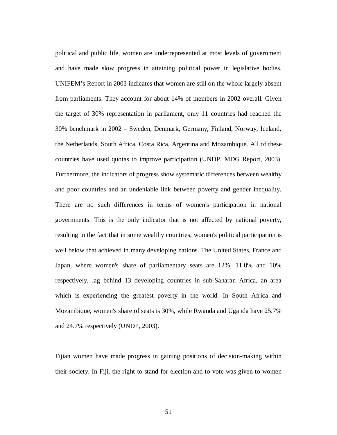political and public life, women are underrepresented at most levels of government and have made slow progress in attaining political power in legislative bodies. UNIFEM's Report in 2003 indicates that women are still on the whole largely absent from parliaments. They account for about 14% of members in 2002 overall. Given the target of 30% representation in parliament, only 11 countries had reached the 30% benchmark in 2002 – Sweden, Denmark, Germany, Finland, Norway, Iceland, the Netherlands, South Africa, Costa Rica, Argentina and Mozambique. All of these countries have used quotas to improve participation (UNDP, MDG Report, 2003). Furthermore, the indicators of progress show systematic differences between wealthy and poor countries and an undeniable link between poverty and gender inequality. There are no such differences in terms of women's participation in national governments. This is the only indicator that is not affected by national poverty, resulting in the fact that in some wealthy countries, women's political participation is well below that achieved in many developing nations. The United States, France and Japan, where women's share of parliamentary seats are 12%, 11.8% and 10% respectively, lag behind 13 developing countries in sub-Saharan Africa, an area which is experiencing the greatest poverty in the world. In South Africa and Mozambique, women's share of seats is 30%, while Rwanda and Uganda have 25.7% and 24.7% respectively (UNDP, 2003).

Fijian women have made progress in gaining positions of decision-making within their society. In Fiji, the right to stand for election and to vote was given to women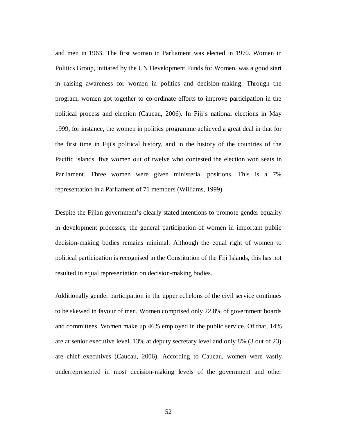and men in 1963. The first woman in Parliament was elected in 1970. Women in Politics Group, initiated by the UN Development Funds for Women, was a good start in raising awareness for women in politics and decision-making. Through the program, women got together to co-ordinate efforts to improve participation in the political process and election (Caucau, 2006). In Fiji's national elections in May 1999, for instance, the women in politics programme achieved a great deal in that for the first time in Fiji's political history, and in the history of the countries of the Pacific islands, five women out of twelve who contested the election won seats in Parliament. Three women were given ministerial positions. This is a 7% representation in a Parliament of 71 members (Williams, 1999).

Despite the Fijian government's clearly stated intentions to promote gender equality in development processes, the general participation of women in important public decision-making bodies remains minimal. Although the equal right of women to political participation is recognised in the Constitution of the Fiji Islands, this has not resulted in equal representation on decision-making bodies.

Additionally gender participation in the upper echelons of the civil service continues to be skewed in favour of men. Women comprised only 22.8% of government boards and committees. Women make up 46% employed in the public service. Of that, 14% are at senior executive level, 13% at deputy secretary level and only 8% (3 out of 23) are chief executives (Caucau, 2006). According to Caucau, women were vastly underrepresented in most decision-making levels of the government and other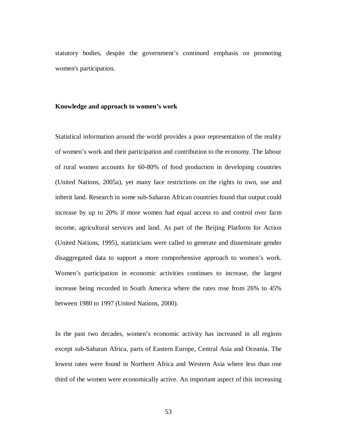statutory bodies, despite the government's continued emphasis on promoting women's participation.

# **Knowledge and approach to women's work**

Statistical information around the world provides a poor representation of the reality of women's work and their participation and contribution to the economy. The labour of rural women accounts for 60-80% of food production in developing countries (United Nations, 2005a), yet many face restrictions on the rights to own, use and inherit land. Research in some sub-Saharan African countries found that output could increase by up to 20% if more women had equal access to and control over farm income, agricultural services and land. As part of the Beijing Platform for Action (United Nations, 1995), statisticians were called to generate and disseminate gender disaggregated data to support a more comprehensive approach to women's work. Women's participation in economic activities continues to increase, the largest increase being recorded in South America where the rates rose from 26% to 45% between 1980 to 1997 (United Nations, 2000).

In the past two decades, women's economic activity has increased in all regions except sub-Saharan Africa, parts of Eastern Europe, Central Asia and Oceania. The lowest rates were found in Northern Africa and Western Asia where less than one third of the women were economically active. An important aspect of this increasing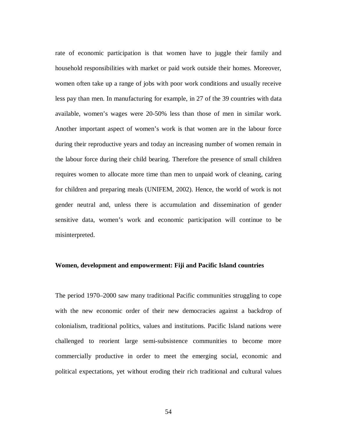rate of economic participation is that women have to juggle their family and household responsibilities with market or paid work outside their homes. Moreover, women often take up a range of jobs with poor work conditions and usually receive less pay than men. In manufacturing for example, in 27 of the 39 countries with data available, women's wages were 20-50% less than those of men in similar work. Another important aspect of women's work is that women are in the labour force during their reproductive years and today an increasing number of women remain in the labour force during their child bearing. Therefore the presence of small children requires women to allocate more time than men to unpaid work of cleaning, caring for children and preparing meals (UNIFEM, 2002). Hence, the world of work is not gender neutral and, unless there is accumulation and dissemination of gender sensitive data, women's work and economic participation will continue to be misinterpreted.

# **Women, development and empowerment: Fiji and Pacific Island countries**

The period 1970–2000 saw many traditional Pacific communities struggling to cope with the new economic order of their new democracies against a backdrop of colonialism, traditional politics, values and institutions. Pacific Island nations were challenged to reorient large semi-subsistence communities to become more commercially productive in order to meet the emerging social, economic and political expectations, yet without eroding their rich traditional and cultural values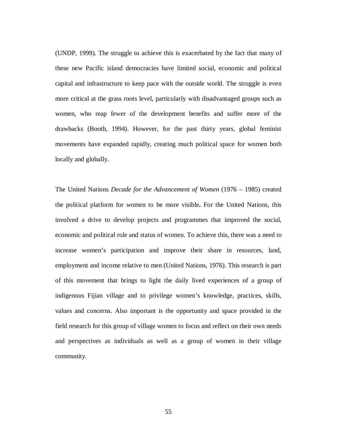(UNDP, 1999). The struggle to achieve this is exacerbated by the fact that many of these new Pacific island democracies have limited social, economic and political capital and infrastructure to keep pace with the outside world. The struggle is even more critical at the grass roots level, particularly with disadvantaged groups such as women, who reap fewer of the development benefits and suffer more of the drawbacks (Booth, 1994). However, for the past thirty years, global feminist movements have expanded rapidly, creating much political space for women both locally and globally.

The United Nations *Decade for the Advancement of Women* (1976 – 1985) created the political platform for women to be more visible**.** For the United Nations, this involved a drive to develop projects and programmes that improved the social, economic and political role and status of women. To achieve this, there was a need to increase women's participation and improve their share in resources, land, employment and income relative to men (United Nations, 1976). This research is part of this movement that brings to light the daily lived experiences of a group of indigenous Fijian village and to privilege women's knowledge, practices, skills, values and concerns. Also important is the opportunity and space provided in the field research for this group of village women to focus and reflect on their own needs and perspectives as individuals as well as a group of women in their village community.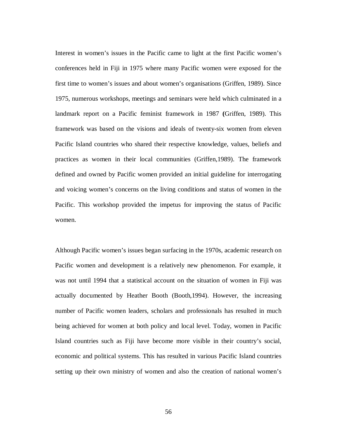Interest in women's issues in the Pacific came to light at the first Pacific women's conferences held in Fiji in 1975 where many Pacific women were exposed for the first time to women's issues and about women's organisations (Griffen, 1989). Since 1975, numerous workshops, meetings and seminars were held which culminated in a landmark report on a Pacific feminist framework in 1987 **(**Griffen, 1989). This framework was based on the visions and ideals of twenty-six women from eleven Pacific Island countries who shared their respective knowledge, values, beliefs and practices as women in their local communities (Griffen,1989). The framework defined and owned by Pacific women provided an initial guideline for interrogating and voicing women's concerns on the living conditions and status of women in the Pacific. This workshop provided the impetus for improving the status of Pacific women.

Although Pacific women's issues began surfacing in the 1970s, academic research on Pacific women and development is a relatively new phenomenon. For example, it was not until 1994 that a statistical account on the situation of women in Fiji was actually documented by Heather Booth (Booth,1994). However, the increasing number of Pacific women leaders, scholars and professionals has resulted in much being achieved for women at both policy and local level. Today, women in Pacific Island countries such as Fiji have become more visible in their country's social, economic and political systems. This has resulted in various Pacific Island countries setting up their own ministry of women and also the creation of national women's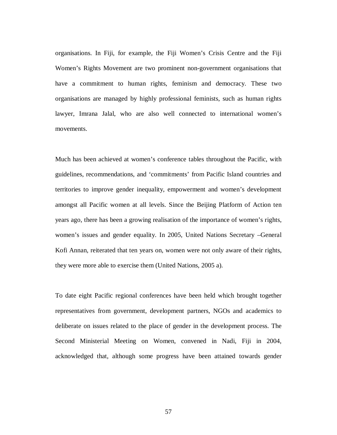organisations. In Fiji, for example, the Fiji Women's Crisis Centre and the Fiji Women's Rights Movement are two prominent non-government organisations that have a commitment to human rights, feminism and democracy. These two organisations are managed by highly professional feminists, such as human rights lawyer, Imrana Jalal, who are also well connected to international women's movements.

Much has been achieved at women's conference tables throughout the Pacific, with guidelines, recommendations, and 'commitments' from Pacific Island countries and territories to improve gender inequality, empowerment and women's development amongst all Pacific women at all levels. Since the Beijing Platform of Action ten years ago, there has been a growing realisation of the importance of women's rights, women's issues and gender equality. In 2005, United Nations Secretary –General Kofi Annan, reiterated that ten years on, women were not only aware of their rights, they were more able to exercise them (United Nations, 2005 a).

To date eight Pacific regional conferences have been held which brought together representatives from government, development partners, NGOs and academics to deliberate on issues related to the place of gender in the development process. The Second Ministerial Meeting on Women, convened in Nadi, Fiji in 2004, acknowledged that, although some progress have been attained towards gender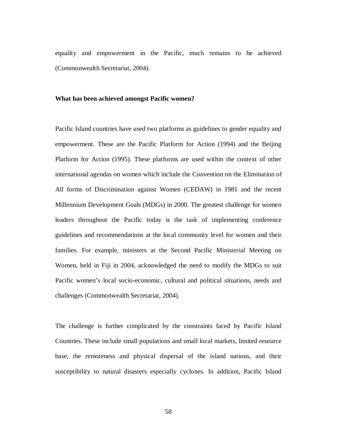equality and empowerment in the Pacific, much remains to be achieved (Commonwealth Secretariat, 2004).

### **What has been achieved amongst Pacific women?**

Pacific Island countries have used two platforms as guidelines to gender equality and empowerment. These are the Pacific Platform for Action (1994) and the Beijing Platform for Action (1995). These platforms are used within the context of other international agendas on women which include the Convention on the Elimination of All forms of Discrimination against Women (CEDAW) in 1981 and the recent Millennium Development Goals (MDGs) in 2000. The greatest challenge for women leaders throughout the Pacific today is the task of implementing conference guidelines and recommendations at the local community level for women and their families. For example, ministers at the Second Pacific Ministerial Meeting on Women, held in Fiji in 2004, acknowledged the need to modify the MDGs to suit Pacific women's local socio-economic, cultural and political situations, needs and challenges (Commonwealth Secretariat, 2004).

The challenge is further complicated by the constraints faced by Pacific Island Countries. These include small populations and small local markets, limited resource base, the remoteness and physical dispersal of the island nations, and their susceptibility to natural disasters especially cyclones. In addition, Pacific Island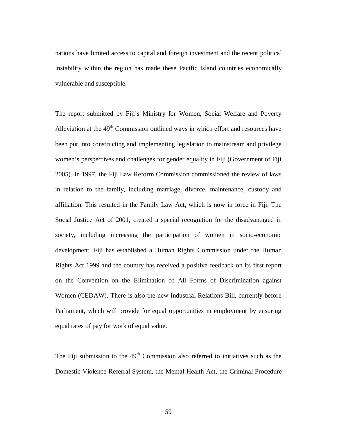nations have limited access to capital and foreign investment and the recent political instability within the region has made these Pacific Island countries economically vulnerable and susceptible.

The report submitted by Fiji's Ministry for Women, Social Welfare and Poverty Alleviation at the  $49<sup>th</sup>$  Commission outlined ways in which effort and resources have been put into constructing and implementing legislation to mainstream and privilege women's perspectives and challenges for gender equality in Fiji (Government of Fiji 2005). In 1997, the Fiji Law Reform Commission commissioned the review of laws in relation to the family, including marriage, divorce, maintenance, custody and affiliation. This resulted in the Family Law Act, which is now in force in Fiji. The Social Justice Act of 2001, created a special recognition for the disadvantaged in society, including increasing the participation of women in socio-economic development. Fiji has established a Human Rights Commission under the Human Rights Act 1999 and the country has received a positive feedback on its first report on the Convention on the Elimination of All Forms of Discrimination against Women (CEDAW). There is also the new Industrial Relations Bill, currently before Parliament, which will provide for equal opportunities in employment by ensuring equal rates of pay for work of equal value.

The Fiji submission to the  $49<sup>th</sup>$  Commission also referred to initiatives such as the Domestic Violence Referral System, the Mental Health Act, the Criminal Procedure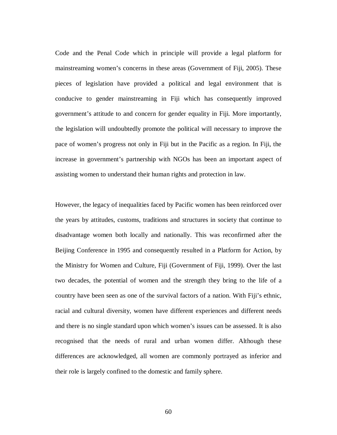Code and the Penal Code which in principle will provide a legal platform for mainstreaming women's concerns in these areas (Government of Fiji, 2005). These pieces of legislation have provided a political and legal environment that is conducive to gender mainstreaming in Fiji which has consequently improved government's attitude to and concern for gender equality in Fiji. More importantly, the legislation will undoubtedly promote the political will necessary to improve the pace of women's progress not only in Fiji but in the Pacific as a region. In Fiji, the increase in government's partnership with NGOs has been an important aspect of assisting women to understand their human rights and protection in law.

However, the legacy of inequalities faced by Pacific women has been reinforced over the years by attitudes, customs, traditions and structures in society that continue to disadvantage women both locally and nationally. This was reconfirmed after the Beijing Conference in 1995 and consequently resulted in a Platform for Action, by the Ministry for Women and Culture, Fiji (Government of Fiji, 1999). Over the last two decades, the potential of women and the strength they bring to the life of a country have been seen as one of the survival factors of a nation. With Fiji's ethnic, racial and cultural diversity, women have different experiences and different needs and there is no single standard upon which women's issues can be assessed. It is also recognised that the needs of rural and urban women differ. Although these differences are acknowledged, all women are commonly portrayed as inferior and their role is largely confined to the domestic and family sphere.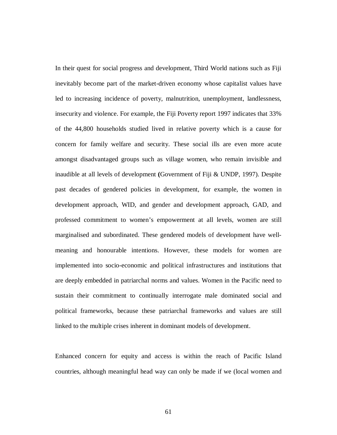In their quest for social progress and development, Third World nations such as Fiji inevitably become part of the market-driven economy whose capitalist values have led to increasing incidence of poverty, malnutrition, unemployment, landlessness, insecurity and violence. For example, the Fiji Poverty report 1997 indicates that 33% of the 44,800 households studied lived in relative poverty which is a cause for concern for family welfare and security. These social ills are even more acute amongst disadvantaged groups such as village women, who remain invisible and inaudible at all levels of development **(**Government of Fiji & UNDP, 1997). Despite past decades of gendered policies in development, for example, the women in development approach, WID, and gender and development approach, GAD, and professed commitment to women's empowerment at all levels, women are still marginalised and subordinated. These gendered models of development have wellmeaning and honourable intentions. However, these models for women are implemented into socio-economic and political infrastructures and institutions that are deeply embedded in patriarchal norms and values. Women in the Pacific need to sustain their commitment to continually interrogate male dominated social and political frameworks, because these patriarchal frameworks and values are still linked to the multiple crises inherent in dominant models of development.

Enhanced concern for equity and access is within the reach of Pacific Island countries, although meaningful head way can only be made if we (local women and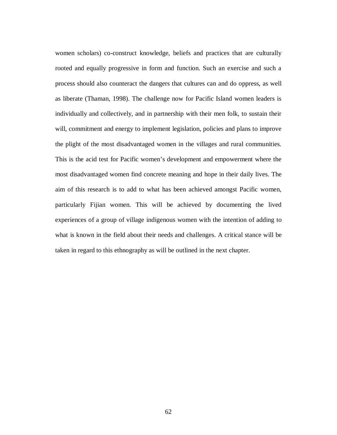women scholars) co-construct knowledge, beliefs and practices that are culturally rooted and equally progressive in form and function. Such an exercise and such a process should also counteract the dangers that cultures can and do oppress, as well as liberate (Thaman, 1998). The challenge now for Pacific Island women leaders is individually and collectively, and in partnership with their men folk, to sustain their will, commitment and energy to implement legislation, policies and plans to improve the plight of the most disadvantaged women in the villages and rural communities. This is the acid test for Pacific women's development and empowerment where the most disadvantaged women find concrete meaning and hope in their daily lives. The aim of this research is to add to what has been achieved amongst Pacific women, particularly Fijian women. This will be achieved by documenting the lived experiences of a group of village indigenous women with the intention of adding to what is known in the field about their needs and challenges. A critical stance will be taken in regard to this ethnography as will be outlined in the next chapter.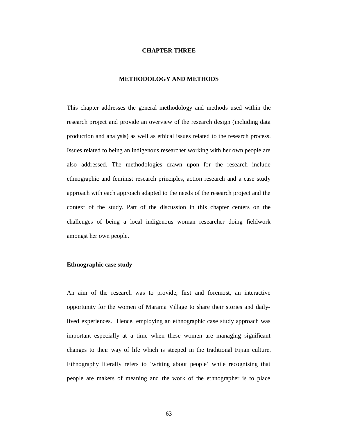#### **CHAPTER THREE**

## **METHODOLOGY AND METHODS**

This chapter addresses the general methodology and methods used within the research project and provide an overview of the research design (including data production and analysis) as well as ethical issues related to the research process. Issues related to being an indigenous researcher working with her own people are also addressed. The methodologies drawn upon for the research include ethnographic and feminist research principles, action research and a case study approach with each approach adapted to the needs of the research project and the context of the study. Part of the discussion in this chapter centers on the challenges of being a local indigenous woman researcher doing fieldwork amongst her own people.

# **Ethnographic case study**

An aim of the research was to provide, first and foremost, an interactive opportunity for the women of Marama Village to share their stories and dailylived experiences. Hence, employing an ethnographic case study approach was important especially at a time when these women are managing significant changes to their way of life which is steeped in the traditional Fijian culture. Ethnography literally refers to 'writing about people' while recognising that people are makers of meaning and the work of the ethnographer is to place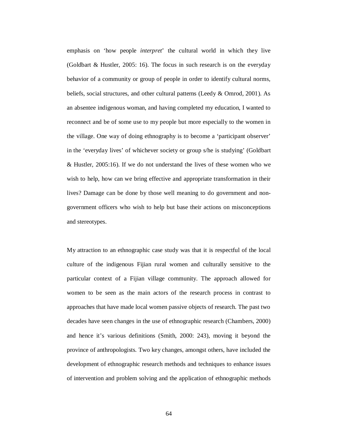emphasis on 'how people *interpret*' the cultural world in which they live (Goldbart & Hustler, 2005: 16). The focus in such research is on the everyday behavior of a community or group of people in order to identify cultural norms, beliefs, social structures, and other cultural patterns (Leedy & Omrod, 2001). As an absentee indigenous woman, and having completed my education, I wanted to reconnect and be of some use to my people but more especially to the women in the village. One way of doing ethnography is to become a 'participant observer' in the 'everyday lives' of whichever society or group s/he is studying' (Goldbart & Hustler, 2005:16). If we do not understand the lives of these women who we wish to help, how can we bring effective and appropriate transformation in their lives? Damage can be done by those well meaning to do government and nongovernment officers who wish to help but base their actions on misconceptions and stereotypes.

My attraction to an ethnographic case study was that it is respectful of the local culture of the indigenous Fijian rural women and culturally sensitive to the particular context of a Fijian village community. The approach allowed for women to be seen as the main actors of the research process in contrast to approaches that have made local women passive objects of research. The past two decades have seen changes in the use of ethnographic research (Chambers, 2000) and hence it's various definitions (Smith, 2000: 243), moving it beyond the province of anthropologists. Two key changes, amongst others, have included the development of ethnographic research methods and techniques to enhance issues of intervention and problem solving and the application of ethnographic methods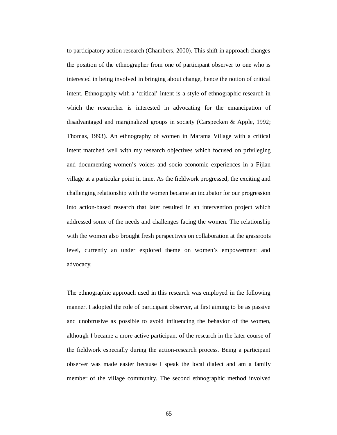to participatory action research (Chambers, 2000). This shift in approach changes the position of the ethnographer from one of participant observer to one who is interested in being involved in bringing about change, hence the notion of critical intent. Ethnography with a 'critical' intent is a style of ethnographic research in which the researcher is interested in advocating for the emancipation of disadvantaged and marginalized groups in society (Carspecken & Apple, 1992; Thomas, 1993). An ethnography of women in Marama Village with a critical intent matched well with my research objectives which focused on privileging and documenting women's voices and socio-economic experiences in a Fijian village at a particular point in time. As the fieldwork progressed, the exciting and challenging relationship with the women became an incubator for our progression into action-based research that later resulted in an intervention project which addressed some of the needs and challenges facing the women. The relationship with the women also brought fresh perspectives on collaboration at the grassroots level, currently an under explored theme on women's empowerment and advocacy.

The ethnographic approach used in this research was employed in the following manner. I adopted the role of participant observer, at first aiming to be as passive and unobtrusive as possible to avoid influencing the behavior of the women, although I became a more active participant of the research in the later course of the fieldwork especially during the action-research process. Being a participant observer was made easier because I speak the local dialect and am a family member of the village community. The second ethnographic method involved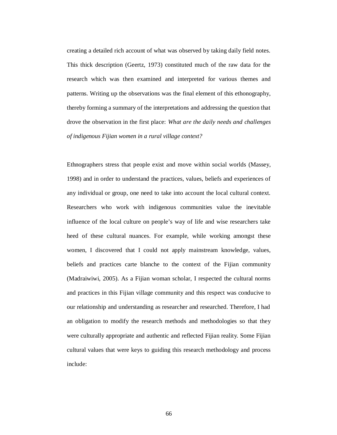creating a detailed rich account of what was observed by taking daily field notes. This thick description (Geertz, 1973) constituted much of the raw data for the research which was then examined and interpreted for various themes and patterns. Writing up the observations was the final element of this ethonography, thereby forming a summary of the interpretations and addressing the question that drove the observation in the first place: *What are the daily needs and challenges of indigenous Fijian women in a rural village context?* 

Ethnographers stress that people exist and move within social worlds (Massey, 1998) and in order to understand the practices, values, beliefs and experiences of any individual or group, one need to take into account the local cultural context. Researchers who work with indigenous communities value the inevitable influence of the local culture on people's way of life and wise researchers take heed of these cultural nuances. For example, while working amongst these women, I discovered that I could not apply mainstream knowledge, values, beliefs and practices carte blanche to the context of the Fijian community (Madraiwiwi, 2005). As a Fijian woman scholar, I respected the cultural norms and practices in this Fijian village community and this respect was conducive to our relationship and understanding as researcher and researched. Therefore, I had an obligation to modify the research methods and methodologies so that they were culturally appropriate and authentic and reflected Fijian reality. Some Fijian cultural values that were keys to guiding this research methodology and process include: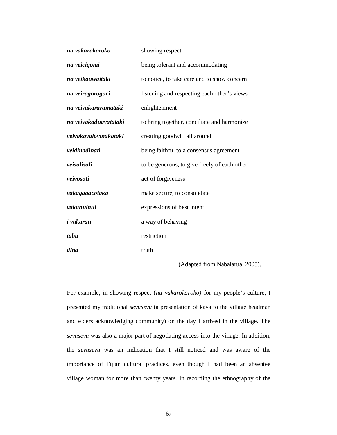| na vakarokoroko       | showing respect                              |
|-----------------------|----------------------------------------------|
| na veicigomi          | being tolerant and accommodating             |
| na veikauwaitaki      | to notice, to take care and to show concern  |
| na veirogorogoci      | listening and respecting each other's views  |
| na veivakararamataki  | enlightenment                                |
| na veivakaduavatataki | to bring together, conciliate and harmonize  |
| veivakayalovinakataki | creating goodwill all around                 |
| veidinadinati         | being faithful to a consensus agreement      |
| veisolisoli           | to be generous, to give freely of each other |
| veivosoti             | act of forgiveness                           |
| vakaqaqacotaka        | make secure, to consolidate                  |
| vakanuinui            | expressions of best intent                   |
| i vakarau             | a way of behaving                            |
| tabu                  | restriction                                  |
| dina                  | truth                                        |

(Adapted from Nabalarua, 2005).

For example, in showing respect (*na vakarokoroko)* for my people's culture, I presented my traditional *sevusevu* (a presentation of kava to the village headman and elders acknowledging community) on the day I arrived in the village. The *sevusevu* was also a major part of negotiating access into the village. In addition, the *sevusevu* was an indication that I still noticed and was aware of the importance of Fijian cultural practices, even though I had been an absentee village woman for more than twenty years. In recording the ethnography of the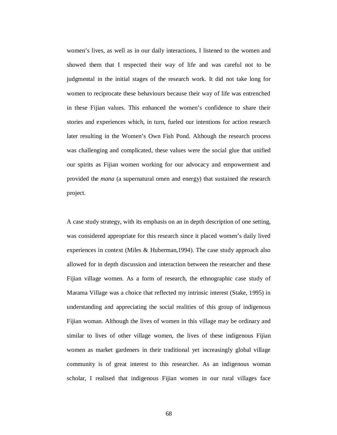women's lives, as well as in our daily interactions, I listened to the women and showed them that I respected their way of life and was careful not to be judgmental in the initial stages of the research work. It did not take long for women to reciprocate these behaviours because their way of life was entrenched in these Fijian values. This enhanced the women's confidence to share their stories and experiences which, in turn, fueled our intentions for action research later resulting in the Women's Own Fish Pond. Although the research process was challenging and complicated, these values were the social glue that unified our spirits as Fijian women working for our advocacy and empowerment and provided the *mana* (a supernatural omen and energy) that sustained the research project.

A case study strategy, with its emphasis on an in depth description of one setting, was considered appropriate for this research since it placed women's daily lived experiences in context (Miles & Huberman,1994). The case study approach also allowed for in depth discussion and interaction between the researcher and these Fijian village women. As a form of research, the ethnographic case study of Marama Village was a choice that reflected my intrinsic interest (Stake, 1995) in understanding and appreciating the social realities of this group of indigenous Fijian woman. Although the lives of women in this village may be ordinary and similar to lives of other village women, the lives of these indigenous Fijian women as market gardeners in their traditional yet increasingly global village community is of great interest to this researcher. As an indigenous woman scholar, I realised that indigenous Fijian women in our rural villages face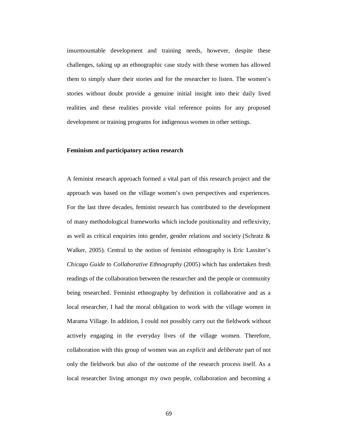insurmountable development and training needs, however, despite these challenges, taking up an ethnographic case study with these women has allowed them to simply share their stories and for the researcher to listen. The women's stories without doubt provide a genuine initial insight into their daily lived realities and these realities provide vital reference points for any proposed development or training programs for indigenous women in other settings.

### **Feminism and participatory action research**

A feminist research approach formed a vital part of this research project and the approach was based on the village women's own perspectives and experiences. For the last three decades, feminist research has contributed to the development of many methodological frameworks which include positionality and reflexivity, as well as critical enquiries into gender, gender relations and society (Schratz & Walker, 2005). Central to the notion of feminist ethnography is Eric Lassiter's *Chicago Guide to Collaborative Ethnography* (2005) which has undertaken fresh readings of the collaboration between the researcher and the people or community being researched. Feminist ethnography by definition is collaborative and as a local researcher, I had the moral obligation to work with the village women in Marama Village. In addition, I could not possibly carry out the fieldwork without actively engaging in the everyday lives of the village women. Therefore, collaboration with this group of women was an *explicit* and *deliberate* part of not only the fieldwork but also of the outcome of the research process itself. As a local researcher living amongst my own people, collaboration and becoming a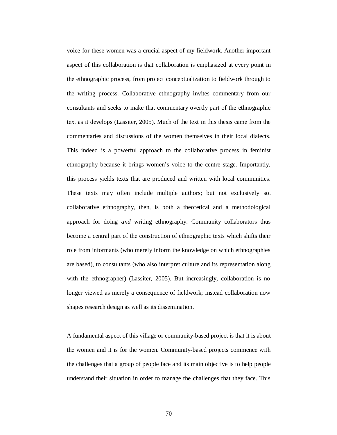voice for these women was a crucial aspect of my fieldwork. Another important aspect of this collaboration is that collaboration is emphasized at every point in the ethnographic process, from project conceptualization to fieldwork through to the writing process. Collaborative ethnography invites commentary from our consultants and seeks to make that commentary overtly part of the ethnographic text as it develops (Lassiter, 2005). Much of the text in this thesis came from the commentaries and discussions of the women themselves in their local dialects. This indeed is a powerful approach to the collaborative process in feminist ethnography because it brings women's voice to the centre stage. Importantly, this process yields texts that are produced and written with local communities. These texts may often include multiple authors; but not exclusively so. collaborative ethnography, then, is both a theoretical and a methodological approach for doing *and* writing ethnography. Community collaborators thus become a central part of the construction of ethnographic texts which shifts their role from informants (who merely inform the knowledge on which ethnographies are based), to consultants (who also interpret culture and its representation along with the ethnographer) (Lassiter, 2005). But increasingly, collaboration is no longer viewed as merely a consequence of fieldwork; instead collaboration now shapes research design as well as its dissemination.

A fundamental aspect of this village or community-based project is that it is about the women and it is for the women. Community-based projects commence with the challenges that a group of people face and its main objective is to help people understand their situation in order to manage the challenges that they face. This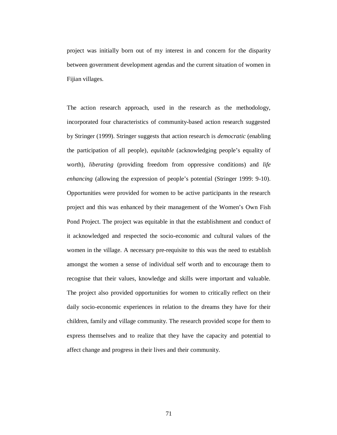project was initially born out of my interest in and concern for the disparity between government development agendas and the current situation of women in Fijian villages.

The action research approach, used in the research as the methodology, incorporated four characteristics of community-based action research suggested by Stringer (1999). Stringer suggests that action research is *democratic* (enabling the participation of all people)*, equitable* (acknowledging people's equality of worth)*, liberating* (providing freedom from oppressive conditions) and *life enhancing* (allowing the expression of people's potential (Stringer 1999: 9-10). Opportunities were provided for women to be active participants in the research project and this was enhanced by their management of the Women's Own Fish Pond Project. The project was equitable in that the establishment and conduct of it acknowledged and respected the socio-economic and cultural values of the women in the village. A necessary pre-requisite to this was the need to establish amongst the women a sense of individual self worth and to encourage them to recognise that their values, knowledge and skills were important and valuable. The project also provided opportunities for women to critically reflect on their daily socio-economic experiences in relation to the dreams they have for their children, family and village community. The research provided scope for them to express themselves and to realize that they have the capacity and potential to affect change and progress in their lives and their community.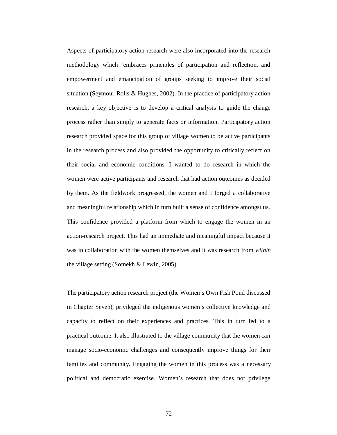Aspects of participatory action research were also incorporated into the research methodology which 'embraces principles of participation and reflection, and empowerment and emancipation of groups seeking to improve their social situation (Seymour-Rolls & Hughes, 2002). In the practice of participatory action research, a key objective is to develop a critical analysis to guide the change process rather than simply to generate facts or information. Participatory action research provided space for this group of village women to be active participants in the research process and also provided the opportunity to critically reflect on their social and economic conditions. I wanted to do research in which the women were active participants and research that had action outcomes as decided by them. As the fieldwork progressed, the women and I forged a collaborative and meaningful relationship which in turn built a sense of confidence amongst us. This confidence provided a platform from which to engage the women in an action-research project. This had an immediate and meaningful impact because it was in collaboration with the women themselves and it was research from *within* the village setting (Somekh & Lewin, 2005).

The participatory action research project (the Women's Own Fish Pond discussed in Chapter Seven), privileged the indigenous women's collective knowledge and capacity to reflect on their experiences and practices. This in turn led to a practical outcome. It also illustrated to the village community that the women can manage socio-economic challenges and consequently improve things for their families and community. Engaging the women in this process was a necessary political and democratic exercise. Women's research that does not privilege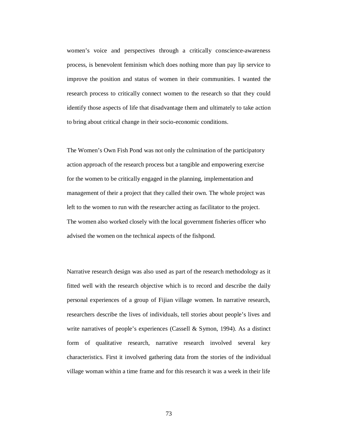women's voice and perspectives through a critically conscience-awareness process, is benevolent feminism which does nothing more than pay lip service to improve the position and status of women in their communities. I wanted the research process to critically connect women to the research so that they could identify those aspects of life that disadvantage them and ultimately to take action to bring about critical change in their socio-economic conditions.

The Women's Own Fish Pond was not only the culmination of the participatory action approach of the research process but a tangible and empowering exercise for the women to be critically engaged in the planning, implementation and management of their a project that they called their own. The whole project was left to the women to run with the researcher acting as facilitator to the project. The women also worked closely with the local government fisheries officer who advised the women on the technical aspects of the fishpond.

Narrative research design was also used as part of the research methodology as it fitted well with the research objective which is to record and describe the daily personal experiences of a group of Fijian village women. In narrative research, researchers describe the lives of individuals, tell stories about people's lives and write narratives of people's experiences (Cassell & Symon, 1994). As a distinct form of qualitative research, narrative research involved several key characteristics. First it involved gathering data from the stories of the individual village woman within a time frame and for this research it was a week in their life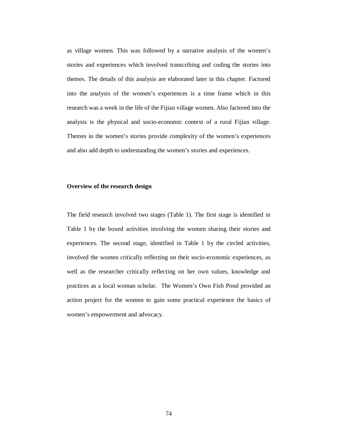as village women. This was followed by a narrative analysis of the women's stories and experiences which involved transcribing and coding the stories into themes. The details of this analysis are elaborated later in this chapter. Factored into the analysis of the women's experiences is a time frame which in this research was a week in the life of the Fijian village women. Also factored into the analysis is the physical and socio-economic context of a rural Fijian village. Themes in the women's stories provide complexity of the women's experiences and also add depth to understanding the women's stories and experiences.

#### **Overview of the research design**

The field research involved two stages (Table 1). The first stage is identified in Table 1 by the boxed activities involving the women sharing their stories and experiences. The second stage, identified in Table 1 by the circled activities, involved the women critically reflecting on their socio-economic experiences, as well as the researcher critically reflecting on her own values, knowledge and practices as a local woman scholar. The Women's Own Fish Pond provided an action project for the women to gain some practical experience the basics of women's empowerment and advocacy.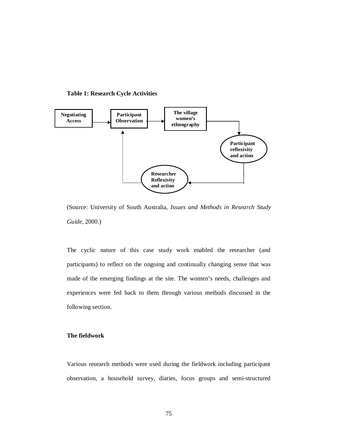



(Source: University of South Australia, *Issues and Methods in Research Study Guide,* 2000.)

The cyclic nature of this case study work enabled the researcher (and participants) to reflect on the ongoing and continually changing sense that was made of the emerging findings at the site. The women's needs, challenges and experiences were fed back to them through various methods discussed in the following section.

# **The fieldwork**

Various research methods were used during the fieldwork including participant observation, a household survey, diaries, focus groups and semi-structured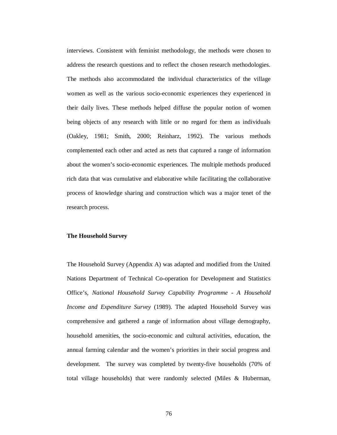interviews. Consistent with feminist methodology, the methods were chosen to address the research questions and to reflect the chosen research methodologies. The methods also accommodated the individual characteristics of the village women as well as the various socio-economic experiences they experienced in their daily lives. These methods helped diffuse the popular notion of women being objects of any research with little or no regard for them as individuals (Oakley, 1981; Smith, 2000; Reinharz, 1992). The various methods complemented each other and acted as nets that captured a range of information about the women's socio-economic experiences. The multiple methods produced rich data that was cumulative and elaborative while facilitating the collaborative process of knowledge sharing and construction which was a major tenet of the research process.

## **The Household Survey**

The Household Survey (Appendix A) was adapted and modified from the United Nations Department of Technical Co-operation for Development and Statistics Office's, *National Household Survey Capability Programme - A Household Income and Expenditure Survey* (1989). The adapted Household Survey was comprehensive and gathered a range of information about village demography, household amenities, the socio-economic and cultural activities, education, the annual farming calendar and the women's priorities in their social progress and development. The survey was completed by twenty-five households (70% of total village households) that were randomly selected (Miles & Huberman,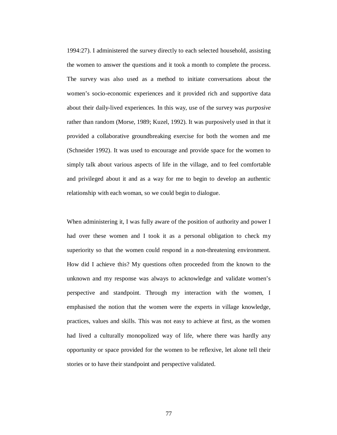1994:27). I administered the survey directly to each selected household, assisting the women to answer the questions and it took a month to complete the process. The survey was also used as a method to initiate conversations about the women's socio-economic experiences and it provided rich and supportive data about their daily-lived experiences. In this way, use of the survey was *purposive*  rather than random (Morse, 1989; Kuzel, 1992). It was purposively used in that it provided a collaborative groundbreaking exercise for both the women and me (Schneider 1992). It was used to encourage and provide space for the women to simply talk about various aspects of life in the village, and to feel comfortable and privileged about it and as a way for me to begin to develop an authentic relationship with each woman, so we could begin to dialogue.

When administering it, I was fully aware of the position of authority and power I had over these women and I took it as a personal obligation to check my superiority so that the women could respond in a non-threatening environment. How did I achieve this? My questions often proceeded from the known to the unknown and my response was always to acknowledge and validate women's perspective and standpoint. Through my interaction with the women, I emphasised the notion that the women were the experts in village knowledge, practices, values and skills. This was not easy to achieve at first, as the women had lived a culturally monopolized way of life, where there was hardly any opportunity or space provided for the women to be reflexive, let alone tell their stories or to have their standpoint and perspective validated.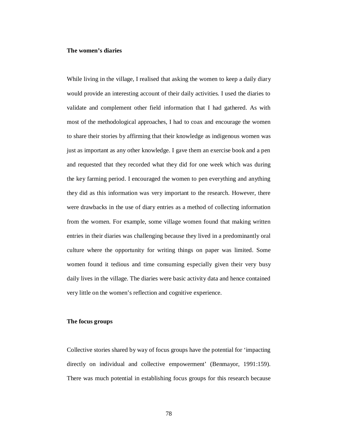### **The women's diaries**

While living in the village, I realised that asking the women to keep a daily diary would provide an interesting account of their daily activities. I used the diaries to validate and complement other field information that I had gathered. As with most of the methodological approaches, I had to coax and encourage the women to share their stories by affirming that their knowledge as indigenous women was just as important as any other knowledge. I gave them an exercise book and a pen and requested that they recorded what they did for one week which was during the key farming period. I encouraged the women to pen everything and anything they did as this information was very important to the research. However, there were drawbacks in the use of diary entries as a method of collecting information from the women. For example, some village women found that making written entries in their diaries was challenging because they lived in a predominantly oral culture where the opportunity for writing things on paper was limited. Some women found it tedious and time consuming especially given their very busy daily lives in the village. The diaries were basic activity data and hence contained very little on the women's reflection and cognitive experience.

## **The focus groups**

Collective stories shared by way of focus groups have the potential for 'impacting directly on individual and collective empowerment' (Benmayor, 1991:159). There was much potential in establishing focus groups for this research because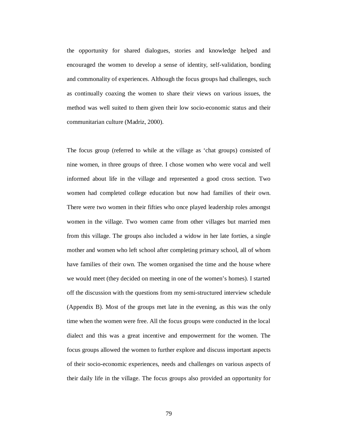the opportunity for shared dialogues, stories and knowledge helped and encouraged the women to develop a sense of identity, self-validation, bonding and commonality of experiences. Although the focus groups had challenges, such as continually coaxing the women to share their views on various issues, the method was well suited to them given their low socio-economic status and their communitarian culture (Madriz, 2000).

The focus group (referred to while at the village as 'chat groups) consisted of nine women, in three groups of three. I chose women who were vocal and well informed about life in the village and represented a good cross section. Two women had completed college education but now had families of their own. There were two women in their fifties who once played leadership roles amongst women in the village. Two women came from other villages but married men from this village. The groups also included a widow in her late forties, a single mother and women who left school after completing primary school, all of whom have families of their own. The women organised the time and the house where we would meet (they decided on meeting in one of the women's homes). I started off the discussion with the questions from my semi-structured interview schedule (Appendix B). Most of the groups met late in the evening, as this was the only time when the women were free. All the focus groups were conducted in the local dialect and this was a great incentive and empowerment for the women. The focus groups allowed the women to further explore and discuss important aspects of their socio-economic experiences, needs and challenges on various aspects of their daily life in the village. The focus groups also provided an opportunity for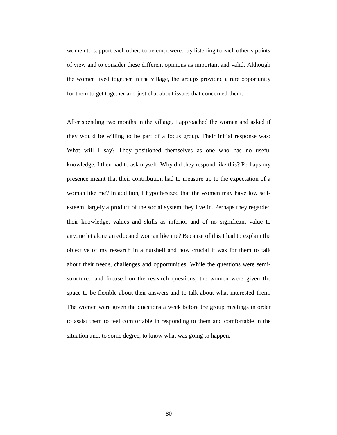women to support each other, to be empowered by listening to each other's points of view and to consider these different opinions as important and valid. Although the women lived together in the village, the groups provided a rare opportunity for them to get together and just chat about issues that concerned them.

After spending two months in the village, I approached the women and asked if they would be willing to be part of a focus group. Their initial response was: What will I say? They positioned themselves as one who has no useful knowledge. I then had to ask myself: Why did they respond like this? Perhaps my presence meant that their contribution had to measure up to the expectation of a woman like me? In addition, I hypothesized that the women may have low selfesteem, largely a product of the social system they live in. Perhaps they regarded their knowledge, values and skills as inferior and of no significant value to anyone let alone an educated woman like me? Because of this I had to explain the objective of my research in a nutshell and how crucial it was for them to talk about their needs, challenges and opportunities. While the questions were semistructured and focused on the research questions, the women were given the space to be flexible about their answers and to talk about what interested them. The women were given the questions a week before the group meetings in order to assist them to feel comfortable in responding to them and comfortable in the situation and, to some degree, to know what was going to happen.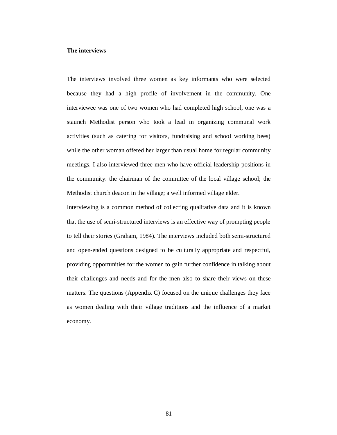### **The interviews**

The interviews involved three women as key informants who were selected because they had a high profile of involvement in the community. One interviewee was one of two women who had completed high school, one was a staunch Methodist person who took a lead in organizing communal work activities (such as catering for visitors, fundraising and school working bees) while the other woman offered her larger than usual home for regular community meetings. I also interviewed three men who have official leadership positions in the community: the chairman of the committee of the local village school; the Methodist church deacon in the village; a well informed village elder.

Interviewing is a common method of collecting qualitative data and it is known that the use of semi-structured interviews is an effective way of prompting people to tell their stories (Graham, 1984). The interviews included both semi-structured and open-ended questions designed to be culturally appropriate and respectful, providing opportunities for the women to gain further confidence in talking about their challenges and needs and for the men also to share their views on these matters. The questions (Appendix C) focused on the unique challenges they face as women dealing with their village traditions and the influence of a market economy.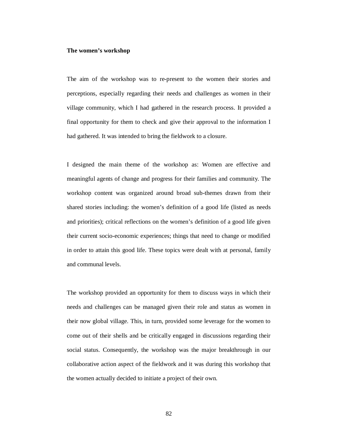### **The women's workshop**

The aim of the workshop was to re-present to the women their stories and perceptions, especially regarding their needs and challenges as women in their village community, which I had gathered in the research process. It provided a final opportunity for them to check and give their approval to the information I had gathered. It was intended to bring the fieldwork to a closure.

I designed the main theme of the workshop as: Women are effective and meaningful agents of change and progress for their families and community. The workshop content was organized around broad sub-themes drawn from their shared stories including: the women's definition of a good life (listed as needs and priorities); critical reflections on the women's definition of a good life given their current socio-economic experiences; things that need to change or modified in order to attain this good life. These topics were dealt with at personal, family and communal levels.

The workshop provided an opportunity for them to discuss ways in which their needs and challenges can be managed given their role and status as women in their now global village. This, in turn, provided some leverage for the women to come out of their shells and be critically engaged in discussions regarding their social status. Consequently, the workshop was the major breakthrough in our collaborative action aspect of the fieldwork and it was during this workshop that the women actually decided to initiate a project of their own.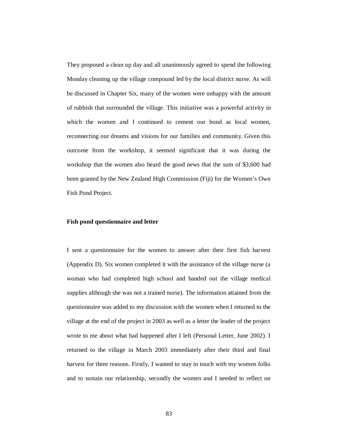They proposed a clean up day and all unanimously agreed to spend the following Monday cleaning up the village compound led by the local district nurse. As will be discussed in Chapter Six, many of the women were unhappy with the amount of rubbish that surrounded the village. This initiative was a powerful activity in which the women and I continued to cement our bond as local women, reconnecting our dreams and visions for our families and community. Given this outcome from the workshop, it seemed significant that it was during the workshop that the women also heard the good news that the sum of \$3,600 had been granted by the New Zealand High Commission (Fiji) for the Women's Own Fish Pond Project.

## **Fish pond questionnaire and letter**

I sent a questionnaire for the women to answer after their first fish harvest (Appendix D). Six women completed it with the assistance of the village nurse (a woman who had completed high school and handed out the village medical supplies although she was not a trained nurse). The information attained from the questionnaire was added to my discussion with the women when I returned to the village at the end of the project in 2003 as well as a letter the leader of the project wrote to me about what had happened after I left (Personal Letter, June 2002). I returned to the village in March 2003 immediately after their third and final harvest for three reasons. Firstly, I wanted to stay in touch with my women folks and to sustain our relationship, secondly the women and I needed to reflect on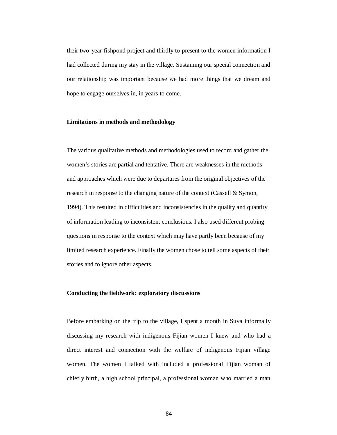their two-year fishpond project and thirdly to present to the women information I had collected during my stay in the village. Sustaining our special connection and our relationship was important because we had more things that we dream and hope to engage ourselves in, in years to come.

## **Limitations in methods and methodology**

The various qualitative methods and methodologies used to record and gather the women's stories are partial and tentative. There are weaknesses in the methods and approaches which were due to departures from the original objectives of the research in response to the changing nature of the context (Cassell & Symon, 1994). This resulted in difficulties and inconsistencies in the quality and quantity of information leading to inconsistent conclusions. I also used different probing questions in response to the context which may have partly been because of my limited research experience. Finally the women chose to tell some aspects of their stories and to ignore other aspects.

## **Conducting the fieldwork: exploratory discussions**

Before embarking on the trip to the village, I spent a month in Suva informally discussing my research with indigenous Fijian women I knew and who had a direct interest and connection with the welfare of indigenous Fijian village women. The women I talked with included a professional Fijian woman of chiefly birth, a high school principal, a professional woman who married a man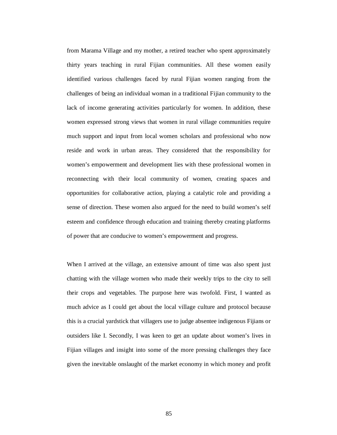from Marama Village and my mother, a retired teacher who spent approximately thirty years teaching in rural Fijian communities. All these women easily identified various challenges faced by rural Fijian women ranging from the challenges of being an individual woman in a traditional Fijian community to the lack of income generating activities particularly for women. In addition, these women expressed strong views that women in rural village communities require much support and input from local women scholars and professional who now reside and work in urban areas. They considered that the responsibility for women's empowerment and development lies with these professional women in reconnecting with their local community of women, creating spaces and opportunities for collaborative action, playing a catalytic role and providing a sense of direction. These women also argued for the need to build women's self esteem and confidence through education and training thereby creating platforms of power that are conducive to women's empowerment and progress.

When I arrived at the village, an extensive amount of time was also spent just chatting with the village women who made their weekly trips to the city to sell their crops and vegetables. The purpose here was twofold. First, I wanted as much advice as I could get about the local village culture and protocol because this is a crucial yardstick that villagers use to judge absentee indigenous Fijians or outsiders like I. Secondly, I was keen to get an update about women's lives in Fijian villages and insight into some of the more pressing challenges they face given the inevitable onslaught of the market economy in which money and profit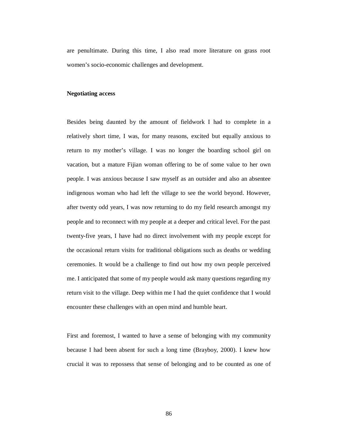are penultimate. During this time, I also read more literature on grass root women's socio-economic challenges and development.

# **Negotiating access**

Besides being daunted by the amount of fieldwork I had to complete in a relatively short time, I was, for many reasons, excited but equally anxious to return to my mother's village. I was no longer the boarding school girl on vacation, but a mature Fijian woman offering to be of some value to her own people. I was anxious because I saw myself as an outsider and also an absentee indigenous woman who had left the village to see the world beyond. However, after twenty odd years, I was now returning to do my field research amongst my people and to reconnect with my people at a deeper and critical level. For the past twenty-five years, I have had no direct involvement with my people except for the occasional return visits for traditional obligations such as deaths or wedding ceremonies. It would be a challenge to find out how my own people perceived me. I anticipated that some of my people would ask many questions regarding my return visit to the village. Deep within me I had the quiet confidence that I would encounter these challenges with an open mind and humble heart.

First and foremost, I wanted to have a sense of belonging with my community because I had been absent for such a long time (Brayboy, 2000). I knew how crucial it was to repossess that sense of belonging and to be counted as one of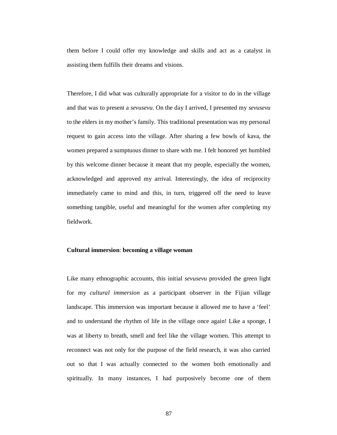them before I could offer my knowledge and skills and act as a catalyst in assisting them fulfills their dreams and visions.

Therefore, I did what was culturally appropriate for a visitor to do in the village and that was to present a *sevusevu*. On the day I arrived, I presented my *sevusevu* to the elders in my mother's family. This traditional presentation was my personal request to gain access into the village. After sharing a few bowls of kava, the women prepared a sumptuous dinner to share with me. I felt honored yet humbled by this welcome dinner because it meant that my people, especially the women, acknowledged and approved my arrival. Interestingly, the idea of reciprocity immediately came to mind and this, in turn, triggered off the need to leave something tangible, useful and meaningful for the women after completing my fieldwork.

## **Cultural immersion**: **becoming a village woman**

Like many ethnographic accounts, this initial *sevusevu* provided the green light for my *cultural immersion* as a participant observer in the Fijian village landscape. This immersion was important because it allowed me to have a 'feel' and to understand the rhythm of life in the village once again! Like a sponge, I was at liberty to breath, smell and feel like the village women. This attempt to reconnect was not only for the purpose of the field research, it was also carried out so that I was actually connected to the women both emotionally and spiritually. In many instances, I had purposively become one of them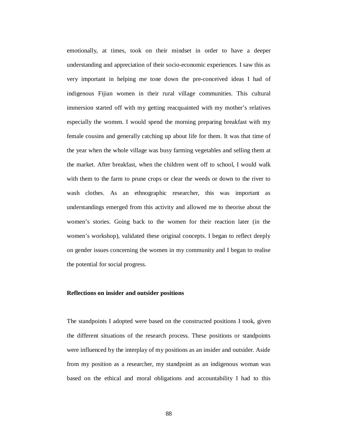emotionally, at times, took on their mindset in order to have a deeper understanding and appreciation of their socio-economic experiences. I saw this as very important in helping me tone down the pre-conceived ideas I had of indigenous Fijian women in their rural village communities. This cultural immersion started off with my getting reacquainted with my mother's relatives especially the women. I would spend the morning preparing breakfast with my female cousins and generally catching up about life for them. It was that time of the year when the whole village was busy farming vegetables and selling them at the market. After breakfast, when the children went off to school, I would walk with them to the farm to prune crops or clear the weeds or down to the river to wash clothes. As an ethnographic researcher, this was important as understandings emerged from this activity and allowed me to theorise about the women's stories. Going back to the women for their reaction later (in the women's workshop), validated these original concepts. I began to reflect deeply on gender issues concerning the women in my community and I began to realise the potential for social progress.

## **Reflections on insider and outsider positions**

The standpoints I adopted were based on the constructed positions I took, given the different situations of the research process. These positions or standpoints were influenced by the interplay of my positions as an insider and outsider. Aside from my position as a researcher, my standpoint as an indigenous woman was based on the ethical and moral obligations and accountability I had to this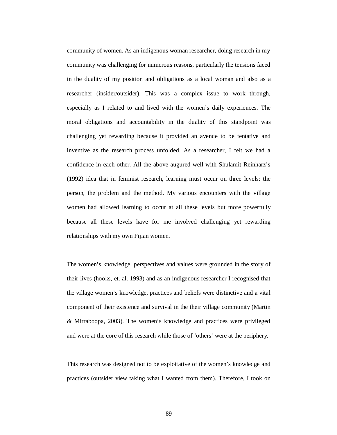community of women. As an indigenous woman researcher, doing research in my community was challenging for numerous reasons, particularly the tensions faced in the duality of my position and obligations as a local woman and also as a researcher (insider/outsider). This was a complex issue to work through, especially as I related to and lived with the women's daily experiences. The moral obligations and accountability in the duality of this standpoint was challenging yet rewarding because it provided an avenue to be tentative and inventive as the research process unfolded. As a researcher, I felt we had a confidence in each other. All the above augured well with Shulamit Reinharz's (1992) idea that in feminist research, learning must occur on three levels: the person, the problem and the method. My various encounters with the village women had allowed learning to occur at all these levels but more powerfully because all these levels have for me involved challenging yet rewarding relationships with my own Fijian women.

The women's knowledge, perspectives and values were grounded in the story of their lives (hooks, et. al. 1993) and as an indigenous researcher I recognised that the village women's knowledge, practices and beliefs were distinctive and a vital component of their existence and survival in the their village community (Martin & Mirraboopa, 2003). The women's knowledge and practices were privileged and were at the core of this research while those of 'others' were at the periphery.

This research was designed not to be exploitative of the women's knowledge and practices (outsider view taking what I wanted from them). Therefore, I took on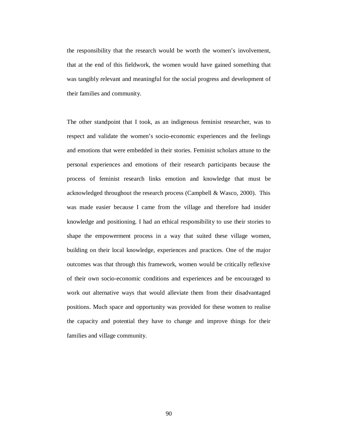the responsibility that the research would be worth the women's involvement, that at the end of this fieldwork, the women would have gained something that was tangibly relevant and meaningful for the social progress and development of their families and community.

The other standpoint that I took, as an indigenous feminist researcher, was to respect and validate the women's socio-economic experiences and the feelings and emotions that were embedded in their stories. Feminist scholars attune to the personal experiences and emotions of their research participants because the process of feminist research links emotion and knowledge that must be acknowledged throughout the research process (Campbell & Wasco, 2000). This was made easier because I came from the village and therefore had insider knowledge and positioning. I had an ethical responsibility to use their stories to shape the empowerment process in a way that suited these village women, building on their local knowledge, experiences and practices. One of the major outcomes was that through this framework, women would be critically reflexive of their own socio-economic conditions and experiences and be encouraged to work out alternative ways that would alleviate them from their disadvantaged positions. Much space and opportunity was provided for these women to realise the capacity and potential they have to change and improve things for their families and village community.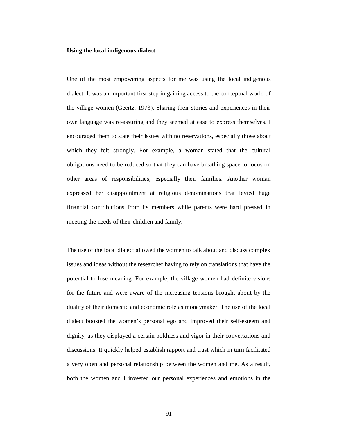### **Using the local indigenous dialect**

One of the most empowering aspects for me was using the local indigenous dialect. It was an important first step in gaining access to the conceptual world of the village women (Geertz, 1973). Sharing their stories and experiences in their own language was re-assuring and they seemed at ease to express themselves. I encouraged them to state their issues with no reservations, especially those about which they felt strongly. For example, a woman stated that the cultural obligations need to be reduced so that they can have breathing space to focus on other areas of responsibilities, especially their families. Another woman expressed her disappointment at religious denominations that levied huge financial contributions from its members while parents were hard pressed in meeting the needs of their children and family.

The use of the local dialect allowed the women to talk about and discuss complex issues and ideas without the researcher having to rely on translations that have the potential to lose meaning. For example, the village women had definite visions for the future and were aware of the increasing tensions brought about by the duality of their domestic and economic role as moneymaker. The use of the local dialect boosted the women's personal ego and improved their self-esteem and dignity, as they displayed a certain boldness and vigor in their conversations and discussions. It quickly helped establish rapport and trust which in turn facilitated a very open and personal relationship between the women and me. As a result, both the women and I invested our personal experiences and emotions in the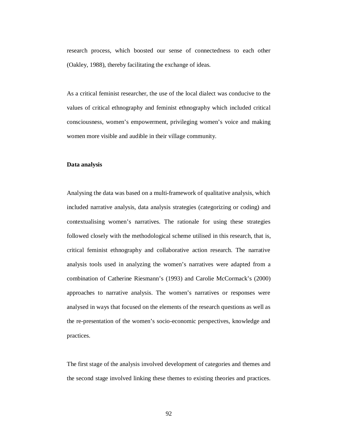research process, which boosted our sense of connectedness to each other (Oakley, 1988), thereby facilitating the exchange of ideas.

As a critical feminist researcher, the use of the local dialect was conducive to the values of critical ethnography and feminist ethnography which included critical consciousness, women's empowerment, privileging women's voice and making women more visible and audible in their village community.

### **Data analysis**

Analysing the data was based on a multi-framework of qualitative analysis, which included narrative analysis, data analysis strategies (categorizing or coding) and contextualising women's narratives. The rationale for using these strategies followed closely with the methodological scheme utilised in this research, that is, critical feminist ethnography and collaborative action research. The narrative analysis tools used in analyzing the women's narratives were adapted from a combination of Catherine Riesmann's (1993) and Carolie McCormack's (2000) approaches to narrative analysis. The women's narratives or responses were analysed in ways that focused on the elements of the research questions as well as the re-presentation of the women's socio-economic perspectives, knowledge and practices.

The first stage of the analysis involved development of categories and themes and the second stage involved linking these themes to existing theories and practices.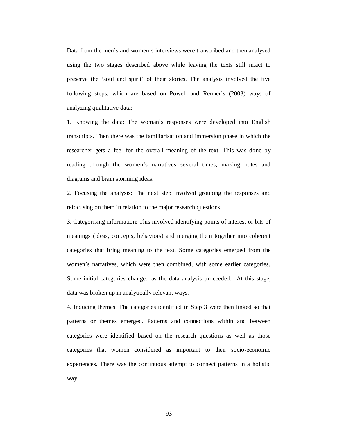Data from the men's and women's interviews were transcribed and then analysed using the two stages described above while leaving the texts still intact to preserve the 'soul and spirit' of their stories. The analysis involved the five following steps, which are based on Powell and Renner's (2003) ways of analyzing qualitative data:

1. Knowing the data: The woman's responses were developed into English transcripts. Then there was the familiarisation and immersion phase in which the researcher gets a feel for the overall meaning of the text. This was done by reading through the women's narratives several times, making notes and diagrams and brain storming ideas.

2. Focusing the analysis: The next step involved grouping the responses and refocusing on them in relation to the major research questions.

3. Categorising information: This involved identifying points of interest or bits of meanings (ideas, concepts, behaviors) and merging them together into coherent categories that bring meaning to the text. Some categories emerged from the women's narratives, which were then combined, with some earlier categories. Some initial categories changed as the data analysis proceeded. At this stage, data was broken up in analytically relevant ways.

4. Inducing themes: The categories identified in Step 3 were then linked so that patterns or themes emerged. Patterns and connections within and between categories were identified based on the research questions as well as those categories that women considered as important to their socio-economic experiences. There was the continuous attempt to connect patterns in a holistic way.

93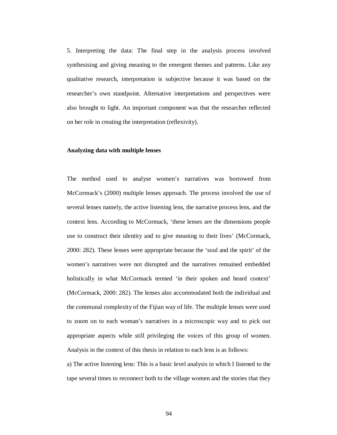5. Interpreting the data: The final step in the analysis process involved synthesising and giving meaning to the emergent themes and patterns. Like any qualitative research, interpretation is subjective because it was based on the researcher's own standpoint. Alternative interpretations and perspectives were also brought to light. An important component was that the researcher reflected on her role in creating the interpretation (reflexivity).

### **Analyzing data with multiple lenses**

The method used to analyse women's narratives was borrowed from McCormack's (2000) multiple lenses approach. The process involved the use of several lenses namely, the active listening lens, the narrative process lens, and the context lens. According to McCormack, 'these lenses are the dimensions people use to construct their identity and to give meaning to their lives' (McCormack, 2000: 282). These lenses were appropriate because the 'soul and the spirit' of the women's narratives were not disrupted and the narratives remained embedded holistically in what McCormack termed 'in their spoken and heard context' (McCormack, 2000: 282). The lenses also accommodated both the individual and the communal complexity of the Fijian way of life. The multiple lenses were used to zoom on to each woman's narratives in a microscopic way and to pick out appropriate aspects while still privileging the voices of this group of women. Analysis in the context of this thesis in relation to each lens is as follows:

a) The active listening lens: This is a basic level analysis in which I listened to the tape several times to reconnect both to the village women and the stories that they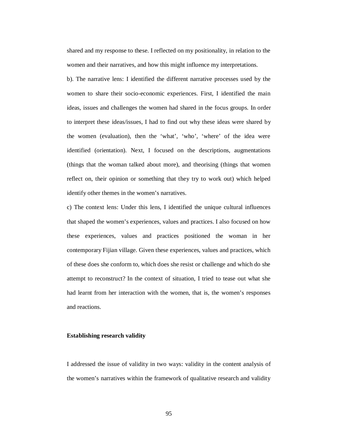shared and my response to these. I reflected on my positionality, in relation to the women and their narratives, and how this might influence my interpretations.

b). The narrative lens: I identified the different narrative processes used by the women to share their socio-economic experiences. First, I identified the main ideas, issues and challenges the women had shared in the focus groups. In order to interpret these ideas/issues, I had to find out why these ideas were shared by the women (evaluation), then the 'what', 'who', 'where' of the idea were identified (orientation). Next, I focused on the descriptions, augmentations (things that the woman talked about more), and theorising (things that women reflect on, their opinion or something that they try to work out) which helped identify other themes in the women's narratives.

c) The context lens: Under this lens, I identified the unique cultural influences that shaped the women's experiences, values and practices. I also focused on how these experiences, values and practices positioned the woman in her contemporary Fijian village. Given these experiences, values and practices, which of these does she conform to, which does she resist or challenge and which do she attempt to reconstruct? In the context of situation, I tried to tease out what she had learnt from her interaction with the women, that is, the women's responses and reactions.

## **Establishing research validity**

I addressed the issue of validity in two ways: validity in the content analysis of the women's narratives within the framework of qualitative research and validity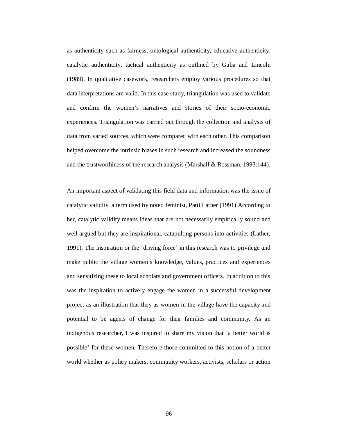as authenticity such as fairness, ontological authenticity, educative authenticity, catalytic authenticity, tactical authenticity as outlined by Guba and Lincoln (1989). In qualitative casework, researchers employ various procedures so that data interpretations are valid. In this case study, triangulation was used to validate and confirm the women's narratives and stories of their socio-economic experiences. Triangulation was carried out through the collection and analysis of data from varied sources, which were compared with each other. This comparison helped overcome the intrinsic biases in such research and increased the soundness and the trustworthiness of the research analysis (Marshall & Rossman, 1993:144).

An important aspect of validating this field data and information was the issue of catalytic validity, a term used by noted feminist, Patti Lather (1991) According to her, catalytic validity means ideas that are not necessarily empirically sound and well argued but they are inspirational, catapulting persons into activities (Lather, 1991). The inspiration or the 'driving force' in this research was to privilege and make public the village women's knowledge, values, practices and experiences and sensitizing these to local scholars and government officers. In addition to this was the inspiration to actively engage the women in a successful development project as an illustration that they as women in the village have the capacity and potential to be agents of change for their families and community. As an indigenous researcher, I was inspired to share my vision that 'a better world is possible' for these women. Therefore those committed to this notion of a better world whether as policy makers, community workers, activists, scholars or action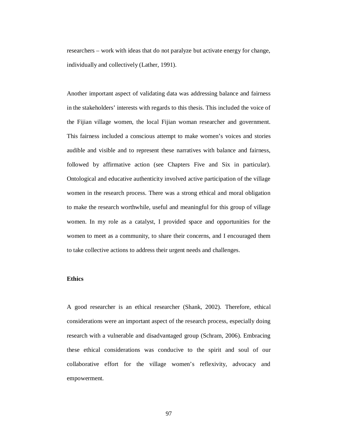researchers – work with ideas that do not paralyze but activate energy for change, individually and collectively (Lather, 1991).

Another important aspect of validating data was addressing balance and fairness in the stakeholders' interests with regards to this thesis. This included the voice of the Fijian village women, the local Fijian woman researcher and government. This fairness included a conscious attempt to make women's voices and stories audible and visible and to represent these narratives with balance and fairness, followed by affirmative action (see Chapters Five and Six in particular). Ontological and educative authenticity involved active participation of the village women in the research process. There was a strong ethical and moral obligation to make the research worthwhile, useful and meaningful for this group of village women. In my role as a catalyst, I provided space and opportunities for the women to meet as a community, to share their concerns, and I encouraged them to take collective actions to address their urgent needs and challenges.

## **Ethics**

A good researcher is an ethical researcher (Shank, 2002). Therefore, ethical considerations were an important aspect of the research process, especially doing research with a vulnerable and disadvantaged group (Schram, 2006). Embracing these ethical considerations was conducive to the spirit and soul of our collaborative effort for the village women's reflexivity, advocacy and empowerment.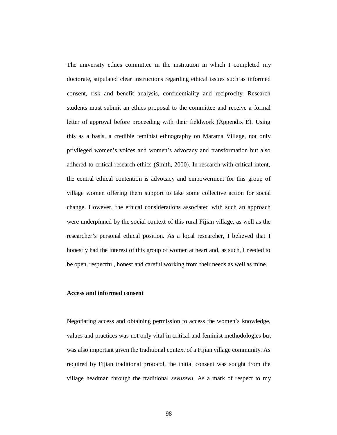The university ethics committee in the institution in which I completed my doctorate, stipulated clear instructions regarding ethical issues such as informed consent, risk and benefit analysis, confidentiality and reciprocity. Research students must submit an ethics proposal to the committee and receive a formal letter of approval before proceeding with their fieldwork (Appendix E). Using this as a basis, a credible feminist ethnography on Marama Village, not only privileged women's voices and women's advocacy and transformation but also adhered to critical research ethics (Smith, 2000). In research with critical intent, the central ethical contention is advocacy and empowerment for this group of village women offering them support to take some collective action for social change. However, the ethical considerations associated with such an approach were underpinned by the social context of this rural Fijian village, as well as the researcher's personal ethical position. As a local researcher, I believed that I honestly had the interest of this group of women at heart and, as such, I needed to be open, respectful, honest and careful working from their needs as well as mine.

# **Access and informed consent**

Negotiating access and obtaining permission to access the women's knowledge, values and practices was not only vital in critical and feminist methodologies but was also important given the traditional context of a Fijian village community. As required by Fijian traditional protocol, the initial consent was sought from the village headman through the traditional *sevusevu*. As a mark of respect to my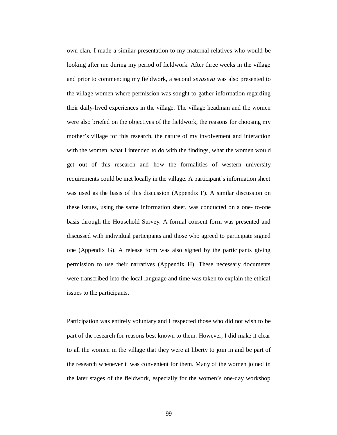own clan, I made a similar presentation to my maternal relatives who would be looking after me during my period of fieldwork. After three weeks in the village and prior to commencing my fieldwork, a second *sevusevu* was also presented to the village women where permission was sought to gather information regarding their daily-lived experiences in the village. The village headman and the women were also briefed on the objectives of the fieldwork, the reasons for choosing my mother's village for this research, the nature of my involvement and interaction with the women, what I intended to do with the findings, what the women would get out of this research and how the formalities of western university requirements could be met locally in the village. A participant's information sheet was used as the basis of this discussion (Appendix F). A similar discussion on these issues, using the same information sheet, was conducted on a one- to-one basis through the Household Survey. A formal consent form was presented and discussed with individual participants and those who agreed to participate signed one (Appendix G). A release form was also signed by the participants giving permission to use their narratives (Appendix H). These necessary documents were transcribed into the local language and time was taken to explain the ethical issues to the participants.

Participation was entirely voluntary and I respected those who did not wish to be part of the research for reasons best known to them. However, I did make it clear to all the women in the village that they were at liberty to join in and be part of the research whenever it was convenient for them. Many of the women joined in the later stages of the fieldwork, especially for the women's one-day workshop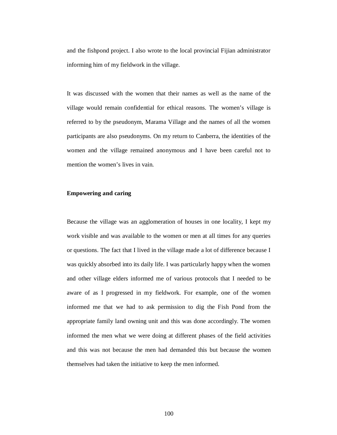and the fishpond project. I also wrote to the local provincial Fijian administrator informing him of my fieldwork in the village.

It was discussed with the women that their names as well as the name of the village would remain confidential for ethical reasons. The women's village is referred to by the pseudonym, Marama Village and the names of all the women participants are also pseudonyms. On my return to Canberra, the identities of the women and the village remained anonymous and I have been careful not to mention the women's lives in vain.

# **Empowering and caring**

Because the village was an agglomeration of houses in one locality, I kept my work visible and was available to the women or men at all times for any queries or questions. The fact that I lived in the village made a lot of difference because I was quickly absorbed into its daily life. I was particularly happy when the women and other village elders informed me of various protocols that I needed to be aware of as I progressed in my fieldwork. For example, one of the women informed me that we had to ask permission to dig the Fish Pond from the appropriate family land owning unit and this was done accordingly. The women informed the men what we were doing at different phases of the field activities and this was not because the men had demanded this but because the women themselves had taken the initiative to keep the men informed.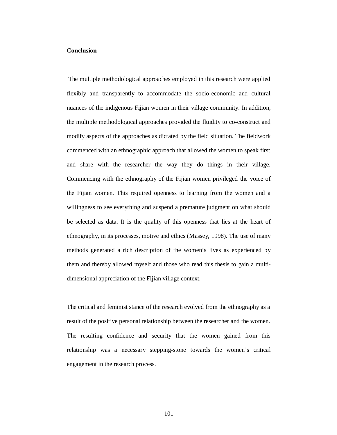#### **Conclusion**

 The multiple methodological approaches employed in this research were applied flexibly and transparently to accommodate the socio-economic and cultural nuances of the indigenous Fijian women in their village community. In addition, the multiple methodological approaches provided the fluidity to co-construct and modify aspects of the approaches as dictated by the field situation. The fieldwork commenced with an ethnographic approach that allowed the women to speak first and share with the researcher the way they do things in their village. Commencing with the ethnography of the Fijian women privileged the voice of the Fijian women. This required openness to learning from the women and a willingness to see everything and suspend a premature judgment on what should be selected as data. It is the quality of this openness that lies at the heart of ethnography, in its processes, motive and ethics (Massey, 1998). The use of many methods generated a rich description of the women's lives as experienced by them and thereby allowed myself and those who read this thesis to gain a multidimensional appreciation of the Fijian village context.

The critical and feminist stance of the research evolved from the ethnography as a result of the positive personal relationship between the researcher and the women. The resulting confidence and security that the women gained from this relationship was a necessary stepping-stone towards the women's critical engagement in the research process.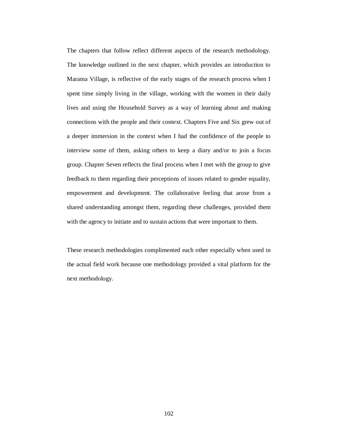The chapters that follow reflect different aspects of the research methodology. The knowledge outlined in the next chapter, which provides an introduction to Marama Village, is reflective of the early stages of the research process when I spent time simply living in the village, working with the women in their daily lives and using the Household Survey as a way of learning about and making connections with the people and their context. Chapters Five and Six grew out of a deeper immersion in the context when I had the confidence of the people to interview some of them, asking others to keep a diary and/or to join a focus group. Chapter Seven reflects the final process when I met with the group to give feedback to them regarding their perceptions of issues related to gender equality, empowerment and development. The collaborative feeling that arose from a shared understanding amongst them, regarding these challenges, provided them with the agency to initiate and to sustain actions that were important to them.

These research methodologies complimented each other especially when used in the actual field work because one methodology provided a vital platform for the next methodology.

102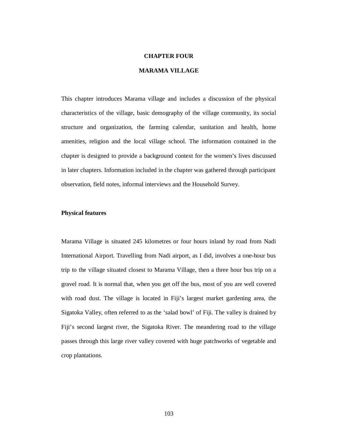#### **CHAPTER FOUR**

# **MARAMA VILLAGE**

This chapter introduces Marama village and includes a discussion of the physical characteristics of the village, basic demography of the village community, its social structure and organization, the farming calendar, sanitation and health, home amenities, religion and the local village school. The information contained in the chapter is designed to provide a background context for the women's lives discussed in later chapters. Information included in the chapter was gathered through participant observation, field notes, informal interviews and the Household Survey.

## **Physical features**

Marama Village is situated 245 kilometres or four hours inland by road from Nadi International Airport. Travelling from Nadi airport, as I did, involves a one-hour bus trip to the village situated closest to Marama Village, then a three hour bus trip on a gravel road. It is normal that, when you get off the bus, most of you are well covered with road dust. The village is located in Fiji's largest market gardening area, the Sigatoka Valley, often referred to as the 'salad bowl' of Fiji. The valley is drained by Fiji's second largest river, the Sigatoka River. The meandering road to the village passes through this large river valley covered with huge patchworks of vegetable and crop plantations.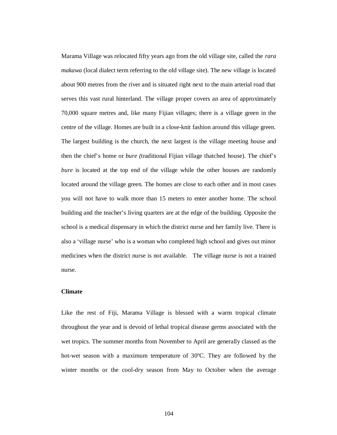Marama Village was relocated fifty years ago from the old village site, called the *rara makawa* (local dialect term referring to the old village site). The new village is located about 900 metres from the river and is situated right next to the main arterial road that serves this vast rural hinterland. The village proper covers an area of approximately 70,000 square metres and, like many Fijian villages; there is a village green in the centre of the village. Homes are built in a close-knit fashion around this village green. The largest building is the church, the next largest is the village meeting house and then the chief's home or *bure (*traditional Fijian village thatched house). The chief's *bure* is located at the top end of the village while the other houses are randomly located around the village green. The homes are close to each other and in most cases you will not have to walk more than 15 meters to enter another home. The school building and the teacher's living quarters are at the edge of the building. Opposite the school is a medical dispensary in which the district nurse and her family live. There is also a 'village nurse' who is a woman who completed high school and gives out minor medicines when the district nurse is not available. The village nurse is not a trained nurse.

## **Climate**

Like the rest of Fiji, Marama Village is blessed with a warm tropical climate throughout the year and is devoid of lethal tropical disease germs associated with the wet tropics. The summer months from November to April are generally classed as the hot-wet season with a maximum temperature of 30ºC. They are followed by the winter months or the cool-dry season from May to October when the average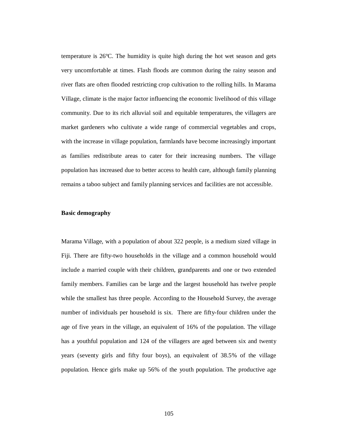temperature is 26ºC. The humidity is quite high during the hot wet season and gets very uncomfortable at times. Flash floods are common during the rainy season and river flats are often flooded restricting crop cultivation to the rolling hills. In Marama Village, climate is the major factor influencing the economic livelihood of this village community. Due to its rich alluvial soil and equitable temperatures, the villagers are market gardeners who cultivate a wide range of commercial vegetables and crops, with the increase in village population, farmlands have become increasingly important as families redistribute areas to cater for their increasing numbers. The village population has increased due to better access to health care, although family planning remains a taboo subject and family planning services and facilities are not accessible.

#### **Basic demography**

Marama Village, with a population of about 322 people, is a medium sized village in Fiji. There are fifty-two households in the village and a common household would include a married couple with their children, grandparents and one or two extended family members. Families can be large and the largest household has twelve people while the smallest has three people. According to the Household Survey, the average number of individuals per household is six. There are fifty-four children under the age of five years in the village, an equivalent of 16% of the population. The village has a youthful population and 124 of the villagers are aged between six and twenty years (seventy girls and fifty four boys), an equivalent of 38.5% of the village population. Hence girls make up 56% of the youth population. The productive age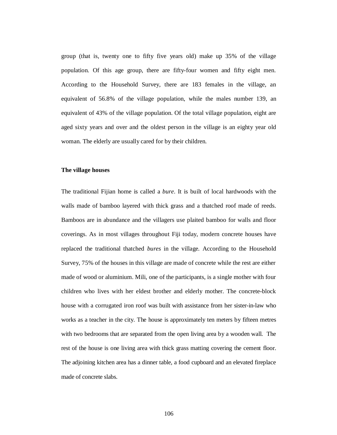group (that is, twenty one to fifty five years old) make up 35% of the village population. Of this age group, there are fifty-four women and fifty eight men. According to the Household Survey, there are 183 females in the village, an equivalent of 56.8% of the village population, while the males number 139, an equivalent of 43% of the village population. Of the total village population, eight are aged sixty years and over and the oldest person in the village is an eighty year old woman. The elderly are usually cared for by their children.

## **The village houses**

The traditional Fijian home is called a *bure*. It is built of local hardwoods with the walls made of bamboo layered with thick grass and a thatched roof made of reeds. Bamboos are in abundance and the villagers use plaited bamboo for walls and floor coverings. As in most villages throughout Fiji today, modern concrete houses have replaced the traditional thatched *bures* in the village*.* According to the Household Survey, 75% of the houses in this village are made of concrete while the rest are either made of wood or aluminium. Mili, one of the participants, is a single mother with four children who lives with her eldest brother and elderly mother. The concrete-block house with a corrugated iron roof was built with assistance from her sister-in-law who works as a teacher in the city. The house is approximately ten meters by fifteen metres with two bedrooms that are separated from the open living area by a wooden wall. The rest of the house is one living area with thick grass matting covering the cement floor. The adjoining kitchen area has a dinner table, a food cupboard and an elevated fireplace made of concrete slabs.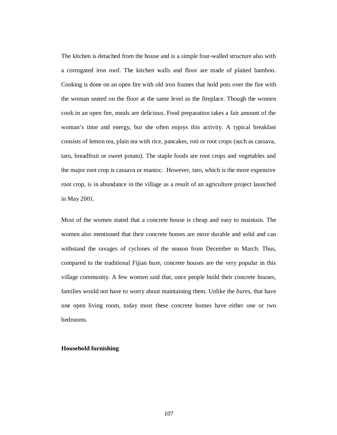The kitchen is detached from the house and is a simple four-walled structure also with a corrugated iron roof. The kitchen walls and floor are made of plaited bamboo. Cooking is done on an open fire with old iron frames that hold pots over the fire with the woman seated on the floor at the same level as the fireplace. Though the women cook in an open fire, meals are delicious. Food preparation takes a fair amount of the woman's time and energy, but she often enjoys this activity. A typical breakfast consists of lemon tea, plain tea with rice, pancakes, roti or root crops (such as cassava, taro, breadfruit or sweet potato). The staple foods are root crops and vegetables and the major root crop is cassava or manioc. However, taro, which is the more expensive root crop, is in abundance in the village as a result of an agriculture project launched in May 2001.

Most of the women stated that a concrete house is cheap and easy to maintain. The women also mentioned that their concrete homes are more durable and solid and can withstand the ravages of cyclones of the season from December to March. Thus, compared to the traditional Fijian bure, concrete houses are the very popular in this village community. A few women said that, once people build their concrete houses, families would not have to worry about maintaining them. Unlike the *bures*, that have one open living room, today most these concrete homes have either one or two bedrooms.

## **Household furnishing**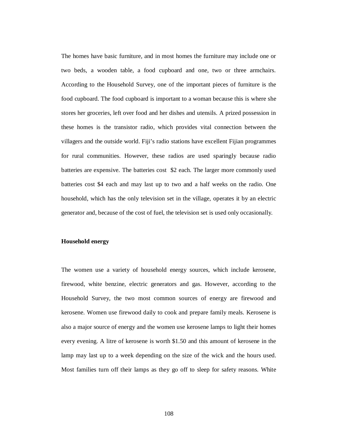The homes have basic furniture, and in most homes the furniture may include one or two beds, a wooden table, a food cupboard and one, two or three armchairs. According to the Household Survey, one of the important pieces of furniture is the food cupboard. The food cupboard is important to a woman because this is where she stores her groceries, left over food and her dishes and utensils. A prized possession in these homes is the transistor radio, which provides vital connection between the villagers and the outside world. Fiji's radio stations have excellent Fijian programmes for rural communities. However, these radios are used sparingly because radio batteries are expensive. The batteries cost \$2 each. The larger more commonly used batteries cost \$4 each and may last up to two and a half weeks on the radio. One household, which has the only television set in the village, operates it by an electric generator and, because of the cost of fuel, the television set is used only occasionally.

### **Household energy**

The women use a variety of household energy sources, which include kerosene, firewood, white benzine, electric generators and gas. However, according to the Household Survey, the two most common sources of energy are firewood and kerosene. Women use firewood daily to cook and prepare family meals. Kerosene is also a major source of energy and the women use kerosene lamps to light their homes every evening. A litre of kerosene is worth \$1.50 and this amount of kerosene in the lamp may last up to a week depending on the size of the wick and the hours used. Most families turn off their lamps as they go off to sleep for safety reasons. White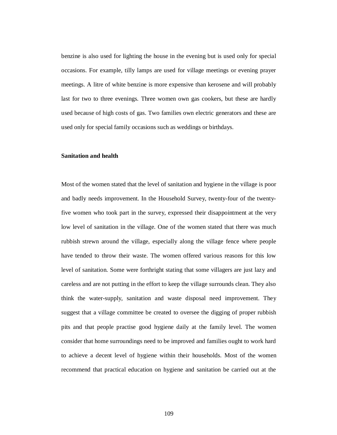benzine is also used for lighting the house in the evening but is used only for special occasions. For example, tilly lamps are used for village meetings or evening prayer meetings. A litre of white benzine is more expensive than kerosene and will probably last for two to three evenings. Three women own gas cookers, but these are hardly used because of high costs of gas. Two families own electric generators and these are used only for special family occasions such as weddings or birthdays.

#### **Sanitation and health**

Most of the women stated that the level of sanitation and hygiene in the village is poor and badly needs improvement. In the Household Survey, twenty-four of the twentyfive women who took part in the survey, expressed their disappointment at the very low level of sanitation in the village. One of the women stated that there was much rubbish strewn around the village, especially along the village fence where people have tended to throw their waste. The women offered various reasons for this low level of sanitation. Some were forthright stating that some villagers are just lazy and careless and are not putting in the effort to keep the village surrounds clean. They also think the water-supply, sanitation and waste disposal need improvement. They suggest that a village committee be created to oversee the digging of proper rubbish pits and that people practise good hygiene daily at the family level. The women consider that home surroundings need to be improved and families ought to work hard to achieve a decent level of hygiene within their households. Most of the women recommend that practical education on hygiene and sanitation be carried out at the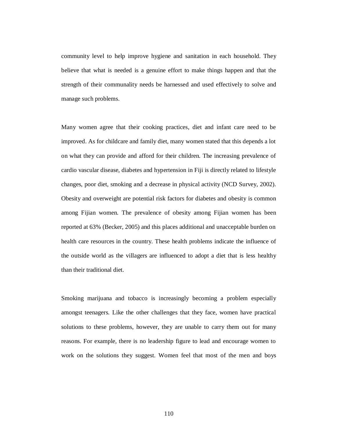community level to help improve hygiene and sanitation in each household. They believe that what is needed is a genuine effort to make things happen and that the strength of their communality needs be harnessed and used effectively to solve and manage such problems.

Many women agree that their cooking practices, diet and infant care need to be improved. As for childcare and family diet, many women stated that this depends a lot on what they can provide and afford for their children. The increasing prevalence of cardio vascular disease, diabetes and hypertension in Fiji is directly related to lifestyle changes, poor diet, smoking and a decrease in physical activity (NCD Survey, 2002). Obesity and overweight are potential risk factors for diabetes and obesity is common among Fijian women. The prevalence of obesity among Fijian women has been reported at 63% (Becker, 2005) and this places additional and unacceptable burden on health care resources in the country. These health problems indicate the influence of the outside world as the villagers are influenced to adopt a diet that is less healthy than their traditional diet.

Smoking marijuana and tobacco is increasingly becoming a problem especially amongst teenagers. Like the other challenges that they face, women have practical solutions to these problems, however, they are unable to carry them out for many reasons. For example, there is no leadership figure to lead and encourage women to work on the solutions they suggest. Women feel that most of the men and boys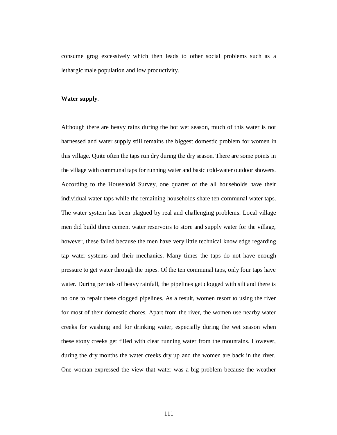consume grog excessively which then leads to other social problems such as a lethargic male population and low productivity.

#### **Water supply**.

Although there are heavy rains during the hot wet season, much of this water is not harnessed and water supply still remains the biggest domestic problem for women in this village. Quite often the taps run dry during the dry season. There are some points in the village with communal taps for running water and basic cold-water outdoor showers. According to the Household Survey, one quarter of the all households have their individual water taps while the remaining households share ten communal water taps. The water system has been plagued by real and challenging problems. Local village men did build three cement water reservoirs to store and supply water for the village, however, these failed because the men have very little technical knowledge regarding tap water systems and their mechanics. Many times the taps do not have enough pressure to get water through the pipes. Of the ten communal taps, only four taps have water. During periods of heavy rainfall, the pipelines get clogged with silt and there is no one to repair these clogged pipelines. As a result, women resort to using the river for most of their domestic chores. Apart from the river, the women use nearby water creeks for washing and for drinking water, especially during the wet season when these stony creeks get filled with clear running water from the mountains. However, during the dry months the water creeks dry up and the women are back in the river. One woman expressed the view that water was a big problem because the weather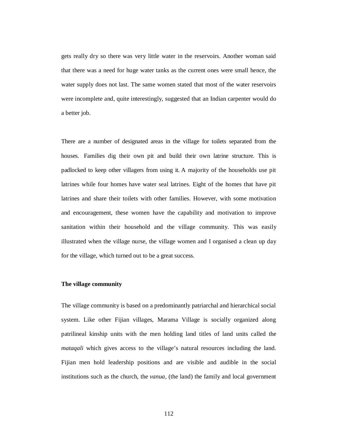gets really dry so there was very little water in the reservoirs. Another woman said that there was a need for huge water tanks as the current ones were small hence, the water supply does not last. The same women stated that most of the water reservoirs were incomplete and, quite interestingly, suggested that an Indian carpenter would do a better job.

There are a number of designated areas in the village for toilets separated from the houses. Families dig their own pit and build their own latrine structure. This is padlocked to keep other villagers from using it. A majority of the households use pit latrines while four homes have water seal latrines. Eight of the homes that have pit latrines and share their toilets with other families. However, with some motivation and encouragement, these women have the capability and motivation to improve sanitation within their household and the village community. This was easily illustrated when the village nurse, the village women and I organised a clean up day for the village, which turned out to be a great success.

## **The village community**

The village community is based on a predominantly patriarchal and hierarchical social system. Like other Fijian villages, Marama Village is socially organized along patrilineal kinship units with the men holding land titles of land units called the *mataqali* which gives access to the village's natural resources including the land. Fijian men hold leadership positions and are visible and audible in the social institutions such as the church, the *vanua,* (the land) the family and local government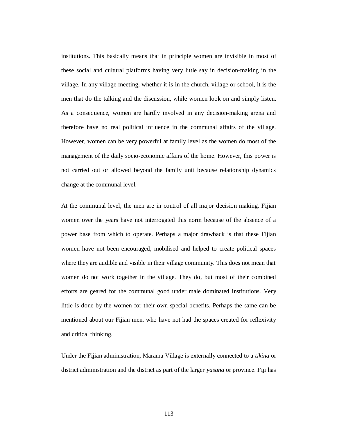institutions. This basically means that in principle women are invisible in most of these social and cultural platforms having very little say in decision-making in the village. In any village meeting, whether it is in the church, village or school, it is the men that do the talking and the discussion, while women look on and simply listen. As a consequence, women are hardly involved in any decision-making arena and therefore have no real political influence in the communal affairs of the village. However, women can be very powerful at family level as the women do most of the management of the daily socio-economic affairs of the home. However, this power is not carried out or allowed beyond the family unit because relationship dynamics change at the communal level.

At the communal level, the men are in control of all major decision making. Fijian women over the years have not interrogated this norm because of the absence of a power base from which to operate. Perhaps a major drawback is that these Fijian women have not been encouraged, mobilised and helped to create political spaces where they are audible and visible in their village community. This does not mean that women do not work together in the village. They do, but most of their combined efforts are geared for the communal good under male dominated institutions. Very little is done by the women for their own special benefits. Perhaps the same can be mentioned about our Fijian men, who have not had the spaces created for reflexivity and critical thinking.

Under the Fijian administration, Marama Village is externally connected to a *tikina* or district administration and the district as part of the larger *yasana* or province. Fiji has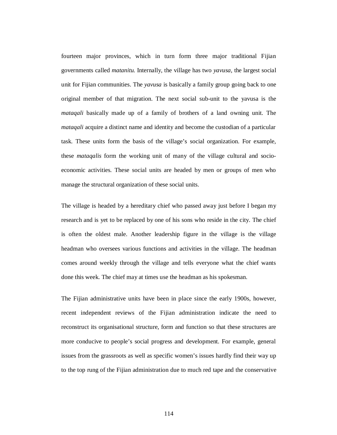fourteen major provinces, which in turn form three major traditional Fijian governments called *matanitu.* Internally, the village has two *yavusa*, the largest social unit for Fijian communities. The *yavusa* is basically a family group going back to one original member of that migration. The next social sub-unit to the yavusa is the *mataqali* basically made up of a family of brothers of a land owning unit. The *mataqali* acquire a distinct name and identity and become the custodian of a particular task. These units form the basis of the village's social organization. For example, these *mataqalis* form the working unit of many of the village cultural and socioeconomic activities. These social units are headed by men or groups of men who manage the structural organization of these social units.

The village is headed by a hereditary chief who passed away just before I began my research and is yet to be replaced by one of his sons who reside in the city. The chief is often the oldest male. Another leadership figure in the village is the village headman who oversees various functions and activities in the village. The headman comes around weekly through the village and tells everyone what the chief wants done this week. The chief may at times use the headman as his spokesman.

The Fijian administrative units have been in place since the early 1900s, however, recent independent reviews of the Fijian administration indicate the need to reconstruct its organisational structure, form and function so that these structures are more conducive to people's social progress and development. For example, general issues from the grassroots as well as specific women's issues hardly find their way up to the top rung of the Fijian administration due to much red tape and the conservative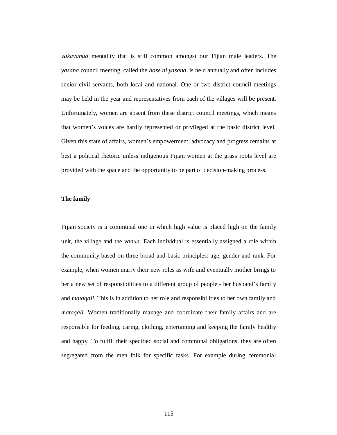*vakavanua* mentality that is still common amongst our Fijian male leaders. The *yasana* council meeting, called the *bose ni yasana,* is held annually and often includes senior civil servants, both local and national. One or two district council meetings may be held in the year and representatives from each of the villages will be present. Unfortunately, women are absent from these district council meetings, which means that women's voices are hardly represented or privileged at the basic district level. Given this state of affairs, women's empowerment, advocacy and progress remains at best a political rhetoric unless indigenous Fijian women at the grass roots level are provided with the space and the opportunity to be part of decision-making process.

## **The family**

Fijian society is a communal one in which high value is placed high on the family unit, the village and the *vanua*. Each individual is essentially assigned a role within the community based on three broad and basic principles: age, gender and rank. For example, when women marry their new roles as wife and eventually mother brings to her a new set of responsibilities to a different group of people - her husband's family and *mataqali*. This is in addition to her role and responsibilities to her own family and *mataqali*. Women traditionally manage and coordinate their family affairs and are responsible for feeding, caring, clothing, entertaining and keeping the family healthy and happy. To fulfill their specified social and communal obligations, they are often segregated from the men folk for specific tasks. For example during ceremonial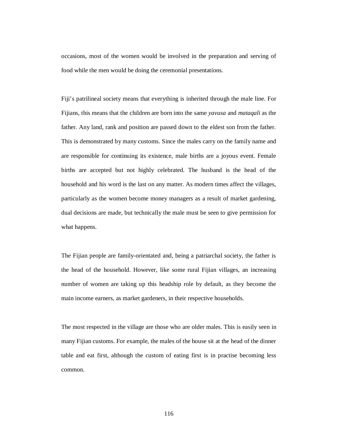occasions, most of the women would be involved in the preparation and serving of food while the men would be doing the ceremonial presentations.

Fiji's patrilineal society means that everything is inherited through the male line. For Fijians, this means that the children are born into the same *yavusa* and *mataqali* as the father. Any land, rank and position are passed down to the eldest son from the father. This is demonstrated by many customs. Since the males carry on the family name and are responsible for continuing its existence, male births are a joyous event. Female births are accepted but not highly celebrated. The husband is the head of the household and his word is the last on any matter. As modern times affect the villages, particularly as the women become money managers as a result of market gardening, dual decisions are made, but technically the male must be seen to give permission for what happens.

The Fijian people are family-orientated and, being a patriarchal society, the father is the head of the household. However, like some rural Fijian villages, an increasing number of women are taking up this headship role by default, as they become the main income earners, as market gardeners, in their respective households.

The most respected in the village are those who are older males. This is easily seen in many Fijian customs. For example, the males of the house sit at the head of the dinner table and eat first, although the custom of eating first is in practise becoming less common.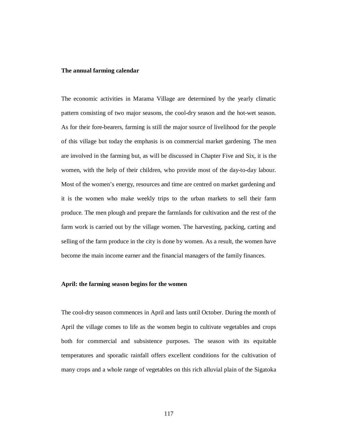#### **The annual farming calendar**

The economic activities in Marama Village are determined by the yearly climatic pattern consisting of two major seasons, the cool-dry season and the hot-wet season. As for their fore-bearers, farming is still the major source of livelihood for the people of this village but today the emphasis is on commercial market gardening. The men are involved in the farming but, as will be discussed in Chapter Five and Six, it is the women, with the help of their children, who provide most of the day-to-day labour. Most of the women's energy, resources and time are centred on market gardening and it is the women who make weekly trips to the urban markets to sell their farm produce. The men plough and prepare the farmlands for cultivation and the rest of the farm work is carried out by the village women. The harvesting, packing, carting and selling of the farm produce in the city is done by women. As a result, the women have become the main income earner and the financial managers of the family finances.

## **April: the farming season begins for the women**

The cool-dry season commences in April and lasts until October. During the month of April the village comes to life as the women begin to cultivate vegetables and crops both for commercial and subsistence purposes. The season with its equitable temperatures and sporadic rainfall offers excellent conditions for the cultivation of many crops and a whole range of vegetables on this rich alluvial plain of the Sigatoka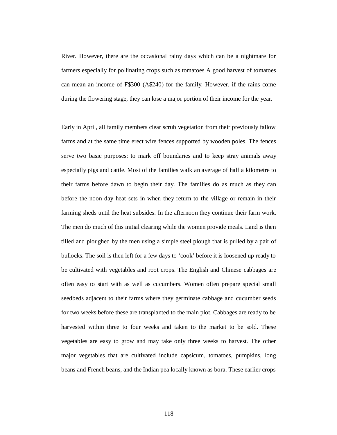River. However, there are the occasional rainy days which can be a nightmare for farmers especially for pollinating crops such as tomatoes A good harvest of tomatoes can mean an income of F\$300 (A\$240) for the family. However, if the rains come during the flowering stage, they can lose a major portion of their income for the year.

Early in April, all family members clear scrub vegetation from their previously fallow farms and at the same time erect wire fences supported by wooden poles. The fences serve two basic purposes: to mark off boundaries and to keep stray animals away especially pigs and cattle. Most of the families walk an average of half a kilometre to their farms before dawn to begin their day. The families do as much as they can before the noon day heat sets in when they return to the village or remain in their farming sheds until the heat subsides. In the afternoon they continue their farm work. The men do much of this initial clearing while the women provide meals. Land is then tilled and ploughed by the men using a simple steel plough that is pulled by a pair of bullocks. The soil is then left for a few days to 'cook' before it is loosened up ready to be cultivated with vegetables and root crops. The English and Chinese cabbages are often easy to start with as well as cucumbers. Women often prepare special small seedbeds adjacent to their farms where they germinate cabbage and cucumber seeds for two weeks before these are transplanted to the main plot. Cabbages are ready to be harvested within three to four weeks and taken to the market to be sold. These vegetables are easy to grow and may take only three weeks to harvest. The other major vegetables that are cultivated include capsicum, tomatoes, pumpkins, long beans and French beans, and the Indian pea locally known as bora. These earlier crops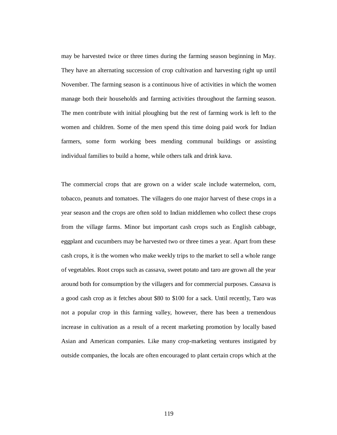may be harvested twice or three times during the farming season beginning in May. They have an alternating succession of crop cultivation and harvesting right up until November. The farming season is a continuous hive of activities in which the women manage both their households and farming activities throughout the farming season. The men contribute with initial ploughing but the rest of farming work is left to the women and children. Some of the men spend this time doing paid work for Indian farmers, some form working bees mending communal buildings or assisting individual families to build a home, while others talk and drink kava.

The commercial crops that are grown on a wider scale include watermelon, corn, tobacco, peanuts and tomatoes. The villagers do one major harvest of these crops in a year season and the crops are often sold to Indian middlemen who collect these crops from the village farms. Minor but important cash crops such as English cabbage, eggplant and cucumbers may be harvested two or three times a year. Apart from these cash crops, it is the women who make weekly trips to the market to sell a whole range of vegetables. Root crops such as cassava, sweet potato and taro are grown all the year around both for consumption by the villagers and for commercial purposes. Cassava is a good cash crop as it fetches about \$80 to \$100 for a sack. Until recently, Taro was not a popular crop in this farming valley, however, there has been a tremendous increase in cultivation as a result of a recent marketing promotion by locally based Asian and American companies. Like many crop-marketing ventures instigated by outside companies, the locals are often encouraged to plant certain crops which at the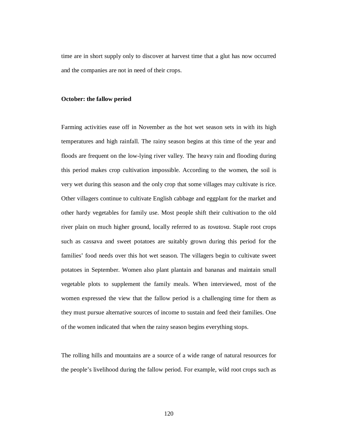time are in short supply only to discover at harvest time that a glut has now occurred and the companies are not in need of their crops.

#### **October: the fallow period**

Farming activities ease off in November as the hot wet season sets in with its high temperatures and high rainfall. The rainy season begins at this time of the year and floods are frequent on the low-lying river valley. The heavy rain and flooding during this period makes crop cultivation impossible. According to the women, the soil is very wet during this season and the only crop that some villages may cultivate is rice. Other villagers continue to cultivate English cabbage and eggplant for the market and other hardy vegetables for family use. Most people shift their cultivation to the old river plain on much higher ground, locally referred to as *tovatova.* Staple root crops such as cassava and sweet potatoes are suitably grown during this period for the families' food needs over this hot wet season. The villagers begin to cultivate sweet potatoes in September. Women also plant plantain and bananas and maintain small vegetable plots to supplement the family meals. When interviewed, most of the women expressed the view that the fallow period is a challenging time for them as they must pursue alternative sources of income to sustain and feed their families. One of the women indicated that when the rainy season begins everything stops.

The rolling hills and mountains are a source of a wide range of natural resources for the people's livelihood during the fallow period. For example, wild root crops such as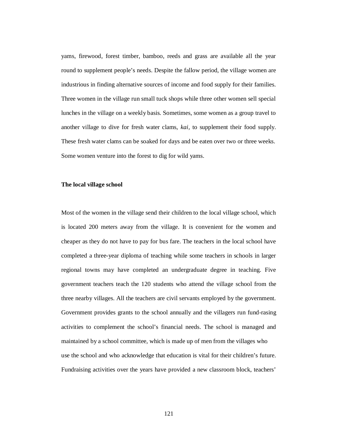yams, firewood, forest timber, bamboo, reeds and grass are available all the year round to supplement people's needs. Despite the fallow period, the village women are industrious in finding alternative sources of income and food supply for their families. Three women in the village run small tuck shops while three other women sell special lunches in the village on a weekly basis. Sometimes, some women as a group travel to another village to dive for fresh water clams, *kai,* to supplement their food supply. These fresh water clams can be soaked for days and be eaten over two or three weeks. Some women venture into the forest to dig for wild yams.

## **The local village school**

Most of the women in the village send their children to the local village school, which is located 200 meters away from the village. It is convenient for the women and cheaper as they do not have to pay for bus fare. The teachers in the local school have completed a three-year diploma of teaching while some teachers in schools in larger regional towns may have completed an undergraduate degree in teaching. Five government teachers teach the 120 students who attend the village school from the three nearby villages. All the teachers are civil servants employed by the government. Government provides grants to the school annually and the villagers run fund-rasing activities to complement the school's financial needs. The school is managed and maintained by a school committee, which is made up of men from the villages who use the school and who acknowledge that education is vital for their children's future. Fundraising activities over the years have provided a new classroom block, teachers'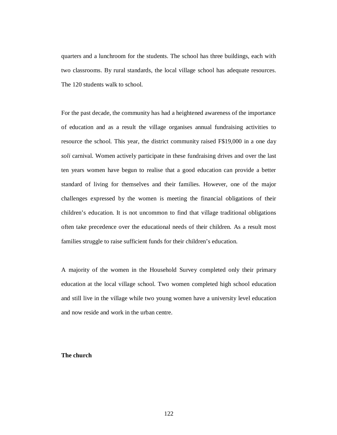quarters and a lunchroom for the students. The school has three buildings, each with two classrooms. By rural standards, the local village school has adequate resources. The 120 students walk to school.

For the past decade, the community has had a heightened awareness of the importance of education and as a result the village organises annual fundraising activities to resource the school. This year, the district community raised F\$19,000 in a one day *soli* carnival. Women actively participate in these fundraising drives and over the last ten years women have begun to realise that a good education can provide a better standard of living for themselves and their families. However, one of the major challenges expressed by the women is meeting the financial obligations of their children's education. It is not uncommon to find that village traditional obligations often take precedence over the educational needs of their children. As a result most families struggle to raise sufficient funds for their children's education.

A majority of the women in the Household Survey completed only their primary education at the local village school. Two women completed high school education and still live in the village while two young women have a university level education and now reside and work in the urban centre.

## **The church**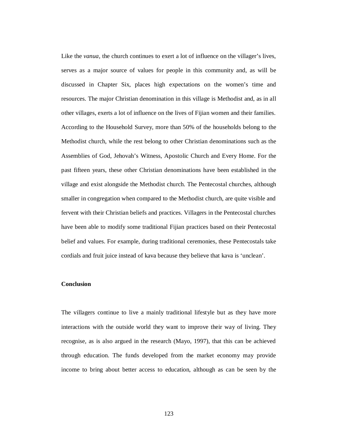Like the *vanua*, the church continues to exert a lot of influence on the villager's lives, serves as a major source of values for people in this community and, as will be discussed in Chapter Six, places high expectations on the women's time and resources. The major Christian denomination in this village is Methodist and, as in all other villages, exerts a lot of influence on the lives of Fijian women and their families. According to the Household Survey, more than 50% of the households belong to the Methodist church, while the rest belong to other Christian denominations such as the Assemblies of God, Jehovah's Witness, Apostolic Church and Every Home. For the past fifteen years, these other Christian denominations have been established in the village and exist alongside the Methodist church. The Pentecostal churches, although smaller in congregation when compared to the Methodist church, are quite visible and fervent with their Christian beliefs and practices. Villagers in the Pentecostal churches have been able to modify some traditional Fijian practices based on their Pentecostal belief and values. For example, during traditional ceremonies, these Pentecostals take cordials and fruit juice instead of kava because they believe that kava is 'unclean'.

## **Conclusion**

The villagers continue to live a mainly traditional lifestyle but as they have more interactions with the outside world they want to improve their way of living. They recognise, as is also argued in the research (Mayo, 1997), that this can be achieved through education. The funds developed from the market economy may provide income to bring about better access to education, although as can be seen by the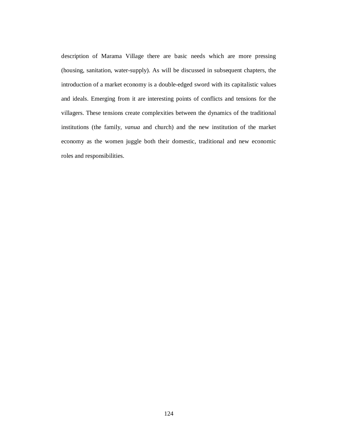description of Marama Village there are basic needs which are more pressing (housing, sanitation, water-supply). As will be discussed in subsequent chapters, the introduction of a market economy is a double-edged sword with its capitalistic values and ideals. Emerging from it are interesting points of conflicts and tensions for the villagers. These tensions create complexities between the dynamics of the traditional institutions (the family, *vanua* and church) and the new institution of the market economy as the women juggle both their domestic, traditional and new economic roles and responsibilities.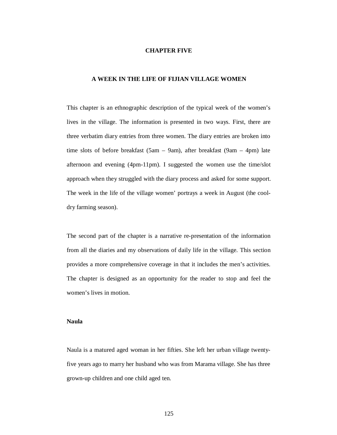#### **CHAPTER FIVE**

## **A WEEK IN THE LIFE OF FIJIAN VILLAGE WOMEN**

This chapter is an ethnographic description of the typical week of the women's lives in the village. The information is presented in two ways. First, there are three verbatim diary entries from three women. The diary entries are broken into time slots of before breakfast (5am – 9am), after breakfast (9am – 4pm) late afternoon and evening (4pm-11pm). I suggested the women use the time/slot approach when they struggled with the diary process and asked for some support. The week in the life of the village women' portrays a week in August (the cooldry farming season).

The second part of the chapter is a narrative re-presentation of the information from all the diaries and my observations of daily life in the village. This section provides a more comprehensive coverage in that it includes the men's activities. The chapter is designed as an opportunity for the reader to stop and feel the women's lives in motion.

## **Naula**

Naula is a matured aged woman in her fifties. She left her urban village twentyfive years ago to marry her husband who was from Marama village. She has three grown-up children and one child aged ten.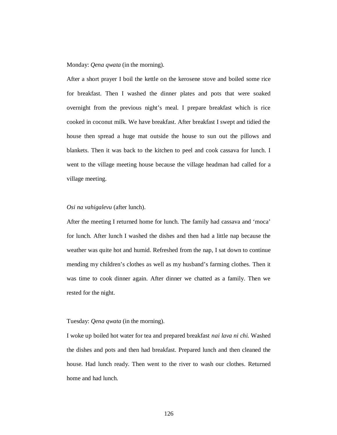Monday: *Qena qwata* (in the morning).

After a short prayer I boil the kettle on the kerosene stove and boiled some rice for breakfast. Then I washed the dinner plates and pots that were soaked overnight from the previous night's meal. I prepare breakfast which is rice cooked in coconut milk. We have breakfast. After breakfast I swept and tidied the house then spread a huge mat outside the house to sun out the pillows and blankets. Then it was back to the kitchen to peel and cook cassava for lunch. I went to the village meeting house because the village headman had called for a village meeting.

#### *Osi na vahigalevu* (after lunch).

After the meeting I returned home for lunch. The family had cassava and 'moca' for lunch. After lunch I washed the dishes and then had a little nap because the weather was quite hot and humid. Refreshed from the nap, I sat down to continue mending my children's clothes as well as my husband's farming clothes. Then it was time to cook dinner again. After dinner we chatted as a family. Then we rested for the night.

### Tuesday: *Qena qwata* (in the morning).

I woke up boiled hot water for tea and prepared breakfast *nai lava ni chi.* Washed the dishes and pots and then had breakfast. Prepared lunch and then cleaned the house. Had lunch ready. Then went to the river to wash our clothes. Returned home and had lunch.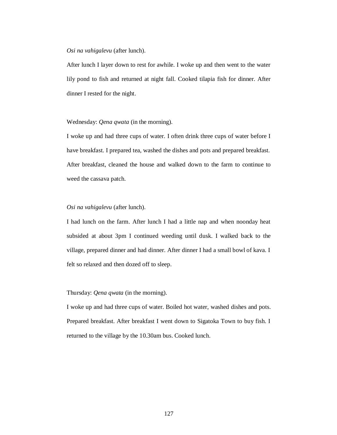After lunch I layer down to rest for awhile. I woke up and then went to the water lily pond to fish and returned at night fall. Cooked tilapia fish for dinner. After dinner I rested for the night.

Wednesday: *Qena qwata* (in the morning).

I woke up and had three cups of water. I often drink three cups of water before I have breakfast. I prepared tea, washed the dishes and pots and prepared breakfast. After breakfast, cleaned the house and walked down to the farm to continue to weed the cassava patch.

## *Osi na vahigalevu* (after lunch).

I had lunch on the farm. After lunch I had a little nap and when noonday heat subsided at about 3pm I continued weeding until dusk. I walked back to the village, prepared dinner and had dinner. After dinner I had a small bowl of kava. I felt so relaxed and then dozed off to sleep.

# Thursday: *Qena qwata* (in the morning).

I woke up and had three cups of water. Boiled hot water, washed dishes and pots. Prepared breakfast. After breakfast I went down to Sigatoka Town to buy fish. I returned to the village by the 10.30am bus. Cooked lunch.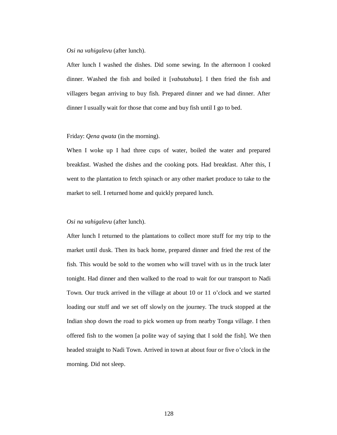After lunch I washed the dishes. Did some sewing. In the afternoon I cooked dinner. Washed the fish and boiled it [*vabutabuta*]. I then fried the fish and villagers began arriving to buy fish. Prepared dinner and we had dinner. After dinner I usually wait for those that come and buy fish until I go to bed.

## Friday: *Qena qwata* (in the morning).

When I woke up I had three cups of water, boiled the water and prepared breakfast. Washed the dishes and the cooking pots. Had breakfast. After this, I went to the plantation to fetch spinach or any other market produce to take to the market to sell. I returned home and quickly prepared lunch.

## *Osi na vahigalevu* (after lunch).

After lunch I returned to the plantations to collect more stuff for my trip to the market until dusk. Then its back home, prepared dinner and fried the rest of the fish. This would be sold to the women who will travel with us in the truck later tonight. Had dinner and then walked to the road to wait for our transport to Nadi Town. Our truck arrived in the village at about 10 or 11 o'clock and we started loading our stuff and we set off slowly on the journey. The truck stopped at the Indian shop down the road to pick women up from nearby Tonga village. I then offered fish to the women [a polite way of saying that I sold the fish]. We then headed straight to Nadi Town. Arrived in town at about four or five o'clock in the morning. Did not sleep.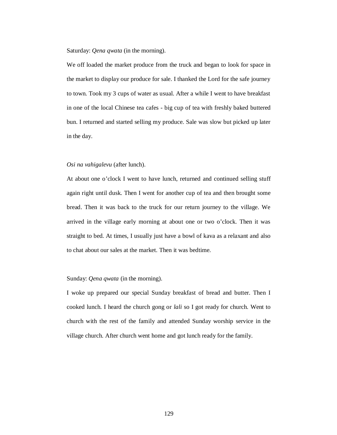Saturday: *Qena qwata* (in the morning).

We off loaded the market produce from the truck and began to look for space in the market to display our produce for sale. I thanked the Lord for the safe journey to town. Took my 3 cups of water as usual. After a while I went to have breakfast in one of the local Chinese tea cafes - big cup of tea with freshly baked buttered bun. I returned and started selling my produce. Sale was slow but picked up later in the day.

## *Osi na vahigalevu* (after lunch).

At about one o'clock I went to have lunch, returned and continued selling stuff again right until dusk. Then I went for another cup of tea and then brought some bread. Then it was back to the truck for our return journey to the village. We arrived in the village early morning at about one or two o'clock. Then it was straight to bed. At times, I usually just have a bowl of kava as a relaxant and also to chat about our sales at the market. Then it was bedtime.

## Sunday: *Qena qwata* (in the morning).

I woke up prepared our special Sunday breakfast of bread and butter. Then I cooked lunch. I heard the church gong or *lali* so I got ready for church. Went to church with the rest of the family and attended Sunday worship service in the village church. After church went home and got lunch ready for the family.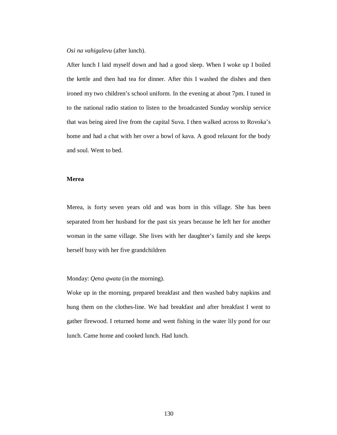After lunch I laid myself down and had a good sleep. When I woke up I boiled the kettle and then had tea for dinner. After this I washed the dishes and then ironed my two children's school uniform. In the evening at about 7pm. I tuned in to the national radio station to listen to the broadcasted Sunday worship service that was being aired live from the capital Suva. I then walked across to Rovoka's home and had a chat with her over a bowl of kava. A good relaxant for the body and soul. Went to bed.

## **Merea**

Merea, is forty seven years old and was born in this village. She has been separated from her husband for the past six years because he left her for another woman in the same village. She lives with her daughter's family and she keeps herself busy with her five grandchildren

Monday: *Qena qwata* (in the morning).

Woke up in the morning, prepared breakfast and then washed baby napkins and hung them on the clothes-line. We had breakfast and after breakfast I went to gather firewood. I returned home and went fishing in the water lily pond for our lunch. Came home and cooked lunch. Had lunch.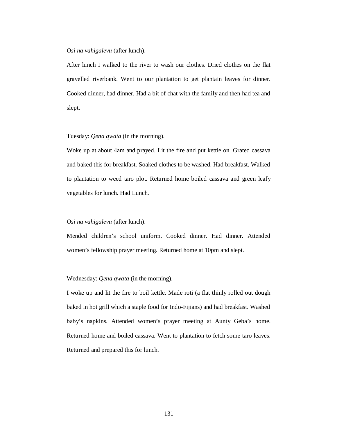After lunch I walked to the river to wash our clothes. Dried clothes on the flat gravelled riverbank. Went to our plantation to get plantain leaves for dinner. Cooked dinner, had dinner. Had a bit of chat with the family and then had tea and slept.

## Tuesday: *Qena qwata* (in the morning).

Woke up at about 4am and prayed. Lit the fire and put kettle on. Grated cassava and baked this for breakfast. Soaked clothes to be washed. Had breakfast. Walked to plantation to weed taro plot. Returned home boiled cassava and green leafy vegetables for lunch. Had Lunch.

## *Osi na vahigalevu* (after lunch).

Mended children's school uniform. Cooked dinner. Had dinner. Attended women's fellowship prayer meeting. Returned home at 10pm and slept.

## Wednesday: *Qena qwata* (in the morning).

I woke up and lit the fire to boil kettle. Made roti (a flat thinly rolled out dough baked in hot grill which a staple food for Indo-Fijians) and had breakfast. Washed baby's napkins. Attended women's prayer meeting at Aunty Geba's home. Returned home and boiled cassava. Went to plantation to fetch some taro leaves. Returned and prepared this for lunch.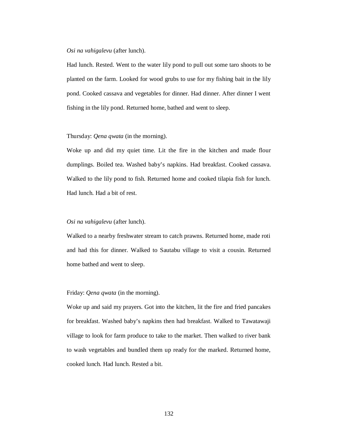Had lunch. Rested. Went to the water lily pond to pull out some taro shoots to be planted on the farm. Looked for wood grubs to use for my fishing bait in the lily pond. Cooked cassava and vegetables for dinner. Had dinner. After dinner I went fishing in the lily pond. Returned home, bathed and went to sleep.

Thursday: *Qena qwata* (in the morning).

Woke up and did my quiet time. Lit the fire in the kitchen and made flour dumplings. Boiled tea. Washed baby's napkins. Had breakfast. Cooked cassava. Walked to the lily pond to fish. Returned home and cooked tilapia fish for lunch. Had lunch. Had a bit of rest.

*Osi na vahigalevu* (after lunch).

Walked to a nearby freshwater stream to catch prawns. Returned home, made roti and had this for dinner. Walked to Sautabu village to visit a cousin. Returned home bathed and went to sleep.

Friday: *Qena qwata* (in the morning).

Woke up and said my prayers. Got into the kitchen, lit the fire and fried pancakes for breakfast. Washed baby's napkins then had breakfast. Walked to Tawatawaji village to look for farm produce to take to the market. Then walked to river bank to wash vegetables and bundled them up ready for the marked. Returned home, cooked lunch. Had lunch. Rested a bit.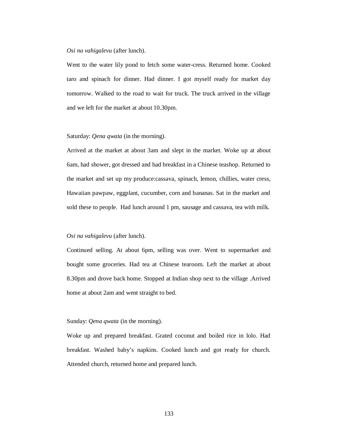Went to the water lily pond to fetch some water-cress. Returned home. Cooked taro and spinach for dinner. Had dinner. I got myself ready for market day tomorrow. Walked to the road to wait for truck. The truck arrived in the village and we left for the market at about 10.30pm.

## Saturday: *Qena qwata* (in the morning).

Arrived at the market at about 3am and slept in the market. Woke up at about 6am, had shower, got dressed and had breakfast in a Chinese teashop. Returned to the market and set up my produce:cassava, spinach, lemon, chillies, water cress, Hawaiian pawpaw, eggplant, cucumber, corn and bananas. Sat in the market and sold these to people. Had lunch around 1 pm, sausage and cassava, tea with milk.

#### *Osi na vahigalevu* (after lunch).

Continued selling. At about 6pm, selling was over. Went to supermarket and bought some groceries. Had tea at Chinese tearoom. Left the market at about 8.30pm and drove back home. Stopped at Indian shop next to the village .Arrived home at about 2am and went straight to bed.

## Sunday: *Qena qwata* (in the morning).

Woke up and prepared breakfast. Grated coconut and boiled rice in lolo. Had breakfast. Washed baby's napkins. Cooked lunch and got ready for church. Attended church, returned home and prepared lunch.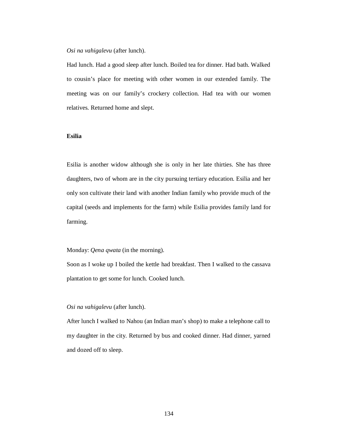Had lunch. Had a good sleep after lunch. Boiled tea for dinner. Had bath. Walked to cousin's place for meeting with other women in our extended family. The meeting was on our family's crockery collection. Had tea with our women relatives. Returned home and slept.

# **Esilia**

Esilia is another widow although she is only in her late thirties. She has three daughters, two of whom are in the city pursuing tertiary education. Esilia and her only son cultivate their land with another Indian family who provide much of the capital (seeds and implements for the farm) while Esilia provides family land for farming.

## Monday: *Qena qwata* (in the morning).

Soon as I woke up I boiled the kettle had breakfast. Then I walked to the cassava plantation to get some for lunch. Cooked lunch.

#### *Osi na vahigalevu* (after lunch).

After lunch I walked to Nahou (an Indian man's shop) to make a telephone call to my daughter in the city. Returned by bus and cooked dinner. Had dinner, yarned and dozed off to sleep.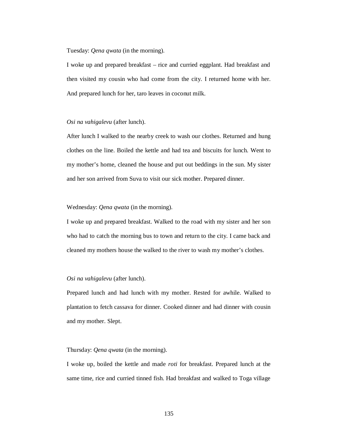Tuesday: *Qena qwata* (in the morning).

I woke up and prepared breakfast – rice and curried eggplant. Had breakfast and then visited my cousin who had come from the city. I returned home with her. And prepared lunch for her, taro leaves in coconut milk.

# *Osi na vahigalevu* (after lunch).

After lunch I walked to the nearby creek to wash our clothes. Returned and hung clothes on the line. Boiled the kettle and had tea and biscuits for lunch. Went to my mother's home, cleaned the house and put out beddings in the sun. My sister and her son arrived from Suva to visit our sick mother. Prepared dinner.

#### Wednesday: *Qena qwata* (in the morning).

I woke up and prepared breakfast. Walked to the road with my sister and her son who had to catch the morning bus to town and return to the city. I came back and cleaned my mothers house the walked to the river to wash my mother's clothes.

# *Osi na vahigalevu* (after lunch).

Prepared lunch and had lunch with my mother. Rested for awhile. Walked to plantation to fetch cassava for dinner. Cooked dinner and had dinner with cousin and my mother. Slept.

## Thursday: *Qena qwata* (in the morning).

I woke up, boiled the kettle and made *roti* for breakfast. Prepared lunch at the same time, rice and curried tinned fish. Had breakfast and walked to Toga village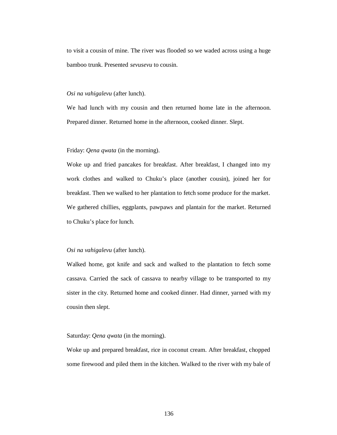to visit a cousin of mine. The river was flooded so we waded across using a huge bamboo trunk. Presented *sevusevu* to cousin.

# *Osi na vahigalevu* (after lunch).

We had lunch with my cousin and then returned home late in the afternoon. Prepared dinner. Returned home in the afternoon, cooked dinner. Slept.

## Friday: *Qena qwata* (in the morning).

Woke up and fried pancakes for breakfast. After breakfast, I changed into my work clothes and walked to Chuku's place (another cousin), joined her for breakfast. Then we walked to her plantation to fetch some produce for the market. We gathered chillies, eggplants, pawpaws and plantain for the market. Returned to Chuku's place for lunch.

## *Osi na vahigalevu* (after lunch).

Walked home, got knife and sack and walked to the plantation to fetch some cassava. Carried the sack of cassava to nearby village to be transported to my sister in the city. Returned home and cooked dinner. Had dinner, yarned with my cousin then slept.

### Saturday: *Qena qwata* (in the morning).

Woke up and prepared breakfast, rice in coconut cream. After breakfast, chopped some firewood and piled them in the kitchen. Walked to the river with my bale of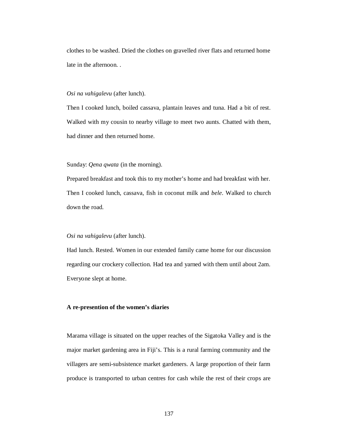clothes to be washed. Dried the clothes on gravelled river flats and returned home late in the afternoon. .

# *Osi na vahigalevu* (after lunch).

Then I cooked lunch, boiled cassava, plantain leaves and tuna. Had a bit of rest. Walked with my cousin to nearby village to meet two aunts. Chatted with them, had dinner and then returned home.

# Sunday: *Qena qwata* (in the morning).

Prepared breakfast and took this to my mother's home and had breakfast with her. Then I cooked lunch, cassava, fish in coconut milk and *bele*. Walked to church down the road.

## *Osi na vahigalevu* (after lunch).

Had lunch. Rested. Women in our extended family came home for our discussion regarding our crockery collection. Had tea and yarned with them until about 2am. Everyone slept at home.

### **A re-presention of the women's diaries**

Marama village is situated on the upper reaches of the Sigatoka Valley and is the major market gardening area in Fiji's. This is a rural farming community and the villagers are semi-subsistence market gardeners. A large proportion of their farm produce is transported to urban centres for cash while the rest of their crops are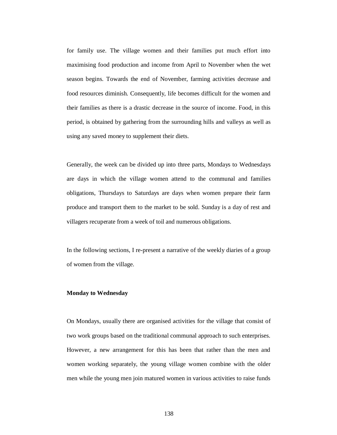for family use. The village women and their families put much effort into maximising food production and income from April to November when the wet season begins. Towards the end of November, farming activities decrease and food resources diminish. Consequently, life becomes difficult for the women and their families as there is a drastic decrease in the source of income. Food, in this period, is obtained by gathering from the surrounding hills and valleys as well as using any saved money to supplement their diets.

Generally, the week can be divided up into three parts, Mondays to Wednesdays are days in which the village women attend to the communal and families obligations, Thursdays to Saturdays are days when women prepare their farm produce and transport them to the market to be sold. Sunday is a day of rest and villagers recuperate from a week of toil and numerous obligations.

In the following sections, I re-present a narrative of the weekly diaries of a group of women from the village.

# **Monday to Wednesday**

On Mondays, usually there are organised activities for the village that consist of two work groups based on the traditional communal approach to such enterprises. However, a new arrangement for this has been that rather than the men and women working separately, the young village women combine with the older men while the young men join matured women in various activities to raise funds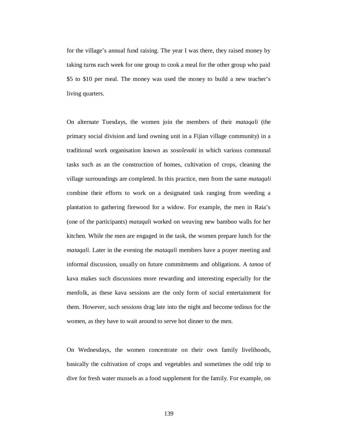for the village's annual fund raising. The year I was there, they raised money by taking turns each week for one group to cook a meal for the other group who paid \$5 to \$10 per meal. The money was used the money to build a new teacher's living quarters.

On alternate Tuesdays, the women join the members of their *mataqali* (the primary social division and land owning unit in a Fijian village community) in a traditional work organisation known as *sosolevaki* in which various communal tasks such as an the construction of homes, cultivation of crops, cleaning the village surroundings are completed. In this practice, men from the same *mataqali*  combine their efforts to work on a designated task ranging from weeding a plantation to gathering firewood for a widow. For example, the men in Raia's (one of the participants) *mataqali* worked on weaving new bamboo walls for her kitchen. While the men are engaged in the task, the women prepare lunch for the *mataqali*. Later in the evening the *mataqali* members have a prayer meeting and informal discussion, usually on future commitments and obligations. A *tanoa* of kava makes such discussions more rewarding and interesting especially for the menfolk, as these kava sessions are the only form of social entertainment for them. However, such sessions drag late into the night and become tedious for the women, as they have to wait around to serve hot dinner to the men.

On Wednesdays, the women concentrate on their own family livelihoods, basically the cultivation of crops and vegetables and sometimes the odd trip to dive for fresh water mussels as a food supplement for the family. For example, on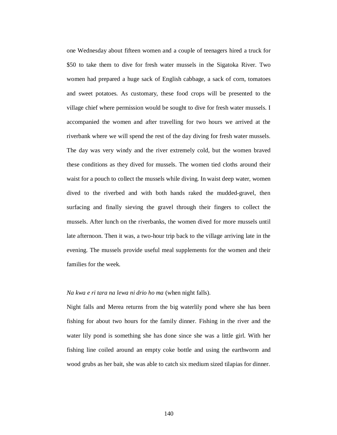one Wednesday about fifteen women and a couple of teenagers hired a truck for \$50 to take them to dive for fresh water mussels in the Sigatoka River. Two women had prepared a huge sack of English cabbage, a sack of corn, tomatoes and sweet potatoes. As customary, these food crops will be presented to the village chief where permission would be sought to dive for fresh water mussels. I accompanied the women and after travelling for two hours we arrived at the riverbank where we will spend the rest of the day diving for fresh water mussels. The day was very windy and the river extremely cold, but the women braved these conditions as they dived for mussels. The women tied cloths around their waist for a pouch to collect the mussels while diving. In waist deep water, women dived to the riverbed and with both hands raked the mudded-gravel, then surfacing and finally sieving the gravel through their fingers to collect the mussels. After lunch on the riverbanks, the women dived for more mussels until late afternoon. Then it was, a two-hour trip back to the village arriving late in the evening. The mussels provide useful meal supplements for the women and their families for the week.

# *Na kwa e ri tara na lewa ni drio ho ma* (when night falls).

Night falls and Merea returns from the big waterlily pond where she has been fishing for about two hours for the family dinner. Fishing in the river and the water lily pond is something she has done since she was a little girl. With her fishing line coiled around an empty coke bottle and using the earthworm and wood grubs as her bait, she was able to catch six medium sized tilapias for dinner.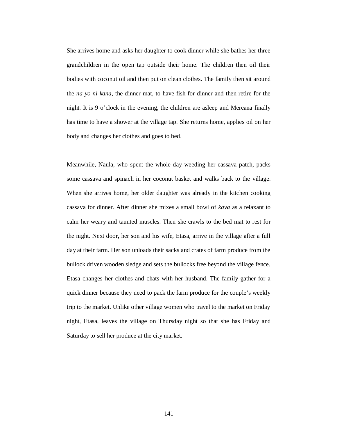She arrives home and asks her daughter to cook dinner while she bathes her three grandchildren in the open tap outside their home. The children then oil their bodies with coconut oil and then put on clean clothes. The family then sit around the *na yo ni kana,* the dinner mat, to have fish for dinner and then retire for the night. It is 9 o'clock in the evening, the children are asleep and Mereana finally has time to have a shower at the village tap. She returns home, applies oil on her body and changes her clothes and goes to bed.

Meanwhile, Naula, who spent the whole day weeding her cassava patch, packs some cassava and spinach in her coconut basket and walks back to the village. When she arrives home, her older daughter was already in the kitchen cooking cassava for dinner. After dinner she mixes a small bowl of *kava* as a relaxant to calm her weary and taunted muscles. Then she crawls to the bed mat to rest for the night. Next door, her son and his wife, Etasa, arrive in the village after a full day at their farm. Her son unloads their sacks and crates of farm produce from the bullock driven wooden sledge and sets the bullocks free beyond the village fence. Etasa changes her clothes and chats with her husband. The family gather for a quick dinner because they need to pack the farm produce for the couple's weekly trip to the market. Unlike other village women who travel to the market on Friday night, Etasa, leaves the village on Thursday night so that she has Friday and Saturday to sell her produce at the city market.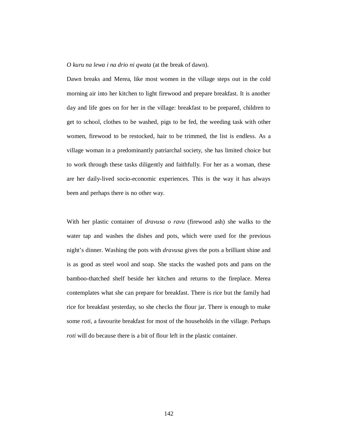*O kuru na lewa i na drio ni qwata* (at the break of dawn).

Dawn breaks and Merea, like most women in the village steps out in the cold morning air into her kitchen to light firewood and prepare breakfast. It is another day and life goes on for her in the village: breakfast to be prepared, children to get to school, clothes to be washed, pigs to be fed, the weeding task with other women, firewood to be restocked, hair to be trimmed, the list is endless. As a village woman in a predominantly patriarchal society, she has limited choice but to work through these tasks diligently and faithfully. For her as a woman, these are her daily-lived socio-economic experiences. This is the way it has always been and perhaps there is no other way.

With her plastic container of *dravusa o ravu* (firewood ash) she walks to the water tap and washes the dishes and pots, which were used for the previous night's dinner. Washing the pots with *dravusa* gives the pots a brilliant shine and is as good as steel wool and soap. She stacks the washed pots and pans on the bamboo-thatched shelf beside her kitchen and returns to the fireplace. Merea contemplates what she can prepare for breakfast. There is rice but the family had rice for breakfast yesterday, so she checks the flour jar. There is enough to make some *roti,* a favourite breakfast for most of the households in the village. Perhaps *roti* will do because there is a bit of flour left in the plastic container.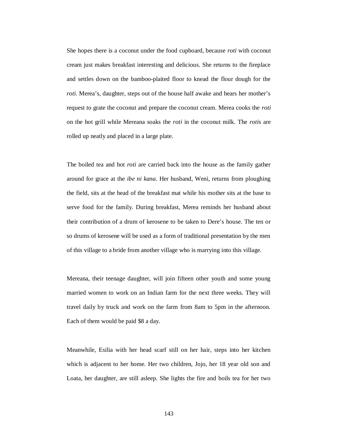She hopes there is a coconut under the food cupboard, because *roti* with coconut cream just makes breakfast interesting and delicious. She returns to the fireplace and settles down on the bamboo-plaited floor to knead the flour dough for the *roti*. Merea's, daughter, steps out of the house half awake and hears her mother's request to grate the coconut and prepare the coconut cream. Merea cooks the *roti* on the hot grill while Mereana soaks the *roti* in the coconut milk. The *roti*s are rolled up neatly and placed in a large plate.

The boiled tea and hot *roti* are carried back into the house as the family gather around for grace at the *ibe ni kana*. Her husband, Weni, returns from ploughing the field, sits at the head of the breakfast mat while his mother sits at the base to serve food for the family. During breakfast, Merea reminds her husband about their contribution of a drum of kerosene to be taken to Dere's house. The ten or so drums of kerosene will be used as a form of traditional presentation by the men of this village to a bride from another village who is marrying into this village.

Mereana, their teenage daughter, will join fifteen other youth and some young married women to work on an Indian farm for the next three weeks. They will travel daily by truck and work on the farm from 8am to 5pm in the afternoon. Each of them would be paid \$8 a day.

Meanwhile, Esilia with her head scarf still on her hair, steps into her kitchen which is adjacent to her home. Her two children, Jojo, her 18 year old son and Loata, her daughter, are still asleep. She lights the fire and boils tea for her two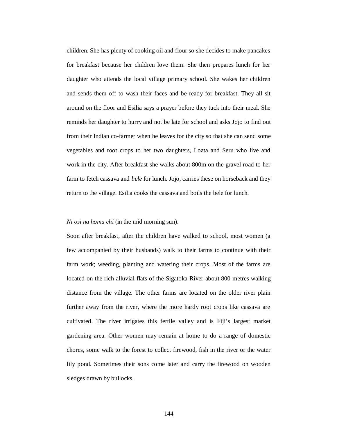children. She has plenty of cooking oil and flour so she decides to make pancakes for breakfast because her children love them. She then prepares lunch for her daughter who attends the local village primary school. She wakes her children and sends them off to wash their faces and be ready for breakfast. They all sit around on the floor and Esilia says a prayer before they tuck into their meal. She reminds her daughter to hurry and not be late for school and asks Jojo to find out from their Indian co-farmer when he leaves for the city so that she can send some vegetables and root crops to her two daughters, Loata and Seru who live and work in the city. After breakfast she walks about 800m on the gravel road to her farm to fetch cassava and *bele* for lunch. Jojo, carries these on horseback and they return to the village. Esilia cooks the cassava and boils the bele for lunch.

#### *Ni osi na homu chi* (in the mid morning sun).

Soon after breakfast, after the children have walked to school, most women (a few accompanied by their husbands) walk to their farms to continue with their farm work; weeding, planting and watering their crops. Most of the farms are located on the rich alluvial flats of the Sigatoka River about 800 metres walking distance from the village. The other farms are located on the older river plain further away from the river, where the more hardy root crops like cassava are cultivated. The river irrigates this fertile valley and is Fiji's largest market gardening area. Other women may remain at home to do a range of domestic chores, some walk to the forest to collect firewood, fish in the river or the water lily pond. Sometimes their sons come later and carry the firewood on wooden sledges drawn by bullocks.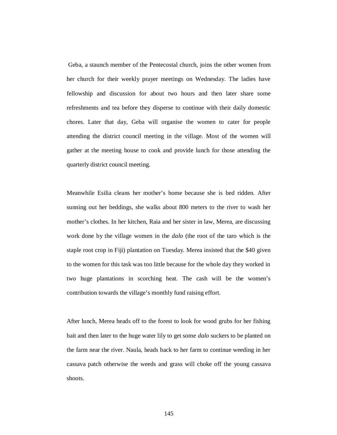Geba, a staunch member of the Pentecostal church, joins the other women from her church for their weekly prayer meetings on Wednesday. The ladies have fellowship and discussion for about two hours and then later share some refreshments and tea before they disperse to continue with their daily domestic chores. Later that day, Geba will organise the women to cater for people attending the district council meeting in the village. Most of the women will gather at the meeting house to cook and provide lunch for those attending the quarterly district council meeting.

Meanwhile Esilia cleans her mother's home because she is bed ridden. After sunning out her beddings, she walks about 800 meters to the river to wash her mother's clothes. In her kitchen, Raia and her sister in law, Merea, are discussing work done by the village women in the *dalo* (the root of the taro which is the staple root crop in Fiji) plantation on Tuesday. Merea insisted that the \$40 given to the women for this task was too little because for the whole day they worked in two huge plantations in scorching heat. The cash will be the women's contribution towards the village's monthly fund raising effort.

After lunch, Merea heads off to the forest to look for wood grubs for her fishing bait and then later to the huge water lily to get some *dalo* suckers to be planted on the farm near the river. Naula, heads back to her farm to continue weeding in her cassava patch otherwise the weeds and grass will choke off the young cassava shoots.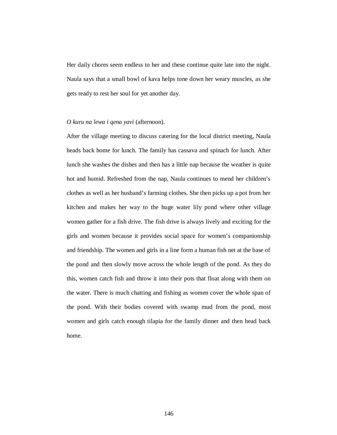Her daily chores seem endless to her and these continue quite late into the night. Naula says that a small bowl of kava helps tone down her weary muscles, as she gets ready to rest her soul for yet another day.

## *O kuru na lewa i qena yavi* (afternoon).

After the village meeting to discuss catering for the local district meeting, Naula heads back home for lunch. The family has cassava and spinach for lunch. After lunch she washes the dishes and then has a little nap because the weather is quite hot and humid. Refreshed from the nap, Naula continues to mend her children's clothes as well as her husband's farming clothes. She then picks up a pot from her kitchen and makes her way to the huge water lily pond where other village women gather for a fish drive. The fish drive is always lively and exciting for the girls and women because it provides social space for women's companionship and friendship. The women and girls in a line form a human fish net at the base of the pond and then slowly move across the whole length of the pond. As they do this, women catch fish and throw it into their pots that float along with them on the water. There is much chatting and fishing as women cover the whole span of the pond. With their bodies covered with swamp mud from the pond, most women and girls catch enough tilapia for the family dinner and then head back home.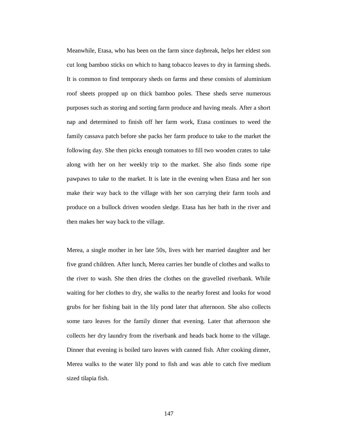Meanwhile, Etasa, who has been on the farm since daybreak, helps her eldest son cut long bamboo sticks on which to hang tobacco leaves to dry in farming sheds. It is common to find temporary sheds on farms and these consists of aluminium roof sheets propped up on thick bamboo poles. These sheds serve numerous purposes such as storing and sorting farm produce and having meals. After a short nap and determined to finish off her farm work, Etasa continues to weed the family cassava patch before she packs her farm produce to take to the market the following day. She then picks enough tomatoes to fill two wooden crates to take along with her on her weekly trip to the market. She also finds some ripe pawpaws to take to the market. It is late in the evening when Etasa and her son make their way back to the village with her son carrying their farm tools and produce on a bullock driven wooden sledge. Etasa has her bath in the river and then makes her way back to the village.

Merea, a single mother in her late 50s, lives with her married daughter and her five grand children. After lunch, Merea carries her bundle of clothes and walks to the river to wash. She then dries the clothes on the gravelled riverbank. While waiting for her clothes to dry, she walks to the nearby forest and looks for wood grubs for her fishing bait in the lily pond later that afternoon. She also collects some taro leaves for the family dinner that evening. Later that afternoon she collects her dry laundry from the riverbank and heads back home to the village. Dinner that evening is boiled taro leaves with canned fish. After cooking dinner, Merea walks to the water lily pond to fish and was able to catch five medium sized tilapia fish.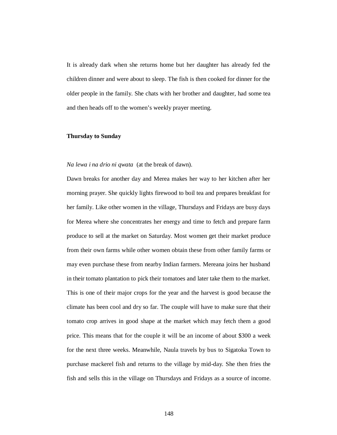It is already dark when she returns home but her daughter has already fed the children dinner and were about to sleep. The fish is then cooked for dinner for the older people in the family. She chats with her brother and daughter, had some tea and then heads off to the women's weekly prayer meeting.

## **Thursday to Sunday**

# *Na lewa i na drio ni qwata* (at the break of dawn).

Dawn breaks for another day and Merea makes her way to her kitchen after her morning prayer. She quickly lights firewood to boil tea and prepares breakfast for her family. Like other women in the village, Thursdays and Fridays are busy days for Merea where she concentrates her energy and time to fetch and prepare farm produce to sell at the market on Saturday. Most women get their market produce from their own farms while other women obtain these from other family farms or may even purchase these from nearby Indian farmers. Mereana joins her husband in their tomato plantation to pick their tomatoes and later take them to the market. This is one of their major crops for the year and the harvest is good because the climate has been cool and dry so far. The couple will have to make sure that their tomato crop arrives in good shape at the market which may fetch them a good price. This means that for the couple it will be an income of about \$300 a week for the next three weeks. Meanwhile, Naula travels by bus to Sigatoka Town to purchase mackerel fish and returns to the village by mid-day. She then fries the fish and sells this in the village on Thursdays and Fridays as a source of income.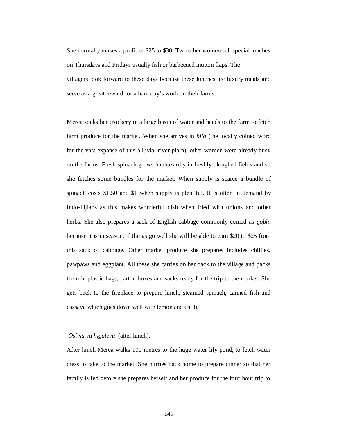She normally makes a profit of \$25 to \$30. Two other women sell special lunches on Thursdays and Fridays usually fish or barbecued mutton flaps. The villagers look forward to these days because these lunches are luxury meals and serve as a great reward for a hard day's work on their farms.

Merea soaks her crockery in a large basin of water and heads to the farm to fetch farm produce for the market. When she arrives in *bila* (the locally coined word for the vast expanse of this alluvial river plain), other women were already busy on the farms. Fresh spinach grows haphazardly in freshly ploughed fields and so she fetches some bundles for the market. When supply is scarce a bundle of spinach costs \$1.50 and \$1 when supply is plentiful. It is often in demand by Indo-Fijians as this makes wonderful dish when fried with onions and other herbs. She also prepares a sack of English cabbage commonly coined as *gobhi* because it is in season. If things go well she will be able to earn \$20 to \$25 from this sack of cabbage. Other market produce she prepares includes chillies, pawpaws and eggplant. All these she carries on her back to the village and packs them in plastic bags, carton boxes and sacks ready for the trip to the market. She gets back to the fireplace to prepare lunch, steamed spinach, canned fish and cassava which goes down well with lemon and chilli.

# *Osi na va higalevu* (after lunch).

After lunch Merea walks 100 metres to the huge water lily pond, to fetch water cress to take to the market. She hurries back home to prepare dinner so that her family is fed before she prepares herself and her produce for the four hour trip to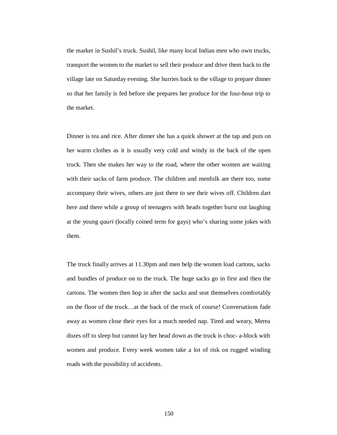the market in Sushil's truck. Sushil, like many local Indian men who own trucks, transport the women to the market to sell their produce and drive them back to the village late on Saturday evening. She hurries back to the village to prepare dinner so that her family is fed before she prepares her produce for the four-hour trip to the market.

Dinner is tea and rice. After dinner she has a quick shower at the tap and puts on her warm clothes as it is usually very cold and windy in the back of the open truck. Then she makes her way to the road, where the other women are waiting with their sacks of farm produce. The children and menfolk are there too, some accompany their wives, others are just there to see their wives off. Children dart here and there while a group of teenagers with heads together burst out laughing at the young *qauri* (locally coined term for gays) who's sharing some jokes with them.

The truck finally arrives at 11.30pm and men help the women load cartons, sacks and bundles of produce on to the truck. The huge sacks go in first and then the cartons. The women then hop in after the sacks and seat themselves comfortably on the floor of the truck…at the back of the truck of course! Conversations fade away as women close their eyes for a much needed nap. Tired and weary, Merea dozes off to sleep but cannot lay her head down as the truck is choc- a-block with women and produce. Every week women take a lot of risk on rugged winding roads with the possibility of accidents.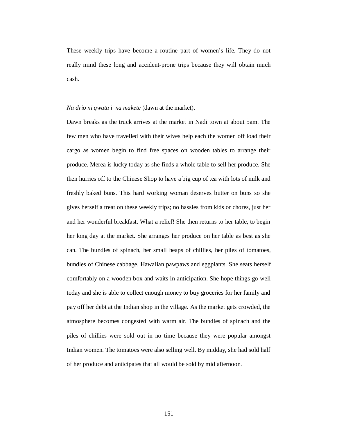These weekly trips have become a routine part of women's life. They do not really mind these long and accident-prone trips because they will obtain much cash.

### *Na drio ni qwata i na makete* (dawn at the market).

Dawn breaks as the truck arrives at the market in Nadi town at about 5am. The few men who have travelled with their wives help each the women off load their cargo as women begin to find free spaces on wooden tables to arrange their produce. Merea is lucky today as she finds a whole table to sell her produce. She then hurries off to the Chinese Shop to have a big cup of tea with lots of milk and freshly baked buns. This hard working woman deserves butter on buns so she gives herself a treat on these weekly trips; no hassles from kids or chores, just her and her wonderful breakfast. What a relief! She then returns to her table, to begin her long day at the market. She arranges her produce on her table as best as she can. The bundles of spinach, her small heaps of chillies, her piles of tomatoes, bundles of Chinese cabbage, Hawaiian pawpaws and eggplants. She seats herself comfortably on a wooden box and waits in anticipation. She hope things go well today and she is able to collect enough money to buy groceries for her family and pay off her debt at the Indian shop in the village. As the market gets crowded, the atmosphere becomes congested with warm air. The bundles of spinach and the piles of chillies were sold out in no time because they were popular amongst Indian women. The tomatoes were also selling well. By midday, she had sold half of her produce and anticipates that all would be sold by mid afternoon.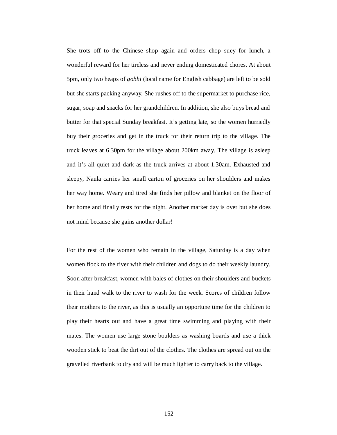She trots off to the Chinese shop again and orders chop suey for lunch, a wonderful reward for her tireless and never ending domesticated chores. At about 5pm, only two heaps of *gobhi* (local name for English cabbage) are left to be sold but she starts packing anyway. She rushes off to the supermarket to purchase rice, sugar, soap and snacks for her grandchildren. In addition, she also buys bread and butter for that special Sunday breakfast. It's getting late, so the women hurriedly buy their groceries and get in the truck for their return trip to the village. The truck leaves at 6.30pm for the village about 200km away. The village is asleep and it's all quiet and dark as the truck arrives at about 1.30am. Exhausted and sleepy, Naula carries her small carton of groceries on her shoulders and makes her way home. Weary and tired she finds her pillow and blanket on the floor of her home and finally rests for the night. Another market day is over but she does not mind because she gains another dollar!

For the rest of the women who remain in the village, Saturday is a day when women flock to the river with their children and dogs to do their weekly laundry. Soon after breakfast, women with bales of clothes on their shoulders and buckets in their hand walk to the river to wash for the week. Scores of children follow their mothers to the river, as this is usually an opportune time for the children to play their hearts out and have a great time swimming and playing with their mates. The women use large stone boulders as washing boards and use a thick wooden stick to beat the dirt out of the clothes. The clothes are spread out on the gravelled riverbank to dry and will be much lighter to carry back to the village.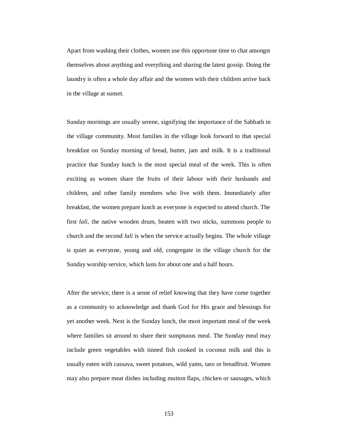Apart from washing their clothes, women use this opportune time to chat amongst themselves about anything and everything and sharing the latest gossip. Doing the laundry is often a whole day affair and the women with their children arrive back in the village at sunset.

Sunday mornings are usually serene, signifying the importance of the Sabbath in the village community. Most families in the village look forward to that special breakfast on Sunday morning of bread, butter, jam and milk. It is a traditional practice that Sunday lunch is the most special meal of the week. This is often exciting as women share the fruits of their labour with their husbands and children, and other family members who live with them. Immediately after breakfast, the women prepare lunch as everyone is expected to attend church. The first *lali,* the native wooden drum, beaten with two sticks, summons people to church and the second *lali* is when the service actually begins. The whole village is quiet as everyone, young and old, congregate in the village church for the Sunday worship service, which lasts for about one and a half hours.

After the service, there is a sense of relief knowing that they have come together as a community to acknowledge and thank God for His grace and blessings for yet another week. Next is the Sunday lunch, the most important meal of the week where families sit around to share their sumptuous meal. The Sunday meal may include green vegetables with tinned fish cooked in coconut milk and this is usually eaten with cassava, sweet potatoes, wild yams, taro or breadfruit. Women may also prepare meat dishes including mutton flaps, chicken or sausages, which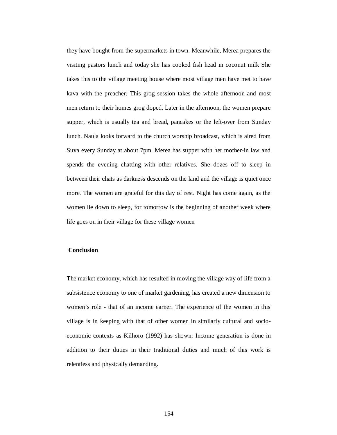they have bought from the supermarkets in town. Meanwhile, Merea prepares the visiting pastors lunch and today she has cooked fish head in coconut milk She takes this to the village meeting house where most village men have met to have kava with the preacher. This grog session takes the whole afternoon and most men return to their homes grog doped. Later in the afternoon, the women prepare supper, which is usually tea and bread, pancakes or the left-over from Sunday lunch. Naula looks forward to the church worship broadcast, which is aired from Suva every Sunday at about 7pm. Merea has supper with her mother-in law and spends the evening chatting with other relatives. She dozes off to sleep in between their chats as darkness descends on the land and the village is quiet once more. The women are grateful for this day of rest. Night has come again, as the women lie down to sleep, for tomorrow is the beginning of another week where life goes on in their village for these village women

#### **Conclusion**

The market economy, which has resulted in moving the village way of life from a subsistence economy to one of market gardening, has created a new dimension to women's role - that of an income earner. The experience of the women in this village is in keeping with that of other women in similarly cultural and socioeconomic contexts as Kilhoro (1992) has shown: Income generation is done in addition to their duties in their traditional duties and much of this work is relentless and physically demanding.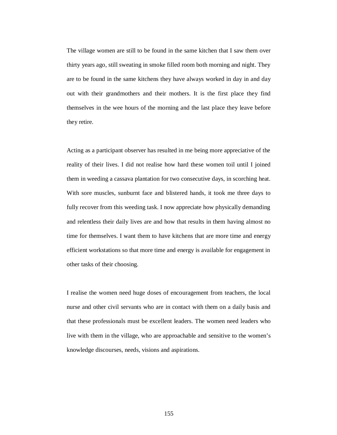The village women are still to be found in the same kitchen that I saw them over thirty years ago, still sweating in smoke filled room both morning and night. They are to be found in the same kitchens they have always worked in day in and day out with their grandmothers and their mothers. It is the first place they find themselves in the wee hours of the morning and the last place they leave before they retire.

Acting as a participant observer has resulted in me being more appreciative of the reality of their lives. I did not realise how hard these women toil until I joined them in weeding a cassava plantation for two consecutive days, in scorching heat. With sore muscles, sunburnt face and blistered hands, it took me three days to fully recover from this weeding task. I now appreciate how physically demanding and relentless their daily lives are and how that results in them having almost no time for themselves. I want them to have kitchens that are more time and energy efficient workstations so that more time and energy is available for engagement in other tasks of their choosing.

I realise the women need huge doses of encouragement from teachers, the local nurse and other civil servants who are in contact with them on a daily basis and that these professionals must be excellent leaders. The women need leaders who live with them in the village, who are approachable and sensitive to the women's knowledge discourses, needs, visions and aspirations.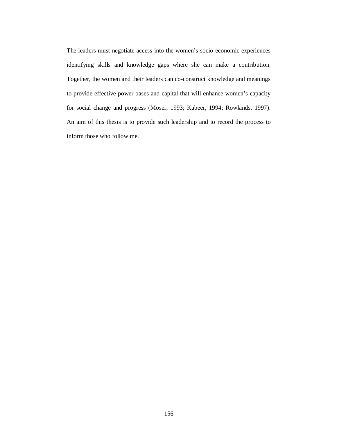The leaders must negotiate access into the women's socio-economic experiences identifying skills and knowledge gaps where she can make a contribution. Together, the women and their leaders can co-construct knowledge and meanings to provide effective power bases and capital that will enhance women's capacity for social change and progress (Moser, 1993; Kabeer, 1994; Rowlands, 1997). An aim of this thesis is to provide such leadership and to record the process to inform those who follow me.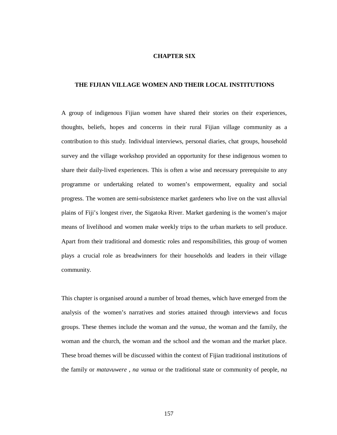### **CHAPTER SIX**

# **THE FIJIAN VILLAGE WOMEN AND THEIR LOCAL INSTITUTIONS**

A group of indigenous Fijian women have shared their stories on their experiences, thoughts, beliefs, hopes and concerns in their rural Fijian village community as a contribution to this study. Individual interviews, personal diaries, chat groups, household survey and the village workshop provided an opportunity for these indigenous women to share their daily-lived experiences. This is often a wise and necessary prerequisite to any programme or undertaking related to women's empowerment, equality and social progress. The women are semi-subsistence market gardeners who live on the vast alluvial plains of Fiji's longest river, the Sigatoka River. Market gardening is the women's major means of livelihood and women make weekly trips to the urban markets to sell produce. Apart from their traditional and domestic roles and responsibilities, this group of women plays a crucial role as breadwinners for their households and leaders in their village community.

This chapter is organised around a number of broad themes, which have emerged from the analysis of the women's narratives and stories attained through interviews and focus groups. These themes include the woman and the *vanua*, the woman and the family*,* the woman and the church, the woman and the school and the woman and the market place. These broad themes will be discussed within the context of Fijian traditional institutions of the family or *matavuwere* , *na vanua* or the traditional state or community of people, *na*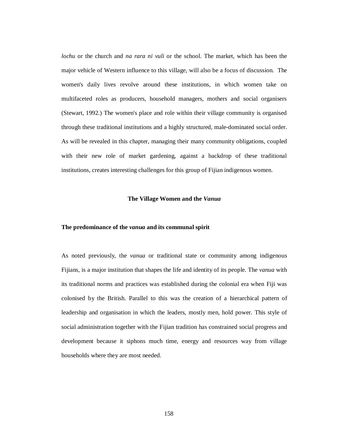*lochu* or the church and *na rara ni vuli* or the school. The market, which has been the major vehicle of Western influence to this village, will also be a focus of discussion. The women's daily lives revolve around these institutions, in which women take on multifaceted roles as producers, household managers, mothers and social organisers (Stewart, 1992.) The women's place and role within their village community is organised through these traditional institutions and a highly structured, male-dominated social order. As will be revealed in this chapter, managing their many community obligations, coupled with their new role of market gardening, against a backdrop of these traditional institutions, creates interesting challenges for this group of Fijian indigenous women.

### **The Village Women and the** *Vanua*

#### **The predominance of the** *vanua* **and its communal spirit**

As noted previously, the *vanua* or traditional state or community among indigenous Fijians, is a major institution that shapes the life and identity of its people. The *vanua* with its traditional norms and practices was established during the colonial era when Fiji was colonised by the British. Parallel to this was the creation of a hierarchical pattern of leadership and organisation in which the leaders, mostly men, hold power. This style of social administration together with the Fijian tradition has constrained social progress and development because it siphons much time, energy and resources way from village households where they are most needed.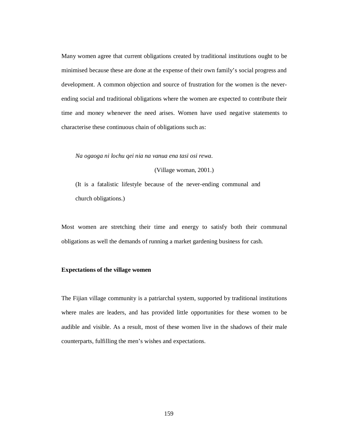Many women agree that current obligations created by traditional institutions ought to be minimised because these are done at the expense of their own family's social progress and development. A common objection and source of frustration for the women is the neverending social and traditional obligations where the women are expected to contribute their time and money whenever the need arises. Women have used negative statements to characterise these continuous chain of obligations such as:

*Na ogaoga ni lochu qei nia na vanua ena tasi osi rewa.* 

(Village woman, 2001.)

(It is a fatalistic lifestyle because of the never-ending communal and church obligations.)

Most women are stretching their time and energy to satisfy both their communal obligations as well the demands of running a market gardening business for cash.

# **Expectations of the village women**

The Fijian village community is a patriarchal system, supported by traditional institutions where males are leaders, and has provided little opportunities for these women to be audible and visible. As a result, most of these women live in the shadows of their male counterparts, fulfilling the men's wishes and expectations.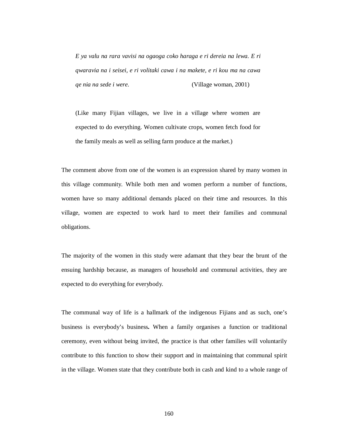*E ya valu na rara vavisi na ogaoga coko haraga e ri dereia na lewa. E ri qwaravia na i seisei, e ri volitaki cawa i na makete, e ri kou ma na cawa qe nia na sede i were.*(Village woman, 2001)

(Like many Fijian villages, we live in a village where women are expected to do everything. Women cultivate crops, women fetch food for the family meals as well as selling farm produce at the market.)

The comment above from one of the women is an expression shared by many women in this village community. While both men and women perform a number of functions, women have so many additional demands placed on their time and resources. In this village, women are expected to work hard to meet their families and communal obligations.

The majority of the women in this study were adamant that they bear the brunt of the ensuing hardship because, as managers of household and communal activities, they are expected to do everything for everybody.

The communal way of life is a hallmark of the indigenous Fijians and as such, one's business is everybody's business**.** When a family organises a function or traditional ceremony, even without being invited, the practice is that other families will voluntarily contribute to this function to show their support and in maintaining that communal spirit in the village. Women state that they contribute both in cash and kind to a whole range of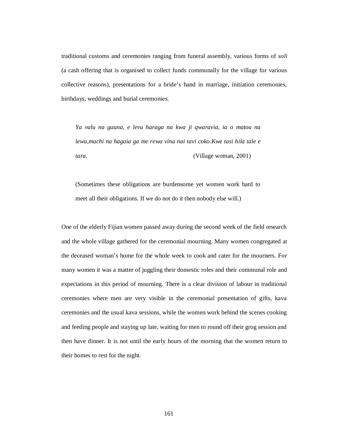traditional customs and ceremonies ranging from funeral assembly, various forms of *soli* (a cash offering that is organised to collect funds communally for the village for various collective reasons), presentations for a bride's hand in marriage, initiation ceremonies, birthdays, weddings and burial ceremonies.

*Ya valu na gauna, e levu haraga na kwa ji qwaravia, ia o matou na lewa,machi na hagaia ga me rewa vina nai tavi coko.Kwe tasi hila tale e tara.* (Village woman, 2001)

(Sometimes these obligations are burdensome yet women work hard to meet all their obligations. If we do not do it then nobody else will.)

One of the elderly Fijian women passed away during the second week of the field research and the whole village gathered for the ceremonial mourning. Many women congregated at the deceased woman's home for the whole week to cook and cater for the mourners. For many women it was a matter of juggling their domestic roles and their communal role and expectations in this period of mourning. There is a clear division of labour in traditional ceremonies where men are very visible in the ceremonial presentation of gifts, kava ceremonies and the usual kava sessions, while the women work behind the scenes cooking and feeding people and staying up late, waiting for men to round off their grog session and then have dinner. It is not until the early hours of the morning that the women return to their homes to rest for the night.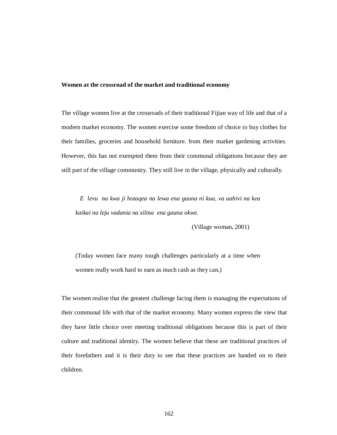# **Women at the crossroad of the market and traditional economy**

The village women live at the crossroads of their traditional Fijian way of life and that of a modern market economy. The women exercise some freedom of choice to buy clothes for their families, groceries and household furniture. from their market gardening activities. However, this has not exempted them from their communal obligations because they are still part of the village community. They still live in the village, physically and culturally.

*E levu na kwa ji hotaqea na lewa ena gauna ni kua, va uahivi na kea kaikai na leju vadania na silina ena gauna okwe.*

(Village woman, 2001)

(Today women face many tough challenges particularly at a time when women really work hard to earn as much cash as they can.)

The women realise that the greatest challenge facing them is managing the expectations of their communal life with that of the market economy. Many women express the view that they have little choice over meeting traditional obligations because this is part of their culture and traditional identity. The women believe that these are traditional practices of their forefathers and it is their duty to see that these practices are handed on to their children.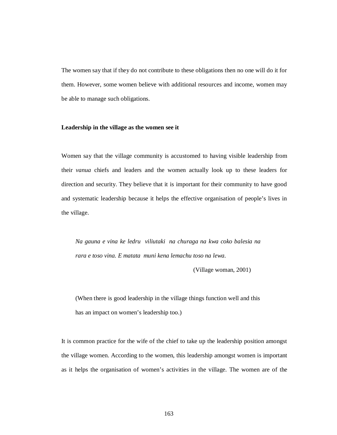The women say that if they do not contribute to these obligations then no one will do it for them. However, some women believe with additional resources and income, women may be able to manage such obligations.

### **Leadership in the village as the women see it**

Women say that the village community is accustomed to having visible leadership from their *vanua* chiefs and leaders and the women actually look up to these leaders for direction and security. They believe that it is important for their community to have good and systematic leadership because it helps the effective organisation of people's lives in the village.

*Na gauna e vina ke ledru viliutaki na churaga na kwa coko balesia na rara e toso vina. E matata muni kena lemachu toso na lewa.* 

(Village woman, 2001)

(When there is good leadership in the village things function well and this has an impact on women's leadership too.)

It is common practice for the wife of the chief to take up the leadership position amongst the village women. According to the women, this leadership amongst women is important as it helps the organisation of women's activities in the village. The women are of the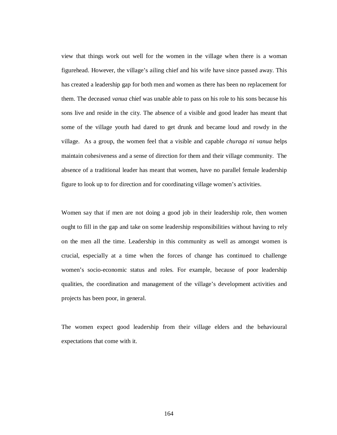view that things work out well for the women in the village when there is a woman figurehead. However, the village's ailing chief and his wife have since passed away. This has created a leadership gap for both men and women as there has been no replacement for them. The deceased *vanua* chief was unable able to pass on his role to his sons because his sons live and reside in the city. The absence of a visible and good leader has meant that some of the village youth had dared to get drunk and became loud and rowdy in the village. As a group, the women feel that a visible and capable *churaga ni vanua* helps maintain cohesiveness and a sense of direction for them and their village community. The absence of a traditional leader has meant that women, have no parallel female leadership figure to look up to for direction and for coordinating village women's activities.

Women say that if men are not doing a good job in their leadership role, then women ought to fill in the gap and take on some leadership responsibilities without having to rely on the men all the time. Leadership in this community as well as amongst women is crucial, especially at a time when the forces of change has continued to challenge women's socio-economic status and roles. For example, because of poor leadership qualities, the coordination and management of the village's development activities and projects has been poor, in general.

The women expect good leadership from their village elders and the behavioural expectations that come with it.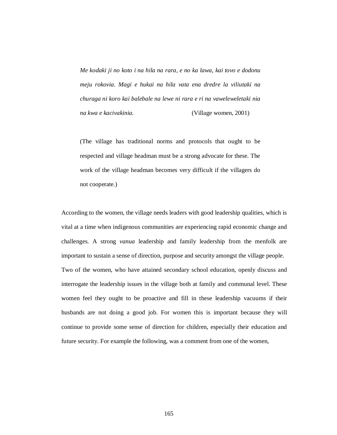*Me kodaki ji no koto i na hila na rara, e no ka lawa, kai tovo e dodonu meju rokovia. Magi e hukai na hila vata ena dredre la viliutaki na churaga ni koro kai balebale na lewe ni rara e ri na vaweleweletaki nia na kwa e kacivakinia.* (Village women, 2001)

(The village has traditional norms and protocols that ought to be respected and village headman must be a strong advocate for these. The work of the village headman becomes very difficult if the villagers do not cooperate.)

According to the women, the village needs leaders with good leadership qualities, which is vital at a time when indigenous communities are experiencing rapid economic change and challenges. A strong *vanua* leadership and family leadership from the menfolk are important to sustain a sense of direction, purpose and security amongst the village people. Two of the women, who have attained secondary school education, openly discuss and interrogate the leadership issues in the village both at family and communal level. These women feel they ought to be proactive and fill in these leadership vacuums if their husbands are not doing a good job. For women this is important because they will continue to provide some sense of direction for children, especially their education and future security. For example the following, was a comment from one of the women,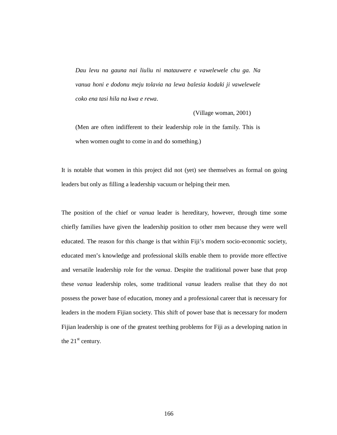*Dau levu na gauna nai liuliu ni matauwere e vawelewele chu ga. Na vanua honi e dodonu meju tolavia na lewa balesia kodaki ji vawelewele coko ena tasi hila na kwa e rewa.* 

(Village woman, 2001)

(Men are often indifferent to their leadership role in the family. This is when women ought to come in and do something.)

It is notable that women in this project did not (yet) see themselves as formal on going leaders but only as filling a leadership vacuum or helping their men.

The position of the chief or *vanua* leader is hereditary, however, through time some chiefly families have given the leadership position to other men because they were well educated. The reason for this change is that within Fiji's modern socio-economic society, educated men's knowledge and professional skills enable them to provide more effective and versatile leadership role for the *vanua*. Despite the traditional power base that prop these *vanua* leadership roles, some traditional *vanua* leaders realise that they do not possess the power base of education, money and a professional career that is necessary for leaders in the modern Fijian society. This shift of power base that is necessary for modern Fijian leadership is one of the greatest teething problems for Fiji as a developing nation in the  $21<sup>st</sup>$  century.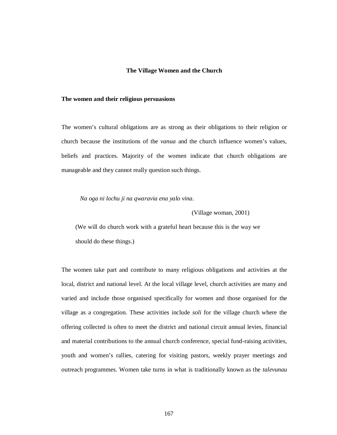#### **The Village Women and the Church**

#### **The women and their religious persuasions**

The women's cultural obligations are as strong as their obligations to their religion or church because the institutions of the *vanua* and the church influence women's values, beliefs and practices. Majority of the women indicate that church obligations are manageable and they cannot really question such things.

*Na oga ni lochu ji na qwaravia ena yalo vina.* 

(Village woman, 2001)

(We will do church work with a grateful heart because this is the way we should do these things.)

The women take part and contribute to many religious obligations and activities at the local, district and national level. At the local village level, church activities are many and varied and include those organised specifically for women and those organised for the village as a congregation. These activities include *soli* for the village church where the offering collected is often to meet the district and national circuit annual levies, financial and material contributions to the annual church conference, special fund-raising activities, youth and women's rallies, catering for visiting pastors, weekly prayer meetings and outreach programmes. Women take turns in what is traditionally known as the *talevunau*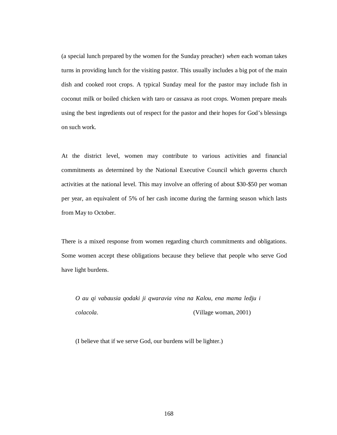(a special lunch prepared by the women for the Sunday preacher) *when* each woman takes turns in providing lunch for the visiting pastor. This usually includes a big pot of the main dish and cooked root crops. A typical Sunday meal for the pastor may include fish in coconut milk or boiled chicken with taro or cassava as root crops. Women prepare meals using the best ingredients out of respect for the pastor and their hopes for God's blessings on such work.

At the district level, women may contribute to various activities and financial commitments as determined by the National Executive Council which governs church activities at the national level. This may involve an offering of about \$30-\$50 per woman per year, an equivalent of 5% of her cash income during the farming season which lasts from May to October.

There is a mixed response from women regarding church commitments and obligations. Some women accept these obligations because they believe that people who serve God have light burdens.

*O au qi vabausia qodaki ji qwaravia vina na Kalou, ena mama ledju i colacola.* (Village woman, 2001)

(I believe that if we serve God, our burdens will be lighter.)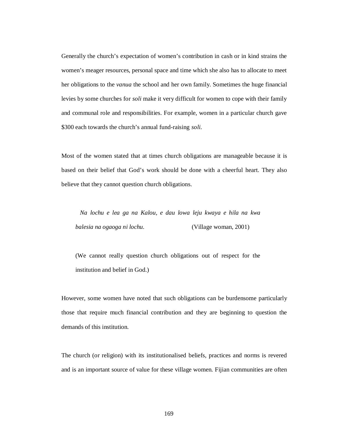Generally the church's expectation of women's contribution in cash or in kind strains the women's meager resources, personal space and time which she also has to allocate to meet her obligations to the *vanua* the school and her own family. Sometimes the huge financial levies by some churches for *soli* make it very difficult for women to cope with their family and communal role and responsibilities. For example, women in a particular church gave \$300 each towards the church's annual fund-raising *soli.*

Most of the women stated that at times church obligations are manageable because it is based on their belief that God's work should be done with a cheerful heart. They also believe that they cannot question church obligations.

*Na lochu e lea ga na Kalou, e dau lowa leju kwaya e hila na kwa balesia na ogaoga ni lochu.* (Village woman, 2001)

(We cannot really question church obligations out of respect for the institution and belief in God.)

However, some women have noted that such obligations can be burdensome particularly those that require much financial contribution and they are beginning to question the demands of this institution.

The church (or religion) with its institutionalised beliefs, practices and norms is revered and is an important source of value for these village women. Fijian communities are often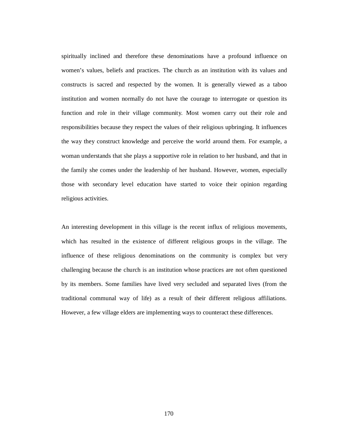spiritually inclined and therefore these denominations have a profound influence on women's values, beliefs and practices. The church as an institution with its values and constructs is sacred and respected by the women. It is generally viewed as a taboo institution and women normally do not have the courage to interrogate or question its function and role in their village community. Most women carry out their role and responsibilities because they respect the values of their religious upbringing. It influences the way they construct knowledge and perceive the world around them. For example, a woman understands that she plays a supportive role in relation to her husband, and that in the family she comes under the leadership of her husband. However, women, especially those with secondary level education have started to voice their opinion regarding religious activities.

An interesting development in this village is the recent influx of religious movements, which has resulted in the existence of different religious groups in the village. The influence of these religious denominations on the community is complex but very challenging because the church is an institution whose practices are not often questioned by its members. Some families have lived very secluded and separated lives (from the traditional communal way of life) as a result of their different religious affiliations. However, a few village elders are implementing ways to counteract these differences.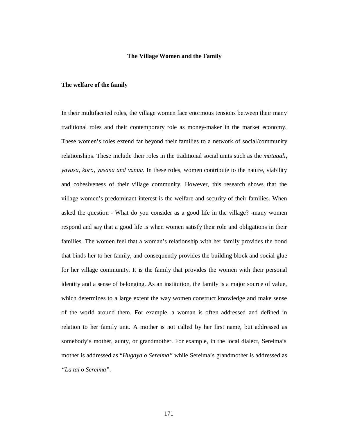### **The Village Women and the Family**

## **The welfare of the family**

In their multifaceted roles, the village women face enormous tensions between their many traditional roles and their contemporary role as money-maker in the market economy. These women's roles extend far beyond their families to a network of social/community relationships. These include their roles in the traditional social units such as the *mataqali, yavusa, koro, yasana and vanua.* In these roles, women contribute to the nature, viability and cohesiveness of their village community. However, this research shows that the village women's predominant interest is the welfare and security of their families. When asked the question - What do you consider as a good life in the village? -many women respond and say that a good life is when women satisfy their role and obligations in their families. The women feel that a woman's relationship with her family provides the bond that binds her to her family, and consequently provides the building block and social glue for her village community. It is the family that provides the women with their personal identity and a sense of belonging. As an institution, the family is a major source of value, which determines to a large extent the way women construct knowledge and make sense of the world around them. For example, a woman is often addressed and defined in relation to her family unit. A mother is not called by her first name, but addressed as somebody's mother, aunty, or grandmother. For example, in the local dialect, Sereima's mother is addressed as "*Hugaya o Sereima"* while Sereima's grandmother is addressed as *"La tai o Sereima".*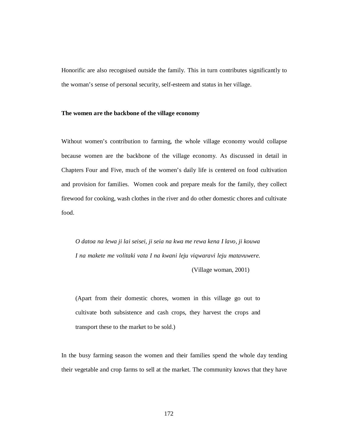Honorific are also recognised outside the family. This in turn contributes significantly to the woman's sense of personal security, self-esteem and status in her village.

## **The women are the backbone of the village economy**

Without women's contribution to farming, the whole village economy would collapse because women are the backbone of the village economy. As discussed in detail in Chapters Four and Five, much of the women's daily life is centered on food cultivation and provision for families. Women cook and prepare meals for the family, they collect firewood for cooking, wash clothes in the river and do other domestic chores and cultivate food.

*O datoa na lewa ji lai seisei, ji seia na kwa me rewa kena I lavo, ji kouwa I na makete me volitaki vata I na kwani leju viqwaravi leju matavuwere.* (Village woman, 2001)

(Apart from their domestic chores, women in this village go out to cultivate both subsistence and cash crops, they harvest the crops and transport these to the market to be sold.)

In the busy farming season the women and their families spend the whole day tending their vegetable and crop farms to sell at the market. The community knows that they have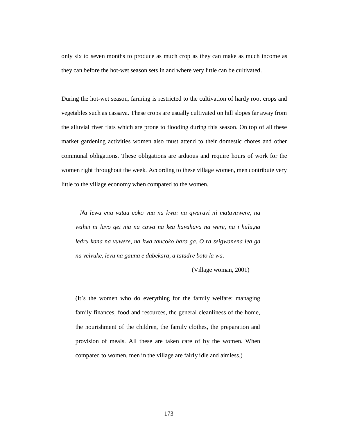only six to seven months to produce as much crop as they can make as much income as they can before the hot-wet season sets in and where very little can be cultivated.

During the hot-wet season, farming is restricted to the cultivation of hardy root crops and vegetables such as cassava. These crops are usually cultivated on hill slopes far away from the alluvial river flats which are prone to flooding during this season. On top of all these market gardening activities women also must attend to their domestic chores and other communal obligations. These obligations are arduous and require hours of work for the women right throughout the week. According to these village women, men contribute very little to the village economy when compared to the women.

*Na lewa ena vatau coko vua na kwa: na qwaravi ni matavuwere, na wahei ni lavo qei nia na cawa na kea havahava na were, na i hulu,na ledru kana na vuwere, na kwa taucoko hara ga. O ra seigwanena lea ga na veivuke, levu na gauna e dabekara, a tatadre boto la wa.* 

(Village woman, 2001)

(It's the women who do everything for the family welfare: managing family finances, food and resources, the general cleanliness of the home, the nourishment of the children, the family clothes, the preparation and provision of meals. All these are taken care of by the women. When compared to women, men in the village are fairly idle and aimless.)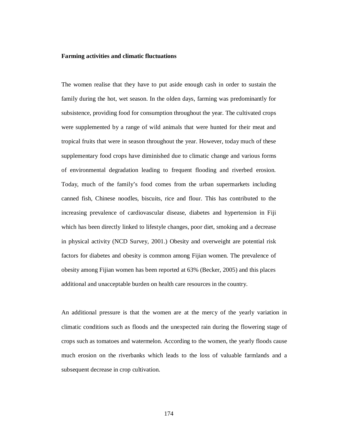### **Farming activities and climatic fluctuations**

The women realise that they have to put aside enough cash in order to sustain the family during the hot, wet season. In the olden days, farming was predominantly for subsistence, providing food for consumption throughout the year. The cultivated crops were supplemented by a range of wild animals that were hunted for their meat and tropical fruits that were in season throughout the year. However, today much of these supplementary food crops have diminished due to climatic change and various forms of environmental degradation leading to frequent flooding and riverbed erosion. Today, much of the family's food comes from the urban supermarkets including canned fish, Chinese noodles, biscuits, rice and flour. This has contributed to the increasing prevalence of cardiovascular disease, diabetes and hypertension in Fiji which has been directly linked to lifestyle changes, poor diet, smoking and a decrease in physical activity (NCD Survey, 2001.) Obesity and overweight are potential risk factors for diabetes and obesity is common among Fijian women. The prevalence of obesity among Fijian women has been reported at 63% (Becker, 2005) and this places additional and unacceptable burden on health care resources in the country.

An additional pressure is that the women are at the mercy of the yearly variation in climatic conditions such as floods and the unexpected rain during the flowering stage of crops such as tomatoes and watermelon. According to the women, the yearly floods cause much erosion on the riverbanks which leads to the loss of valuable farmlands and a subsequent decrease in crop cultivation.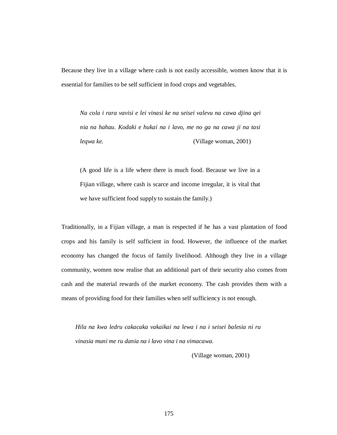Because they live in a village where cash is not easily accessible, women know that it is essential for families to be self sufficient in food crops and vegetables.

*Na cola i rara vavisi e lei vinasi ke na seisei valevu na cawa djina qei nia na hahau. Kodaki e hukai na i lavo, me no ga na cawa ji na tasi leqwa ke.* (Village woman, 2001)

(A good life is a life where there is much food. Because we live in a Fijian village, where cash is scarce and income irregular, it is vital that we have sufficient food supply to sustain the family.)

Traditionally, in a Fijian village, a man is respected if he has a vast plantation of food crops and his family is self sufficient in food. However, the influence of the market economy has changed the focus of family livelihood. Although they live in a village community, women now realise that an additional part of their security also comes from cash and the material rewards of the market economy. The cash provides them with a means of providing food for their families when self sufficiency is not enough.

*Hila na kwa ledru cakacaka vakaikai na lewa i na i seisei balesia ni ru vinasia muni me ru dania na i lavo vina i na vimacawa.* 

(Village woman, 2001)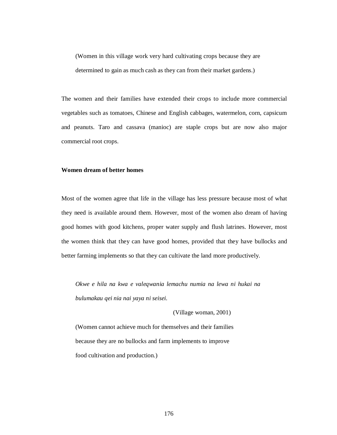(Women in this village work very hard cultivating crops because they are determined to gain as much cash as they can from their market gardens.)

The women and their families have extended their crops to include more commercial vegetables such as tomatoes, Chinese and English cabbages, watermelon, corn, capsicum and peanuts. Taro and cassava (manioc) are staple crops but are now also major commercial root crops.

# **Women dream of better homes**

Most of the women agree that life in the village has less pressure because most of what they need is available around them. However, most of the women also dream of having good homes with good kitchens, proper water supply and flush latrines. However, most the women think that they can have good homes, provided that they have bullocks and better farming implements so that they can cultivate the land more productively.

*Okwe e hila na kwa e valeqwania lemachu numia na lewa ni hukai na bulumakau qei nia nai yaya ni seisei.*

(Village woman, 2001)

(Women cannot achieve much for themselves and their families because they are no bullocks and farm implements to improve food cultivation and production.)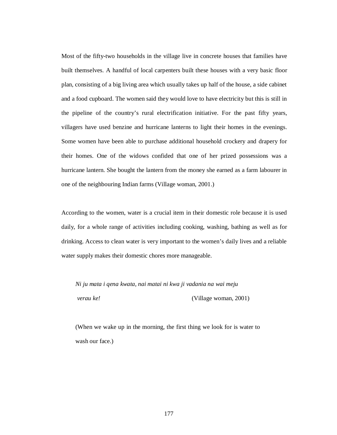Most of the fifty-two households in the village live in concrete houses that families have built themselves. A handful of local carpenters built these houses with a very basic floor plan, consisting of a big living area which usually takes up half of the house, a side cabinet and a food cupboard. The women said they would love to have electricity but this is still in the pipeline of the country's rural electrification initiative. For the past fifty years, villagers have used benzine and hurricane lanterns to light their homes in the evenings. Some women have been able to purchase additional household crockery and drapery for their homes. One of the widows confided that one of her prized possessions was a hurricane lantern. She bought the lantern from the money she earned as a farm labourer in one of the neighbouring Indian farms (Village woman, 2001.)

According to the women, water is a crucial item in their domestic role because it is used daily, for a whole range of activities including cooking, washing, bathing as well as for drinking. Access to clean water is very important to the women's daily lives and a reliable water supply makes their domestic chores more manageable.

*Ni ju mata i qena kwata, nai matai ni kwa ji vadania na wai meju verau ke!* (Village woman, 2001)

(When we wake up in the morning, the first thing we look for is water to wash our face.)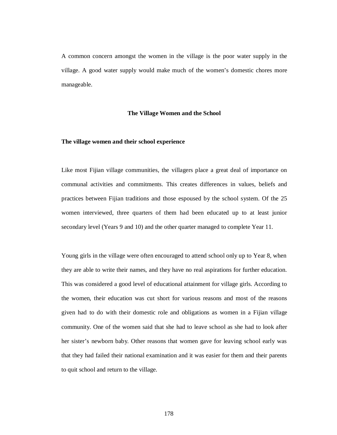A common concern amongst the women in the village is the poor water supply in the village. A good water supply would make much of the women's domestic chores more manageable.

## **The Village Women and the School**

## **The village women and their school experience**

Like most Fijian village communities, the villagers place a great deal of importance on communal activities and commitments. This creates differences in values, beliefs and practices between Fijian traditions and those espoused by the school system. Of the 25 women interviewed, three quarters of them had been educated up to at least junior secondary level (Years 9 and 10) and the other quarter managed to complete Year 11.

Young girls in the village were often encouraged to attend school only up to Year 8, when they are able to write their names, and they have no real aspirations for further education. This was considered a good level of educational attainment for village girls. According to the women, their education was cut short for various reasons and most of the reasons given had to do with their domestic role and obligations as women in a Fijian village community. One of the women said that she had to leave school as she had to look after her sister's newborn baby. Other reasons that women gave for leaving school early was that they had failed their national examination and it was easier for them and their parents to quit school and return to the village.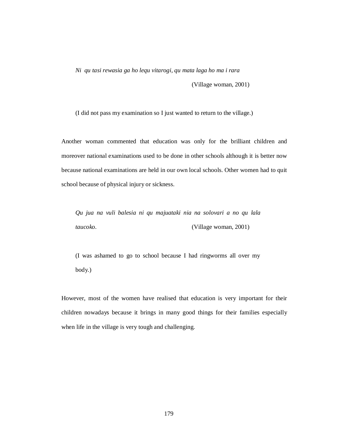*Ni qu tasi rewasia ga ho lequ vitarogi, qu mata laga ho ma i rara* 

(Village woman, 2001)

(I did not pass my examination so I just wanted to return to the village.)

Another woman commented that education was only for the brilliant children and moreover national examinations used to be done in other schools although it is better now because national examinations are held in our own local schools. Other women had to quit school because of physical injury or sickness.

*Qu jua na vuli balesia ni qu majuataki nia na solovari a no qu lala taucoko.* (Village woman, 2001)

(I was ashamed to go to school because I had ringworms all over my body.)

However, most of the women have realised that education is very important for their children nowadays because it brings in many good things for their families especially when life in the village is very tough and challenging.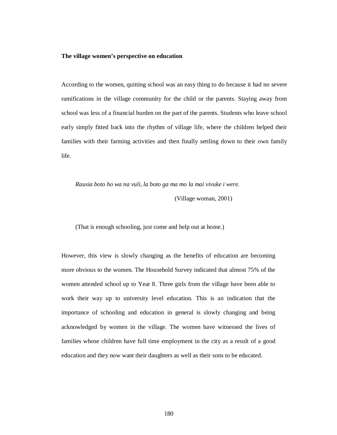### **The village women's perspective on education**

According to the women, quitting school was an easy thing to do because it had no severe ramifications in the village community for the child or the parents. Staying away from school was less of a financial burden on the part of the parents. Students who leave school early simply fitted back into the rhythm of village life, where the children helped their families with their farming activities and then finally settling down to their own family life.

*Rausia boto ho wa na vuli, la boto ga ma mo la mai vivuke i were.* 

(Village woman, 2001)

(That is enough schooling, just come and help out at home.)

However, this view is slowly changing as the benefits of education are becoming more obvious to the women. The Household Survey indicated that almost 75% of the women attended school up to Year 8. Three girls from the village have been able to work their way up to university level education. This is an indication that the importance of schooling and education in general is slowly changing and being acknowledged by women in the village. The women have witnessed the lives of families whose children have full time employment in the city as a result of a good education and they now want their daughters as well as their sons to be educated.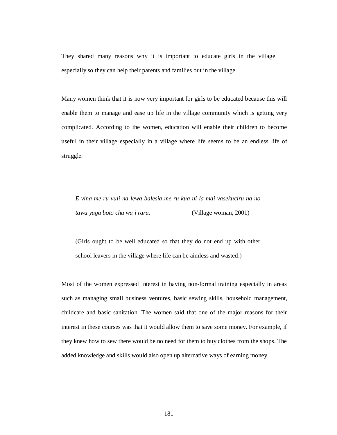They shared many reasons why it is important to educate girls in the village especially so they can help their parents and families out in the village.

Many women think that it is now very important for girls to be educated because this will enable them to manage and ease up life in the village community which is getting very complicated. According to the women, education will enable their children to become useful in their village especially in a village where life seems to be an endless life of struggle.

*E vina me ru vuli na lewa balesia me ru kua ni la mai vasekuciru na no tawa yaga boto chu wa i rara.* (Village woman, 2001)

(Girls ought to be well educated so that they do not end up with other school leavers in the village where life can be aimless and wasted.)

Most of the women expressed interest in having non-formal training especially in areas such as managing small business ventures, basic sewing skills, household management, childcare and basic sanitation. The women said that one of the major reasons for their interest in these courses was that it would allow them to save some money. For example, if they knew how to sew there would be no need for them to buy clothes from the shops. The added knowledge and skills would also open up alternative ways of earning money.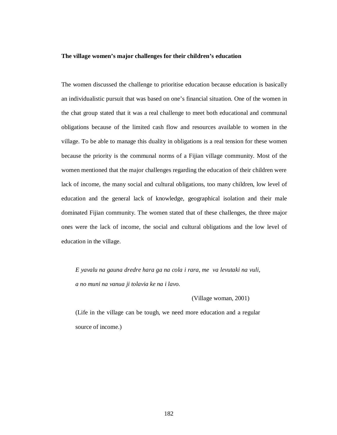## **The village women's major challenges for their children's education**

The women discussed the challenge to prioritise education because education is basically an individualistic pursuit that was based on one's financial situation. One of the women in the chat group stated that it was a real challenge to meet both educational and communal obligations because of the limited cash flow and resources available to women in the village. To be able to manage this duality in obligations is a real tension for these women because the priority is the communal norms of a Fijian village community. Most of the women mentioned that the major challenges regarding the education of their children were lack of income, the many social and cultural obligations, too many children, low level of education and the general lack of knowledge, geographical isolation and their male dominated Fijian community. The women stated that of these challenges, the three major ones were the lack of income, the social and cultural obligations and the low level of education in the village.

*E yavalu na gauna dredre hara ga na cola i rara, me va levutaki na vuli, a no muni na vanua ji tolavia ke na i lavo.* 

(Village woman, 2001)

(Life in the village can be tough, we need more education and a regular source of income.)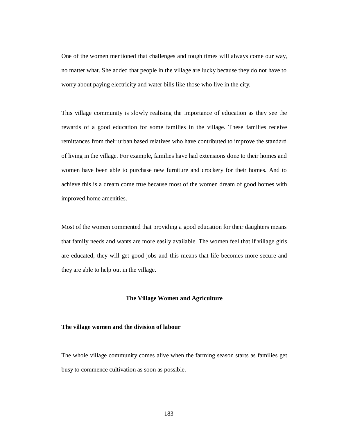One of the women mentioned that challenges and tough times will always come our way, no matter what. She added that people in the village are lucky because they do not have to worry about paying electricity and water bills like those who live in the city.

This village community is slowly realising the importance of education as they see the rewards of a good education for some families in the village. These families receive remittances from their urban based relatives who have contributed to improve the standard of living in the village. For example, families have had extensions done to their homes and women have been able to purchase new furniture and crockery for their homes. And to achieve this is a dream come true because most of the women dream of good homes with improved home amenities.

Most of the women commented that providing a good education for their daughters means that family needs and wants are more easily available. The women feel that if village girls are educated, they will get good jobs and this means that life becomes more secure and they are able to help out in the village.

### **The Village Women and Agriculture**

## **The village women and the division of labour**

The whole village community comes alive when the farming season starts as families get busy to commence cultivation as soon as possible.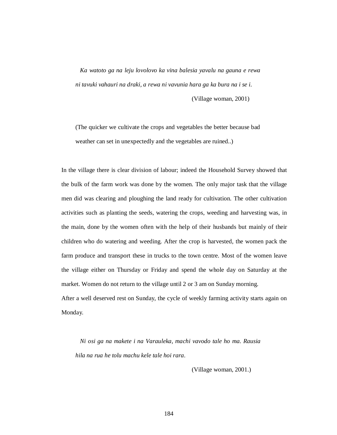*Ka watoto ga na leju lovolovo ka vina balesia yavalu na gauna e rewa ni tavuki vahauri na draki, a rewa ni vavunia hara ga ka bura na i se i.* 

(Village woman, 2001)

(The quicker we cultivate the crops and vegetables the better because bad weather can set in unexpectedly and the vegetables are ruined..)

In the village there is clear division of labour; indeed the Household Survey showed that the bulk of the farm work was done by the women. The only major task that the village men did was clearing and ploughing the land ready for cultivation. The other cultivation activities such as planting the seeds, watering the crops, weeding and harvesting was, in the main, done by the women often with the help of their husbands but mainly of their children who do watering and weeding. After the crop is harvested, the women pack the farm produce and transport these in trucks to the town centre. Most of the women leave the village either on Thursday or Friday and spend the whole day on Saturday at the market. Women do not return to the village until 2 or 3 am on Sunday morning.

After a well deserved rest on Sunday, the cycle of weekly farming activity starts again on Monday.

*Ni osi ga na makete i na Varauleka, machi vavodo tale ho ma. Rausia hila na rua he tolu machu kele tale hoi rara.* 

(Village woman, 2001.)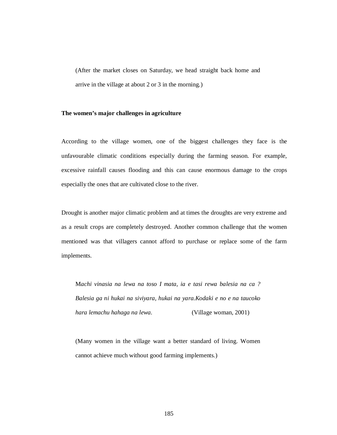(After the market closes on Saturday, we head straight back home and arrive in the village at about 2 or 3 in the morning.)

# **The women's major challenges in agriculture**

According to the village women, one of the biggest challenges they face is the unfavourable climatic conditions especially during the farming season. For example, excessive rainfall causes flooding and this can cause enormous damage to the crops especially the ones that are cultivated close to the river.

Drought is another major climatic problem and at times the droughts are very extreme and as a result crops are completely destroyed. Another common challenge that the women mentioned was that villagers cannot afford to purchase or replace some of the farm implements.

M*achi vinasia na lewa na toso I mata, ia e tasi rewa balesia na ca ? Balesia ga ni hukai na siviyara, hukai na yara.Kodaki e no e na taucoko hara lemachu hahaga na lewa.* (Village woman, 2001)

(Many women in the village want a better standard of living. Women cannot achieve much without good farming implements.)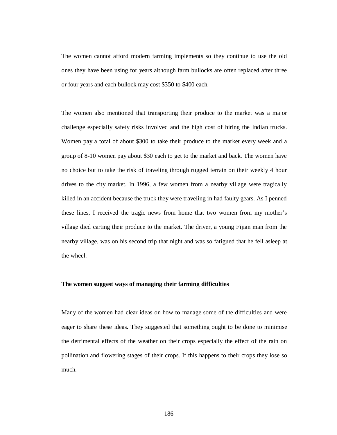The women cannot afford modern farming implements so they continue to use the old ones they have been using for years although farm bullocks are often replaced after three or four years and each bullock may cost \$350 to \$400 each.

The women also mentioned that transporting their produce to the market was a major challenge especially safety risks involved and the high cost of hiring the Indian trucks. Women pay a total of about \$300 to take their produce to the market every week and a group of 8-10 women pay about \$30 each to get to the market and back. The women have no choice but to take the risk of traveling through rugged terrain on their weekly 4 hour drives to the city market. In 1996, a few women from a nearby village were tragically killed in an accident because the truck they were traveling in had faulty gears. As I penned these lines, I received the tragic news from home that two women from my mother's village died carting their produce to the market. The driver, a young Fijian man from the nearby village, was on his second trip that night and was so fatigued that he fell asleep at the wheel.

# **The women suggest ways of managing their farming difficulties**

Many of the women had clear ideas on how to manage some of the difficulties and were eager to share these ideas. They suggested that something ought to be done to minimise the detrimental effects of the weather on their crops especially the effect of the rain on pollination and flowering stages of their crops. If this happens to their crops they lose so much.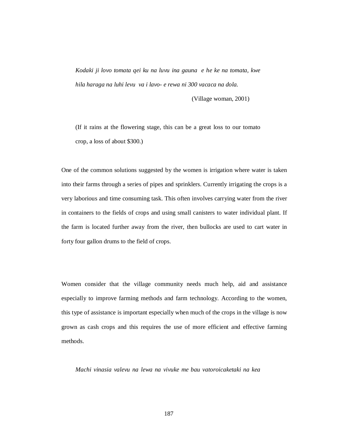*Kodaki ji lovo tomata qei ku na luvu ina gauna e he ke na tomata, kwe hila haraga na luhi levu va i lavo- e rewa ni 300 vacaca na dola.* 

(Village woman, 2001)

(If it rains at the flowering stage, this can be a great loss to our tomato crop, a loss of about \$300.)

One of the common solutions suggested by the women is irrigation where water is taken into their farms through a series of pipes and sprinklers. Currently irrigating the crops is a very laborious and time consuming task. This often involves carrying water from the river in containers to the fields of crops and using small canisters to water individual plant. If the farm is located further away from the river, then bullocks are used to cart water in forty four gallon drums to the field of crops.

Women consider that the village community needs much help, aid and assistance especially to improve farming methods and farm technology. According to the women, this type of assistance is important especially when much of the crops in the village is now grown as cash crops and this requires the use of more efficient and effective farming methods.

*Machi vinasia valevu na lewa na vivuke me bau vatoroicaketaki na kea*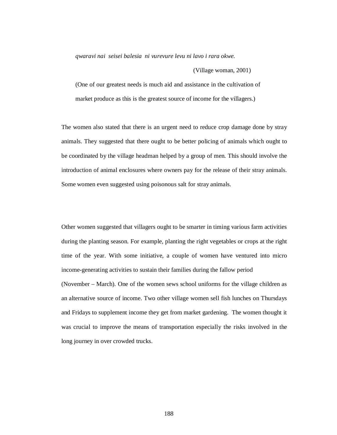*qwaravi nai seisei balesia ni vurevure levu ni lavo i rara okwe.* 

(Village woman, 2001)

(One of our greatest needs is much aid and assistance in the cultivation of market produce as this is the greatest source of income for the villagers.)

The women also stated that there is an urgent need to reduce crop damage done by stray animals. They suggested that there ought to be better policing of animals which ought to be coordinated by the village headman helped by a group of men. This should involve the introduction of animal enclosures where owners pay for the release of their stray animals. Some women even suggested using poisonous salt for stray animals.

Other women suggested that villagers ought to be smarter in timing various farm activities during the planting season. For example, planting the right vegetables or crops at the right time of the year. With some initiative, a couple of women have ventured into micro income-generating activities to sustain their families during the fallow period

(November – March). One of the women sews school uniforms for the village children as an alternative source of income. Two other village women sell fish lunches on Thursdays and Fridays to supplement income they get from market gardening. The women thought it was crucial to improve the means of transportation especially the risks involved in the long journey in over crowded trucks.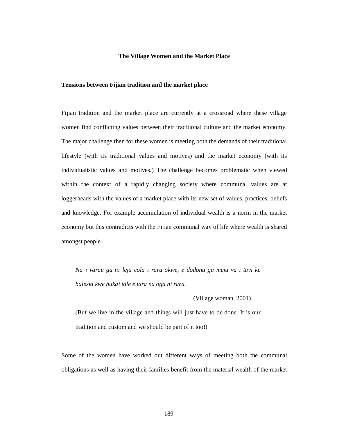## **The Village Women and the Market Place**

# **Tensions between Fijian tradition and the market place**

Fijian tradition and the market place are currently at a crossroad where these village women find conflicting values between their traditional culture and the market economy. The major challenge then for these women is meeting both the demands of their traditional lifestyle (with its traditional values and motives) and the market economy (with its individualistic values and motives.) The challenge becomes problematic when viewed within the context of a rapidly changing society where communal values are at loggerheads with the values of a market place with its new set of values, practices, beliefs and knowledge. For example accumulation of individual wealth is a norm in the market economy but this contradicts with the Fijian communal way of life where wealth is shared amongst people.

*Na i varau ga ni leju cola i rara okwe, e dodonu ga meju va i tavi ke balesia kwe hukai tale e tara na oga ni rara.* 

(Village woman, 2001)

(But we live in the village and things will just have to be done. It is our tradition and custom and we should be part of it too!)

Some of the women have worked out different ways of meeting both the communal obligations as well as having their families benefit from the material wealth of the market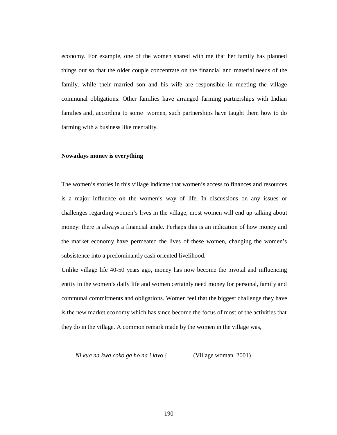economy. For example, one of the women shared with me that her family has planned things out so that the older couple concentrate on the financial and material needs of the family, while their married son and his wife are responsible in meeting the village communal obligations. Other families have arranged farming partnerships with Indian families and, according to some women, such partnerships have taught them how to do farming with a business like mentality.

## **Nowadays money is everything**

The women's stories in this village indicate that women's access to finances and resources is a major influence on the women's way of life. In discussions on any issues or challenges regarding women's lives in the village, most women will end up talking about money: there is always a financial angle. Perhaps this is an indication of how money and the market economy have permeated the lives of these women, changing the women's subsistence into a predominantly cash oriented livelihood.

Unlike village life 40-50 years ago, money has now become the pivotal and influencing entity in the women's daily life and women certainly need money for personal, family and communal commitments and obligations. Women feel that the biggest challenge they have is the new market economy which has since become the focus of most of the activities that they do in the village. A common remark made by the women in the village was,

*Ni kua na kwa coko ga ho na i lavo !* (Village woman. 2001)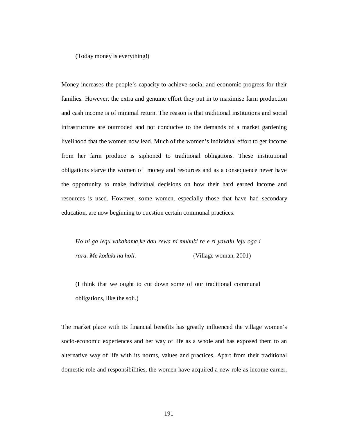(Today money is everything!)

Money increases the people's capacity to achieve social and economic progress for their families. However, the extra and genuine effort they put in to maximise farm production and cash income is of minimal return. The reason is that traditional institutions and social infrastructure are outmoded and not conducive to the demands of a market gardening livelihood that the women now lead. Much of the women's individual effort to get income from her farm produce is siphoned to traditional obligations. These institutional obligations starve the women of money and resources and as a consequence never have the opportunity to make individual decisions on how their hard earned income and resources is used. However, some women, especially those that have had secondary education, are now beginning to question certain communal practices.

*Ho ni ga lequ vakahama,ke dau rewa ni muhuki re e ri yavalu leju oga i rara. Me kodaki na holi.* (Village woman, 2001)

(I think that we ought to cut down some of our traditional communal obligations, like the soli.)

The market place with its financial benefits has greatly influenced the village women's socio-economic experiences and her way of life as a whole and has exposed them to an alternative way of life with its norms, values and practices. Apart from their traditional domestic role and responsibilities, the women have acquired a new role as income earner,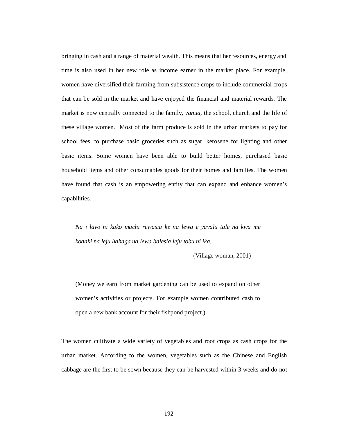bringing in cash and a range of material wealth. This means that her resources, energy and time is also used in her new role as income earner in the market place. For example, women have diversified their farming from subsistence crops to include commercial crops that can be sold in the market and have enjoyed the financial and material rewards. The market is now centrally connected to the family, *vanua,* the school, church and the life of these village women. Most of the farm produce is sold in the urban markets to pay for school fees, to purchase basic groceries such as sugar, kerosene for lighting and other basic items. Some women have been able to build better homes, purchased basic household items and other consumables goods for their homes and families. The women have found that cash is an empowering entity that can expand and enhance women's capabilities.

*Na i lavo ni kako machi rewasia ke na lewa e yavalu tale na kwa me kodaki na leju hahaga na lewa balesia leju tobu ni ika.* 

(Village woman, 2001)

(Money we earn from market gardening can be used to expand on other women's activities or projects. For example women contributed cash to open a new bank account for their fishpond project.)

The women cultivate a wide variety of vegetables and root crops as cash crops for the urban market. According to the women, vegetables such as the Chinese and English cabbage are the first to be sown because they can be harvested within 3 weeks and do not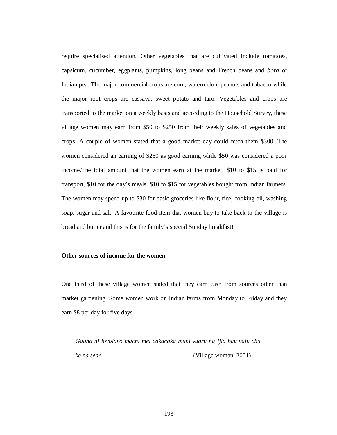require specialised attention. Other vegetables that are cultivated include tomatoes, capsicum, cucumber, eggplants, pumpkins, long beans and French beans and *bora* or Indian pea. The major commercial crops are corn, watermelon, peanuts and tobacco while the major root crops are cassava, sweet potato and taro. Vegetables and crops are transported to the market on a weekly basis and according to the Household Survey, these village women may earn from \$50 to \$250 from their weekly sales of vegetables and crops. A couple of women stated that a good market day could fetch them \$300. The women considered an earning of \$250 as good earning while \$50 was considered a poor income.The total amount that the women earn at the market, \$10 to \$15 is paid for transport, \$10 for the day's meals, \$10 to \$15 for vegetables bought from Indian farmers. The women may spend up to \$30 for basic groceries like flour, rice, cooking oil, washing soap, sugar and salt. A favourite food item that women buy to take back to the village is bread and butter and this is for the family's special Sunday breakfast!

## **Other sources of income for the women**

One third of these village women stated that they earn cash from sources other than market gardening. Some women work on Indian farms from Monday to Friday and they earn \$8 per day for five days.

*Gauna ni lovolovo machi mei cakacaka muni vuaru na Ijia bau valu chu ke na sede.* (Village woman, 2001)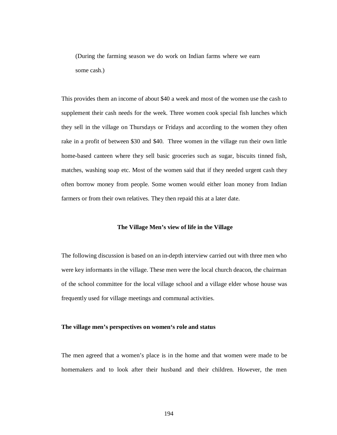(During the farming season we do work on Indian farms where we earn some cash.)

This provides them an income of about \$40 a week and most of the women use the cash to supplement their cash needs for the week. Three women cook special fish lunches which they sell in the village on Thursdays or Fridays and according to the women they often rake in a profit of between \$30 and \$40. Three women in the village run their own little home-based canteen where they sell basic groceries such as sugar, biscuits tinned fish, matches, washing soap etc. Most of the women said that if they needed urgent cash they often borrow money from people. Some women would either loan money from Indian farmers or from their own relatives. They then repaid this at a later date.

## **The Village Men's view of life in the Village**

The following discussion is based on an in-depth interview carried out with three men who were key informants in the village. These men were the local church deacon, the chairman of the school committee for the local village school and a village elder whose house was frequently used for village meetings and communal activities.

## **The village men's perspectives on women's role and status**

The men agreed that a women's place is in the home and that women were made to be homemakers and to look after their husband and their children. However, the men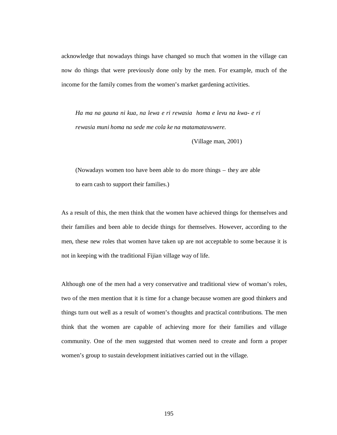acknowledge that nowadays things have changed so much that women in the village can now do things that were previously done only by the men. For example, much of the income for the family comes from the women's market gardening activities.

*Ha ma na gauna ni kua, na lewa e ri rewasia homa e levu na kwa- e ri rewasia muni homa na sede me cola ke na matamatavuwere.* 

(Village man, 2001)

(Nowadays women too have been able to do more things – they are able to earn cash to support their families.)

As a result of this, the men think that the women have achieved things for themselves and their families and been able to decide things for themselves. However, according to the men, these new roles that women have taken up are not acceptable to some because it is not in keeping with the traditional Fijian village way of life.

Although one of the men had a very conservative and traditional view of woman's roles, two of the men mention that it is time for a change because women are good thinkers and things turn out well as a result of women's thoughts and practical contributions. The men think that the women are capable of achieving more for their families and village community. One of the men suggested that women need to create and form a proper women's group to sustain development initiatives carried out in the village.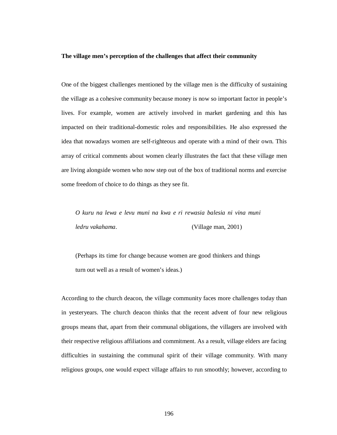## **The village men's perception of the challenges that affect their community**

One of the biggest challenges mentioned by the village men is the difficulty of sustaining the village as a cohesive community because money is now so important factor in people's lives. For example, women are actively involved in market gardening and this has impacted on their traditional-domestic roles and responsibilities. He also expressed the idea that nowadays women are self-righteous and operate with a mind of their own. This array of critical comments about women clearly illustrates the fact that these village men are living alongside women who now step out of the box of traditional norms and exercise some freedom of choice to do things as they see fit.

*O kuru na lewa e levu muni na kwa e ri rewasia balesia ni vina muni ledru vakahama.* (Village man, 2001)

(Perhaps its time for change because women are good thinkers and things turn out well as a result of women's ideas.)

According to the church deacon, the village community faces more challenges today than in yesteryears. The church deacon thinks that the recent advent of four new religious groups means that, apart from their communal obligations, the villagers are involved with their respective religious affiliations and commitment. As a result, village elders are facing difficulties in sustaining the communal spirit of their village community. With many religious groups, one would expect village affairs to run smoothly; however, according to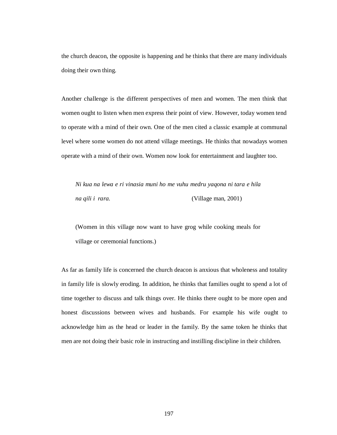the church deacon, the opposite is happening and he thinks that there are many individuals doing their own thing.

Another challenge is the different perspectives of men and women. The men think that women ought to listen when men express their point of view. However, today women tend to operate with a mind of their own. One of the men cited a classic example at communal level where some women do not attend village meetings. He thinks that nowadays women operate with a mind of their own. Women now look for entertainment and laughter too.

*Ni kua na lewa e ri vinasia muni ho me vuhu medru yaqona ni tara e hila na qili i rara.* (Village man, 2001)

(Women in this village now want to have grog while cooking meals for village or ceremonial functions.)

As far as family life is concerned the church deacon is anxious that wholeness and totality in family life is slowly eroding. In addition, he thinks that families ought to spend a lot of time together to discuss and talk things over. He thinks there ought to be more open and honest discussions between wives and husbands. For example his wife ought to acknowledge him as the head or leader in the family. By the same token he thinks that men are not doing their basic role in instructing and instilling discipline in their children.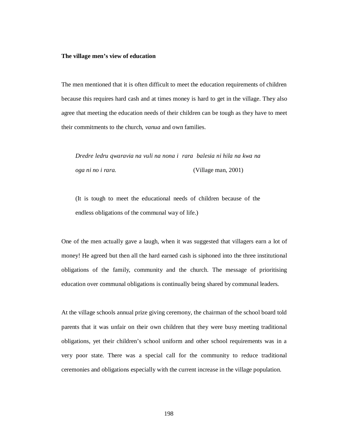## **The village men's view of education**

The men mentioned that it is often difficult to meet the education requirements of children because this requires hard cash and at times money is hard to get in the village. They also agree that meeting the education needs of their children can be tough as they have to meet their commitments to the church, *vanua* and own families.

*Dredre ledru qwaravia na vuli na nona i rara balesia ni hila na kwa na oga ni no i rara.* (Village man, 2001)

(It is tough to meet the educational needs of children because of the endless obligations of the communal way of life.)

One of the men actually gave a laugh, when it was suggested that villagers earn a lot of money! He agreed but then all the hard earned cash is siphoned into the three institutional obligations of the family, community and the church. The message of prioritising education over communal obligations is continually being shared by communal leaders.

At the village schools annual prize giving ceremony, the chairman of the school board told parents that it was unfair on their own children that they were busy meeting traditional obligations, yet their children's school uniform and other school requirements was in a very poor state. There was a special call for the community to reduce traditional ceremonies and obligations especially with the current increase in the village population.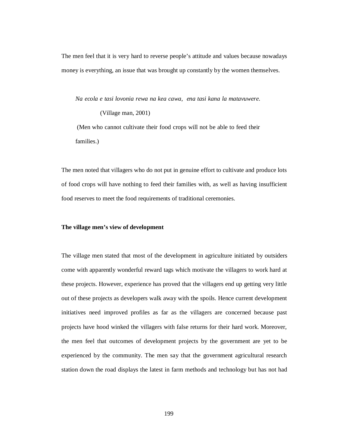The men feel that it is very hard to reverse people's attitude and values because nowadays money is everything, an issue that was brought up constantly by the women themselves.

*Na ecola e tasi lovonia rewa na kea cawa, ena tasi kana la matavuwere.* 

(Village man, 2001) (Men who cannot cultivate their food crops will not be able to feed their families.)

The men noted that villagers who do not put in genuine effort to cultivate and produce lots of food crops will have nothing to feed their families with, as well as having insufficient food reserves to meet the food requirements of traditional ceremonies.

## **The village men's view of development**

The village men stated that most of the development in agriculture initiated by outsiders come with apparently wonderful reward tags which motivate the villagers to work hard at these projects. However, experience has proved that the villagers end up getting very little out of these projects as developers walk away with the spoils. Hence current development initiatives need improved profiles as far as the villagers are concerned because past projects have hood winked the villagers with false returns for their hard work. Moreover, the men feel that outcomes of development projects by the government are yet to be experienced by the community. The men say that the government agricultural research station down the road displays the latest in farm methods and technology but has not had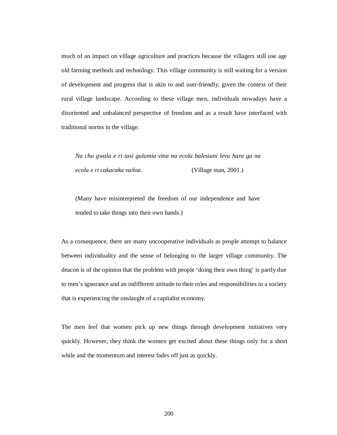much of an impact on village agriculture and practices because the villagers still use age old farming methods and technology. This village community is still waiting for a version of development and progress that is akin to and user-friendly, given the context of their rural village landscape. According to these village men, individuals nowadays have a disoriented and unbalanced perspective of freedom and as a result have interfaced with traditional norms in the village.

*Na chu gwala e ri tasi gulumia vina na ecola balesiani levu hara ga na ecola e ri cakacaka vailoa.* (Village man, 2001.)

(Many have misinterpreted the freedom of our independence and have tended to take things into their own hands.)

As a consequence, there are many uncooperative individuals as people attempt to balance between individuality and the sense of belonging to the larger village community. The deacon is of the opinion that the problem with people 'doing their own thing' is partly due to men's ignorance and an indifferent attitude to their roles and responsibilities in a society that is experiencing the onslaught of a capitalist economy.

The men feel that women pick up new things through development initiatives very quickly. However, they think the women get excited about these things only for a short while and the momentum and interest fades off just as quickly.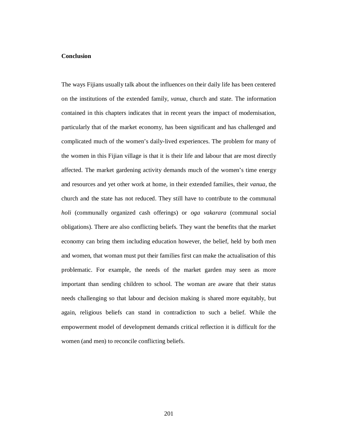## **Conclusion**

The ways Fijians usually talk about the influences on their daily life has been centered on the institutions of the extended family, *vanua*, church and state. The information contained in this chapters indicates that in recent years the impact of modernisation, particularly that of the market economy, has been significant and has challenged and complicated much of the women's daily-lived experiences. The problem for many of the women in this Fijian village is that it is their life and labour that are most directly affected. The market gardening activity demands much of the women's time energy and resources and yet other work at home, in their extended families, their *vanua*, the church and the state has not reduced. They still have to contribute to the communal *holi* (communally organized cash offerings) or *oga vakarara* (communal social obligations). There are also conflicting beliefs. They want the benefits that the market economy can bring them including education however, the belief, held by both men and women, that woman must put their families first can make the actualisation of this problematic. For example, the needs of the market garden may seen as more important than sending children to school. The woman are aware that their status needs challenging so that labour and decision making is shared more equitably, but again, religious beliefs can stand in contradiction to such a belief. While the empowerment model of development demands critical reflection it is difficult for the women (and men) to reconcile conflicting beliefs.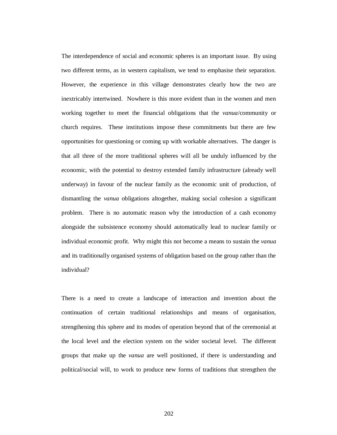The interdependence of social and economic spheres is an important issue. By using two different terms, as in western capitalism, we tend to emphasise their separation. However, the experience in this village demonstrates clearly how the two are inextricably intertwined. Nowhere is this more evident than in the women and men working together to meet the financial obligations that the *vanua*/community or church requires. These institutions impose these commitments but there are few opportunities for questioning or coming up with workable alternatives. The danger is that all three of the more traditional spheres will all be unduly influenced by the economic, with the potential to destroy extended family infrastructure (already well underway) in favour of the nuclear family as the economic unit of production, of dismantling the *vanua* obligations altogether, making social cohesion a significant problem. There is no automatic reason why the introduction of a cash economy alongside the subsistence economy should automatically lead to nuclear family or individual economic profit. Why might this not become a means to sustain the *vanua* and its traditionally organised systems of obligation based on the group rather than the individual?

There is a need to create a landscape of interaction and invention about the continuation of certain traditional relationships and means of organisation, strengthening this sphere and its modes of operation beyond that of the ceremonial at the local level and the election system on the wider societal level. The different groups that make up the *vanua* are well positioned, if there is understanding and political/social will, to work to produce new forms of traditions that strengthen the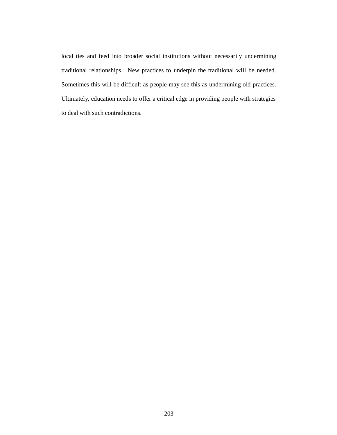local ties and feed into broader social institutions without necessarily undermining traditional relationships. New practices to underpin the traditional will be needed. Sometimes this will be difficult as people may see this as undermining old practices. Ultimately, education needs to offer a critical edge in providing people with strategies to deal with such contradictions.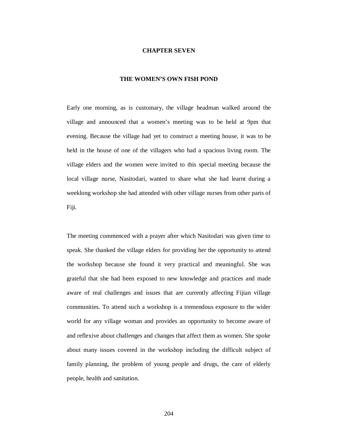## **CHAPTER SEVEN**

# **THE WOMEN'S OWN FISH POND**

Early one morning, as is customary, the village headman walked around the village and announced that a women's meeting was to be held at 9pm that evening. Because the village had yet to construct a meeting house, it was to be held in the house of one of the villagers who had a spacious living room. The village elders and the women were invited to this special meeting because the local village nurse, Nasitodari, wanted to share what she had learnt during a weeklong workshop she had attended with other village nurses from other parts of Fiji.

The meeting commenced with a prayer after which Nasitodari was given time to speak. She thanked the village elders for providing her the opportunity to attend the workshop because she found it very practical and meaningful. She was grateful that she had been exposed to new knowledge and practices and made aware of real challenges and issues that are currently affecting Fijian village communities. To attend such a workshop is a tremendous exposure to the wider world for any village woman and provides an opportunity to become aware of and reflexive about challenges and changes that affect them as women. She spoke about many issues covered in the workshop including the difficult subject of family planning, the problem of young people and drugs, the care of elderly people, health and sanitation.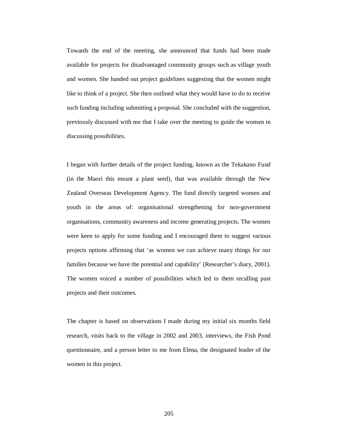Towards the end of the meeting, she announced that funds had been made available for projects for disadvantaged community groups such as village youth and women. She handed out project guidelines suggesting that the women might like to think of a project. She then outlined what they would have to do to receive such funding including submitting a proposal. She concluded with the suggestion, previously discussed with me that I take over the meeting to guide the women in discussing possibilities.

I began with further details of the project funding, known as the Tekakano Fund (in the Maori this meant a plant seed), that was available through the New Zealand Overseas Development Agency. The fund directly targeted women and youth in the areas of: organisational strengthening for non-government organisations, community awareness and income generating projects. The women were keen to apply for some funding and I encouraged them to suggest various projects options affirming that 'as women we can achieve many things for our families because we have the potential and capability' (Researcher's diary, 2001). The women voiced a number of possibilities which led to them recalling past projects and their outcomes.

The chapter is based on observations I made during my initial six months field research, visits back to the village in 2002 and 2003, interviews, the Fish Pond questionnaire, and a person letter to me from Elena, the designated leader of the women in this project.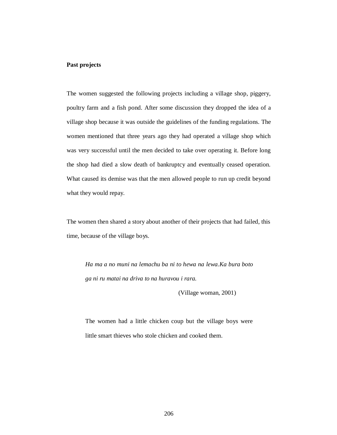# **Past projects**

The women suggested the following projects including a village shop, piggery, poultry farm and a fish pond. After some discussion they dropped the idea of a village shop because it was outside the guidelines of the funding regulations. The women mentioned that three years ago they had operated a village shop which was very successful until the men decided to take over operating it. Before long the shop had died a slow death of bankruptcy and eventually ceased operation. What caused its demise was that the men allowed people to run up credit beyond what they would repay.

The women then shared a story about another of their projects that had failed, this time, because of the village boys.

*Ha ma a no muni na lemachu ba ni to hewa na lewa.Ka bura boto ga ni ru matai na driva to na huravou i rara.*

(Village woman, 2001)

The women had a little chicken coup but the village boys were little smart thieves who stole chicken and cooked them.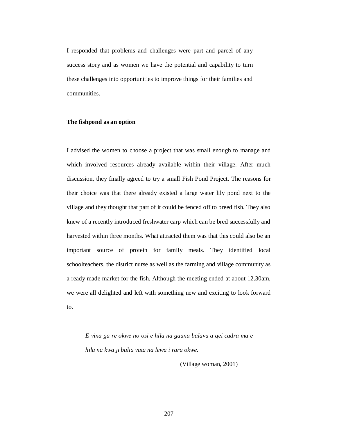I responded that problems and challenges were part and parcel of any success story and as women we have the potential and capability to turn these challenges into opportunities to improve things for their families and communities.

# **The fishpond as an option**

I advised the women to choose a project that was small enough to manage and which involved resources already available within their village. After much discussion, they finally agreed to try a small Fish Pond Project. The reasons for their choice was that there already existed a large water lily pond next to the village and they thought that part of it could be fenced off to breed fish. They also knew of a recently introduced freshwater carp which can be bred successfully and harvested within three months. What attracted them was that this could also be an important source of protein for family meals. They identified local schoolteachers, the district nurse as well as the farming and village community as a ready made market for the fish. Although the meeting ended at about 12.30am, we were all delighted and left with something new and exciting to look forward to.

*E vina ga re okwe no osi e hila na gauna balavu a qei cadra ma e hila na kwa ji bulia vata na lewa i rara okwe.* 

(Village woman, 2001)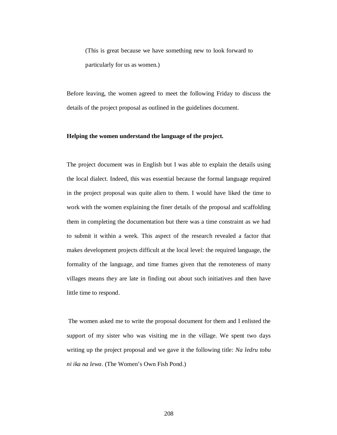(This is great because we have something new to look forward to particularly for us as women.)

Before leaving, the women agreed to meet the following Friday to discuss the details of the project proposal as outlined in the guidelines document.

# **Helping the women understand the language of the project.**

The project document was in English but I was able to explain the details using the local dialect. Indeed, this was essential because the formal language required in the project proposal was quite alien to them. I would have liked the time to work with the women explaining the finer details of the proposal and scaffolding them in completing the documentation but there was a time constraint as we had to submit it within a week. This aspect of the research revealed a factor that makes development projects difficult at the local level: the required language, the formality of the language, and time frames given that the remoteness of many villages means they are late in finding out about such initiatives and then have little time to respond.

 The women asked me to write the proposal document for them and I enlisted the support of my sister who was visiting me in the village. We spent two days writing up the project proposal and we gave it the following title: *Na ledru tobu ni ika na lewa*. (The Women's Own Fish Pond.)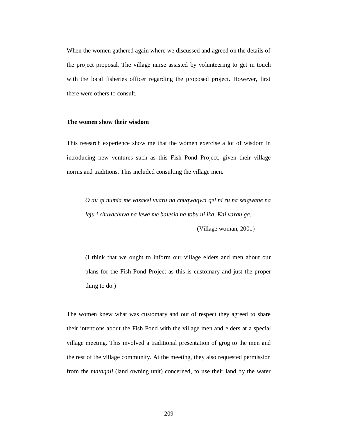When the women gathered again where we discussed and agreed on the details of the project proposal. The village nurse assisted by volunteering to get in touch with the local fisheries officer regarding the proposed project. However, first there were others to consult.

### **The women show their wisdom**

This research experience show me that the women exercise a lot of wisdom in introducing new ventures such as this Fish Pond Project, given their village norms and traditions. This included consulting the village men.

*O au qi numia me vasakei vuaru na chuqwaqwa qei ni ru na seigwane na leju i chuvachuva na lewa me balesia na tobu ni ika. Kai varau ga.* 

(Village woman, 2001)

(I think that we ought to inform our village elders and men about our plans for the Fish Pond Project as this is customary and just the proper thing to do.)

The women knew what was customary and out of respect they agreed to share their intentions about the Fish Pond with the village men and elders at a special village meeting. This involved a traditional presentation of grog to the men and the rest of the village community. At the meeting, they also requested permission from the *mataqali* (land owning unit) concerned, to use their land by the water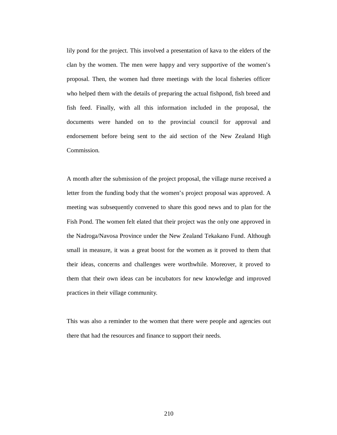lily pond for the project. This involved a presentation of kava to the elders of the clan by the women. The men were happy and very supportive of the women's proposal. Then, the women had three meetings with the local fisheries officer who helped them with the details of preparing the actual fishpond, fish breed and fish feed. Finally, with all this information included in the proposal, the documents were handed on to the provincial council for approval and endorsement before being sent to the aid section of the New Zealand High Commission.

A month after the submission of the project proposal, the village nurse received a letter from the funding body that the women's project proposal was approved. A meeting was subsequently convened to share this good news and to plan for the Fish Pond. The women felt elated that their project was the only one approved in the Nadroga/Navosa Province under the New Zealand Tekakano Fund. Although small in measure, it was a great boost for the women as it proved to them that their ideas, concerns and challenges were worthwhile. Moreover, it proved to them that their own ideas can be incubators for new knowledge and improved practices in their village community.

This was also a reminder to the women that there were people and agencies out there that had the resources and finance to support their needs.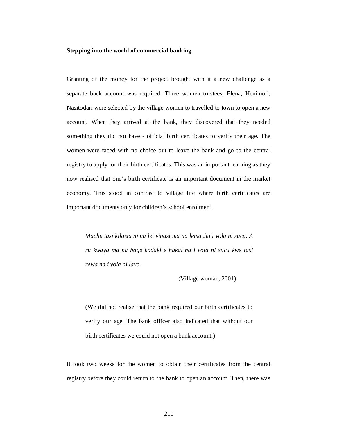## **Stepping into the world of commercial banking**

Granting of the money for the project brought with it a new challenge as a separate back account was required. Three women trustees, Elena, Henimoli, Nasitodari were selected by the village women to travelled to town to open a new account. When they arrived at the bank, they discovered that they needed something they did not have - official birth certificates to verify their age. The women were faced with no choice but to leave the bank and go to the central registry to apply for their birth certificates. This was an important learning as they now realised that one's birth certificate is an important document in the market economy. This stood in contrast to village life where birth certificates are important documents only for children's school enrolment.

*Machu tasi kilasia ni na lei vinasi ma na lemachu i vola ni sucu. A ru kwaya ma na baqe kodaki e hukai na i vola ni sucu kwe tasi rewa na i vola ni lavo.* 

## (Village woman, 2001)

(We did not realise that the bank required our birth certificates to verify our age. The bank officer also indicated that without our birth certificates we could not open a bank account.)

It took two weeks for the women to obtain their certificates from the central registry before they could return to the bank to open an account. Then, there was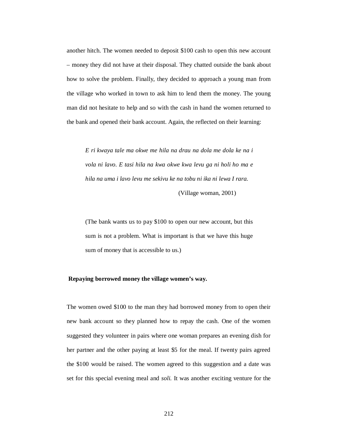another hitch. The women needed to deposit \$100 cash to open this new account – money they did not have at their disposal. They chatted outside the bank about how to solve the problem. Finally, they decided to approach a young man from the village who worked in town to ask him to lend them the money. The young man did not hesitate to help and so with the cash in hand the women returned to the bank and opened their bank account. Again, the reflected on their learning:

*E ri kwaya tale ma okwe me hila na drau na dola me dola ke na i vola ni lavo. E tasi hila na kwa okwe kwa levu ga ni holi ho ma e hila na uma i lavo levu me sekivu ke na tobu ni ika ni lewa I rara.* 

(Village woman, 2001)

(The bank wants us to pay \$100 to open our new account, but this sum is not a problem. What is important is that we have this huge sum of money that is accessible to us.)

## **Repaying borrowed money the village women's way.**

The women owed \$100 to the man they had borrowed money from to open their new bank account so they planned how to repay the cash. One of the women suggested they volunteer in pairs where one woman prepares an evening dish for her partner and the other paying at least \$5 for the meal. If twenty pairs agreed the \$100 would be raised. The women agreed to this suggestion and a date was set for this special evening meal and *soli.* It was another exciting venture for the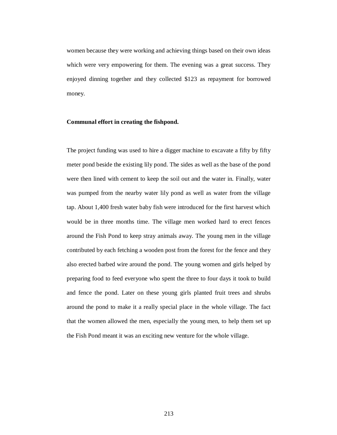women because they were working and achieving things based on their own ideas which were very empowering for them. The evening was a great success. They enjoyed dinning together and they collected \$123 as repayment for borrowed money.

## **Communal effort in creating the fishpond.**

The project funding was used to hire a digger machine to excavate a fifty by fifty meter pond beside the existing lily pond. The sides as well as the base of the pond were then lined with cement to keep the soil out and the water in. Finally, water was pumped from the nearby water lily pond as well as water from the village tap. About 1,400 fresh water baby fish were introduced for the first harvest which would be in three months time. The village men worked hard to erect fences around the Fish Pond to keep stray animals away. The young men in the village contributed by each fetching a wooden post from the forest for the fence and they also erected barbed wire around the pond. The young women and girls helped by preparing food to feed everyone who spent the three to four days it took to build and fence the pond. Later on these young girls planted fruit trees and shrubs around the pond to make it a really special place in the whole village. The fact that the women allowed the men, especially the young men, to help them set up the Fish Pond meant it was an exciting new venture for the whole village.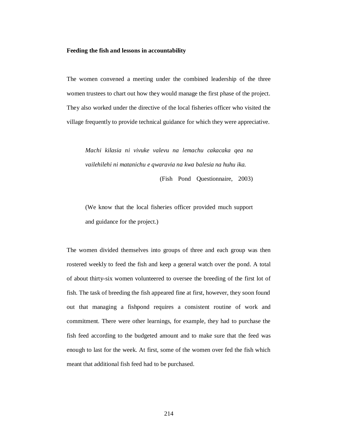### **Feeding the fish and lessons in accountability**

The women convened a meeting under the combined leadership of the three women trustees to chart out how they would manage the first phase of the project. They also worked under the directive of the local fisheries officer who visited the village frequently to provide technical guidance for which they were appreciative.

*Machi kilasia ni vivuke valevu na lemachu cakacaka qea na vailehilehi ni matanichu e qwaravia na kwa balesia na huhu ika.* 

(Fish Pond Questionnaire, 2003)

(We know that the local fisheries officer provided much support and guidance for the project.)

The women divided themselves into groups of three and each group was then rostered weekly to feed the fish and keep a general watch over the pond. A total of about thirty-six women volunteered to oversee the breeding of the first lot of fish. The task of breeding the fish appeared fine at first, however, they soon found out that managing a fishpond requires a consistent routine of work and commitment. There were other learnings, for example, they had to purchase the fish feed according to the budgeted amount and to make sure that the feed was enough to last for the week. At first, some of the women over fed the fish which meant that additional fish feed had to be purchased.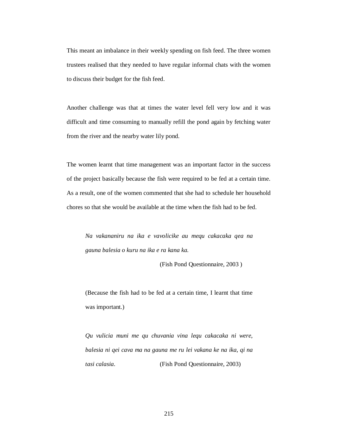This meant an imbalance in their weekly spending on fish feed. The three women trustees realised that they needed to have regular informal chats with the women to discuss their budget for the fish feed.

Another challenge was that at times the water level fell very low and it was difficult and time consuming to manually refill the pond again by fetching water from the river and the nearby water lily pond.

The women learnt that time management was an important factor in the success of the project basically because the fish were required to be fed at a certain time. As a result, one of the women commented that she had to schedule her household chores so that she would be available at the time when the fish had to be fed.

*Na vakananiru na ika e vavolicike au mequ cakacaka qea na gauna balesia o kuru na ika e ra kana ka.* 

(Fish Pond Questionnaire, 2003 )

(Because the fish had to be fed at a certain time, I learnt that time was important.)

*Qu vulicia muni me qu chuvania vina lequ cakacaka ni were, balesia ni qei cava ma na gauna me ru lei vakana ke na ika, qi na tasi calasia.* (Fish Pond Questionnaire, 2003)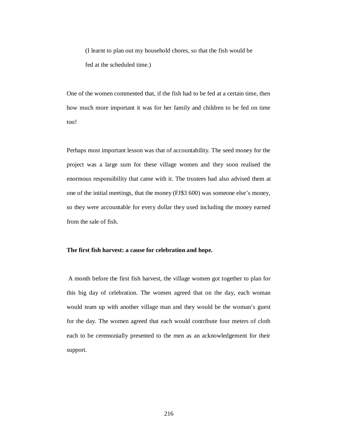(I learnt to plan out my household chores, so that the fish would be fed at the scheduled time.)

One of the women commented that, if the fish had to be fed at a certain time, then how much more important it was for her family and children to be fed on time too!

Perhaps most important lesson was that of accountability. The seed money for the project was a large sum for these village women and they soon realised the enormous responsibility that came with it. The trustees had also advised them at one of the initial meetings, that the money (FJ\$3 600) was someone else's money, so they were accountable for every dollar they used including the money earned from the sale of fish.

# **The first fish harvest: a cause for celebration and hope.**

A month before the first fish harvest, the village women got together to plan for this big day of celebration. The women agreed that on the day, each woman would team up with another village man and they would be the woman's guest for the day. The women agreed that each would contribute four meters of cloth each to be ceremonially presented to the men as an acknowledgement for their support.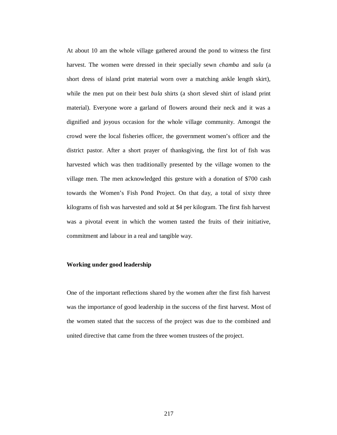At about 10 am the whole village gathered around the pond to witness the first harvest. The women were dressed in their specially sewn *chamba* and *sulu* (a short dress of island print material worn over a matching ankle length skirt), while the men put on their best *bula* shirts (a short sleved shirt of island print material). Everyone wore a garland of flowers around their neck and it was a dignified and joyous occasion for the whole village community. Amongst the crowd were the local fisheries officer, the government women's officer and the district pastor. After a short prayer of thanksgiving, the first lot of fish was harvested which was then traditionally presented by the village women to the village men. The men acknowledged this gesture with a donation of \$700 cash towards the Women's Fish Pond Project. On that day, a total of sixty three kilograms of fish was harvested and sold at \$4 per kilogram. The first fish harvest was a pivotal event in which the women tasted the fruits of their initiative, commitment and labour in a real and tangible way.

# **Working under good leadership**

One of the important reflections shared by the women after the first fish harvest was the importance of good leadership in the success of the first harvest. Most of the women stated that the success of the project was due to the combined and united directive that came from the three women trustees of the project.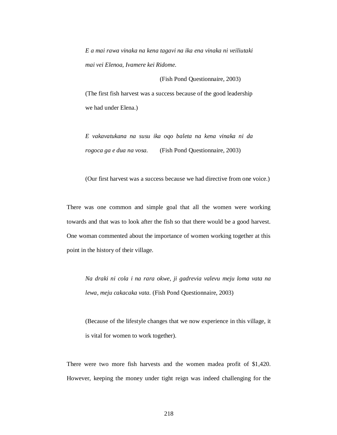*E a mai rawa vinaka na kena tagavi na ika ena vinaka ni veiliutaki mai vei Elenoa, Ivamere kei Ridome.* 

(Fish Pond Questionnaire, 2003)

(The first fish harvest was a success because of the good leadership we had under Elena.)

*E vakavatukana na susu ika oqo baleta na kena vinaka ni da rogoca ga e dua na vosa.* (Fish Pond Questionnaire, 2003)

(Our first harvest was a success because we had directive from one voice.)

There was one common and simple goal that all the women were working towards and that was to look after the fish so that there would be a good harvest. One woman commented about the importance of women working together at this point in the history of their village.

*Na draki ni cola i na rara okwe, ji gadrevia valevu meju loma vata na lewa, meju cakacaka vata.* (Fish Pond Questionnaire, 2003)

(Because of the lifestyle changes that we now experience in this village, it is vital for women to work together).

There were two more fish harvests and the women madea profit of \$1,420. However, keeping the money under tight reign was indeed challenging for the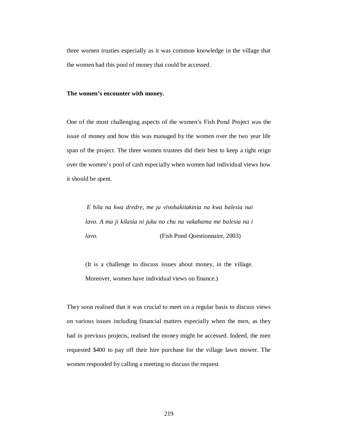three women trusties especially as it was common knowledge in the village that the women had this pool of money that could be accessed.

## **The women's encounter with money.**

One of the most challenging aspects of the women's Fish Pond Project was the issue of money and how this was managed by the women over the two year life span of the project. The three women trustees did their best to keep a tight reign over the women's pool of cash especially when women had individual views how it should be spent.

 *E hila na kwa dredre, me ju vivohakitakinia na kwa balesia nai lavo. A ma ji kilasia ni juku no chu na vakahama me balesia na i lavo.* (Fish Pond Questionnaire, 2003)

(It is a challenge to discuss issues about money, in the village. Moreover, women have individual views on finance.)

They soon realised that it was crucial to meet on a regular basis to discuss views on various issues including financial matters especially when the men, as they had in previous projects, realised the money might be accessed. Indeed, the men requested \$400 to pay off their hire purchase for the village lawn mower. The women responded by calling a meeting to discuss the request.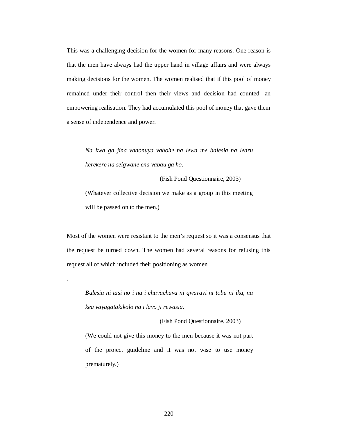This was a challenging decision for the women for many reasons. One reason is that the men have always had the upper hand in village affairs and were always making decisions for the women. The women realised that if this pool of money remained under their control then their views and decision had counted- an empowering realisation. They had accumulated this pool of money that gave them a sense of independence and power.

*Na kwa ga jina vadonuya vabohe na lewa me balesia na ledru kerekere na seigwane ena vabau ga ho.* 

(Fish Pond Questionnaire, 2003)

(Whatever collective decision we make as a group in this meeting will be passed on to the men.)

Most of the women were resistant to the men's request so it was a consensus that the request be turned down. The women had several reasons for refusing this request all of which included their positioning as women

*Balesia ni tasi no i na i chuvachuva ni qwaravi ni tobu ni ika, na kea vayagatakikolo na i lavo ji rewasia.* 

.

(Fish Pond Questionnaire, 2003)

(We could not give this money to the men because it was not part of the project guideline and it was not wise to use money prematurely.)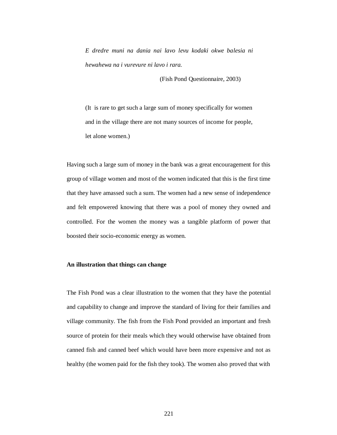*E dredre muni na dania nai lavo levu kodaki okwe balesia ni hewahewa na i vurevure ni lavo i rara.* 

(Fish Pond Questionnaire, 2003)

(It is rare to get such a large sum of money specifically for women and in the village there are not many sources of income for people, let alone women.)

Having such a large sum of money in the bank was a great encouragement for this group of village women and most of the women indicated that this is the first time that they have amassed such a sum. The women had a new sense of independence and felt empowered knowing that there was a pool of money they owned and controlled. For the women the money was a tangible platform of power that boosted their socio-economic energy as women.

# **An illustration that things can change**

The Fish Pond was a clear illustration to the women that they have the potential and capability to change and improve the standard of living for their families and village community. The fish from the Fish Pond provided an important and fresh source of protein for their meals which they would otherwise have obtained from canned fish and canned beef which would have been more expensive and not as healthy (the women paid for the fish they took). The women also proved that with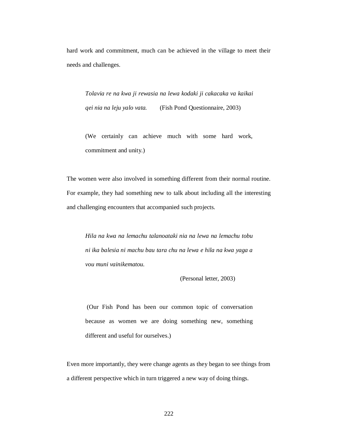hard work and commitment, much can be achieved in the village to meet their needs and challenges.

*Tolavia re na kwa ji rewasia na lewa kodaki ji cakacaka va kaikai qei nia na leju yalo vata.* (Fish Pond Questionnaire, 2003)

(We certainly can achieve much with some hard work, commitment and unity.)

The women were also involved in something different from their normal routine. For example, they had something new to talk about including all the interesting and challenging encounters that accompanied such projects.

*Hila na kwa na lemachu talanoataki nia na lewa na lemachu tobu ni ika balesia ni machu bau tara chu na lewa e hila na kwa yaga a vou muni vainikematou.* 

(Personal letter, 2003)

 (Our Fish Pond has been our common topic of conversation because as women we are doing something new, something different and useful for ourselves.)

Even more importantly, they were change agents as they began to see things from a different perspective which in turn triggered a new way of doing things.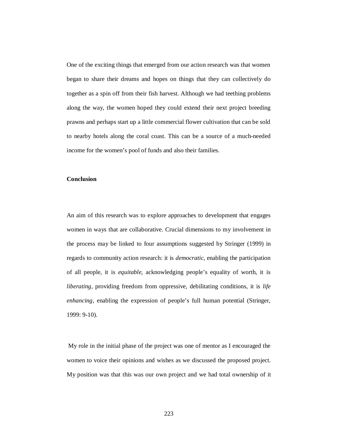One of the exciting things that emerged from our action research was that women began to share their dreams and hopes on things that they can collectively do together as a spin off from their fish harvest. Although we had teething problems along the way, the women hoped they could extend their next project breeding prawns and perhaps start up a little commercial flower cultivation that can be sold to nearby hotels along the coral coast. This can be a source of a much-needed income for the women's pool of funds and also their families.

# **Conclusion**

An aim of this research was to explore approaches to development that engages women in ways that are collaborative. Crucial dimensions to my involvement in the process may be linked to four assumptions suggested by Stringer (1999) in regards to community action research: it is *democratic*, enabling the participation of all people, it is *equitable*, acknowledging people's equality of worth, it is *liberating*, providing freedom from oppressive, debilitating conditions, it is *life enhancing*, enabling the expression of people's full human potential (Stringer, 1999: 9-10).

My role in the initial phase of the project was one of mentor as I encouraged the women to voice their opinions and wishes as we discussed the proposed project. My position was that this was our own project and we had total ownership of it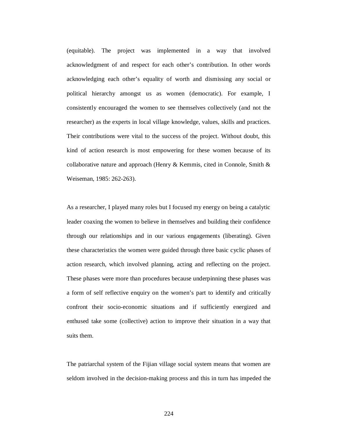(equitable). The project was implemented in a way that involved acknowledgment of and respect for each other's contribution. In other words acknowledging each other's equality of worth and dismissing any social or political hierarchy amongst us as women (democratic). For example, I consistently encouraged the women to see themselves collectively (and not the researcher) as the experts in local village knowledge, values, skills and practices. Their contributions were vital to the success of the project. Without doubt, this kind of action research is most empowering for these women because of its collaborative nature and approach (Henry & Kemmis, cited in Connole, Smith & Weiseman, 1985: 262-263).

As a researcher, I played many roles but I focused my energy on being a catalytic leader coaxing the women to believe in themselves and building their confidence through our relationships and in our various engagements (liberating). Given these characteristics the women were guided through three basic cyclic phases of action research, which involved planning, acting and reflecting on the project. These phases were more than procedures because underpinning these phases was a form of self reflective enquiry on the women's part to identify and critically confront their socio-economic situations and if sufficiently energized and enthused take some (collective) action to improve their situation in a way that suits them.

The patriarchal system of the Fijian village social system means that women are seldom involved in the decision-making process and this in turn has impeded the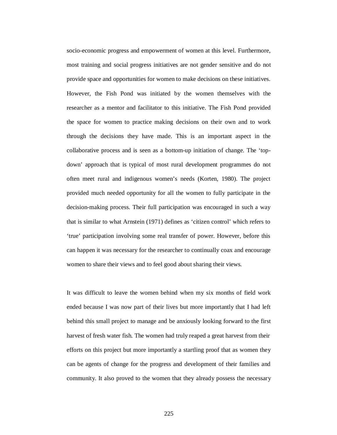socio-economic progress and empowerment of women at this level. Furthermore, most training and social progress initiatives are not gender sensitive and do not provide space and opportunities for women to make decisions on these initiatives. However, the Fish Pond was initiated by the women themselves with the researcher as a mentor and facilitator to this initiative. The Fish Pond provided the space for women to practice making decisions on their own and to work through the decisions they have made. This is an important aspect in the collaborative process and is seen as a bottom-up initiation of change. The 'topdown' approach that is typical of most rural development programmes do not often meet rural and indigenous women's needs (Korten, 1980). The project provided much needed opportunity for all the women to fully participate in the decision-making process. Their full participation was encouraged in such a way that is similar to what Arnstein (1971) defines as 'citizen control' which refers to 'true' participation involving some real transfer of power. However, before this can happen it was necessary for the researcher to continually coax and encourage women to share their views and to feel good about sharing their views.

It was difficult to leave the women behind when my six months of field work ended because I was now part of their lives but more importantly that I had left behind this small project to manage and be anxiously looking forward to the first harvest of fresh water fish. The women had truly reaped a great harvest from their efforts on this project but more importantly a startling proof that as women they can be agents of change for the progress and development of their families and community. It also proved to the women that they already possess the necessary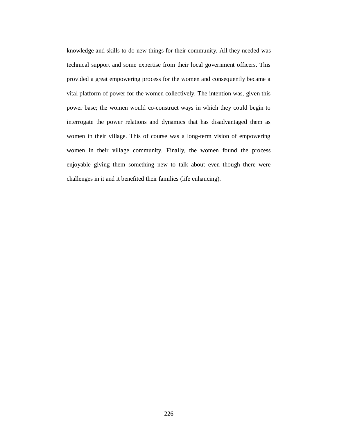knowledge and skills to do new things for their community. All they needed was technical support and some expertise from their local government officers. This provided a great empowering process for the women and consequently became a vital platform of power for the women collectively. The intention was, given this power base; the women would co-construct ways in which they could begin to interrogate the power relations and dynamics that has disadvantaged them as women in their village. This of course was a long-term vision of empowering women in their village community. Finally, the women found the process enjoyable giving them something new to talk about even though there were challenges in it and it benefited their families (life enhancing).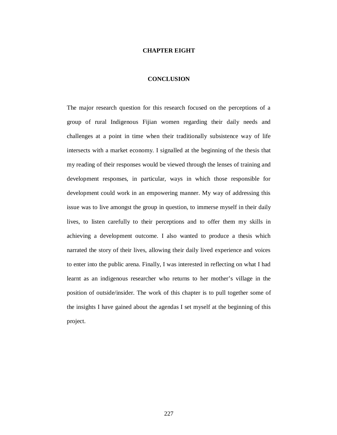## **CHAPTER EIGHT**

# **CONCLUSION**

The major research question for this research focused on the perceptions of a group of rural Indigenous Fijian women regarding their daily needs and challenges at a point in time when their traditionally subsistence way of life intersects with a market economy. I signalled at the beginning of the thesis that my reading of their responses would be viewed through the lenses of training and development responses, in particular, ways in which those responsible for development could work in an empowering manner. My way of addressing this issue was to live amongst the group in question, to immerse myself in their daily lives, to listen carefully to their perceptions and to offer them my skills in achieving a development outcome. I also wanted to produce a thesis which narrated the story of their lives, allowing their daily lived experience and voices to enter into the public arena. Finally, I was interested in reflecting on what I had learnt as an indigenous researcher who returns to her mother's village in the position of outside/insider. The work of this chapter is to pull together some of the insights I have gained about the agendas I set myself at the beginning of this project.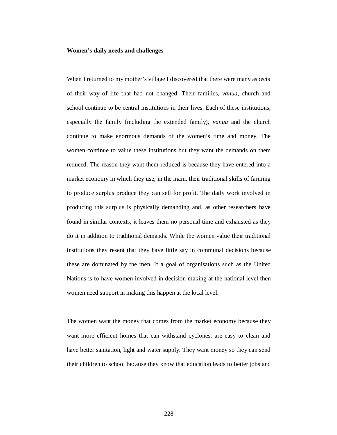## **Women's daily needs and challenges**

When I returned to my mother's village I discovered that there were many aspects of their way of life that had not changed. Their families, *vanua,* church and school continue to be central institutions in their lives. Each of these institutions, especially the family (including the extended family), *vanua* and the church continue to make enormous demands of the women's time and money. The women continue to value these institutions but they want the demands on them reduced. The reason they want them reduced is because they have entered into a market economy in which they use, in the main, their traditional skills of farming to produce surplus produce they can sell for profit. The daily work involved in producing this surplus is physically demanding and, as other researchers have found in similar contexts, it leaves them no personal time and exhausted as they do it in addition to traditional demands. While the women value their traditional institutions they resent that they have little say in communal decisions because these are dominated by the men. If a goal of organisations such as the United Nations is to have women involved in decision making at the national level then women need support in making this happen at the local level.

The women want the money that comes from the market economy because they want more efficient homes that can withstand cyclones, are easy to clean and have better sanitation, light and water supply. They want money so they can send their children to school because they know that education leads to better jobs and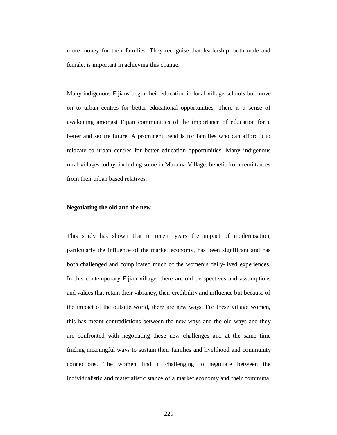more money for their families. They recognise that leadership, both male and female, is important in achieving this change.

Many indigenous Fijians begin their education in local village schools but move on to urban centres for better educational opportunities. There is a sense of awakening amongst Fijian communities of the importance of education for a better and secure future. A prominent trend is for families who can afford it to relocate to urban centres for better education opportunities. Many indigenous rural villages today, including some in Marama Village, benefit from remittances from their urban based relatives.

#### **Negotiating the old and the new**

This study has shown that in recent years the impact of modernisation, particularly the influence of the market economy, has been significant and has both challenged and complicated much of the women's daily-lived experiences. In this contemporary Fijian village, there are old perspectives and assumptions and values that retain their vibrancy, their credibility and influence but because of the impact of the outside world, there are new ways. For these village women, this has meant contradictions between the new ways and the old ways and they are confronted with negotiating these new challenges and at the same time finding meaningful ways to sustain their families and livelihood and community connections. The women find it challenging to negotiate between the individualistic and materialistic stance of a market economy and their communal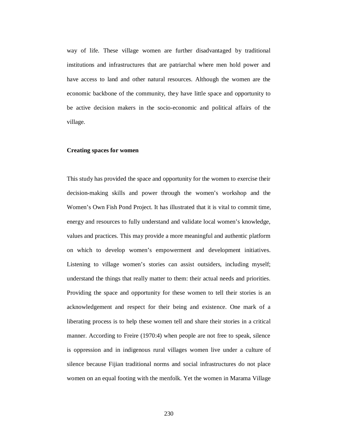way of life. These village women are further disadvantaged by traditional institutions and infrastructures that are patriarchal where men hold power and have access to land and other natural resources. Although the women are the economic backbone of the community, they have little space and opportunity to be active decision makers in the socio-economic and political affairs of the village.

## **Creating spaces for women**

This study has provided the space and opportunity for the women to exercise their decision-making skills and power through the women's workshop and the Women's Own Fish Pond Project. It has illustrated that it is vital to commit time, energy and resources to fully understand and validate local women's knowledge, values and practices. This may provide a more meaningful and authentic platform on which to develop women's empowerment and development initiatives. Listening to village women's stories can assist outsiders, including myself; understand the things that really matter to them: their actual needs and priorities. Providing the space and opportunity for these women to tell their stories is an acknowledgement and respect for their being and existence. One mark of a liberating process is to help these women tell and share their stories in a critical manner. According to Freire (1970:4) when people are not free to speak, silence is oppression and in indigenous rural villages women live under a culture of silence because Fijian traditional norms and social infrastructures do not place women on an equal footing with the menfolk. Yet the women in Marama Village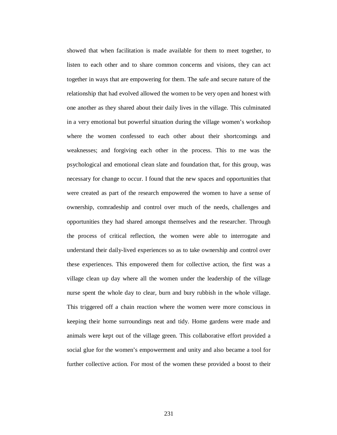showed that when facilitation is made available for them to meet together, to listen to each other and to share common concerns and visions, they can act together in ways that are empowering for them. The safe and secure nature of the relationship that had evolved allowed the women to be very open and honest with one another as they shared about their daily lives in the village. This culminated in a very emotional but powerful situation during the village women's workshop where the women confessed to each other about their shortcomings and weaknesses; and forgiving each other in the process. This to me was the psychological and emotional clean slate and foundation that, for this group, was necessary for change to occur. I found that the new spaces and opportunities that were created as part of the research empowered the women to have a sense of ownership, comradeship and control over much of the needs, challenges and opportunities they had shared amongst themselves and the researcher. Through the process of critical reflection, the women were able to interrogate and understand their daily-lived experiences so as to take ownership and control over these experiences. This empowered them for collective action, the first was a village clean up day where all the women under the leadership of the village nurse spent the whole day to clear, burn and bury rubbish in the whole village. This triggered off a chain reaction where the women were more conscious in keeping their home surroundings neat and tidy. Home gardens were made and animals were kept out of the village green. This collaborative effort provided a social glue for the women's empowerment and unity and also became a tool for further collective action. For most of the women these provided a boost to their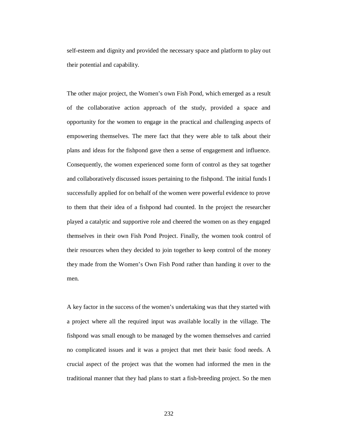self-esteem and dignity and provided the necessary space and platform to play out their potential and capability.

The other major project, the Women's own Fish Pond, which emerged as a result of the collaborative action approach of the study, provided a space and opportunity for the women to engage in the practical and challenging aspects of empowering themselves. The mere fact that they were able to talk about their plans and ideas for the fishpond gave then a sense of engagement and influence. Consequently, the women experienced some form of control as they sat together and collaboratively discussed issues pertaining to the fishpond. The initial funds I successfully applied for on behalf of the women were powerful evidence to prove to them that their idea of a fishpond had counted. In the project the researcher played a catalytic and supportive role and cheered the women on as they engaged themselves in their own Fish Pond Project. Finally, the women took control of their resources when they decided to join together to keep control of the money they made from the Women's Own Fish Pond rather than handing it over to the men.

A key factor in the success of the women's undertaking was that they started with a project where all the required input was available locally in the village. The fishpond was small enough to be managed by the women themselves and carried no complicated issues and it was a project that met their basic food needs. A crucial aspect of the project was that the women had informed the men in the traditional manner that they had plans to start a fish-breeding project. So the men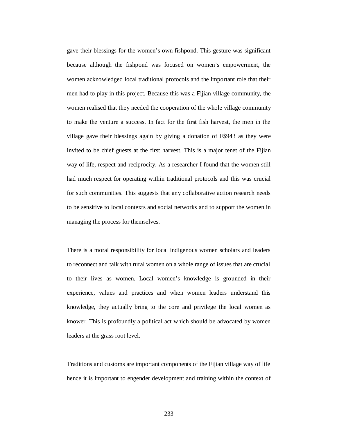gave their blessings for the women's own fishpond. This gesture was significant because although the fishpond was focused on women's empowerment, the women acknowledged local traditional protocols and the important role that their men had to play in this project. Because this was a Fijian village community, the women realised that they needed the cooperation of the whole village community to make the venture a success. In fact for the first fish harvest, the men in the village gave their blessings again by giving a donation of F\$943 as they were invited to be chief guests at the first harvest. This is a major tenet of the Fijian way of life, respect and reciprocity. As a researcher I found that the women still had much respect for operating within traditional protocols and this was crucial for such communities. This suggests that any collaborative action research needs to be sensitive to local contexts and social networks and to support the women in managing the process for themselves.

There is a moral responsibility for local indigenous women scholars and leaders to reconnect and talk with rural women on a whole range of issues that are crucial to their lives as women. Local women's knowledge is grounded in their experience, values and practices and when women leaders understand this knowledge, they actually bring to the core and privilege the local women as knower. This is profoundly a political act which should be advocated by women leaders at the grass root level.

Traditions and customs are important components of the Fijian village way of life hence it is important to engender development and training within the context of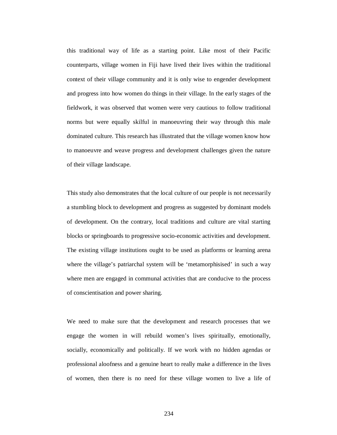this traditional way of life as a starting point. Like most of their Pacific counterparts, village women in Fiji have lived their lives within the traditional context of their village community and it is only wise to engender development and progress into how women do things in their village. In the early stages of the fieldwork, it was observed that women were very cautious to follow traditional norms but were equally skilful in manoeuvring their way through this male dominated culture. This research has illustrated that the village women know how to manoeuvre and weave progress and development challenges given the nature of their village landscape.

This study also demonstrates that the local culture of our people is not necessarily a stumbling block to development and progress as suggested by dominant models of development. On the contrary, local traditions and culture are vital starting blocks or springboards to progressive socio-economic activities and development. The existing village institutions ought to be used as platforms or learning arena where the village's patriarchal system will be 'metamorphisised' in such a way where men are engaged in communal activities that are conducive to the process of conscientisation and power sharing.

We need to make sure that the development and research processes that we engage the women in will rebuild women's lives spiritually, emotionally, socially, economically and politically. If we work with no hidden agendas or professional aloofness and a genuine heart to really make a difference in the lives of women, then there is no need for these village women to live a life of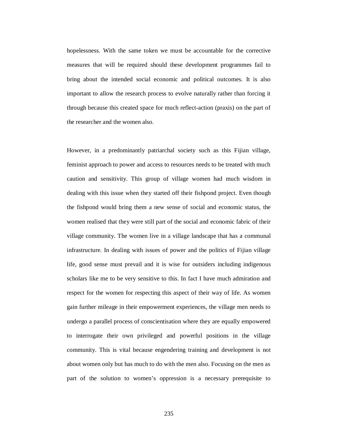hopelessness. With the same token we must be accountable for the corrective measures that will be required should these development programmes fail to bring about the intended social economic and political outcomes. It is also important to allow the research process to evolve naturally rather than forcing it through because this created space for much reflect-action (praxis) on the part of the researcher and the women also.

However, in a predominantly patriarchal society such as this Fijian village, feminist approach to power and access to resources needs to be treated with much caution and sensitivity. This group of village women had much wisdom in dealing with this issue when they started off their fishpond project. Even though the fishpond would bring them a new sense of social and economic status, the women realised that they were still part of the social and economic fabric of their village community. The women live in a village landscape that has a communal infrastructure. In dealing with issues of power and the politics of Fijian village life, good sense must prevail and it is wise for outsiders including indigenous scholars like me to be very sensitive to this. In fact I have much admiration and respect for the women for respecting this aspect of their way of life. As women gain further mileage in their empowerment experiences, the village men needs to undergo a parallel process of conscientisation where they are equally empowered to interrogate their own privileged and powerful positions in the village community. This is vital because engendering training and development is not about women only but has much to do with the men also. Focusing on the men as part of the solution to women's oppression is a necessary prerequisite to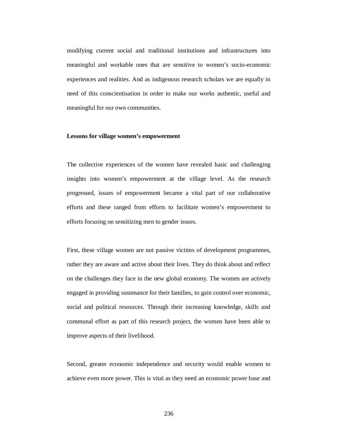modifying current social and traditional institutions and infrastructures into meaningful and workable ones that are sensitive to women's socio-economic experiences and realities. And as indigenous research scholars we are equally in need of this conscientisation in order to make our works authentic, useful and meaningful for our own communities.

## **Lessons for village women's empowerment**

The collective experiences of the women have revealed basic and challenging insights into women's empowerment at the village level. As the research progressed, issues of empowerment became a vital part of our collaborative efforts and these ranged from efforts to facilitate women's empowerment to efforts focusing on sensitizing men to gender issues.

First, these village women are not passive victims of development programmes, rather they are aware and active about their lives. They do think about and reflect on the challenges they face in the new global economy. The women are actively engaged in providing sustenance for their families, to gain control over economic, social and political resources. Through their increasing knowledge, skills and communal effort as part of this research project, the women have been able to improve aspects of their livelihood.

Second, greater economic independence and security would enable women to achieve even more power. This is vital as they need an economic power base and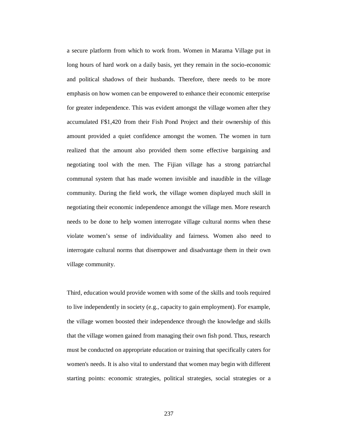a secure platform from which to work from. Women in Marama Village put in long hours of hard work on a daily basis, yet they remain in the socio-economic and political shadows of their husbands. Therefore, there needs to be more emphasis on how women can be empowered to enhance their economic enterprise for greater independence. This was evident amongst the village women after they accumulated F\$1,420 from their Fish Pond Project and their ownership of this amount provided a quiet confidence amongst the women. The women in turn realized that the amount also provided them some effective bargaining and negotiating tool with the men. The Fijian village has a strong patriarchal communal system that has made women invisible and inaudible in the village community. During the field work, the village women displayed much skill in negotiating their economic independence amongst the village men. More research needs to be done to help women interrogate village cultural norms when these violate women's sense of individuality and fairness. Women also need to interrogate cultural norms that disempower and disadvantage them in their own village community.

Third, education would provide women with some of the skills and tools required to live independently in society (e.g., capacity to gain employment). For example, the village women boosted their independence through the knowledge and skills that the village women gained from managing their own fish pond. Thus, research must be conducted on appropriate education or training that specifically caters for women's needs. It is also vital to understand that women may begin with different starting points: economic strategies, political strategies, social strategies or a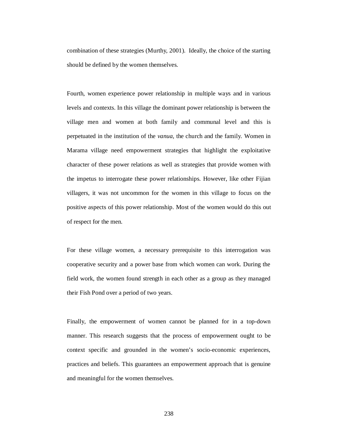combination of these strategies (Murthy, 2001). Ideally, the choice of the starting should be defined by the women themselves.

Fourth, women experience power relationship in multiple ways and in various levels and contexts. In this village the dominant power relationship is between the village men and women at both family and communal level and this is perpetuated in the institution of the *vanua*, the church and the family. Women in Marama village need empowerment strategies that highlight the exploitative character of these power relations as well as strategies that provide women with the impetus to interrogate these power relationships. However, like other Fijian villagers, it was not uncommon for the women in this village to focus on the positive aspects of this power relationship. Most of the women would do this out of respect for the men.

For these village women, a necessary prerequisite to this interrogation was cooperative security and a power base from which women can work. During the field work, the women found strength in each other as a group as they managed their Fish Pond over a period of two years.

Finally, the empowerment of women cannot be planned for in a top-down manner. This research suggests that the process of empowerment ought to be context specific and grounded in the women's socio-economic experiences, practices and beliefs. This guarantees an empowerment approach that is genuine and meaningful for the women themselves.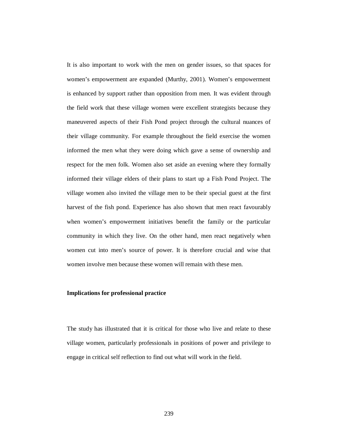It is also important to work with the men on gender issues, so that spaces for women's empowerment are expanded (Murthy, 2001). Women's empowerment is enhanced by support rather than opposition from men. It was evident through the field work that these village women were excellent strategists because they maneuvered aspects of their Fish Pond project through the cultural nuances of their village community. For example throughout the field exercise the women informed the men what they were doing which gave a sense of ownership and respect for the men folk. Women also set aside an evening where they formally informed their village elders of their plans to start up a Fish Pond Project. The village women also invited the village men to be their special guest at the first harvest of the fish pond. Experience has also shown that men react favourably when women's empowerment initiatives benefit the family or the particular community in which they live. On the other hand, men react negatively when women cut into men's source of power. It is therefore crucial and wise that women involve men because these women will remain with these men.

# **Implications for professional practice**

The study has illustrated that it is critical for those who live and relate to these village women, particularly professionals in positions of power and privilege to engage in critical self reflection to find out what will work in the field.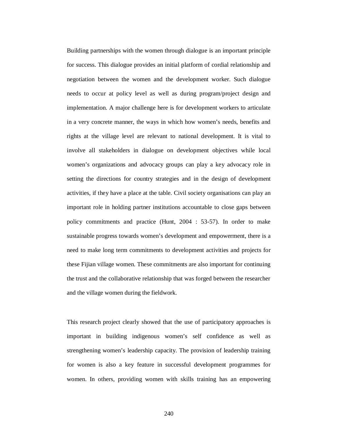Building partnerships with the women through dialogue is an important principle for success. This dialogue provides an initial platform of cordial relationship and negotiation between the women and the development worker. Such dialogue needs to occur at policy level as well as during program/project design and implementation. A major challenge here is for development workers to articulate in a very concrete manner, the ways in which how women's needs, benefits and rights at the village level are relevant to national development. It is vital to involve all stakeholders in dialogue on development objectives while local women's organizations and advocacy groups can play a key advocacy role in setting the directions for country strategies and in the design of development activities, if they have a place at the table. Civil society organisations can play an important role in holding partner institutions accountable to close gaps between policy commitments and practice (Hunt, 2004 : 53-57). In order to make sustainable progress towards women's development and empowerment, there is a need to make long term commitments to development activities and projects for these Fijian village women. These commitments are also important for continuing the trust and the collaborative relationship that was forged between the researcher and the village women during the fieldwork.

This research project clearly showed that the use of participatory approaches is important in building indigenous women's self confidence as well as strengthening women's leadership capacity. The provision of leadership training for women is also a key feature in successful development programmes for women. In others, providing women with skills training has an empowering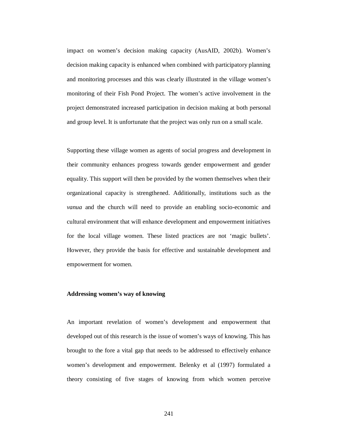impact on women's decision making capacity (AusAID, 2002b). Women's decision making capacity is enhanced when combined with participatory planning and monitoring processes and this was clearly illustrated in the village women's monitoring of their Fish Pond Project. The women's active involvement in the project demonstrated increased participation in decision making at both personal and group level. It is unfortunate that the project was only run on a small scale.

Supporting these village women as agents of social progress and development in their community enhances progress towards gender empowerment and gender equality. This support will then be provided by the women themselves when their organizational capacity is strengthened. Additionally, institutions such as the *vanua* and the church will need to provide an enabling socio-economic and cultural environment that will enhance development and empowerment initiatives for the local village women. These listed practices are not 'magic bullets'. However, they provide the basis for effective and sustainable development and empowerment for women.

# **Addressing women's way of knowing**

An important revelation of women's development and empowerment that developed out of this research is the issue of women's ways of knowing. This has brought to the fore a vital gap that needs to be addressed to effectively enhance women's development and empowerment. Belenky et al (1997) formulated a theory consisting of five stages of knowing from which women perceive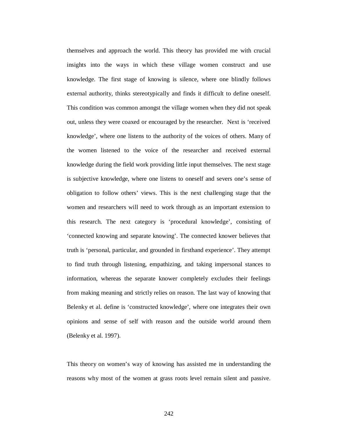themselves and approach the world. This theory has provided me with crucial insights into the ways in which these village women construct and use knowledge. The first stage of knowing is silence, where one blindly follows external authority, thinks stereotypically and finds it difficult to define oneself. This condition was common amongst the village women when they did not speak out, unless they were coaxed or encouraged by the researcher. Next is 'received knowledge', where one listens to the authority of the voices of others. Many of the women listened to the voice of the researcher and received external knowledge during the field work providing little input themselves. The next stage is subjective knowledge, where one listens to oneself and severs one's sense of obligation to follow others' views. This is the next challenging stage that the women and researchers will need to work through as an important extension to this research. The next category is 'procedural knowledge', consisting of 'connected knowing and separate knowing'. The connected knower believes that truth is 'personal, particular, and grounded in firsthand experience'. They attempt to find truth through listening, empathizing, and taking impersonal stances to information, whereas the separate knower completely excludes their feelings from making meaning and strictly relies on reason. The last way of knowing that Belenky et al. define is 'constructed knowledge', where one integrates their own opinions and sense of self with reason and the outside world around them (Belenky et al. 1997).

This theory on women's way of knowing has assisted me in understanding the reasons why most of the women at grass roots level remain silent and passive.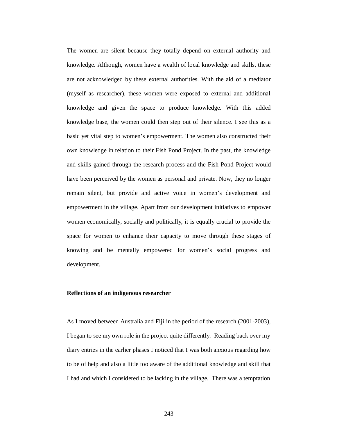The women are silent because they totally depend on external authority and knowledge. Although, women have a wealth of local knowledge and skills, these are not acknowledged by these external authorities. With the aid of a mediator (myself as researcher), these women were exposed to external and additional knowledge and given the space to produce knowledge. With this added knowledge base, the women could then step out of their silence. I see this as a basic yet vital step to women's empowerment. The women also constructed their own knowledge in relation to their Fish Pond Project. In the past, the knowledge and skills gained through the research process and the Fish Pond Project would have been perceived by the women as personal and private. Now, they no longer remain silent, but provide and active voice in women's development and empowerment in the village. Apart from our development initiatives to empower women economically, socially and politically, it is equally crucial to provide the space for women to enhance their capacity to move through these stages of knowing and be mentally empowered for women's social progress and development.

#### **Reflections of an indigenous researcher**

As I moved between Australia and Fiji in the period of the research (2001-2003), I began to see my own role in the project quite differently. Reading back over my diary entries in the earlier phases I noticed that I was both anxious regarding how to be of help and also a little too aware of the additional knowledge and skill that I had and which I considered to be lacking in the village. There was a temptation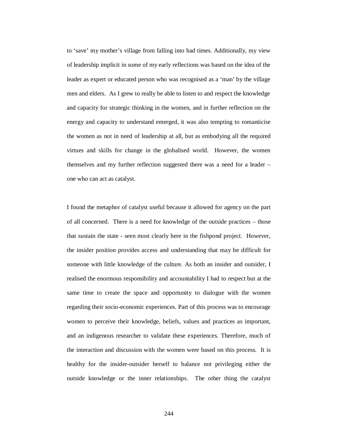to 'save' my mother's village from falling into bad times. Additionally, my view of leadership implicit in some of my early reflections was based on the idea of the leader as expert or educated person who was recognised as a 'man' by the village men and elders. As I grew to really be able to listen to and respect the knowledge and capacity for strategic thinking in the women, and in further reflection on the energy and capacity to understand emerged, it was also tempting to romanticise the women as not in need of leadership at all, but as embodying all the required virtues and skills for change in the globalised world. However, the women themselves and my further reflection suggested there was a need for a leader – one who can act as catalyst.

I found the metaphor of catalyst useful because it allowed for agency on the part of all concerned. There is a need for knowledge of the outside practices – those that sustain the state - seen most clearly here in the fishpond project. However, the insider position provides access and understanding that may be difficult for someone with little knowledge of the culture. As both an insider and outsider, I realised the enormous responsibility and accountability I had to respect but at the same time to create the space and opportunity to dialogue with the women regarding their socio-economic experiences. Part of this process was to encourage women to perceive their knowledge, beliefs, values and practices as important, and an indigenous researcher to validate these experiences. Therefore, much of the interaction and discussion with the women were based on this process. It is healthy for the insider-outsider herself to balance not privileging either the outside knowledge or the inner relationships. The other thing the catalyst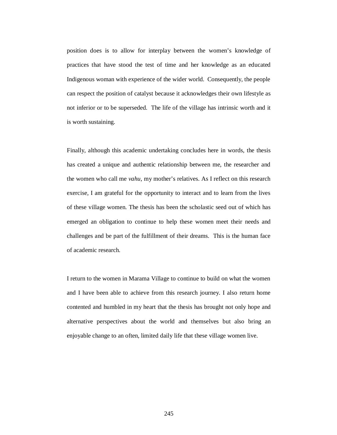position does is to allow for interplay between the women's knowledge of practices that have stood the test of time and her knowledge as an educated Indigenous woman with experience of the wider world. Consequently, the people can respect the position of catalyst because it acknowledges their own lifestyle as not inferior or to be superseded. The life of the village has intrinsic worth and it is worth sustaining.

Finally, although this academic undertaking concludes here in words, the thesis has created a unique and authentic relationship between me, the researcher and the women who call me *vahu,* my mother's relatives. As I reflect on this research exercise, I am grateful for the opportunity to interact and to learn from the lives of these village women. The thesis has been the scholastic seed out of which has emerged an obligation to continue to help these women meet their needs and challenges and be part of the fulfillment of their dreams. This is the human face of academic research.

I return to the women in Marama Village to continue to build on what the women and I have been able to achieve from this research journey. I also return home contented and humbled in my heart that the thesis has brought not only hope and alternative perspectives about the world and themselves but also bring an enjoyable change to an often, limited daily life that these village women live.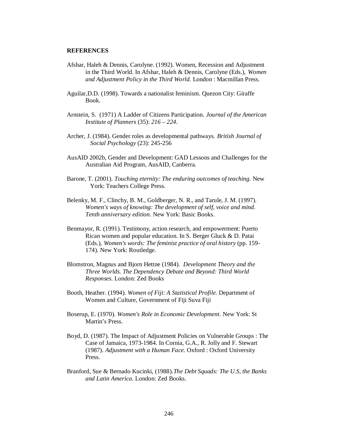#### **REFERENCES**

- Afshar, Haleh & Dennis, Carolyne. (1992). Women, Recession and Adjustment in the Third World. In Afshar, Haleh & Dennis, Carolyne (Eds.), *Women and Adjustment Policy in the Third World.* London : Macmillan Press.
- Aguilar,D.D. (1998). Towards a nationalist feminism. Quezon City: Giraffe Book.
- Arnstein, S. (1971) A Ladder of Citizens Participation. *Journal of the American Institute of Planners* (35): *216 – 224.*
- Archer, J. (1984). Gender roles as developmental pathways. *British Journal of Social Psychology* (23): 245-256
- AusAID 2002b, Gender and Development: GAD Lessons and Challenges for the Australian Aid Program, AusAID, Canberra.
- Barone, T. (2001). *Touching eternity: The enduring outcomes of teaching.* New York: Teachers College Press.
- Belenky, M. F., Clinchy, B. M., Goldberger, N. R., and Tarule, J. M. (1997). *Women's ways of knowing: The development of self, voice and mind. Tenth anniversary edition*. New York: Basic Books.
- Benmayor, R. (1991). Testimony, action research, and empowerment: Puerto Rican women and popular education. In S. Berger Gluck & D. Patai (Eds.), *Women's words: The feminist practice of oral history* (pp. 159- 174). New York: Routledge.
- Blomstron, Magnus and Bjorn Hettne (1984). *Development Theory and the Three Worlds. The Dependency Debate and Beyond: Third World Responses*. London: Zed Books
- Booth, Heather. (1994). *Women of Fiji: A Statistical Profile.* Department of Women and Culture, Government of Fiji Suva Fiji
- Boserup, E. (1970). *Women's Role in Economic Development*. New York: St Martin's Press.
- Boyd, D. (1987). The Impact of Adjustment Policies on Vulnerable Groups : The Case of Jamaica, 1973-1984. In Cornia, G.A., R. Jolly and F. Stewart (1987). *Adjustment with a Human Face.* Oxford : Oxford University Press.
- Branford, Sue & Bernado Kucinki, (1988).*The Debt Squads: The U.S, the Banks and Latin America.* London: Zed Books.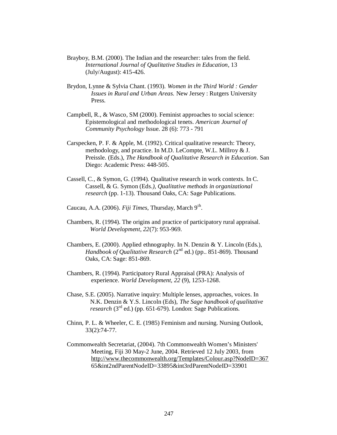- Brayboy, B.M. (2000). The Indian and the researcher: tales from the field. *International Journal of Qualitative Studies in Education*, 13 (July/August): 415-426.
- Brydon, Lynne & Sylvia Chant. (1993). *Women in the Third World : Gender Issues in Rural and Urban Areas.* New Jersey : Rutgers University Press.
- Campbell, R., & Wasco, SM (2000). Feminist approaches to social science: Epistemological and methodological tenets. *American Journal of Community Psychology* Issue. 28 (6): 773 - 791
- Carspecken, P. F. & Apple, M. (1992). Critical qualitative research: Theory, methodology, and practice. In M.D. LeCompte, W.L. Millroy & J. Preissle. (Eds.), *The Handbook of Qualitative Research in Education.* San Diego: Academic Press: 448-505.
- Cassell, C., & Symon, G. (1994). Qualitative research in work contexts. In C. Cassell, & G. Symon (Eds*.), Qualitative methods in organizational research* (pp. 1-13). Thousand Oaks, CA: Sage Publications.
- Caucau, A.A. (2006). Fiji Times, Thursday, March 9<sup>th</sup>.
- Chambers, R. (1994). The origins and practice of participatory rural appraisal. *World Development, 22*(7): 953-969.
- Chambers, E. (2000). Applied ethnography. In N. Denzin & Y. Lincoln (Eds.), *Handbook of Qualitative Research* (2<sup>nd</sup> ed.) (pp. 851-869). Thousand Oaks, CA: Sage: 851-869.
- Chambers, R. (1994). Participatory Rural Appraisal (PRA): Analysis of experience. *World Development, 22* (9), 1253-1268.
- Chase, S.E. (2005). Narrative inquiry: Multiple lenses, approaches, voices. In N.K. Denzin & Y.S. Lincoln (Eds), *The Sage handbook of qualitative research* (3<sup>rd</sup> ed.) (pp. 651-679). London: Sage Publications.
- Chinn, P. L. & Wheeler, C. E. (1985) Feminism and nursing. Nursing Outlook, 33(2):74-77.
- Commonwealth Secretariat, (2004). 7th Commonwealth Women's Ministers' Meeting, Fiji 30 May-2 June, 2004. Retrieved 12 July 2003, from <http://www.thecommonwealth.org/Templates/Colour.asp?NodeID=367> 65&int2ndParentNodeID=33895&int3rdParentNodeID=33901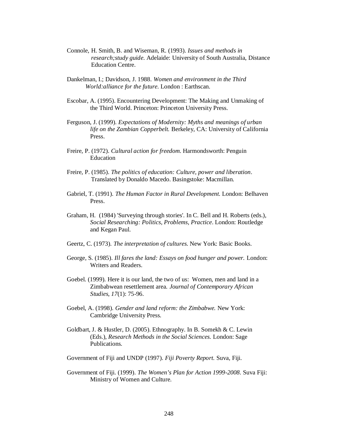- Connole, H. Smith, B. and Wiseman, R. (1993). *Issues and methods in research;study guide.* Adelaide: University of South Australia, Distance Education Centre.
- Dankelman, I.; Davidson, J. 1988. *Women and environment in the Third World:alliance for the future.* London : Earthscan.
- Escobar, A. (1995). Encountering Development: The Making and Unmaking of the Third World. Princeton: Princeton University Press.
- Ferguson, J. (1999). *Expectations of Modernity: Myths and meanings of urban life on the Zambian Copperbelt.* Berkeley, CA: University of California Press.
- Freire, P. (1972). *Cultural action for freedom.* Harmondsworth: Penguin Education
- Freire, P. (1985). *The politics of education: Culture, power and liberation*. Translated by Donaldo Macedo. Basingstoke: Macmillan.
- Gabriel, T. (1991). *The Human Factor in Rural Development.* London: Belhaven Press.
- Graham, H. (1984) 'Surveying through stories'. In C. Bell and H. Roberts (eds.), *Social Researching: Politics, Problems, Practice*. London: Routledge and Kegan Paul.
- Geertz, C. (1973). *The interpretation of cultures.* New York: Basic Books.
- George, S. (1985). *Ill fares the land: Essays on food hunger and power.* London: Writers and Readers.
- Goebel. (1999). Here it is our land, the two of us: Women, men and land in a Zimbabwean resettlement area. *Journal of Contemporary African Studies, 17*(1): 75-96.
- Goebel, A. (1998). *Gender and land reform: the Zimbabwe.* New York: Cambridge University Press.
- Goldbart, J. & Hustler, D. (2005). Ethnography. In B. Somekh & C. Lewin (Eds.), *Research Methods in the Social Sciences.* London: Sage Publications.

Government of Fiji and UNDP (1997). *Fiji Poverty Report.* Suva, Fiji.

Government of Fiji. (1999). *The Women's Plan for Action 1999-2008.* Suva Fiji: Ministry of Women and Culture.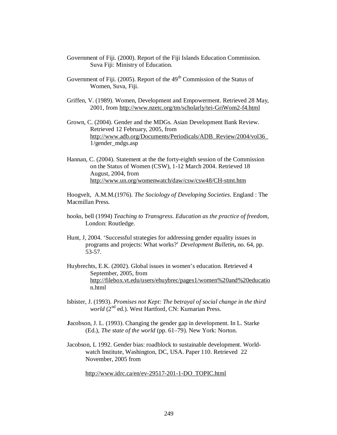- Government of Fiji. (2000). Report of the Fiji Islands Education Commission. Suva Fiji: Ministry of Education.
- Government of Fiji. (2005). Report of the  $49<sup>th</sup>$  Commission of the Status of Women, Suva, Fiji.
- Griffen, V. (1989). Women, Development and Empowerment. Retrieved 28 May, 2001, from<http://www.nzetc.org/tm/scholarly/tei-GriWom2-f4.html>
- Grown, C. (2004). Gender and the MDGs. Asian Development Bank Review. Retrieved 12 February, 2005, from [http://www.adb.org/Documents/Periodicals/ADB\\_Review/2004/vol36\\_](http://www.adb.org/Documents/Periodicals/ADB_Review/2004/vol36_) 1/gender\_mdgs.asp
- Hannan, C. (2004). Statement at the the forty-eighth session of the Commission on the Status of Women (CSW), 1-12 March 2004. Retrieved 18 August, 2004, from <http://www.un.org/womenwatch/daw/csw/csw48/CH-stmt.htm>

Hoogvelt, A.M.M.(1976). *The Sociology of Developing Societies*. England : The Macmillan Press.

- hooks, bell (1994) *Teaching to Transgress. Education as the practice of freedom*, London: Routledge.
- Hunt, J, 2004. 'Successful strategies for addressing gender equality issues in programs and projects: What works?' *Development Bulletin***,** no. 64, pp. 53-57.
- Huybrechts, E.K. (2002). Global issues in women's education. Retrieved 4 September, 2005, from <http://filebox.vt.edu/users/ehuybrec/pages1/women%20and%20educatio> n.html
- Isbister, J. (1993). *Promises not Kept: The betrayal of social change in the third world* (2<sup>nd</sup> ed.). West Hartford, CN: Kumarian Press.
- **J**acobson, J. L. (1993). Changing the gender gap in development. In L. Starke (Ed.), *The state of the world* (pp. 61–79). New York: Norton.
- Jacobson, L 1992. Gender bias: roadblock to sustainable development. Worldwatch Institute, Washington, DC, USA. Paper 110. Retrieved 22 November, 2005 from

[http://www.idrc.ca/en/ev-29517-201-1-DO\\_TOPIC.html](http://www.idrc.ca/en/ev-29517-201-1-DO_TOPIC.html)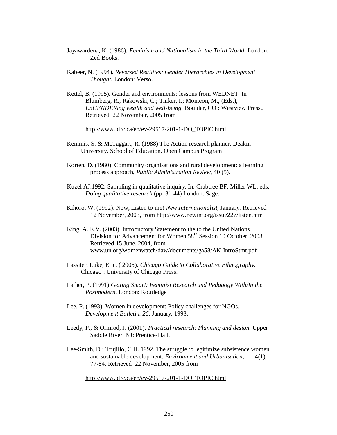- Jayawardena, K. (1986). *Feminism and Nationalism in the Third World.* London: Zed Books.
- Kabeer, N. (1994). *Reversed Realities: Gender Hierarchies in Development Thought.* London: Verso.
- Kettel, B. (1995). Gender and environments: lessons from WEDNET. In Blumberg, R.; Rakowski, C.; Tinker, I.; Monteon, M., (Eds.), *EnGENDERing wealth and well-being.* Boulder, CO : Westview Press.. Retrieved 22 November, 2005 from

[http://www.idrc.ca/en/ev-29517-201-1-DO\\_TOPIC.html](http://www.idrc.ca/en/ev-29517-201-1-DO_TOPIC.html)

- Kemmis, S. & McTaggart, R. (1988) The Action research planner. Deakin University. School of Education. Open Campus Program
- Korten, D. (1980), Community organisations and rural development: a learning process approach, *Public Administration Review,* 40 (5).
- Kuzel AJ.1992. Sampling in **q**ualitative inquiry. In: Crabtree BF, Miller WL, eds. *Doing qualitative research* (pp. 31-44) London: Sage.
- Kihoro, W. (1992). Now, Listen to me! *New Internationalist,* January. Retrieved 12 November, 2003, from <http://www.newint.org/issue227/listen.htm>
- King, A. E.V. (2003). Introductory Statement to the to the United Nations Division for Advancement for Women 58<sup>th</sup> Session 10 October, 2003. Retrieved 15 June, 2004, from [www.un.org/womenwatch/daw/documents/ga58/AK-IntroStmt.pdf](http://www.un.org/womenwatch/daw/documents/ga58/AK-IntroStmt.pdf)
- Lassiter, Luke, Eric. ( 2005). *Chicago Guide to Collaborative Ethnography.* Chicago : University of Chicago Press.
- Lather, P. (1991) *Getting Smart: Feminist Research and Pedagogy With/In the Postmodern*. London: Routledge
- Lee, P. (1993). Women in development: Policy challenges for NGOs. *Development Bulletin. 26*, January, 1993.
- Leedy, P., & Ormrod, J. (2001). *Practical research: Planning and design.* Upper Saddle River, NJ: Prentice-Hall.
- Lee-Smith, D.; Trujillo, C.H. 1992. The struggle to legitimize subsistence women and sustainable development. *Environment and Urbanisation,* 4(1), 77-84. Retrieved 22 November, 2005 from

[http://www.idrc.ca/en/ev-29517-201-1-DO\\_TOPIC.html](http://www.idrc.ca/en/ev-29517-201-1-DO_TOPIC.html)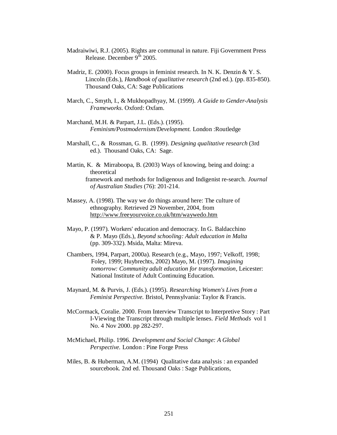- Madraiwiwi, R.J. (2005). Rights are communal in nature. Fiji Government Press Release. December  $9^{th}$  2005.
- Madriz, E. (2000). Focus groups in feminist research. In N. K. Denzin & Y. S. Lincoln (Eds.), *Handbook of qualitative research* (2nd ed.). (pp. 835-850). Thousand Oaks, CA: Sage Publications
- March, C., Smyth, I., & Mukhopadhyay, M. (1999). *A Guide to Gender-Analysis Frameworks*. Oxford: Oxfam.
- Marchand, M.H. & Parpart, J.L. (Eds.). (1995). *Feminism/Postmodernism/Development.* London :Routledge
- Marshall, C., & Rossman, G. B. (1999). *Designing qualitative research* (3rd ed.). Thousand Oaks, CA: Sage.
- Martin, K. & Mirraboopa, B. (2003) Ways of knowing, being and doing: a theoretical framework and methods for Indigenous and Indigenist re-search. *Journal of Australian Studies* (76): 201-214.
- Massey, A. (1998). The way we do things around here: The culture of ethnography. Retrieved 29 November, 2004, from <http://www.freeyourvoice.co.uk/htm/waywedo.htm>
- Mayo, P. (1997). Workers' education and democracy. In G. Baldacchino & P. Mayo (Eds.), *Beyond schooling: Adult education in Malta* (pp. 309-332). Msida, Malta: Mireva.
- Chambers, 1994, Parpart, 2000a). Research (e.g., Mayo, 1997; Velkoff, 1998; Foley, 1999; Huybrechts, 2002) Mayo, M. (1997). *Imagining tomorrow: Community adult education for transformation*, Leicester: National Institute of Adult Continuing Education.
- Maynard, M. & Purvis, J. (Eds.). (1995). *Researching Women's Lives from a Feminist Perspective.* Bristol, Pennsylvania: Taylor & Francis.
- McCormack, Coralie. 2000. From Interview Transcript to Interpretive Story : Part I-Viewing the Transcript through multiple lenses. *Field Methods* vol 1 No. 4 Nov 2000. pp 282-297.
- McMichael, Philip. 1996. *Development and Social Change: A Global Perspective.* London : Pine Forge Press
- Miles, B. & Huberman, A.M. (1994) Qualitative data analysis : an expanded sourcebook. 2nd ed. Thousand Oaks : Sage Publications,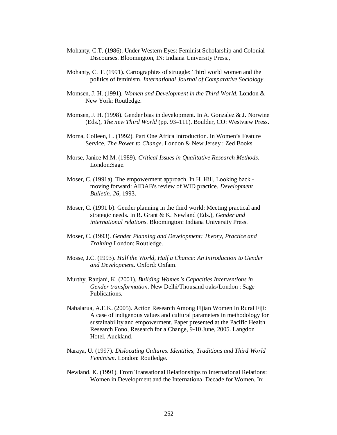- Mohanty, C.T. (1986). Under Western Eyes: Feminist Scholarship and Colonial Discourses. Bloomington, IN: Indiana University Press.,
- Mohanty, C. T. (1991). Cartographies of struggle: Third world women and the politics of feminism. *International Journal of Comparative Sociology*.
- Momsen, J. H. (1991). *Women and Development in the Third World.* London & New York: Routledge.
- Momsen, J. H. (1998). Gender bias in development. In A. Gonzalez & J. Norwine (Eds.), *The new Third World* (pp. 93–111). Boulder, CO: Westview Press.
- Morna, Colleen, L. (1992). Part One Africa Introduction. In Women's Feature Service, *The Power to Change*. London & New Jersey : Zed Books.
- Morse, Janice M.M. (1989). *Critical Issues in Qualitative Research Methods*. London:Sage.
- Moser, C. (1991a). The empowerment approach. In H. Hill, Looking back moving forward: AIDAB's review of WID practice. *Development Bulletin, 26*, 1993.
- Moser, C. (1991 b). Gender planning in the third world: Meeting practical and strategic needs. In R. Grant & K. Newland (Eds.), *Gender and international relations*. Bloomington: Indiana University Press.
- Moser, C. (1993). *Gender Planning and Development: Theory, Practice and Training* London: Routledge.
- Mosse, J.C. (1993). *Half the World, Half a Chance: An Introduction to Gender and Development.* Oxford: Oxfam.
- Murthy, Ranjani, K. (2001). *Building Women's Capacities Interventions in Gender transformation.* New Delhi/Thousand oaks/London : Sage Publications.
- Nabalarua, A.E.K. (2005). Action Research Among Fijian Women In Rural Fiji: A case of indigenous values and cultural parameters in methodology for sustainability and empowerment. Paper presented at the Pacific Health Research Fono, Research for a Change, 9-10 June, 2005. Langdon Hotel, Auckland.
- Naraya, U. (1997). *Dislocating Cultures. Identities, Traditions and Third World Feminism*. London: Routledge.
- Newland, K. (1991). From Transational Relationships to International Relations: Women in Development and the International Decade for Women. In: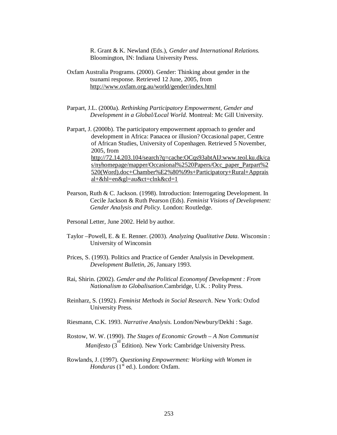R. Grant & K. Newland (Eds.), *Gender and International Relations.* Bloomington, IN: Indiana University Press.

- Oxfam Australia Programs. (2000). Gender: Thinking about gender in the tsunami response. Retrieved 12 June, 2005, from <http://www.oxfam.org.au/world/gender/index.html>
- Parpart, J.L. (2000a). *Rethinking Participatory Empowerment, Gender and Development in a Global/Local World.* Montreal: Mc Gill University.
- Parpart, J. (2000b). The participatory empowerment approach to gender and development in Africa: Panacea or illusion? Occasional paper, Centre of African Studies, University of Copenhagen. Retrieved 5 November, 2005, from <http://72.14.203.104/search?q=cache:OCqs93abtAIJ:www.teol.ku.dk/ca> s/nyhomepage/mapper/Occasional%2520Papers/Occ\_paper\_Parpart%2 520(Word).doc+Chamber%E2%80%99s+Participatory+Rural+Apprais al+&hl=en&gl=au&ct=clnk&cd=1
- Pearson, Ruth & C. Jackson. (1998). Introduction: Interrogating Development. In Cecile Jackson & Ruth Pearson (Eds). *Feminist Visions of Development: Gender Analysis and Policy.* London: Routledge.
- Personal Letter, June 2002. Held by author.
- Taylor –Powell, E. & E. Renner. (2003). *Analyzing Qualitative Data.* Wisconsin : University of Winconsin
- Prices, S. (1993). Politics and Practice of Gender Analysis in Development. *Development Bulletin*, *26*, January 1993.
- Rai, Shirin. (2002). *Gender and the Political Economyof Development : From Nationalism to Globalisation.*Cambridge, U.K. : Polity Press.
- Reinharz, S. (1992). *Feminist Methods in Social Research.* New York: Oxfod University Press.
- Riesmann, C.K. 1993. *Narrative Analysis*. London/Newbury/Dekhi : Sage.
- Rostow, W. W. (1990). *The Stages of Economic Growth A Non Communist Manifesto* (3<sup>rd</sup> Edition). New York: Cambridge University Press.
- Rowlands, J. (1997). *Questioning Empowerment: Working with Women in Honduras* (1<sup>st</sup> ed.). London: Oxfam.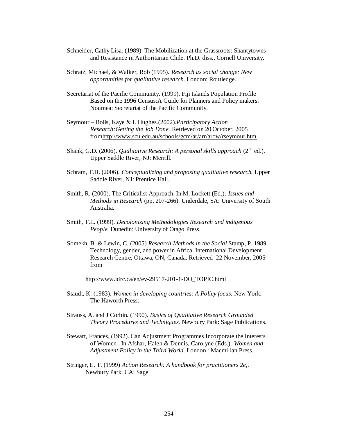- Schneider, Cathy Lisa. (1989). The Mobilization at the Grassroots: Shantytowns and Resistance in Authoritarian Chile. Ph.D. diss., Cornell University.
- Schratz, Michael, & Walker, Rob (1995). *Research as social change: New opportunities for qualitative research*. London: Routledge.
- Secretariat of the Pacific Community. (1999). Fiji Islands Population Profile Based on the 1996 Census:A Guide for Planners and Policy makers. Noumea: Secretariat of the Pacific Community.
- Seymour Rolls, Kaye & I. Hughes.(2002).*Participatory Action Research:Getting the Job Done.* Retrieved on 20 October, 2005 fro[mhttp://www.scu.edu.au/schools/gcm/ar/arr/arow/rseymour.htm](http://www.scu.edu.au/schools/gcm/ar/arr/arow/rseymour.htm)
- Shank, G.D. (2006). *Qualitative Research: A personal skills approach* (2<sup>nd</sup> ed.). Upper Saddle River, NJ: Merrill.
- Schram, T.H. (2006). *Conceptualizing and proposing qualitative research.* Upper Saddle River, NJ: Prentice Hall.
- Smith, R. (2000). The Criticalist Approach. In M. Lockett (Ed.), *Issues and Methods in Research* (pp. 207-266)*.* Underdale, SA: University of South Australia.
- Smith, T.L. (1999). *Decolonizing Methodologies Research and indigenous People.* Dunedin: University of Otago Press.
- Somekh, B. & Lewin, C. (2005) *Research Methods in the Social* Stamp, P. 1989. Technology, gender, and power in Africa. International Development Research Centre, Ottawa, ON, Canada. Retrieved 22 November, 2005 from

[http://www.idrc.ca/en/ev-29517-201-1-DO\\_TOPIC.html](http://www.idrc.ca/en/ev-29517-201-1-DO_TOPIC.html)

- Staudt, K. (1983). *Women in developing countries: A Policy focus.* New York: The Haworth Press.
- Strauss, A. and J Corbin. (1990). *Basics of Qualitative Research Grounded Theory Procedures and Techniques.* Newbury Park: Sage Publications.
- Stewart, Frances, (1992). Can Adjustment Programmes Incorporate the Interests of Women . In Afshar, Haleh & Dennis, Carolyne (Eds.), *Women and Adjustment Policy in the Third World.* London : Macmillan Press.
- Stringer, E. T. (1999) *Action Research: A handbook for practitioners 2e*,. Newbury Park, CA: Sage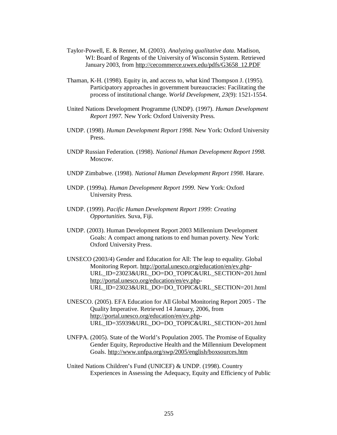- Taylor-Powell, E. & Renner, M. (2003). *Analyzing qualitative data.* Madison, WI: Board of Regents of the University of Wisconsin System. Retrieved January 2003, from [http://cecommerce.uwex.edu/pdfs/G3658\\_12.PDF](http://cecommerce.uwex.edu/pdfs/G3658_12.PDF)
- Thaman, K-H. (1998). Equity in, and access to, what kind Thompson J. (1995). Participatory approaches in government bureaucracies: Facilitating the process of institutional change. *World Development, 23*(9): 1521-1554.
- United Nations Development Programme (UNDP). (1997). *Human Development Report 1997.* New York: Oxford University Press.
- UNDP. (1998). *Human Development Report 1998.* New York: Oxford University Press.
- UNDP Russian Federation. (1998). *National Human Development Report 1998.* Moscow.
- UNDP Zimbabwe. (1998). *National Human Development Report 1998.* Harare.
- UNDP. (1999a). *Human Development Report 1999.* New York: Oxford University Press.
- UNDP. (1999). *Pacific Human Development Report 1999: Creating Opportunities.* Suva, Fiji.
- UNDP. (2003). Human Development Report 2003 Millennium Development Goals: A compact among nations to end human poverty. New York: Oxford University Press.
- UNSECO (2003/4) Gender and Education for All: The leap to equality. Global Monitoring Report. <http://portal.unesco.org/education/en/ev.php>-URL\_ID=23023&URL\_DO=DO\_TOPIC&URL\_SECTION=201.html [http://portal.unesco.org/education/en/ev.php-](http://portal.unesco.org/education/en/ev.php)URL\_ID=23023&URL\_DO=DO\_TOPIC&URL\_SECTION=201.html
- UNESCO. (2005). EFA Education for All Global Monitoring Report 2005 The Quality Imperative. Retrieved 14 January, 2006, from [http://portal.unesco.org/education/en/ev.php-](http://portal.unesco.org/education/en/ev.php)URL\_ID=35939&URL\_DO=DO\_TOPIC&URL\_SECTION=201.html
- UNFPA. (2005). State of the World's Population 2005. The Promise of Equality Gender Equity, Reproductive Health and the Millennium Development Goals. <http://www.unfpa.org/swp/2005/english/boxsources.htm>
- United Nations Children's Fund (UNICEF) & UNDP. (1998). Country Experiences in Assessing the Adequacy, Equity and Efficiency of Public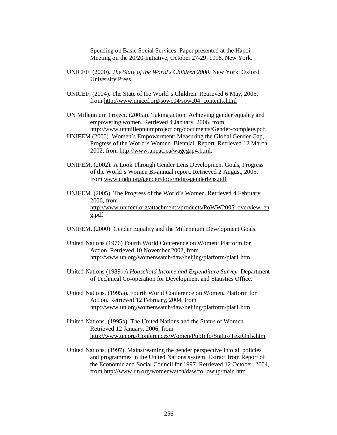Spending on Basic Social Services. Paper presented at the Hanoi Meeting on the 20/20 Initiative, October 27-29, 1998. New York.

- UNICEF. (2000). *The State of the World's Children 2000.* New York: Oxford University Press.
- UNICEF. (2004). The State of the World's Children. Retrieved 6 May, 2005, from [http://www.unicef.org/sowc04/sowc04\\_contents.html](http://www.unicef.org/sowc04/sowc04_contents.html)

UN Millennium Project. (2005a). Taking action: Achieving gender equality and empowering women. Retrieved 4 January, 2006, from [http://www.unmillenniumproject.org/documents/Gender-complete.pdf.](http://www.unmillenniumproject.org/documents/Gender-complete.pdf)

- UNIFEM (2000). Women's Empowerment: Measuring the Global Gender Gap, Progress of the World's Women. Biennial. Report. Retrieved 12 March, 2002, from<http://www.unpac.ca/wagegap4.html>.
- UNIFEM. (2002). A Look Through Gender Lens Development Goals, Progress of the World's Women Bi-annual report. Retrieved 2 August, 2005, from [www.undp.org/gender/docs/mdgs-genderlens.pdf](http://www.undp.org/gender/docs/mdgs-genderlens.pdf)
- UNIFEM. (2005). The Progress of the World's Women. Retrieved 4 February, 2006, from [http://www.unifem.org/attachments/products/PoWW2005\\_overview\\_en](http://www.unifem.org/attachments/products/PoWW2005_overview_en) g.pdf
- UNIFEM. (2000). Gender Equality and the Millennium Development Goals.
- United Nations (1976) Fourth World Conference on Women: Platform for Action. Retrieved 10 November 2002, from <http://www.un.org/womenwatch/daw/beijing/platform/plat1.htm>
- United Nations (1989) *A Household Income and Expenditure Survey.* Department of Technical Co-operation for Development and Statistics Office.

United Nations. (1995a). Fourth World Conference on Women. Platform for Action. Retrieved 12 February, 2004, from <http://www.un.org/womenwatch/daw/beijing/platform/plat1.htm>

United Nations. (1995b). The United Nations and the Status of Women. Retrieved 12 January, 2006, from <http://www.un.org/Conferences/Women/PubInfo/Status/TextOnly.htm>

United Nations. (1997). Mainstreaming the gender perspective into all policies and programmes in the United Nations system. Extract from Report of the Economic and Social Council for 1997. Retrieved 12 October, 2004, from <http://www.un.org/womenwatch/daw/followup/main.htm>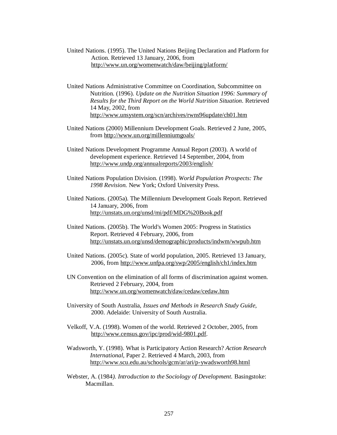- United Nations. (1995). The United Nations Beijing Declaration and Platform for Action. Retrieved 13 January, 2006, from <http://www.un.org/womenwatch/daw/beijing/platform/>
- United Nations Administrative Committee on Coordination, Subcommittee on Nutrition. (1996). *Update on the Nutrition Situation 1996: Summary of Results for the Third Report on the World Nutrition Situation.* Retrieved 14 May, 2002, from <http://www.unsystem.org/scn/archives/rwns96update/ch01.htm>
- United Nations (2000) Millennium Development Goals. Retrieved 2 June, 2005, from <http://www.un.org/millenniumgoals/>
- United Nations Development Programme Annual Report (2003). A world of development experience. Retrieved 14 September, 2004, from <http://www.undp.org/annualreports/2003/english/>
- United Nations Population Division. (1998). *World Population Prospects: The 1998 Revision.* New York; Oxford University Press.
- United Nations. (2005a). The Millennium Development Goals Report. Retrieved 14 January, 2006, from <http://unstats.un.org/unsd/mi/pdf/MDG%20Book.pdf>
- United Nations. (2005b). The World's Women 2005: Progress in Statistics Report. Retrieved 4 February, 2006, from <http://unstats.un.org/unsd/demographic/products/indwm/wwpub.htm>
- United Nations. (2005c). State of world population, 2005. Retrieved 13 January, 2006, from <http://www.unfpa.org/swp/2005/english/ch1/index.htm>
- UN Convention on the elimination of all forms of discrimination against women. Retrieved 2 February, 2004, from <http://www.un.org/womenwatch/daw/cedaw/cedaw.htm>
- University of South Australia, *Issues and Methods in Research Study Guide,* 2000. Adelaide: University of South Australia.
- Velkoff, V.A. (1998). Women of the world. Retrieved 2 October, 2005, from [http://www.census.gov/ipc/prod/wid-9801.pdf.](http://www.census.gov/ipc/prod/wid-9801.pdf)
- Wadsworth, Y. (1998). What is Participatory Action Research? *Action Research International,* Paper 2. Retrieved 4 March, 2003, from <http://www.scu.edu.au/schools/gcm/ar/ari/p-ywadsworth98.html>
- Webster, A. (1984*). Introduction to the Sociology of Development.* Basingstoke: Macmillan.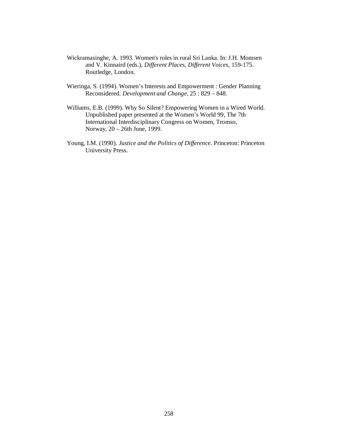- Wickramasinghe, A. 1993. Women's roles in rural Sri Lanka. In: J.H. Momsen and V. Kinnaird (eds.), *Different Places, Different Voices*, 159-175. Routledge, London.
- Wieringa, S. (1994). Women's Interests and Empowerment : Gender Planning Reconsidered. *Development and Change,* 25 : 829 – 848.
- Williams, E.B. (1999). Why So Silent? Empowering Women in a Wired World. Unpublished paper presented at the Women's World 99, The 7th International Interdisciplinary Congress on Women, Tromso, Norway, 20 – 26th June, 1999.
- Young, I.M. (1990). *Justice and the Politics of Difference.* Princeton: Princeton University Press.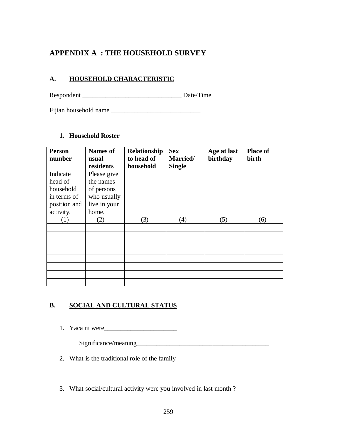# **APPENDIX A : THE HOUSEHOLD SURVEY**

#### **A. HOUSEHOLD CHARACTERISTIC**

Respondent \_\_\_\_\_\_\_\_\_\_\_\_\_\_\_\_\_\_\_\_\_\_\_\_\_\_\_\_\_\_ Date/Time

Fijian household name \_\_\_\_\_\_\_\_\_\_\_\_\_\_\_\_\_\_\_\_\_\_\_\_\_\_\_

#### **1. Household Roster**

| Person           | <b>Names of</b> | Relationship | <b>Sex</b>    | Age at last | <b>Place of</b> |
|------------------|-----------------|--------------|---------------|-------------|-----------------|
| number           | usual           | to head of   | Married/      | birthday    | birth           |
|                  | residents       | household    | <b>Single</b> |             |                 |
| Indicate         | Please give     |              |               |             |                 |
| head of          | the names       |              |               |             |                 |
| household        | of persons      |              |               |             |                 |
| in terms of      | who usually     |              |               |             |                 |
| position and     | live in your    |              |               |             |                 |
| activity.        | home.           |              |               |             |                 |
| $\left(1\right)$ | (2)             | (3)          | (4)           | (5)         | (6)             |
|                  |                 |              |               |             |                 |
|                  |                 |              |               |             |                 |
|                  |                 |              |               |             |                 |
|                  |                 |              |               |             |                 |
|                  |                 |              |               |             |                 |
|                  |                 |              |               |             |                 |
|                  |                 |              |               |             |                 |
|                  |                 |              |               |             |                 |

### **B. SOCIAL AND CULTURAL STATUS**

1. Yaca ni were\_\_\_\_\_\_\_\_\_\_\_\_\_\_\_\_\_\_\_\_\_\_

Significance/meaning

2. What is the traditional role of the family \_\_\_\_\_\_\_\_\_\_\_\_\_\_\_\_\_\_\_\_\_\_\_\_\_\_\_\_\_\_\_\_\_\_\_

3. What social/cultural activity were you involved in last month ?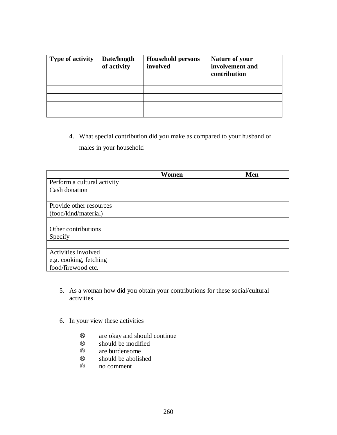| <b>Type of activity</b> | Date/length<br>of activity | <b>Household persons</b><br>involved | <b>Nature of your</b><br>involvement and<br>contribution |
|-------------------------|----------------------------|--------------------------------------|----------------------------------------------------------|
|                         |                            |                                      |                                                          |
|                         |                            |                                      |                                                          |
|                         |                            |                                      |                                                          |
|                         |                            |                                      |                                                          |
|                         |                            |                                      |                                                          |

4. What special contribution did you make as compared to your husband or males in your household

|                             | Women | Men |
|-----------------------------|-------|-----|
| Perform a cultural activity |       |     |
| Cash donation               |       |     |
|                             |       |     |
| Provide other resources     |       |     |
| (food/kind/material)        |       |     |
|                             |       |     |
| Other contributions         |       |     |
| Specify                     |       |     |
|                             |       |     |
| Activities involved         |       |     |
| e.g. cooking, fetching      |       |     |
| food/firewood etc.          |       |     |

- 5. As a woman how did you obtain your contributions for these social/cultural activities
- 6. In your view these activities
	- $\therefore$  are okay and should continue
	- ¨ should be modified
	- $\therefore$  are burdensome
	- $\therefore$  should be abolished
	- no comment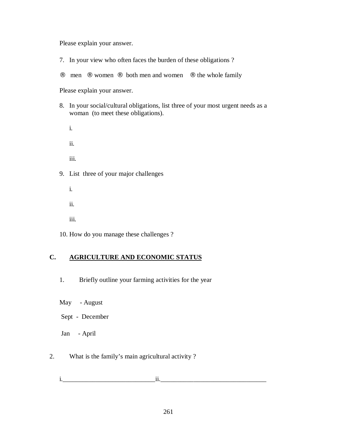Please explain your answer.

- 7. In your view who often faces the burden of these obligations ?
- ¨ men ¨ women ¨ both men and women ¨ the whole family

Please explain your answer.

- 8. In your social/cultural obligations, list three of your most urgent needs as a woman (to meet these obligations).
- i. ii. iii. 9. List three of your major challenges i.
	- ii.
	- iii.
- 10. How do you manage these challenges ?

#### **C. AGRICULTURE AND ECONOMIC STATUS**

- 1. Briefly outline your farming activities for the year
- May August
- Sept December
- Jan April

#### 2. What is the family's main agricultural activity ?

i.\_\_\_\_\_\_\_\_\_\_\_\_\_\_\_\_\_\_\_\_\_\_\_\_\_\_\_\_ii.\_\_\_\_\_\_\_\_\_\_\_\_\_\_\_\_\_\_\_\_\_\_\_\_\_\_\_\_\_\_\_\_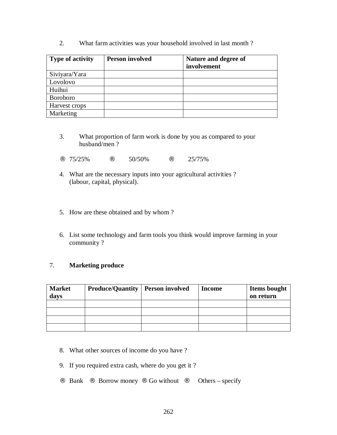2. What farm activities was your household involved in last month ?

| <b>Type of activity</b> | <b>Person involved</b> | Nature and degree of<br>involvement |
|-------------------------|------------------------|-------------------------------------|
| Siviyara/Yara           |                        |                                     |
| Lovolovo                |                        |                                     |
| Huihui                  |                        |                                     |
| <b>Boroboro</b>         |                        |                                     |
| Harvest crops           |                        |                                     |
| Marketing               |                        |                                     |

- 3. What proportion of farm work is done by you as compared to your husband/men ?
- $\therefore$  75/25%  $\therefore$  50/50%  $\therefore$  25/75%
- 4. What are the necessary inputs into your agricultural activities ? (labour, capital, physical).
- 5. How are these obtained and by whom ?
- 6. List some technology and farm tools you think would improve farming in your community ?

#### 7. **Marketing produce**

| <b>Market</b><br>days | <b>Produce/Quantity   Person involved</b> | <b>Income</b> | <b>Items bought</b><br>on return |
|-----------------------|-------------------------------------------|---------------|----------------------------------|
|                       |                                           |               |                                  |
|                       |                                           |               |                                  |
|                       |                                           |               |                                  |
|                       |                                           |               |                                  |

- 8. What other sources of income do you have ?
- 9. If you required extra cash, where do you get it ?
- $\therefore$  Bank  $\therefore$  Borrow money  $\therefore$  Go without  $\therefore$  Others specify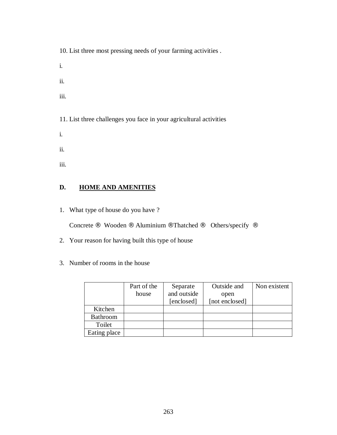10. List three most pressing needs of your farming activities .

- i.
- ii.
- iii.

11. List three challenges you face in your agricultural activities

- i.
- ii.
- iii.

### **D. HOME AND AMENITIES**

1. What type of house do you have ?

Concrete ¨ Wooden ¨ Aluminium ¨Thatched ¨ Others/specify ¨

- 2. Your reason for having built this type of house
- 3. Number of rooms in the house

|              | Part of the | Separate    | Outside and    | Non existent |
|--------------|-------------|-------------|----------------|--------------|
|              | house       | and outside | open           |              |
|              |             | [enclosed]  | [not enclosed] |              |
| Kitchen      |             |             |                |              |
| Bathroom     |             |             |                |              |
| Toilet       |             |             |                |              |
| Eating place |             |             |                |              |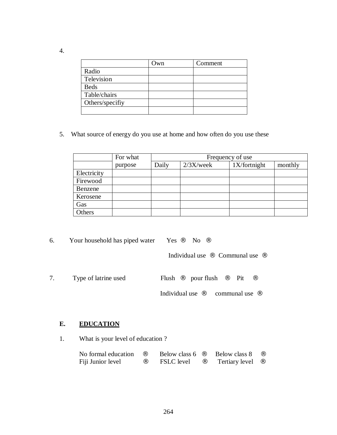|                 | Own | Comment |
|-----------------|-----|---------|
| Radio           |     |         |
| Television      |     |         |
| <b>Beds</b>     |     |         |
| Table/chairs    |     |         |
| Others/specifiy |     |         |
|                 |     |         |

5. What source of energy do you use at home and how often do you use these

|             | For what |       | Frequency of use |              |         |  |
|-------------|----------|-------|------------------|--------------|---------|--|
|             | purpose  | Daily | $2/3X$ /week     | 1X/fortnight | monthly |  |
| Electricity |          |       |                  |              |         |  |
| Firewood    |          |       |                  |              |         |  |
| Benzene     |          |       |                  |              |         |  |
| Kerosene    |          |       |                  |              |         |  |
| Gas         |          |       |                  |              |         |  |
| Others      |          |       |                  |              |         |  |

6. Your household has piped water Yes  $\cdot$  No  $\cdot$ 

Individual use  $\cdot \cdot$  Communal use  $\cdot \cdot$ 

7. Type of latrine used Flush  $\therefore$  pour flush  $\therefore$  Pit  $\therefore$ Individual use  $\cdot \cdot$  communal use  $\cdot \cdot$ 

### **E. EDUCATION**

1. What is your level of education ?

| No formal education |               | Below class 6     | Below class 8  |  |
|---------------------|---------------|-------------------|----------------|--|
| Fiji Junior level   | $\cdot \cdot$ | <b>FSLC</b> level | Tertiary level |  |

4.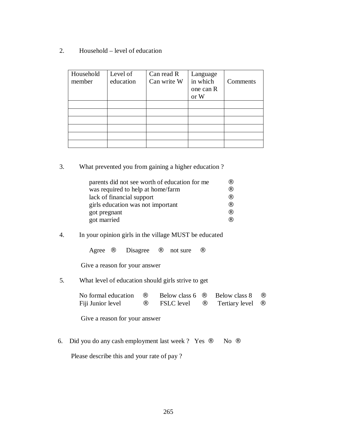2. Household – level of education

| Household<br>member | Level of<br>education | Can read R<br>Can write W | Language<br>in which<br>one can R<br>or W | Comments |
|---------------------|-----------------------|---------------------------|-------------------------------------------|----------|
|                     |                       |                           |                                           |          |
|                     |                       |                           |                                           |          |
|                     |                       |                           |                                           |          |
|                     |                       |                           |                                           |          |
|                     |                       |                           |                                           |          |
|                     |                       |                           |                                           |          |

3. What prevented you from gaining a higher education ?

| parents did not see worth of education for me |  |
|-----------------------------------------------|--|
| was required to help at home/farm             |  |
| lack of financial support                     |  |
| girls education was not important             |  |
| got pregnant                                  |  |
| got married                                   |  |

#### 4. In your opinion girls in the village MUST be educated

Agree  $\cdot$  Disagree  $\cdot$  not sure  $\cdot$ 

Give a reason for your answer

5. What level of education should girls strive to get

| No formal education | Below class 6     | Below class 8  |  |
|---------------------|-------------------|----------------|--|
| Fiji Junior level   | <b>FSLC</b> level | Tertiary level |  |

Give a reason for your answer

6. Did you do any cash employment last week ? Yes  $\cdot$  No  $\cdot$ 

Please describe this and your rate of pay ?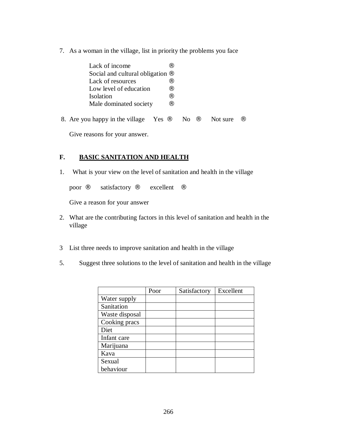7. As a woman in the village, list in priority the problems you face

| Lack of income                                | $\cdot$ $\cdot$ |                |  |          |  |
|-----------------------------------------------|-----------------|----------------|--|----------|--|
| Social and cultural obligation                |                 |                |  |          |  |
| Lack of resources                             | . .             |                |  |          |  |
| Low level of education                        | $\cdot$ $\cdot$ |                |  |          |  |
| Isolation                                     | $\cdot$ $\cdot$ |                |  |          |  |
| Male dominated society                        | . .             |                |  |          |  |
| 8. Are you happy in the village<br><b>Yes</b> |                 | N <sub>0</sub> |  | Not sure |  |

Give reasons for your answer.

#### **F. BASIC SANITATION AND HEALTH**

1. What is your view on the level of sanitation and health in the village

poor ¨ satisfactory ¨ excellent ¨

Give a reason for your answer

- 2. What are the contributing factors in this level of sanitation and health in the village
- 3 List three needs to improve sanitation and health in the village
- 5. Suggest three solutions to the level of sanitation and health in the village

|                | Poor | Satisfactory | Excellent |
|----------------|------|--------------|-----------|
| Water supply   |      |              |           |
| Sanitation     |      |              |           |
| Waste disposal |      |              |           |
| Cooking pracs  |      |              |           |
| Diet           |      |              |           |
| Infant care    |      |              |           |
| Marijuana      |      |              |           |
| Kava           |      |              |           |
| Sexual         |      |              |           |
| behaviour      |      |              |           |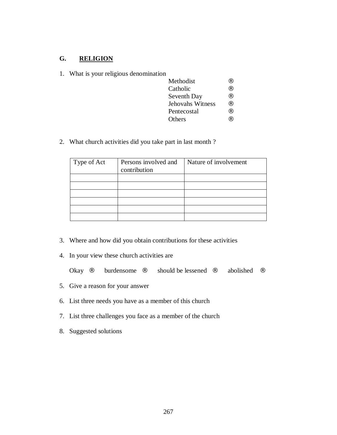## **G. RELIGION**

|  |  |  |  | What is your religious denomination |
|--|--|--|--|-------------------------------------|
|--|--|--|--|-------------------------------------|

| Methodist        |  |
|------------------|--|
| Catholic         |  |
| Seventh Day      |  |
| Jehovahs Witness |  |
| Pentecostal      |  |
| Others           |  |

2. What church activities did you take part in last month ?

| Type of Act | Persons involved and<br>contribution | Nature of involvement |
|-------------|--------------------------------------|-----------------------|
|             |                                      |                       |
|             |                                      |                       |
|             |                                      |                       |
|             |                                      |                       |
|             |                                      |                       |
|             |                                      |                       |

- 3. Where and how did you obtain contributions for these activities
- 4. In your view these church activities are

| Okay | burdensome | should be lessened | abolished |  |
|------|------------|--------------------|-----------|--|
|      |            |                    |           |  |

- 5. Give a reason for your answer
- 6. List three needs you have as a member of this church
- 7. List three challenges you face as a member of the church
- 8. Suggested solutions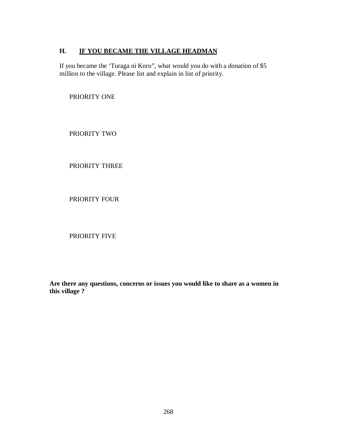#### **H. IF YOU BECAME THE VILLAGE HEADMAN**

If you became the 'Turaga ni Koro", what would you do with a donation of \$5 million to the village. Please list and explain in list of priority.

PRIORITY ONE

PRIORITY TWO

PRIORITY THREE

PRIORITY FOUR

PRIORITY FIVE

**Are there any questions, concerns or issues you would like to share as a women in this village ?**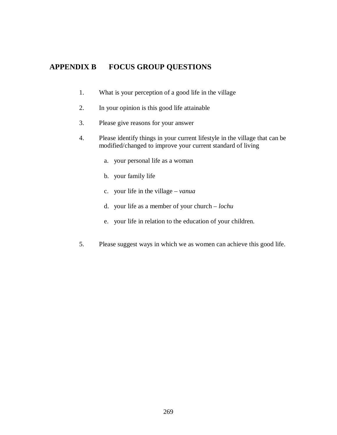## **APPENDIX B FOCUS GROUP QUESTIONS**

- 1. What is your perception of a good life in the village
- 2. In your opinion is this good life attainable
- 3. Please give reasons for your answer
- 4. Please identify things in your current lifestyle in the village that can be modified/changed to improve your current standard of living
	- a. your personal life as a woman
	- b. your family life
	- c. your life in the village *vanua*
	- d. your life as a member of your church *lochu*
	- e. your life in relation to the education of your children.
- 5. Please suggest ways in which we as women can achieve this good life.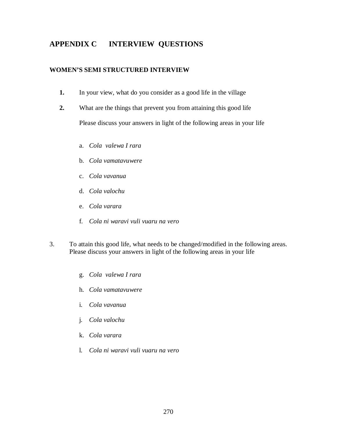## **APPENDIX C INTERVIEW QUESTIONS**

#### **WOMEN'S SEMI STRUCTURED INTERVIEW**

- **1.** In your view, what do you consider as a good life in the village
- **2.** What are the things that prevent you from attaining this good life Please discuss your answers in light of the following areas in your life
	- a. *Cola valewa I rara*
	- b. *Cola vamatavuwere*
	- c. *Cola vavanua*
	- d. *Cola valochu*
	- e. *Cola varara*
	- f. *Cola ni waravi vuli vuaru na vero*
- 3. To attain this good life, what needs to be changed/modified in the following areas. Please discuss your answers in light of the following areas in your life
	- g. *Cola valewa I rara*
	- h. *Cola vamatavuwere*
	- i. *Cola vavanua*
	- j. *Cola valochu*
	- k. *Cola varara*
	- l. *Cola ni waravi vuli vuaru na vero*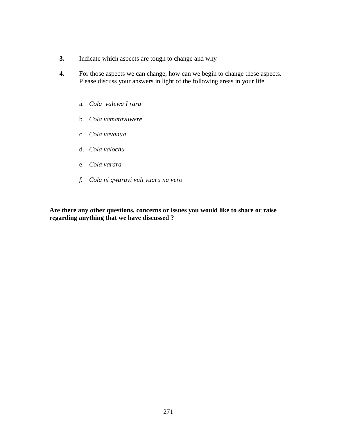- **3.** Indicate which aspects are tough to change and why
- **4.** For those aspects we can change, how can we begin to change these aspects. Please discuss your answers in light of the following areas in your life
	- a. *Cola valewa I rara*
	- b. *Cola vamatavuwere*
	- c. *Cola vavanua*
	- d. *Cola valochu*
	- e. *Cola varara*
	- *f. Cola ni qwaravi vuli vuaru na vero*

**Are there any other questions, concerns or issues you would like to share or raise regarding anything that we have discussed ?**